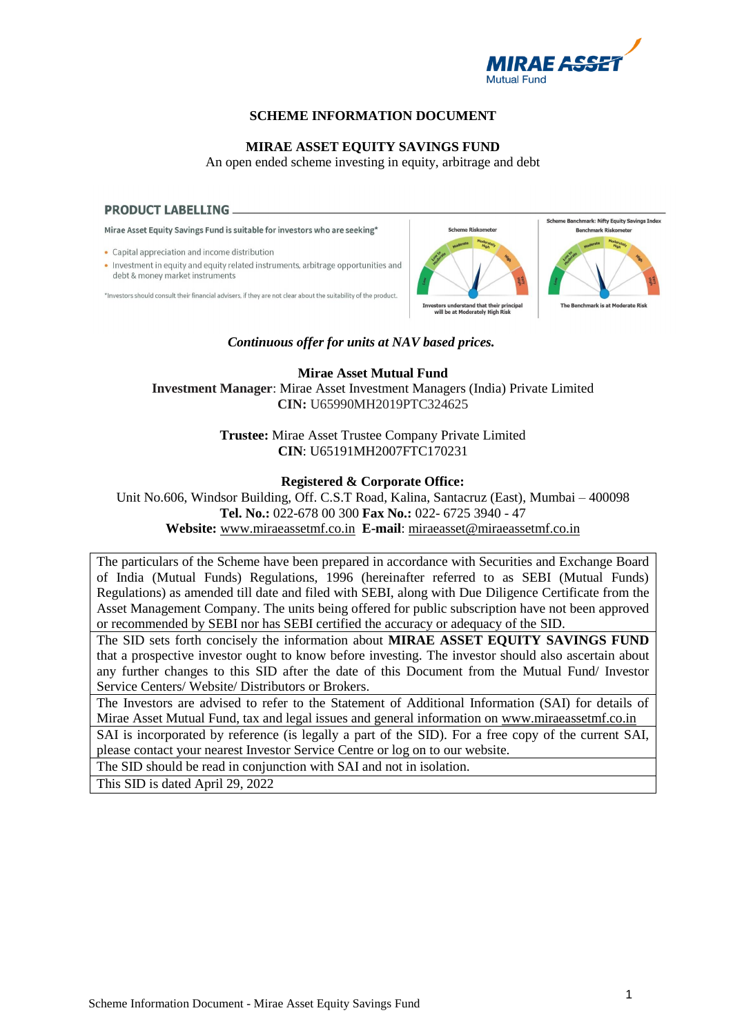

# **SCHEME INFORMATION DOCUMENT**

# **MIRAE ASSET EQUITY SAVINGS FUND**

An open ended scheme investing in equity, arbitrage and debt

#### **PRODUCT LABELLING ...**

Mirae Asset Equity Savings Fund is suitable for investors who are seeking\*

• Capital appreciation and income distribution

• Investment in equity and equity related instruments, arbitrage opportunities and debt & money market instruments

\*Investors should consult their financial advisers, if they are not clear about the suitability of the product.



#### *Continuous offer for units at NAV based prices.*

**Mirae Asset Mutual Fund Investment Manager**: Mirae Asset Investment Managers (India) Private Limited **CIN:** U65990MH2019PTC324625

> **Trustee:** Mirae Asset Trustee Company Private Limited **CIN**: U65191MH2007FTC170231

## **Registered & Corporate Office:**

Unit No.606, Windsor Building, Off. C.S.T Road, Kalina, Santacruz (East), Mumbai – 400098 **Tel. No.:** 022-678 00 300 **Fax No.:** 022- 6725 3940 - 47 **Website:** [www.miraeassetmf.co.in](http://www.miraeassetmf.co.in/) **E-mail**: [miraeasset@miraeassetmf.co.in](mailto:miraeasset@miraeassetmf.co.in)

The particulars of the Scheme have been prepared in accordance with Securities and Exchange Board of India (Mutual Funds) Regulations, 1996 (hereinafter referred to as SEBI (Mutual Funds) Regulations) as amended till date and filed with SEBI, along with Due Diligence Certificate from the Asset Management Company. The units being offered for public subscription have not been approved or recommended by SEBI nor has SEBI certified the accuracy or adequacy of the SID.

The SID sets forth concisely the information about **MIRAE ASSET EQUITY SAVINGS FUND** that a prospective investor ought to know before investing. The investor should also ascertain about any further changes to this SID after the date of this Document from the Mutual Fund/ Investor Service Centers/ Website/ Distributors or Brokers.

The Investors are advised to refer to the Statement of Additional Information (SAI) for details of Mirae Asset Mutual Fund, tax and legal issues and general information on [www.miraeassetmf.co.in](http://www.miraeassetmf.co.in/)

SAI is incorporated by reference (is legally a part of the SID). For a free copy of the current SAI, please contact your nearest Investor Service Centre or log on to our website.

The SID should be read in conjunction with SAI and not in isolation.

This SID is dated April 29, 2022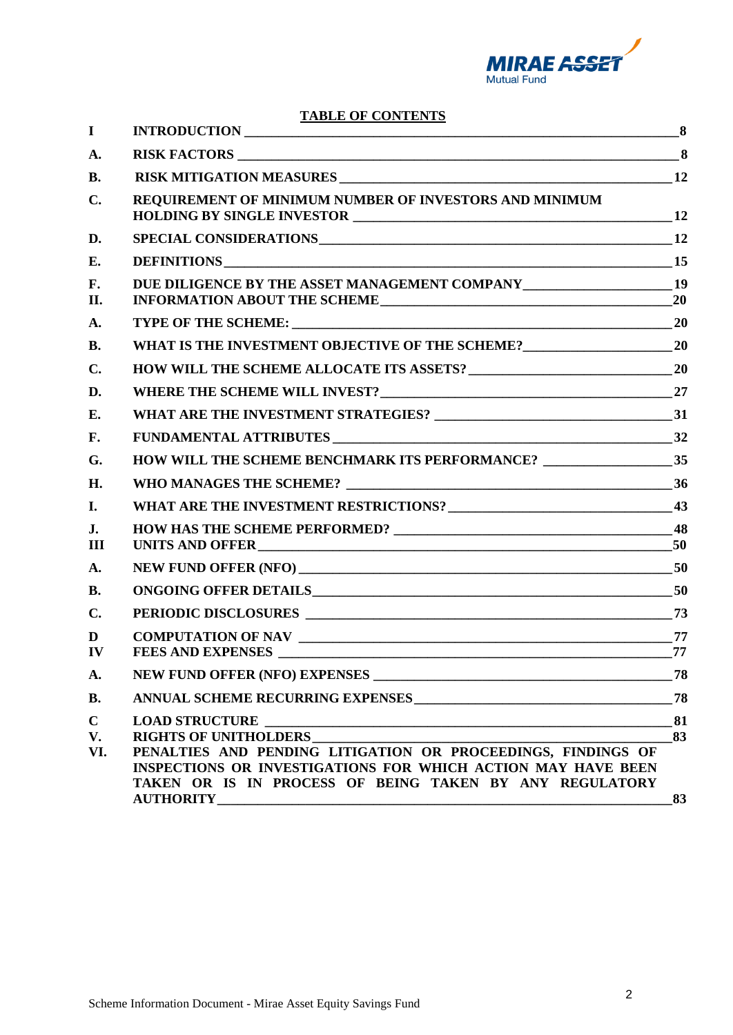

**TABLE OF CONTENTS** 

| $\mathbf I$              |                                                                                                                                                                                                                         |          |
|--------------------------|-------------------------------------------------------------------------------------------------------------------------------------------------------------------------------------------------------------------------|----------|
| A.                       |                                                                                                                                                                                                                         |          |
| <b>B.</b>                |                                                                                                                                                                                                                         |          |
| $\mathbf{C}$ .           | REQUIREMENT OF MINIMUM NUMBER OF INVESTORS AND MINIMUM                                                                                                                                                                  |          |
| D.                       |                                                                                                                                                                                                                         |          |
| Е.                       |                                                                                                                                                                                                                         |          |
| F.<br>II.                |                                                                                                                                                                                                                         |          |
| A.                       |                                                                                                                                                                                                                         |          |
| <b>B.</b>                |                                                                                                                                                                                                                         |          |
| $\mathbf{C}$ .           |                                                                                                                                                                                                                         |          |
| D.                       |                                                                                                                                                                                                                         |          |
| E.                       |                                                                                                                                                                                                                         |          |
| F.                       | FUNDAMENTAL ATTRIBUTES 32                                                                                                                                                                                               |          |
| G.                       |                                                                                                                                                                                                                         |          |
| H.                       |                                                                                                                                                                                                                         |          |
| I.                       |                                                                                                                                                                                                                         |          |
| J.<br>III                |                                                                                                                                                                                                                         |          |
| A.                       |                                                                                                                                                                                                                         |          |
| <b>B.</b>                |                                                                                                                                                                                                                         |          |
| $\mathbf{C}$ .           |                                                                                                                                                                                                                         |          |
| D<br>IV                  | FEES AND EXPENSES                                                                                                                                                                                                       | 77       |
| A.                       |                                                                                                                                                                                                                         |          |
| <b>B.</b>                |                                                                                                                                                                                                                         |          |
| $\mathbf C$<br>V.<br>VI. | <b>RIGHTS OF UNITHOLDERS</b><br>PENALTIES AND PENDING LITIGATION OR PROCEEDINGS, FINDINGS OF<br>INSPECTIONS OR INVESTIGATIONS FOR WHICH ACTION MAY HAVE BEEN<br>TAKEN OR IS IN PROCESS OF BEING TAKEN BY ANY REGULATORY | 81<br>83 |
|                          | <b>AUTHORITY</b>                                                                                                                                                                                                        | 83       |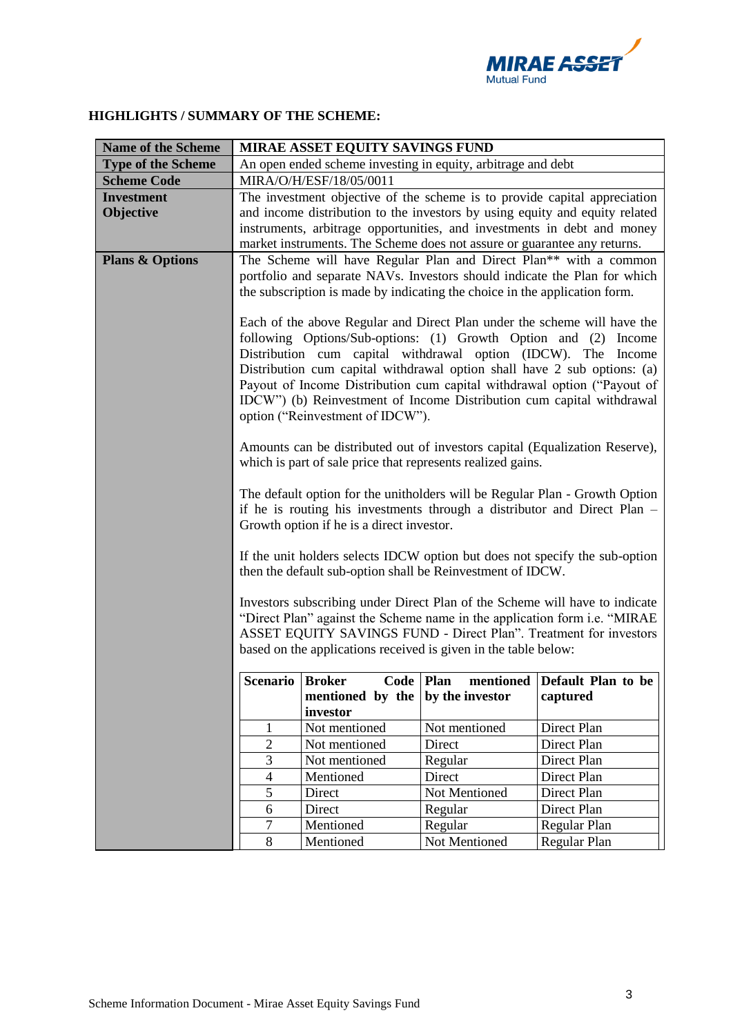

# **HIGHLIGHTS / SUMMARY OF THE SCHEME:**

| <b>Name of the Scheme</b>  | MIRAE ASSET EQUITY SAVINGS FUND                                                                                                                                                                                                                                                                                                                                                                                                                                                                                                                                                                                                |                                                                            |                 |                                                                           |  |
|----------------------------|--------------------------------------------------------------------------------------------------------------------------------------------------------------------------------------------------------------------------------------------------------------------------------------------------------------------------------------------------------------------------------------------------------------------------------------------------------------------------------------------------------------------------------------------------------------------------------------------------------------------------------|----------------------------------------------------------------------------|-----------------|---------------------------------------------------------------------------|--|
| <b>Type of the Scheme</b>  | An open ended scheme investing in equity, arbitrage and debt                                                                                                                                                                                                                                                                                                                                                                                                                                                                                                                                                                   |                                                                            |                 |                                                                           |  |
| <b>Scheme Code</b>         | MIRA/O/H/ESF/18/05/0011                                                                                                                                                                                                                                                                                                                                                                                                                                                                                                                                                                                                        |                                                                            |                 |                                                                           |  |
| <b>Investment</b>          | The investment objective of the scheme is to provide capital appreciation                                                                                                                                                                                                                                                                                                                                                                                                                                                                                                                                                      |                                                                            |                 |                                                                           |  |
| Objective                  | and income distribution to the investors by using equity and equity related                                                                                                                                                                                                                                                                                                                                                                                                                                                                                                                                                    |                                                                            |                 |                                                                           |  |
|                            | instruments, arbitrage opportunities, and investments in debt and money                                                                                                                                                                                                                                                                                                                                                                                                                                                                                                                                                        |                                                                            |                 |                                                                           |  |
|                            |                                                                                                                                                                                                                                                                                                                                                                                                                                                                                                                                                                                                                                | market instruments. The Scheme does not assure or guarantee any returns.   |                 |                                                                           |  |
| <b>Plans &amp; Options</b> | The Scheme will have Regular Plan and Direct Plan** with a common                                                                                                                                                                                                                                                                                                                                                                                                                                                                                                                                                              |                                                                            |                 |                                                                           |  |
|                            |                                                                                                                                                                                                                                                                                                                                                                                                                                                                                                                                                                                                                                |                                                                            |                 | portfolio and separate NAVs. Investors should indicate the Plan for which |  |
|                            |                                                                                                                                                                                                                                                                                                                                                                                                                                                                                                                                                                                                                                | the subscription is made by indicating the choice in the application form. |                 |                                                                           |  |
|                            | Each of the above Regular and Direct Plan under the scheme will have the<br>following Options/Sub-options: (1) Growth Option and (2) Income<br>Distribution cum capital withdrawal option (IDCW). The Income<br>Distribution cum capital withdrawal option shall have 2 sub options: (a)<br>Payout of Income Distribution cum capital withdrawal option ("Payout of<br>IDCW") (b) Reinvestment of Income Distribution cum capital withdrawal<br>option ("Reinvestment of IDCW").<br>Amounts can be distributed out of investors capital (Equalization Reserve),<br>which is part of sale price that represents realized gains. |                                                                            |                 |                                                                           |  |
|                            | The default option for the unitholders will be Regular Plan - Growth Option<br>if he is routing his investments through a distributor and Direct Plan –<br>Growth option if he is a direct investor.                                                                                                                                                                                                                                                                                                                                                                                                                           |                                                                            |                 |                                                                           |  |
|                            | If the unit holders selects IDCW option but does not specify the sub-option<br>then the default sub-option shall be Reinvestment of IDCW.                                                                                                                                                                                                                                                                                                                                                                                                                                                                                      |                                                                            |                 |                                                                           |  |
|                            | Investors subscribing under Direct Plan of the Scheme will have to indicate<br>"Direct Plan" against the Scheme name in the application form <i>i.e.</i> "MIRAE<br>ASSET EQUITY SAVINGS FUND - Direct Plan". Treatment for investors<br>based on the applications received is given in the table below:                                                                                                                                                                                                                                                                                                                        |                                                                            |                 |                                                                           |  |
|                            | Scenario   Broker                                                                                                                                                                                                                                                                                                                                                                                                                                                                                                                                                                                                              | Code Plan                                                                  |                 | mentioned Default Plan to be                                              |  |
|                            |                                                                                                                                                                                                                                                                                                                                                                                                                                                                                                                                                                                                                                | mentioned by the                                                           | by the investor | captured                                                                  |  |
|                            |                                                                                                                                                                                                                                                                                                                                                                                                                                                                                                                                                                                                                                | investor                                                                   |                 |                                                                           |  |
|                            | 1                                                                                                                                                                                                                                                                                                                                                                                                                                                                                                                                                                                                                              | Not mentioned                                                              | Not mentioned   | Direct Plan                                                               |  |
|                            | $\overline{2}$                                                                                                                                                                                                                                                                                                                                                                                                                                                                                                                                                                                                                 | Not mentioned                                                              | Direct          | Direct Plan                                                               |  |
|                            | $\mathfrak{Z}$                                                                                                                                                                                                                                                                                                                                                                                                                                                                                                                                                                                                                 | Not mentioned                                                              | Regular         | Direct Plan                                                               |  |
|                            | $\overline{4}$                                                                                                                                                                                                                                                                                                                                                                                                                                                                                                                                                                                                                 | Mentioned                                                                  | Direct          | Direct Plan                                                               |  |
|                            | 5                                                                                                                                                                                                                                                                                                                                                                                                                                                                                                                                                                                                                              | Direct                                                                     | Not Mentioned   | Direct Plan                                                               |  |
|                            | 6                                                                                                                                                                                                                                                                                                                                                                                                                                                                                                                                                                                                                              | Direct                                                                     | Regular         | Direct Plan                                                               |  |
|                            | $\tau$<br>Mentioned<br>Regular<br>Regular Plan                                                                                                                                                                                                                                                                                                                                                                                                                                                                                                                                                                                 |                                                                            |                 |                                                                           |  |
|                            | 8<br>Not Mentioned<br>Mentioned<br>Regular Plan                                                                                                                                                                                                                                                                                                                                                                                                                                                                                                                                                                                |                                                                            |                 |                                                                           |  |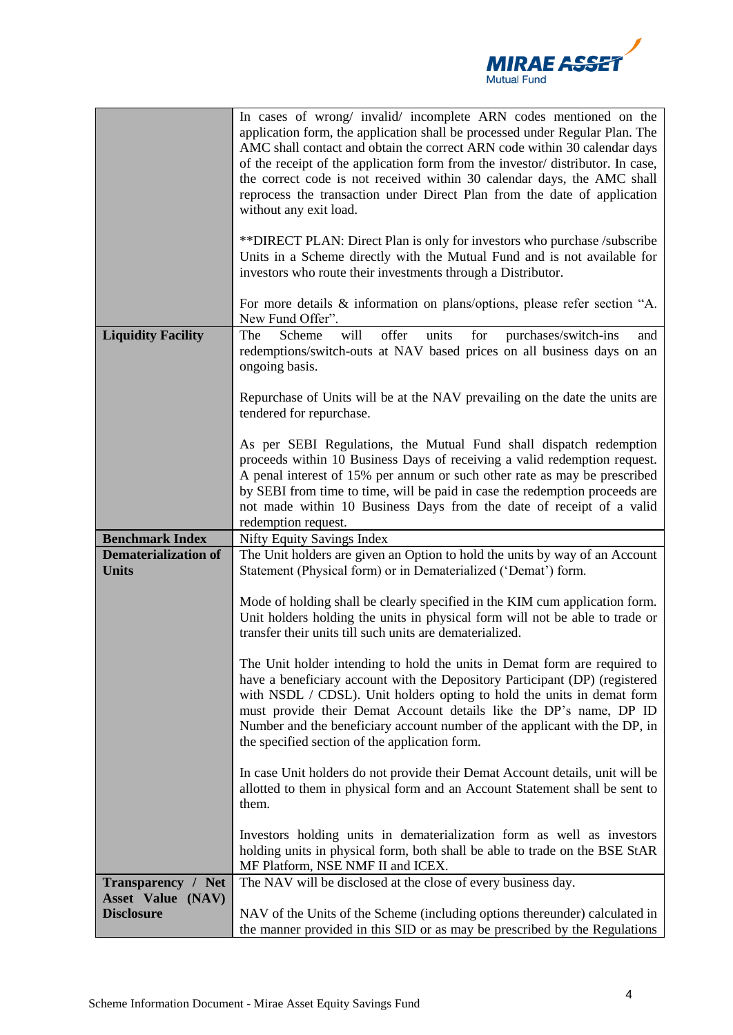

|                                                | In cases of wrong/ invalid/ incomplete ARN codes mentioned on the<br>application form, the application shall be processed under Regular Plan. The<br>AMC shall contact and obtain the correct ARN code within 30 calendar days<br>of the receipt of the application form from the investor/distributor. In case,<br>the correct code is not received within 30 calendar days, the AMC shall<br>reprocess the transaction under Direct Plan from the date of application<br>without any exit load. |
|------------------------------------------------|---------------------------------------------------------------------------------------------------------------------------------------------------------------------------------------------------------------------------------------------------------------------------------------------------------------------------------------------------------------------------------------------------------------------------------------------------------------------------------------------------|
|                                                | **DIRECT PLAN: Direct Plan is only for investors who purchase /subscribe<br>Units in a Scheme directly with the Mutual Fund and is not available for<br>investors who route their investments through a Distributor.                                                                                                                                                                                                                                                                              |
|                                                | For more details & information on plans/options, please refer section "A.<br>New Fund Offer".                                                                                                                                                                                                                                                                                                                                                                                                     |
| <b>Liquidity Facility</b>                      | will<br>offer<br>for<br>The<br>units<br>Scheme<br>purchases/switch-ins<br>and<br>redemptions/switch-outs at NAV based prices on all business days on an<br>ongoing basis.                                                                                                                                                                                                                                                                                                                         |
|                                                | Repurchase of Units will be at the NAV prevailing on the date the units are<br>tendered for repurchase.                                                                                                                                                                                                                                                                                                                                                                                           |
|                                                | As per SEBI Regulations, the Mutual Fund shall dispatch redemption<br>proceeds within 10 Business Days of receiving a valid redemption request.<br>A penal interest of 15% per annum or such other rate as may be prescribed<br>by SEBI from time to time, will be paid in case the redemption proceeds are<br>not made within 10 Business Days from the date of receipt of a valid<br>redemption request.                                                                                        |
| <b>Benchmark Index</b>                         | <b>Nifty Equity Savings Index</b>                                                                                                                                                                                                                                                                                                                                                                                                                                                                 |
| <b>Dematerialization of</b>                    | The Unit holders are given an Option to hold the units by way of an Account                                                                                                                                                                                                                                                                                                                                                                                                                       |
| <b>Units</b>                                   | Statement (Physical form) or in Dematerialized ('Demat') form.                                                                                                                                                                                                                                                                                                                                                                                                                                    |
|                                                | Mode of holding shall be clearly specified in the KIM cum application form.<br>Unit holders holding the units in physical form will not be able to trade or<br>transfer their units till such units are dematerialized.                                                                                                                                                                                                                                                                           |
|                                                | The Unit holder intending to hold the units in Demat form are required to<br>have a beneficiary account with the Depository Participant (DP) (registered<br>with NSDL / CDSL). Unit holders opting to hold the units in demat form<br>must provide their Demat Account details like the DP's name, DP ID                                                                                                                                                                                          |
|                                                | Number and the beneficiary account number of the applicant with the DP, in<br>the specified section of the application form.                                                                                                                                                                                                                                                                                                                                                                      |
|                                                | In case Unit holders do not provide their Demat Account details, unit will be<br>allotted to them in physical form and an Account Statement shall be sent to<br>them.                                                                                                                                                                                                                                                                                                                             |
|                                                | Investors holding units in dematerialization form as well as investors<br>holding units in physical form, both shall be able to trade on the BSE StAR<br>MF Platform, NSE NMF II and ICEX.                                                                                                                                                                                                                                                                                                        |
| <b>Transparency / Net</b><br>Asset Value (NAV) | The NAV will be disclosed at the close of every business day.                                                                                                                                                                                                                                                                                                                                                                                                                                     |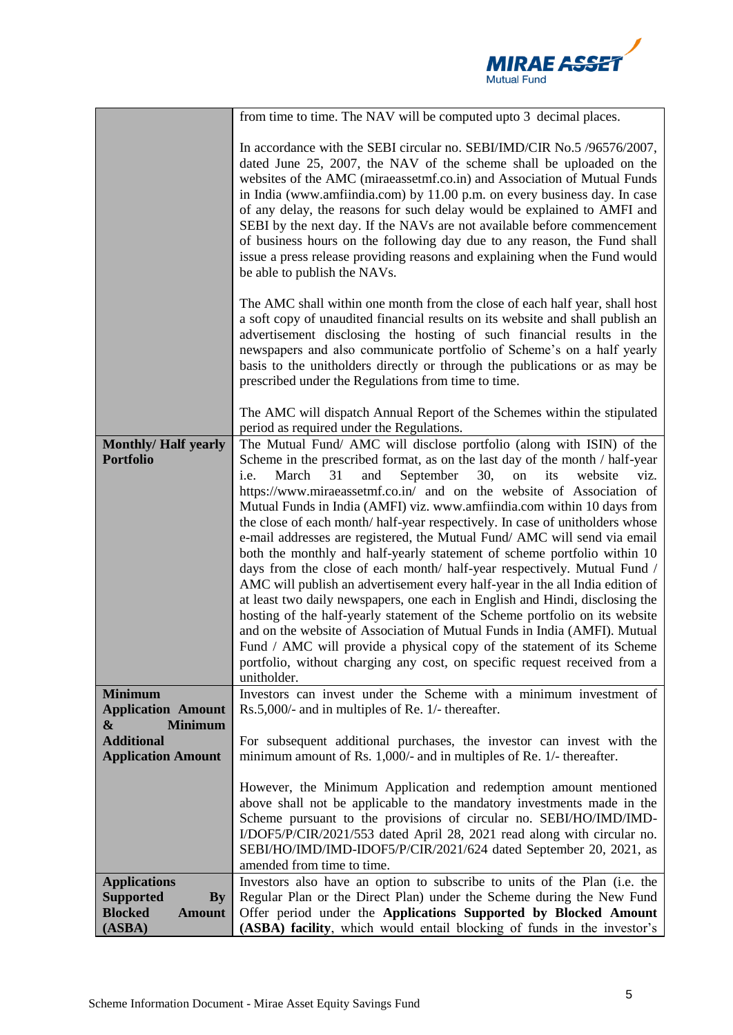

|                                                                                                       | from time to time. The NAV will be computed upto 3 decimal places.                                                                                                                                                                                                                                                                                                                                                                                                                                                                                                                                                                                                                                                                                                                                                                                                                                                                                                                                                                                                                                                                                                                                                  |
|-------------------------------------------------------------------------------------------------------|---------------------------------------------------------------------------------------------------------------------------------------------------------------------------------------------------------------------------------------------------------------------------------------------------------------------------------------------------------------------------------------------------------------------------------------------------------------------------------------------------------------------------------------------------------------------------------------------------------------------------------------------------------------------------------------------------------------------------------------------------------------------------------------------------------------------------------------------------------------------------------------------------------------------------------------------------------------------------------------------------------------------------------------------------------------------------------------------------------------------------------------------------------------------------------------------------------------------|
|                                                                                                       | In accordance with the SEBI circular no. SEBI/IMD/CIR No.5 /96576/2007,<br>dated June 25, 2007, the NAV of the scheme shall be uploaded on the<br>websites of the AMC (miraeassetmf.co.in) and Association of Mutual Funds<br>in India (www.amfiindia.com) by 11.00 p.m. on every business day. In case<br>of any delay, the reasons for such delay would be explained to AMFI and<br>SEBI by the next day. If the NAVs are not available before commencement<br>of business hours on the following day due to any reason, the Fund shall<br>issue a press release providing reasons and explaining when the Fund would<br>be able to publish the NAVs.                                                                                                                                                                                                                                                                                                                                                                                                                                                                                                                                                             |
|                                                                                                       | The AMC shall within one month from the close of each half year, shall host<br>a soft copy of unaudited financial results on its website and shall publish an<br>advertisement disclosing the hosting of such financial results in the<br>newspapers and also communicate portfolio of Scheme's on a half yearly<br>basis to the unitholders directly or through the publications or as may be<br>prescribed under the Regulations from time to time.                                                                                                                                                                                                                                                                                                                                                                                                                                                                                                                                                                                                                                                                                                                                                               |
|                                                                                                       | The AMC will dispatch Annual Report of the Schemes within the stipulated<br>period as required under the Regulations.                                                                                                                                                                                                                                                                                                                                                                                                                                                                                                                                                                                                                                                                                                                                                                                                                                                                                                                                                                                                                                                                                               |
| <b>Monthly/Half yearly</b><br><b>Portfolio</b>                                                        | The Mutual Fund/ AMC will disclose portfolio (along with ISIN) of the<br>Scheme in the prescribed format, as on the last day of the month / half-year<br>March<br>31<br>September<br>30,<br>its<br>i.e.<br>and<br>on<br>viz.<br>website<br>https://www.miraeassetmf.co.in/ and on the website of Association of<br>Mutual Funds in India (AMFI) viz. www.amfiindia.com within 10 days from<br>the close of each month/ half-year respectively. In case of unitholders whose<br>e-mail addresses are registered, the Mutual Fund/ AMC will send via email<br>both the monthly and half-yearly statement of scheme portfolio within 10<br>days from the close of each month/ half-year respectively. Mutual Fund /<br>AMC will publish an advertisement every half-year in the all India edition of<br>at least two daily newspapers, one each in English and Hindi, disclosing the<br>hosting of the half-yearly statement of the Scheme portfolio on its website<br>and on the website of Association of Mutual Funds in India (AMFI). Mutual<br>Fund / AMC will provide a physical copy of the statement of its Scheme<br>portfolio, without charging any cost, on specific request received from a<br>unitholder. |
| <b>Minimum</b><br><b>Application Amount</b>                                                           | Investors can invest under the Scheme with a minimum investment of<br>Rs.5,000/- and in multiples of Re. 1/- thereafter.                                                                                                                                                                                                                                                                                                                                                                                                                                                                                                                                                                                                                                                                                                                                                                                                                                                                                                                                                                                                                                                                                            |
| <b>Minimum</b><br>&                                                                                   |                                                                                                                                                                                                                                                                                                                                                                                                                                                                                                                                                                                                                                                                                                                                                                                                                                                                                                                                                                                                                                                                                                                                                                                                                     |
| <b>Additional</b><br><b>Application Amount</b>                                                        | For subsequent additional purchases, the investor can invest with the<br>minimum amount of Rs. 1,000/- and in multiples of Re. 1/- thereafter.                                                                                                                                                                                                                                                                                                                                                                                                                                                                                                                                                                                                                                                                                                                                                                                                                                                                                                                                                                                                                                                                      |
|                                                                                                       | However, the Minimum Application and redemption amount mentioned<br>above shall not be applicable to the mandatory investments made in the<br>Scheme pursuant to the provisions of circular no. SEBI/HO/IMD/IMD-<br>I/DOF5/P/CIR/2021/553 dated April 28, 2021 read along with circular no.<br>SEBI/HO/IMD/IMD-IDOF5/P/CIR/2021/624 dated September 20, 2021, as<br>amended from time to time.                                                                                                                                                                                                                                                                                                                                                                                                                                                                                                                                                                                                                                                                                                                                                                                                                      |
| <b>Applications</b><br><b>Supported</b><br>$\mathbf{By}$<br><b>Blocked</b><br><b>Amount</b><br>(ASBA) | Investors also have an option to subscribe to units of the Plan (i.e. the<br>Regular Plan or the Direct Plan) under the Scheme during the New Fund<br>Offer period under the Applications Supported by Blocked Amount<br>(ASBA) facility, which would entail blocking of funds in the investor's                                                                                                                                                                                                                                                                                                                                                                                                                                                                                                                                                                                                                                                                                                                                                                                                                                                                                                                    |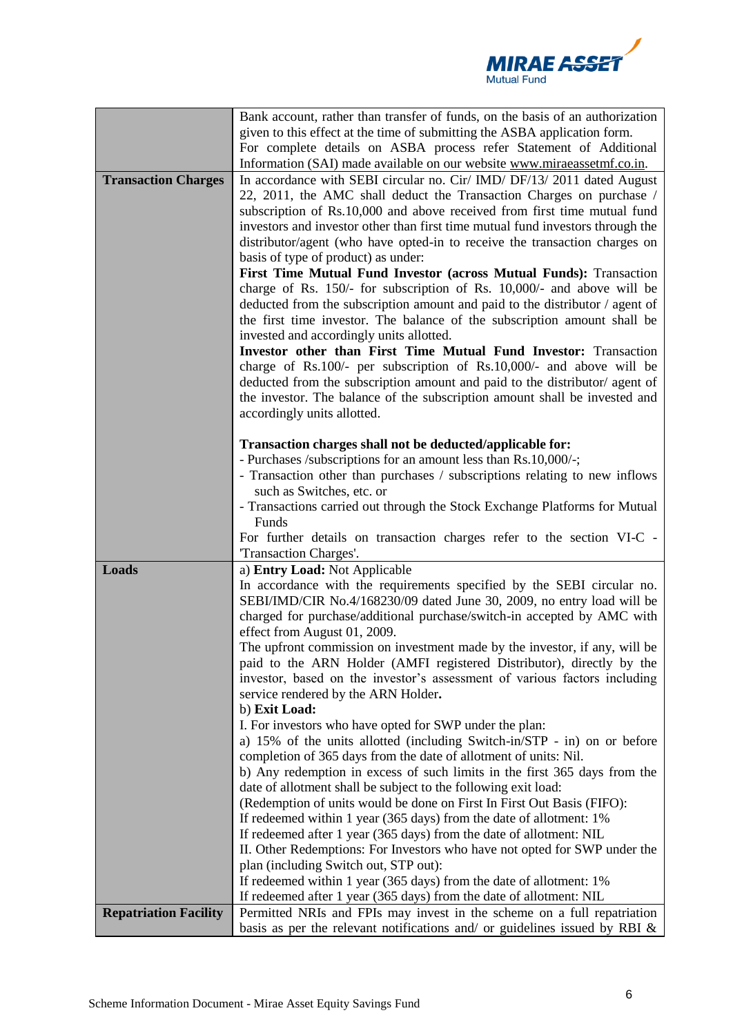

|                              | Bank account, rather than transfer of funds, on the basis of an authorization                                                                            |  |  |  |  |
|------------------------------|----------------------------------------------------------------------------------------------------------------------------------------------------------|--|--|--|--|
|                              | given to this effect at the time of submitting the ASBA application form.                                                                                |  |  |  |  |
|                              | For complete details on ASBA process refer Statement of Additional                                                                                       |  |  |  |  |
|                              | Information (SAI) made available on our website www.miraeassetmf.co.in.                                                                                  |  |  |  |  |
| <b>Transaction Charges</b>   | In accordance with SEBI circular no. Cir/ IMD/ DF/13/ 2011 dated August                                                                                  |  |  |  |  |
|                              | 22, 2011, the AMC shall deduct the Transaction Charges on purchase /                                                                                     |  |  |  |  |
|                              | subscription of Rs.10,000 and above received from first time mutual fund                                                                                 |  |  |  |  |
|                              | investors and investor other than first time mutual fund investors through the                                                                           |  |  |  |  |
|                              | distributor/agent (who have opted-in to receive the transaction charges on                                                                               |  |  |  |  |
|                              | basis of type of product) as under:                                                                                                                      |  |  |  |  |
|                              | First Time Mutual Fund Investor (across Mutual Funds): Transaction                                                                                       |  |  |  |  |
|                              | charge of Rs. 150/- for subscription of Rs. 10,000/- and above will be                                                                                   |  |  |  |  |
|                              | deducted from the subscription amount and paid to the distributor / agent of                                                                             |  |  |  |  |
|                              | the first time investor. The balance of the subscription amount shall be                                                                                 |  |  |  |  |
|                              | invested and accordingly units allotted.                                                                                                                 |  |  |  |  |
|                              | Investor other than First Time Mutual Fund Investor: Transaction                                                                                         |  |  |  |  |
|                              | charge of Rs.100/- per subscription of Rs.10,000/- and above will be                                                                                     |  |  |  |  |
|                              | deducted from the subscription amount and paid to the distributor/ agent of                                                                              |  |  |  |  |
|                              | the investor. The balance of the subscription amount shall be invested and                                                                               |  |  |  |  |
|                              | accordingly units allotted.                                                                                                                              |  |  |  |  |
|                              |                                                                                                                                                          |  |  |  |  |
|                              | Transaction charges shall not be deducted/applicable for:                                                                                                |  |  |  |  |
|                              | - Purchases /subscriptions for an amount less than Rs.10,000/-;                                                                                          |  |  |  |  |
|                              | - Transaction other than purchases / subscriptions relating to new inflows                                                                               |  |  |  |  |
|                              | such as Switches, etc. or                                                                                                                                |  |  |  |  |
|                              | - Transactions carried out through the Stock Exchange Platforms for Mutual                                                                               |  |  |  |  |
|                              | Funds                                                                                                                                                    |  |  |  |  |
|                              | For further details on transaction charges refer to the section VI-C -                                                                                   |  |  |  |  |
|                              | Transaction Charges'.                                                                                                                                    |  |  |  |  |
| Loads                        | a) Entry Load: Not Applicable                                                                                                                            |  |  |  |  |
|                              | In accordance with the requirements specified by the SEBI circular no.                                                                                   |  |  |  |  |
|                              | SEBI/IMD/CIR No.4/168230/09 dated June 30, 2009, no entry load will be                                                                                   |  |  |  |  |
|                              |                                                                                                                                                          |  |  |  |  |
|                              | charged for purchase/additional purchase/switch-in accepted by AMC with                                                                                  |  |  |  |  |
|                              | effect from August 01, 2009.                                                                                                                             |  |  |  |  |
|                              | The upfront commission on investment made by the investor, if any, will be                                                                               |  |  |  |  |
|                              | paid to the ARN Holder (AMFI registered Distributor), directly by the                                                                                    |  |  |  |  |
|                              | investor, based on the investor's assessment of various factors including                                                                                |  |  |  |  |
|                              | service rendered by the ARN Holder.                                                                                                                      |  |  |  |  |
|                              | b) Exit Load:                                                                                                                                            |  |  |  |  |
|                              | I. For investors who have opted for SWP under the plan:                                                                                                  |  |  |  |  |
|                              | a) 15% of the units allotted (including Switch-in/STP - in) on or before                                                                                 |  |  |  |  |
|                              | completion of 365 days from the date of allotment of units: Nil.                                                                                         |  |  |  |  |
|                              | b) Any redemption in excess of such limits in the first 365 days from the                                                                                |  |  |  |  |
|                              | date of allotment shall be subject to the following exit load:                                                                                           |  |  |  |  |
|                              | (Redemption of units would be done on First In First Out Basis (FIFO):                                                                                   |  |  |  |  |
|                              | If redeemed within 1 year (365 days) from the date of allotment: 1%                                                                                      |  |  |  |  |
|                              | If redeemed after 1 year (365 days) from the date of allotment: NIL                                                                                      |  |  |  |  |
|                              | II. Other Redemptions: For Investors who have not opted for SWP under the                                                                                |  |  |  |  |
|                              | plan (including Switch out, STP out):                                                                                                                    |  |  |  |  |
|                              | If redeemed within 1 year (365 days) from the date of allotment: 1%                                                                                      |  |  |  |  |
|                              | If redeemed after 1 year (365 days) from the date of allotment: NIL                                                                                      |  |  |  |  |
| <b>Repatriation Facility</b> | Permitted NRIs and FPIs may invest in the scheme on a full repatriation<br>basis as per the relevant notifications and/ or guidelines issued by RBI $\&$ |  |  |  |  |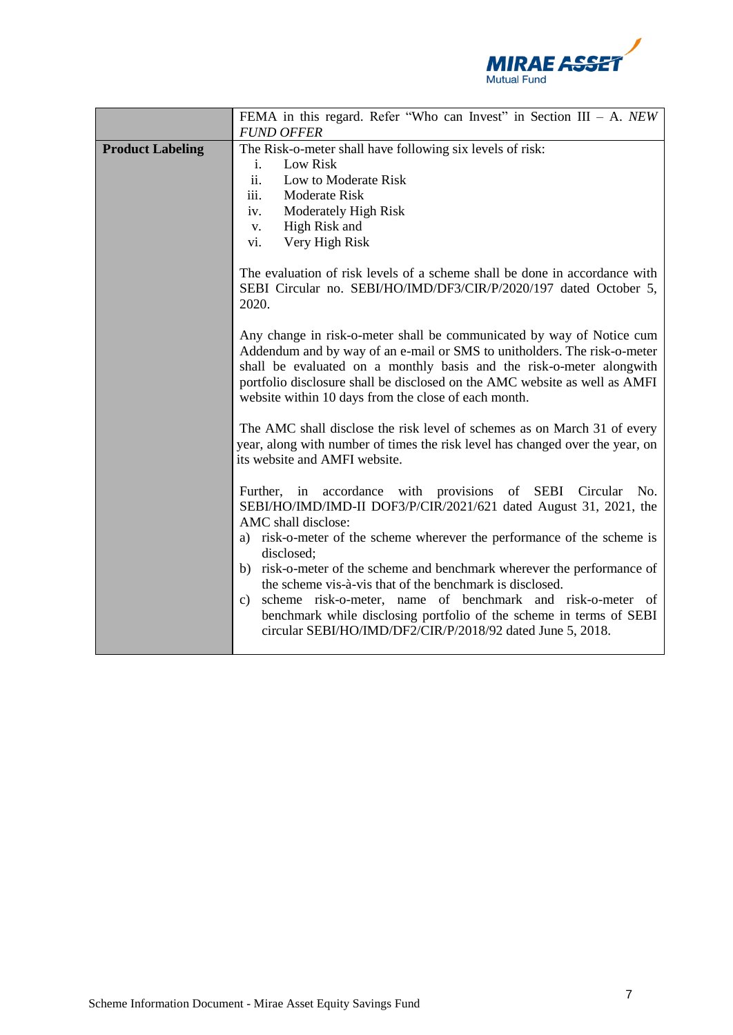

|                         | FEMA in this regard. Refer "Who can Invest" in Section III - A. NEW                                                                                                                                                                                                                                                                                                                                                                                                                                                                                                                              |  |  |  |
|-------------------------|--------------------------------------------------------------------------------------------------------------------------------------------------------------------------------------------------------------------------------------------------------------------------------------------------------------------------------------------------------------------------------------------------------------------------------------------------------------------------------------------------------------------------------------------------------------------------------------------------|--|--|--|
|                         | <b>FUND OFFER</b>                                                                                                                                                                                                                                                                                                                                                                                                                                                                                                                                                                                |  |  |  |
| <b>Product Labeling</b> | The Risk-o-meter shall have following six levels of risk:<br>Low Risk<br>i.<br>ii.<br>Low to Moderate Risk<br>iii.<br>Moderate Risk<br>iv.<br>Moderately High Risk<br>High Risk and<br>V.<br>Very High Risk<br>vi.                                                                                                                                                                                                                                                                                                                                                                               |  |  |  |
|                         | The evaluation of risk levels of a scheme shall be done in accordance with<br>SEBI Circular no. SEBI/HO/IMD/DF3/CIR/P/2020/197 dated October 5,<br>2020.                                                                                                                                                                                                                                                                                                                                                                                                                                         |  |  |  |
|                         | Any change in risk-o-meter shall be communicated by way of Notice cum<br>Addendum and by way of an e-mail or SMS to unitholders. The risk-o-meter<br>shall be evaluated on a monthly basis and the risk-o-meter alongwith<br>portfolio disclosure shall be disclosed on the AMC website as well as AMFI<br>website within 10 days from the close of each month.                                                                                                                                                                                                                                  |  |  |  |
|                         | The AMC shall disclose the risk level of schemes as on March 31 of every<br>year, along with number of times the risk level has changed over the year, on<br>its website and AMFI website.                                                                                                                                                                                                                                                                                                                                                                                                       |  |  |  |
|                         | Further, in accordance with provisions of SEBI Circular No.<br>SEBI/HO/IMD/IMD-II DOF3/P/CIR/2021/621 dated August 31, 2021, the<br>AMC shall disclose:<br>a) risk-o-meter of the scheme wherever the performance of the scheme is<br>disclosed;<br>b) risk-o-meter of the scheme and benchmark wherever the performance of<br>the scheme vis-à-vis that of the benchmark is disclosed.<br>scheme risk-o-meter, name of benchmark and risk-o-meter of<br>c)<br>benchmark while disclosing portfolio of the scheme in terms of SEBI<br>circular SEBI/HO/IMD/DF2/CIR/P/2018/92 dated June 5, 2018. |  |  |  |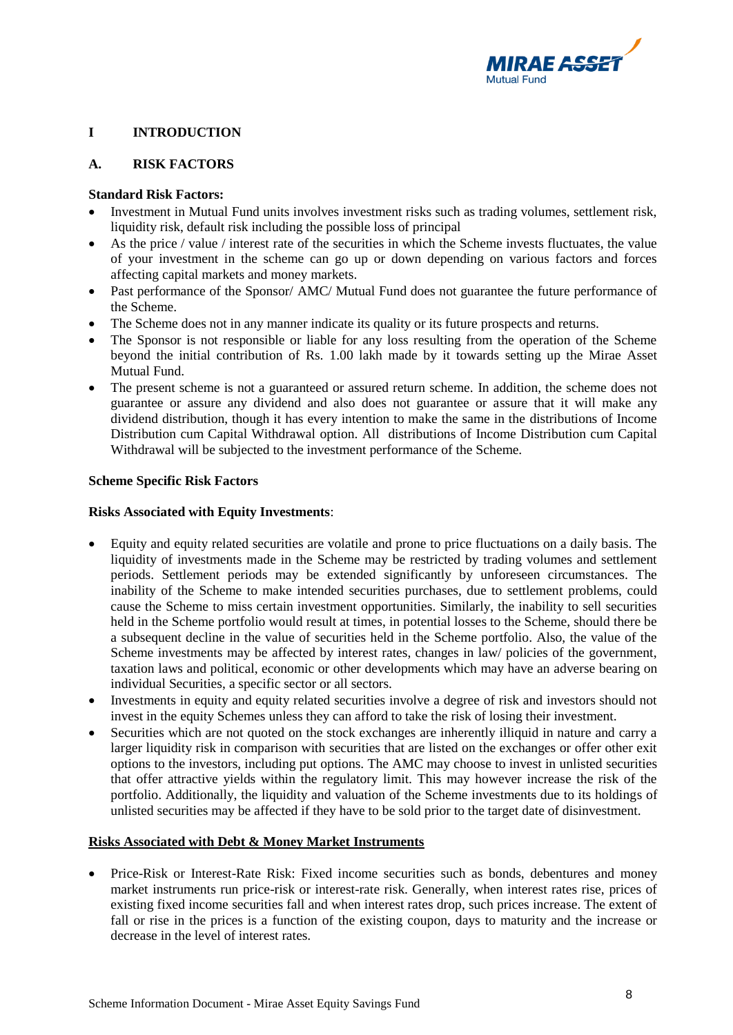

# <span id="page-7-0"></span>**I INTRODUCTION**

## <span id="page-7-1"></span>**A. RISK FACTORS**

## **Standard Risk Factors:**

- Investment in Mutual Fund units involves investment risks such as trading volumes, settlement risk, liquidity risk, default risk including the possible loss of principal
- As the price / value / interest rate of the securities in which the Scheme invests fluctuates, the value of your investment in the scheme can go up or down depending on various factors and forces affecting capital markets and money markets.
- Past performance of the Sponsor/ AMC/ Mutual Fund does not guarantee the future performance of the Scheme.
- The Scheme does not in any manner indicate its quality or its future prospects and returns.
- The Sponsor is not responsible or liable for any loss resulting from the operation of the Scheme beyond the initial contribution of Rs. 1.00 lakh made by it towards setting up the Mirae Asset Mutual Fund.
- The present scheme is not a guaranteed or assured return scheme. In addition, the scheme does not guarantee or assure any dividend and also does not guarantee or assure that it will make any dividend distribution, though it has every intention to make the same in the distributions of Income Distribution cum Capital Withdrawal option. All distributions of Income Distribution cum Capital Withdrawal will be subjected to the investment performance of the Scheme.

## **Scheme Specific Risk Factors**

# **Risks Associated with Equity Investments**:

- Equity and equity related securities are volatile and prone to price fluctuations on a daily basis. The liquidity of investments made in the Scheme may be restricted by trading volumes and settlement periods. Settlement periods may be extended significantly by unforeseen circumstances. The inability of the Scheme to make intended securities purchases, due to settlement problems, could cause the Scheme to miss certain investment opportunities. Similarly, the inability to sell securities held in the Scheme portfolio would result at times, in potential losses to the Scheme, should there be a subsequent decline in the value of securities held in the Scheme portfolio. Also, the value of the Scheme investments may be affected by interest rates, changes in law/ policies of the government, taxation laws and political, economic or other developments which may have an adverse bearing on individual Securities, a specific sector or all sectors.
- Investments in equity and equity related securities involve a degree of risk and investors should not invest in the equity Schemes unless they can afford to take the risk of losing their investment.
- Securities which are not quoted on the stock exchanges are inherently illiquid in nature and carry a larger liquidity risk in comparison with securities that are listed on the exchanges or offer other exit options to the investors, including put options. The AMC may choose to invest in unlisted securities that offer attractive yields within the regulatory limit. This may however increase the risk of the portfolio. Additionally, the liquidity and valuation of the Scheme investments due to its holdings of unlisted securities may be affected if they have to be sold prior to the target date of disinvestment.

## **Risks Associated with Debt & Money Market Instruments**

• Price-Risk or Interest-Rate Risk: Fixed income securities such as bonds, debentures and money market instruments run price-risk or interest-rate risk. Generally, when interest rates rise, prices of existing fixed income securities fall and when interest rates drop, such prices increase. The extent of fall or rise in the prices is a function of the existing coupon, days to maturity and the increase or decrease in the level of interest rates.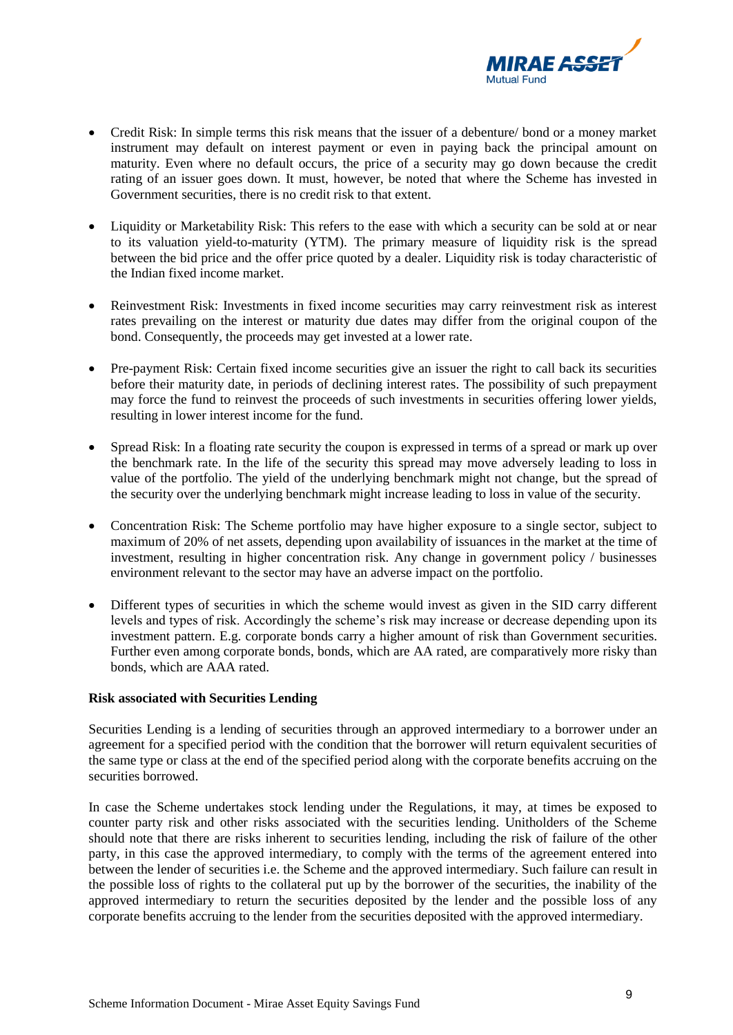

- Credit Risk: In simple terms this risk means that the issuer of a debenture/ bond or a money market instrument may default on interest payment or even in paying back the principal amount on maturity. Even where no default occurs, the price of a security may go down because the credit rating of an issuer goes down. It must, however, be noted that where the Scheme has invested in Government securities, there is no credit risk to that extent.
- Liquidity or Marketability Risk: This refers to the ease with which a security can be sold at or near to its valuation yield-to-maturity (YTM). The primary measure of liquidity risk is the spread between the bid price and the offer price quoted by a dealer. Liquidity risk is today characteristic of the Indian fixed income market.
- Reinvestment Risk: Investments in fixed income securities may carry reinvestment risk as interest rates prevailing on the interest or maturity due dates may differ from the original coupon of the bond. Consequently, the proceeds may get invested at a lower rate.
- Pre-payment Risk: Certain fixed income securities give an issuer the right to call back its securities before their maturity date, in periods of declining interest rates. The possibility of such prepayment may force the fund to reinvest the proceeds of such investments in securities offering lower yields, resulting in lower interest income for the fund.
- Spread Risk: In a floating rate security the coupon is expressed in terms of a spread or mark up over the benchmark rate. In the life of the security this spread may move adversely leading to loss in value of the portfolio. The yield of the underlying benchmark might not change, but the spread of the security over the underlying benchmark might increase leading to loss in value of the security.
- Concentration Risk: The Scheme portfolio may have higher exposure to a single sector, subject to maximum of 20% of net assets, depending upon availability of issuances in the market at the time of investment, resulting in higher concentration risk. Any change in government policy / businesses environment relevant to the sector may have an adverse impact on the portfolio.
- Different types of securities in which the scheme would invest as given in the SID carry different levels and types of risk. Accordingly the scheme's risk may increase or decrease depending upon its investment pattern. E.g. corporate bonds carry a higher amount of risk than Government securities. Further even among corporate bonds, bonds, which are AA rated, are comparatively more risky than bonds, which are AAA rated.

## **Risk associated with Securities Lending**

Securities Lending is a lending of securities through an approved intermediary to a borrower under an agreement for a specified period with the condition that the borrower will return equivalent securities of the same type or class at the end of the specified period along with the corporate benefits accruing on the securities borrowed.

In case the Scheme undertakes stock lending under the Regulations, it may, at times be exposed to counter party risk and other risks associated with the securities lending. Unitholders of the Scheme should note that there are risks inherent to securities lending, including the risk of failure of the other party, in this case the approved intermediary, to comply with the terms of the agreement entered into between the lender of securities i.e. the Scheme and the approved intermediary. Such failure can result in the possible loss of rights to the collateral put up by the borrower of the securities, the inability of the approved intermediary to return the securities deposited by the lender and the possible loss of any corporate benefits accruing to the lender from the securities deposited with the approved intermediary.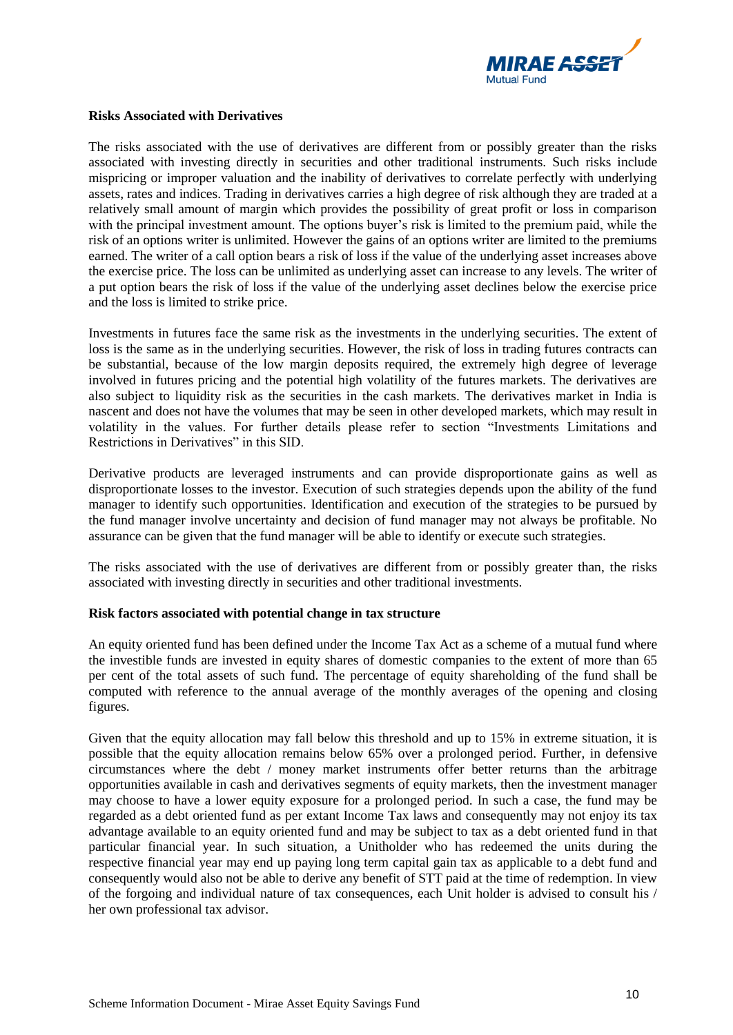

#### **Risks Associated with Derivatives**

The risks associated with the use of derivatives are different from or possibly greater than the risks associated with investing directly in securities and other traditional instruments. Such risks include mispricing or improper valuation and the inability of derivatives to correlate perfectly with underlying assets, rates and indices. Trading in derivatives carries a high degree of risk although they are traded at a relatively small amount of margin which provides the possibility of great profit or loss in comparison with the principal investment amount. The options buyer's risk is limited to the premium paid, while the risk of an options writer is unlimited. However the gains of an options writer are limited to the premiums earned. The writer of a call option bears a risk of loss if the value of the underlying asset increases above the exercise price. The loss can be unlimited as underlying asset can increase to any levels. The writer of a put option bears the risk of loss if the value of the underlying asset declines below the exercise price and the loss is limited to strike price.

Investments in futures face the same risk as the investments in the underlying securities. The extent of loss is the same as in the underlying securities. However, the risk of loss in trading futures contracts can be substantial, because of the low margin deposits required, the extremely high degree of leverage involved in futures pricing and the potential high volatility of the futures markets. The derivatives are also subject to liquidity risk as the securities in the cash markets. The derivatives market in India is nascent and does not have the volumes that may be seen in other developed markets, which may result in volatility in the values. For further details please refer to section "Investments Limitations and Restrictions in Derivatives" in this SID.

Derivative products are leveraged instruments and can provide disproportionate gains as well as disproportionate losses to the investor. Execution of such strategies depends upon the ability of the fund manager to identify such opportunities. Identification and execution of the strategies to be pursued by the fund manager involve uncertainty and decision of fund manager may not always be profitable. No assurance can be given that the fund manager will be able to identify or execute such strategies.

The risks associated with the use of derivatives are different from or possibly greater than, the risks associated with investing directly in securities and other traditional investments.

## **Risk factors associated with potential change in tax structure**

An equity oriented fund has been defined under the Income Tax Act as a scheme of a mutual fund where the investible funds are invested in equity shares of domestic companies to the extent of more than 65 per cent of the total assets of such fund. The percentage of equity shareholding of the fund shall be computed with reference to the annual average of the monthly averages of the opening and closing figures.

Given that the equity allocation may fall below this threshold and up to 15% in extreme situation, it is possible that the equity allocation remains below 65% over a prolonged period. Further, in defensive circumstances where the debt / money market instruments offer better returns than the arbitrage opportunities available in cash and derivatives segments of equity markets, then the investment manager may choose to have a lower equity exposure for a prolonged period. In such a case, the fund may be regarded as a debt oriented fund as per extant Income Tax laws and consequently may not enjoy its tax advantage available to an equity oriented fund and may be subject to tax as a debt oriented fund in that particular financial year. In such situation, a Unitholder who has redeemed the units during the respective financial year may end up paying long term capital gain tax as applicable to a debt fund and consequently would also not be able to derive any benefit of STT paid at the time of redemption. In view of the forgoing and individual nature of tax consequences, each Unit holder is advised to consult his / her own professional tax advisor.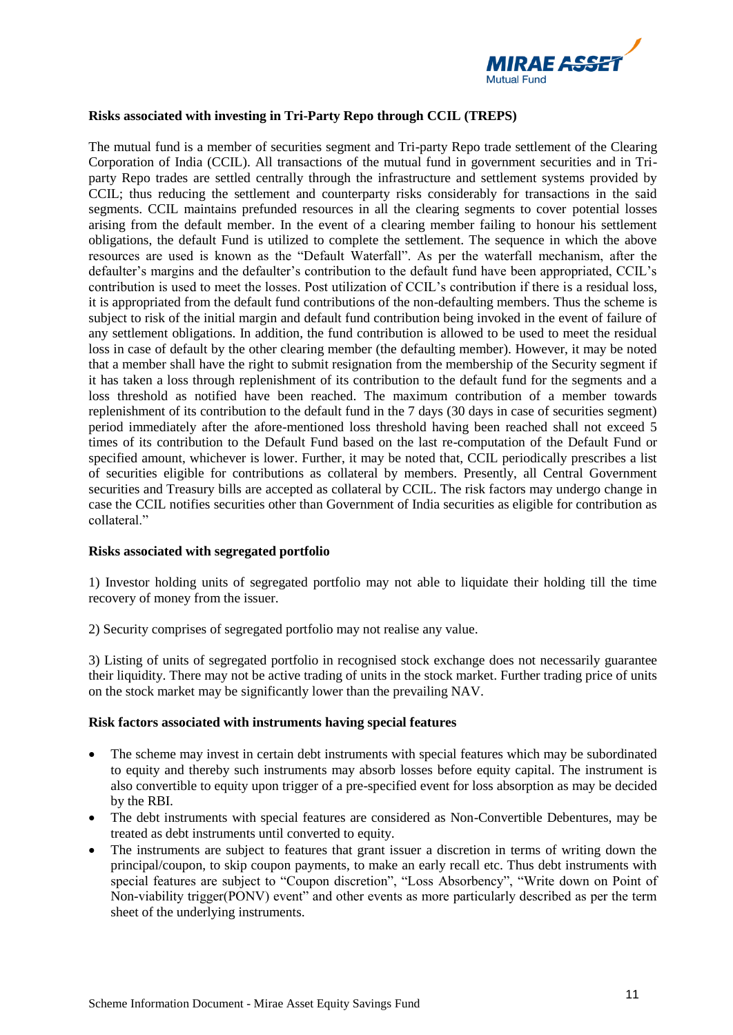

## **Risks associated with investing in Tri-Party Repo through CCIL (TREPS)**

The mutual fund is a member of securities segment and Tri-party Repo trade settlement of the Clearing Corporation of India (CCIL). All transactions of the mutual fund in government securities and in Triparty Repo trades are settled centrally through the infrastructure and settlement systems provided by CCIL; thus reducing the settlement and counterparty risks considerably for transactions in the said segments. CCIL maintains prefunded resources in all the clearing segments to cover potential losses arising from the default member. In the event of a clearing member failing to honour his settlement obligations, the default Fund is utilized to complete the settlement. The sequence in which the above resources are used is known as the "Default Waterfall". As per the waterfall mechanism, after the defaulter's margins and the defaulter's contribution to the default fund have been appropriated, CCIL's contribution is used to meet the losses. Post utilization of CCIL's contribution if there is a residual loss, it is appropriated from the default fund contributions of the non-defaulting members. Thus the scheme is subject to risk of the initial margin and default fund contribution being invoked in the event of failure of any settlement obligations. In addition, the fund contribution is allowed to be used to meet the residual loss in case of default by the other clearing member (the defaulting member). However, it may be noted that a member shall have the right to submit resignation from the membership of the Security segment if it has taken a loss through replenishment of its contribution to the default fund for the segments and a loss threshold as notified have been reached. The maximum contribution of a member towards replenishment of its contribution to the default fund in the 7 days (30 days in case of securities segment) period immediately after the afore-mentioned loss threshold having been reached shall not exceed 5 times of its contribution to the Default Fund based on the last re-computation of the Default Fund or specified amount, whichever is lower. Further, it may be noted that, CCIL periodically prescribes a list of securities eligible for contributions as collateral by members. Presently, all Central Government securities and Treasury bills are accepted as collateral by CCIL. The risk factors may undergo change in case the CCIL notifies securities other than Government of India securities as eligible for contribution as collateral."

## **Risks associated with segregated portfolio**

1) Investor holding units of segregated portfolio may not able to liquidate their holding till the time recovery of money from the issuer.

2) Security comprises of segregated portfolio may not realise any value.

3) Listing of units of segregated portfolio in recognised stock exchange does not necessarily guarantee their liquidity. There may not be active trading of units in the stock market. Further trading price of units on the stock market may be significantly lower than the prevailing NAV.

#### **Risk factors associated with instruments having special features**

- The scheme may invest in certain debt instruments with special features which may be subordinated to equity and thereby such instruments may absorb losses before equity capital. The instrument is also convertible to equity upon trigger of a pre-specified event for loss absorption as may be decided by the RBI.
- The debt instruments with special features are considered as Non-Convertible Debentures, may be treated as debt instruments until converted to equity.
- The instruments are subject to features that grant issuer a discretion in terms of writing down the principal/coupon, to skip coupon payments, to make an early recall etc. Thus debt instruments with special features are subject to "Coupon discretion", "Loss Absorbency", "Write down on Point of Non-viability trigger(PONV) event" and other events as more particularly described as per the term sheet of the underlying instruments.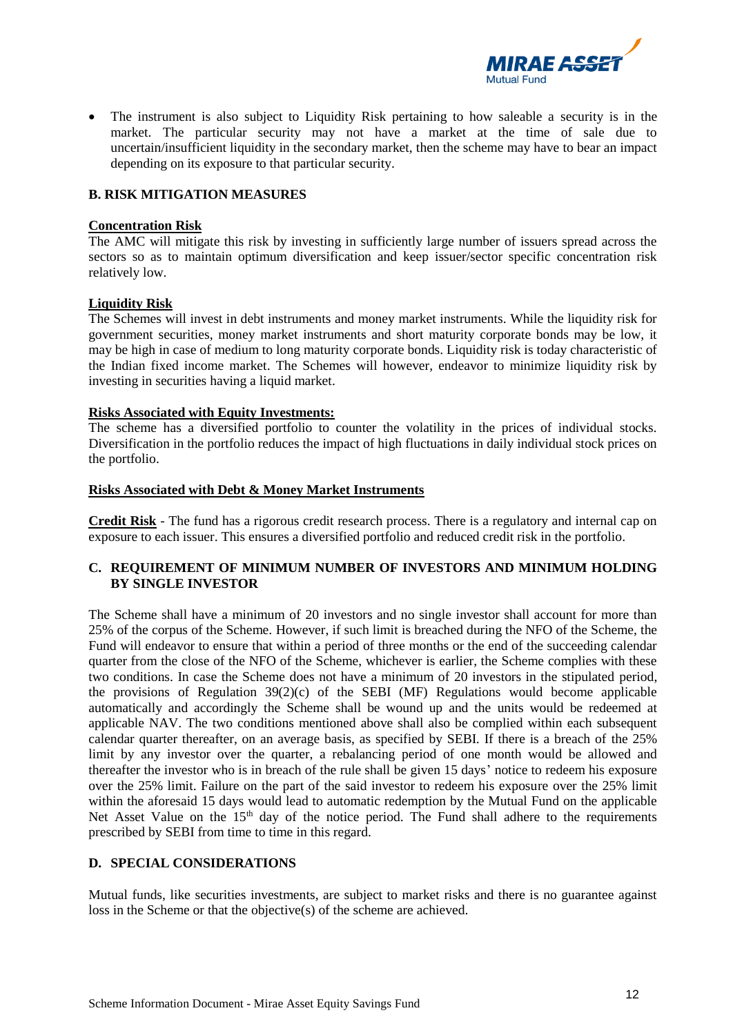

• The instrument is also subject to Liquidity Risk pertaining to how saleable a security is in the market. The particular security may not have a market at the time of sale due to uncertain/insufficient liquidity in the secondary market, then the scheme may have to bear an impact depending on its exposure to that particular security.

#### <span id="page-11-0"></span>**B. RISK MITIGATION MEASURES**

#### **Concentration Risk**

The AMC will mitigate this risk by investing in sufficiently large number of issuers spread across the sectors so as to maintain optimum diversification and keep issuer/sector specific concentration risk relatively low.

#### **Liquidity Risk**

The Schemes will invest in debt instruments and money market instruments. While the liquidity risk for government securities, money market instruments and short maturity corporate bonds may be low, it may be high in case of medium to long maturity corporate bonds. Liquidity risk is today characteristic of the Indian fixed income market. The Schemes will however, endeavor to minimize liquidity risk by investing in securities having a liquid market.

#### **Risks Associated with Equity Investments:**

The scheme has a diversified portfolio to counter the volatility in the prices of individual stocks. Diversification in the portfolio reduces the impact of high fluctuations in daily individual stock prices on the portfolio.

#### **Risks Associated with Debt & Money Market Instruments**

**Credit Risk** - The fund has a rigorous credit research process. There is a regulatory and internal cap on exposure to each issuer. This ensures a diversified portfolio and reduced credit risk in the portfolio.

## <span id="page-11-1"></span>**C. REQUIREMENT OF MINIMUM NUMBER OF INVESTORS AND MINIMUM HOLDING BY SINGLE INVESTOR**

The Scheme shall have a minimum of 20 investors and no single investor shall account for more than 25% of the corpus of the Scheme. However, if such limit is breached during the NFO of the Scheme, the Fund will endeavor to ensure that within a period of three months or the end of the succeeding calendar quarter from the close of the NFO of the Scheme, whichever is earlier, the Scheme complies with these two conditions. In case the Scheme does not have a minimum of 20 investors in the stipulated period, the provisions of Regulation 39(2)(c) of the SEBI (MF) Regulations would become applicable automatically and accordingly the Scheme shall be wound up and the units would be redeemed at applicable NAV. The two conditions mentioned above shall also be complied within each subsequent calendar quarter thereafter, on an average basis, as specified by SEBI. If there is a breach of the 25% limit by any investor over the quarter, a rebalancing period of one month would be allowed and thereafter the investor who is in breach of the rule shall be given 15 days' notice to redeem his exposure over the 25% limit. Failure on the part of the said investor to redeem his exposure over the 25% limit within the aforesaid 15 days would lead to automatic redemption by the Mutual Fund on the applicable Net Asset Value on the 15<sup>th</sup> day of the notice period. The Fund shall adhere to the requirements prescribed by SEBI from time to time in this regard.

## <span id="page-11-2"></span>**D. SPECIAL CONSIDERATIONS**

Mutual funds, like securities investments, are subject to market risks and there is no guarantee against loss in the Scheme or that the objective(s) of the scheme are achieved.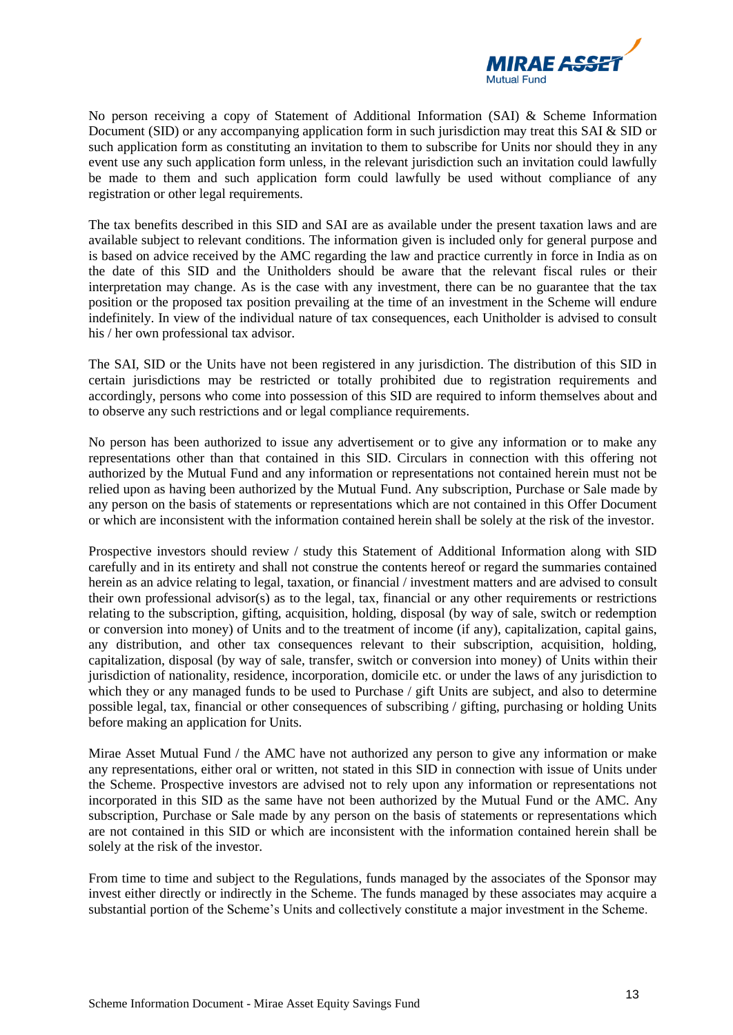

No person receiving a copy of Statement of Additional Information (SAI) & Scheme Information Document (SID) or any accompanying application form in such jurisdiction may treat this SAI & SID or such application form as constituting an invitation to them to subscribe for Units nor should they in any event use any such application form unless, in the relevant jurisdiction such an invitation could lawfully be made to them and such application form could lawfully be used without compliance of any registration or other legal requirements.

The tax benefits described in this SID and SAI are as available under the present taxation laws and are available subject to relevant conditions. The information given is included only for general purpose and is based on advice received by the AMC regarding the law and practice currently in force in India as on the date of this SID and the Unitholders should be aware that the relevant fiscal rules or their interpretation may change. As is the case with any investment, there can be no guarantee that the tax position or the proposed tax position prevailing at the time of an investment in the Scheme will endure indefinitely. In view of the individual nature of tax consequences, each Unitholder is advised to consult his / her own professional tax advisor.

The SAI, SID or the Units have not been registered in any jurisdiction. The distribution of this SID in certain jurisdictions may be restricted or totally prohibited due to registration requirements and accordingly, persons who come into possession of this SID are required to inform themselves about and to observe any such restrictions and or legal compliance requirements.

No person has been authorized to issue any advertisement or to give any information or to make any representations other than that contained in this SID. Circulars in connection with this offering not authorized by the Mutual Fund and any information or representations not contained herein must not be relied upon as having been authorized by the Mutual Fund. Any subscription, Purchase or Sale made by any person on the basis of statements or representations which are not contained in this Offer Document or which are inconsistent with the information contained herein shall be solely at the risk of the investor.

Prospective investors should review / study this Statement of Additional Information along with SID carefully and in its entirety and shall not construe the contents hereof or regard the summaries contained herein as an advice relating to legal, taxation, or financial / investment matters and are advised to consult their own professional advisor(s) as to the legal, tax, financial or any other requirements or restrictions relating to the subscription, gifting, acquisition, holding, disposal (by way of sale, switch or redemption or conversion into money) of Units and to the treatment of income (if any), capitalization, capital gains, any distribution, and other tax consequences relevant to their subscription, acquisition, holding, capitalization, disposal (by way of sale, transfer, switch or conversion into money) of Units within their jurisdiction of nationality, residence, incorporation, domicile etc. or under the laws of any jurisdiction to which they or any managed funds to be used to Purchase / gift Units are subject, and also to determine possible legal, tax, financial or other consequences of subscribing / gifting, purchasing or holding Units before making an application for Units.

Mirae Asset Mutual Fund / the AMC have not authorized any person to give any information or make any representations, either oral or written, not stated in this SID in connection with issue of Units under the Scheme. Prospective investors are advised not to rely upon any information or representations not incorporated in this SID as the same have not been authorized by the Mutual Fund or the AMC. Any subscription, Purchase or Sale made by any person on the basis of statements or representations which are not contained in this SID or which are inconsistent with the information contained herein shall be solely at the risk of the investor.

From time to time and subject to the Regulations, funds managed by the associates of the Sponsor may invest either directly or indirectly in the Scheme. The funds managed by these associates may acquire a substantial portion of the Scheme's Units and collectively constitute a major investment in the Scheme.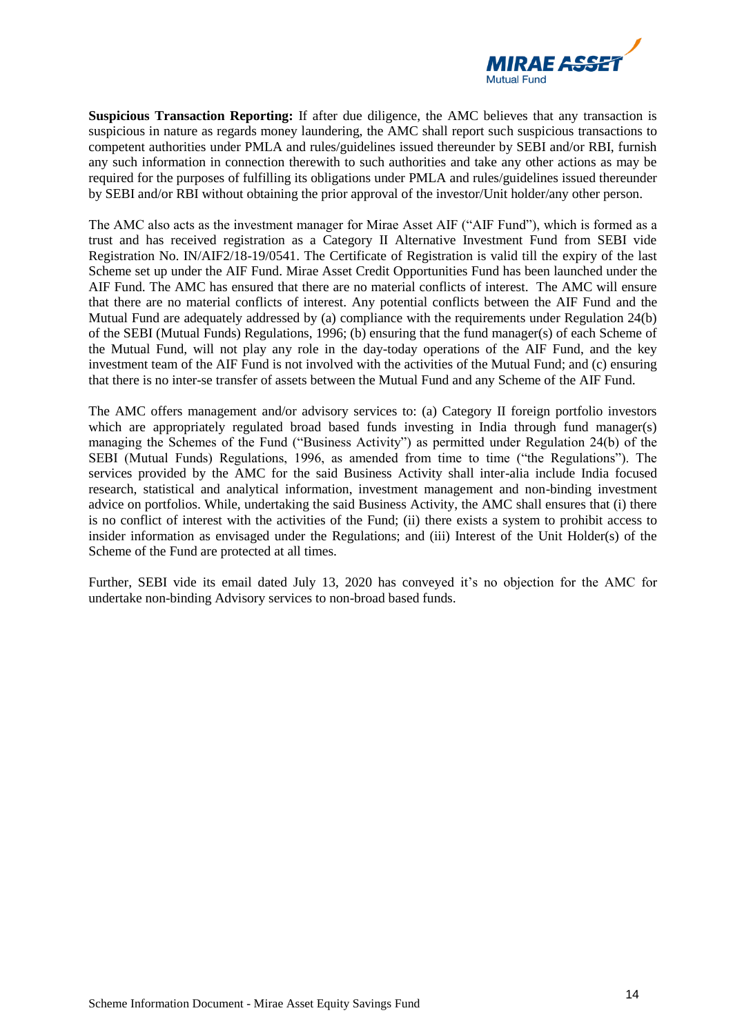

**Suspicious Transaction Reporting:** If after due diligence, the AMC believes that any transaction is suspicious in nature as regards money laundering, the AMC shall report such suspicious transactions to competent authorities under PMLA and rules/guidelines issued thereunder by SEBI and/or RBI, furnish any such information in connection therewith to such authorities and take any other actions as may be required for the purposes of fulfilling its obligations under PMLA and rules/guidelines issued thereunder by SEBI and/or RBI without obtaining the prior approval of the investor/Unit holder/any other person.

The AMC also acts as the investment manager for Mirae Asset AIF ("AIF Fund"), which is formed as a trust and has received registration as a Category II Alternative Investment Fund from SEBI vide Registration No. IN/AIF2/18-19/0541. The Certificate of Registration is valid till the expiry of the last Scheme set up under the AIF Fund. Mirae Asset Credit Opportunities Fund has been launched under the AIF Fund. The AMC has ensured that there are no material conflicts of interest. The AMC will ensure that there are no material conflicts of interest. Any potential conflicts between the AIF Fund and the Mutual Fund are adequately addressed by (a) compliance with the requirements under Regulation 24(b) of the SEBI (Mutual Funds) Regulations, 1996; (b) ensuring that the fund manager(s) of each Scheme of the Mutual Fund, will not play any role in the day-today operations of the AIF Fund, and the key investment team of the AIF Fund is not involved with the activities of the Mutual Fund; and (c) ensuring that there is no inter-se transfer of assets between the Mutual Fund and any Scheme of the AIF Fund.

The AMC offers management and/or advisory services to: (a) Category II foreign portfolio investors which are appropriately regulated broad based funds investing in India through fund manager(s) managing the Schemes of the Fund ("Business Activity") as permitted under Regulation 24(b) of the SEBI (Mutual Funds) Regulations, 1996, as amended from time to time ("the Regulations"). The services provided by the AMC for the said Business Activity shall inter-alia include India focused research, statistical and analytical information, investment management and non-binding investment advice on portfolios. While, undertaking the said Business Activity, the AMC shall ensures that (i) there is no conflict of interest with the activities of the Fund; (ii) there exists a system to prohibit access to insider information as envisaged under the Regulations; and (iii) Interest of the Unit Holder(s) of the Scheme of the Fund are protected at all times.

Further, SEBI vide its email dated July 13, 2020 has conveyed it's no objection for the AMC for undertake non-binding Advisory services to non-broad based funds.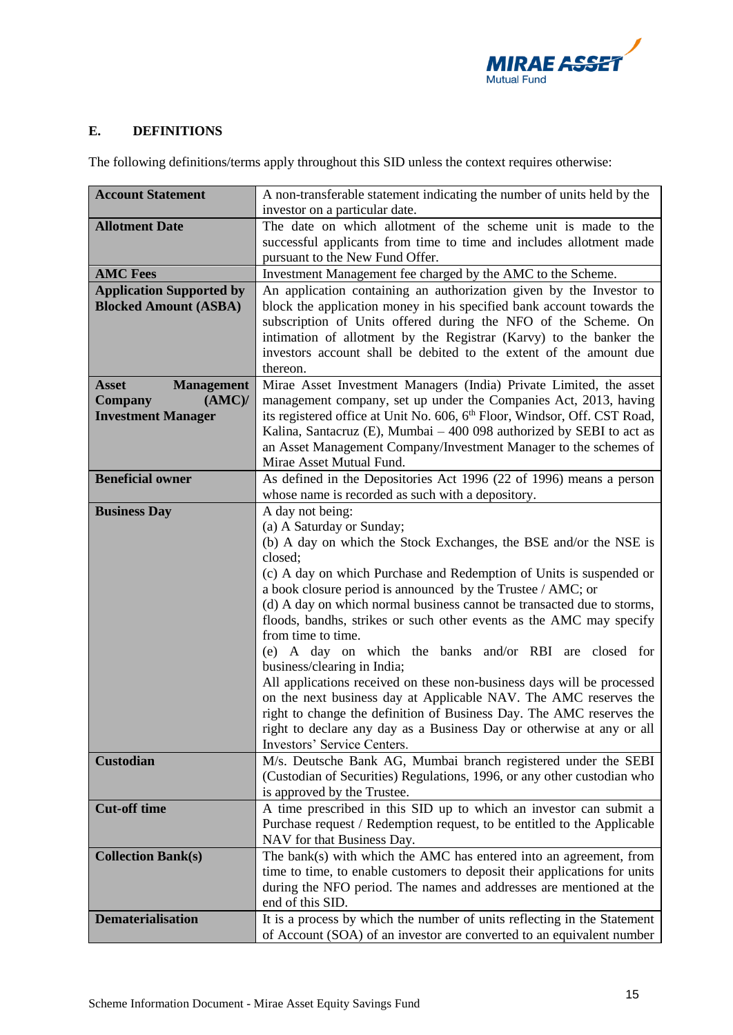

# <span id="page-14-0"></span>**E. DEFINITIONS**

The following definitions/terms apply throughout this SID unless the context requires otherwise:

| <b>Account Statement</b>          | A non-transferable statement indicating the number of units held by the               |  |  |  |
|-----------------------------------|---------------------------------------------------------------------------------------|--|--|--|
|                                   | investor on a particular date.                                                        |  |  |  |
| <b>Allotment Date</b>             | The date on which allotment of the scheme unit is made to the                         |  |  |  |
|                                   | successful applicants from time to time and includes allotment made                   |  |  |  |
|                                   | pursuant to the New Fund Offer.                                                       |  |  |  |
| <b>AMC Fees</b>                   | Investment Management fee charged by the AMC to the Scheme.                           |  |  |  |
| <b>Application Supported by</b>   | An application containing an authorization given by the Investor to                   |  |  |  |
| <b>Blocked Amount (ASBA)</b>      | block the application money in his specified bank account towards the                 |  |  |  |
|                                   | subscription of Units offered during the NFO of the Scheme. On                        |  |  |  |
|                                   | intimation of allotment by the Registrar (Karvy) to the banker the                    |  |  |  |
|                                   | investors account shall be debited to the extent of the amount due                    |  |  |  |
|                                   | thereon.                                                                              |  |  |  |
| <b>Asset</b><br><b>Management</b> | Mirae Asset Investment Managers (India) Private Limited, the asset                    |  |  |  |
| (AMC)<br><b>Company</b>           | management company, set up under the Companies Act, 2013, having                      |  |  |  |
| <b>Investment Manager</b>         | its registered office at Unit No. 606, 6 <sup>th</sup> Floor, Windsor, Off. CST Road, |  |  |  |
|                                   | Kalina, Santacruz (E), Mumbai $-400098$ authorized by SEBI to act as                  |  |  |  |
|                                   | an Asset Management Company/Investment Manager to the schemes of                      |  |  |  |
|                                   | Mirae Asset Mutual Fund.                                                              |  |  |  |
| <b>Beneficial owner</b>           | As defined in the Depositories Act 1996 (22 of 1996) means a person                   |  |  |  |
|                                   | whose name is recorded as such with a depository.                                     |  |  |  |
| <b>Business Day</b>               | A day not being:                                                                      |  |  |  |
|                                   | (a) A Saturday or Sunday;                                                             |  |  |  |
|                                   | (b) A day on which the Stock Exchanges, the BSE and/or the NSE is<br>closed;          |  |  |  |
|                                   | (c) A day on which Purchase and Redemption of Units is suspended or                   |  |  |  |
|                                   | a book closure period is announced by the Trustee / AMC; or                           |  |  |  |
|                                   | (d) A day on which normal business cannot be transacted due to storms,                |  |  |  |
|                                   | floods, bandhs, strikes or such other events as the AMC may specify                   |  |  |  |
|                                   | from time to time.                                                                    |  |  |  |
|                                   | (e) A day on which the banks and/or RBI are closed for                                |  |  |  |
|                                   | business/clearing in India;                                                           |  |  |  |
|                                   | All applications received on these non-business days will be processed                |  |  |  |
|                                   | on the next business day at Applicable NAV. The AMC reserves the                      |  |  |  |
|                                   | right to change the definition of Business Day. The AMC reserves the                  |  |  |  |
|                                   | right to declare any day as a Business Day or otherwise at any or all                 |  |  |  |
|                                   | Investors' Service Centers.                                                           |  |  |  |
| Custodian                         | M/s. Deutsche Bank AG, Mumbai branch registered under the SEBI                        |  |  |  |
|                                   | (Custodian of Securities) Regulations, 1996, or any other custodian who               |  |  |  |
|                                   | is approved by the Trustee.                                                           |  |  |  |
| <b>Cut-off time</b>               | A time prescribed in this SID up to which an investor can submit a                    |  |  |  |
|                                   | Purchase request / Redemption request, to be entitled to the Applicable               |  |  |  |
|                                   | NAV for that Business Day.                                                            |  |  |  |
| <b>Collection Bank(s)</b>         | The bank(s) with which the AMC has entered into an agreement, from                    |  |  |  |
|                                   | time to time, to enable customers to deposit their applications for units             |  |  |  |
|                                   | during the NFO period. The names and addresses are mentioned at the                   |  |  |  |
|                                   | end of this SID.                                                                      |  |  |  |
| <b>Dematerialisation</b>          | It is a process by which the number of units reflecting in the Statement              |  |  |  |
|                                   | of Account (SOA) of an investor are converted to an equivalent number                 |  |  |  |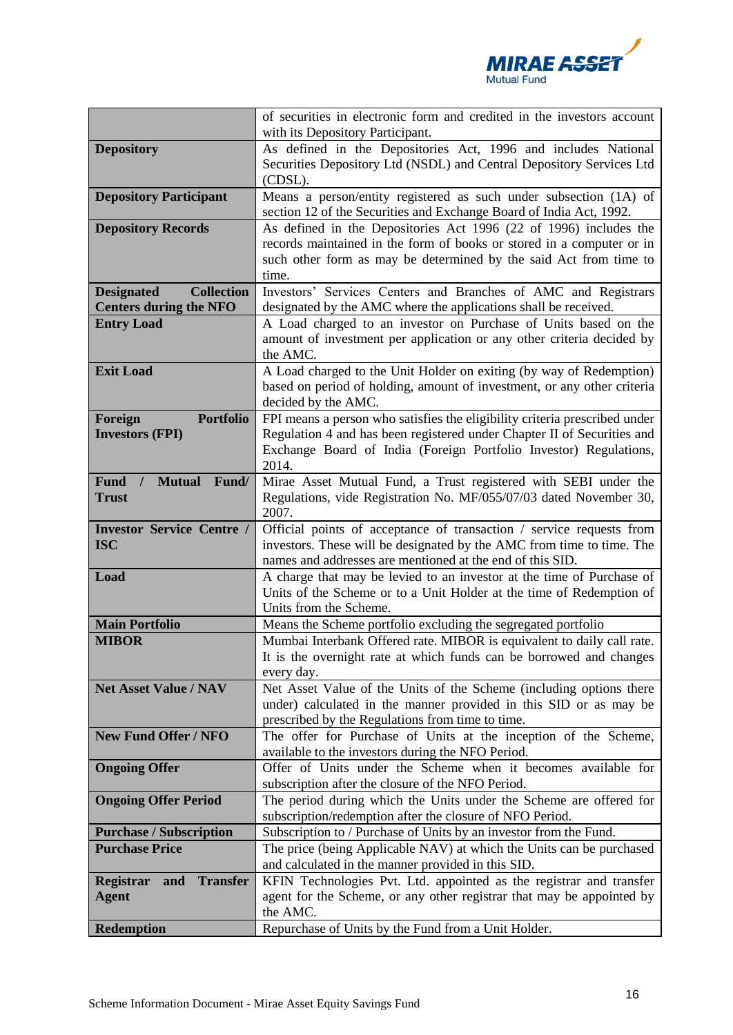

|                                            | of securities in electronic form and credited in the investors account<br>with its Depository Participant.                                    |  |  |  |
|--------------------------------------------|-----------------------------------------------------------------------------------------------------------------------------------------------|--|--|--|
| <b>Depository</b>                          | As defined in the Depositories Act, 1996 and includes National                                                                                |  |  |  |
|                                            | Securities Depository Ltd (NSDL) and Central Depository Services Ltd                                                                          |  |  |  |
|                                            | (CDSL).                                                                                                                                       |  |  |  |
| <b>Depository Participant</b>              | Means a person/entity registered as such under subsection (1A) of                                                                             |  |  |  |
|                                            | section 12 of the Securities and Exchange Board of India Act, 1992.                                                                           |  |  |  |
| <b>Depository Records</b>                  | As defined in the Depositories Act 1996 (22 of 1996) includes the                                                                             |  |  |  |
|                                            | records maintained in the form of books or stored in a computer or in                                                                         |  |  |  |
|                                            | such other form as may be determined by the said Act from time to<br>time.                                                                    |  |  |  |
| <b>Collection</b><br><b>Designated</b>     | Investors' Services Centers and Branches of AMC and Registrars                                                                                |  |  |  |
| <b>Centers during the NFO</b>              | designated by the AMC where the applications shall be received.                                                                               |  |  |  |
| <b>Entry Load</b>                          | A Load charged to an investor on Purchase of Units based on the                                                                               |  |  |  |
|                                            | amount of investment per application or any other criteria decided by                                                                         |  |  |  |
|                                            | the AMC.                                                                                                                                      |  |  |  |
| <b>Exit Load</b>                           | A Load charged to the Unit Holder on exiting (by way of Redemption)                                                                           |  |  |  |
|                                            | based on period of holding, amount of investment, or any other criteria                                                                       |  |  |  |
| <b>Portfolio</b><br>Foreign                | decided by the AMC.<br>FPI means a person who satisfies the eligibility criteria prescribed under                                             |  |  |  |
| <b>Investors (FPI)</b>                     | Regulation 4 and has been registered under Chapter II of Securities and                                                                       |  |  |  |
|                                            | Exchange Board of India (Foreign Portfolio Investor) Regulations,                                                                             |  |  |  |
|                                            | 2014.                                                                                                                                         |  |  |  |
| Fund/<br><b>Fund</b><br><b>Mutual</b>      | Mirae Asset Mutual Fund, a Trust registered with SEBI under the                                                                               |  |  |  |
| <b>Trust</b>                               | Regulations, vide Registration No. MF/055/07/03 dated November 30,                                                                            |  |  |  |
|                                            | 2007.                                                                                                                                         |  |  |  |
| <b>Investor Service Centre /</b>           | Official points of acceptance of transaction / service requests from<br>investors. These will be designated by the AMC from time to time. The |  |  |  |
|                                            |                                                                                                                                               |  |  |  |
| <b>ISC</b>                                 |                                                                                                                                               |  |  |  |
|                                            | names and addresses are mentioned at the end of this SID.                                                                                     |  |  |  |
| Load                                       | A charge that may be levied to an investor at the time of Purchase of                                                                         |  |  |  |
|                                            | Units of the Scheme or to a Unit Holder at the time of Redemption of<br>Units from the Scheme.                                                |  |  |  |
| <b>Main Portfolio</b>                      | Means the Scheme portfolio excluding the segregated portfolio                                                                                 |  |  |  |
| <b>MIBOR</b>                               | Mumbai Interbank Offered rate. MIBOR is equivalent to daily call rate.                                                                        |  |  |  |
|                                            | It is the overnight rate at which funds can be borrowed and changes                                                                           |  |  |  |
|                                            | every day.                                                                                                                                    |  |  |  |
| <b>Net Asset Value / NAV</b>               | Net Asset Value of the Units of the Scheme (including options there                                                                           |  |  |  |
|                                            | under) calculated in the manner provided in this SID or as may be                                                                             |  |  |  |
|                                            | prescribed by the Regulations from time to time.                                                                                              |  |  |  |
| <b>New Fund Offer / NFO</b>                | The offer for Purchase of Units at the inception of the Scheme,                                                                               |  |  |  |
| <b>Ongoing Offer</b>                       | available to the investors during the NFO Period.<br>Offer of Units under the Scheme when it becomes available for                            |  |  |  |
|                                            | subscription after the closure of the NFO Period.                                                                                             |  |  |  |
| <b>Ongoing Offer Period</b>                | The period during which the Units under the Scheme are offered for                                                                            |  |  |  |
|                                            | subscription/redemption after the closure of NFO Period.                                                                                      |  |  |  |
| <b>Purchase / Subscription</b>             | Subscription to / Purchase of Units by an investor from the Fund.                                                                             |  |  |  |
| <b>Purchase Price</b>                      | The price (being Applicable NAV) at which the Units can be purchased                                                                          |  |  |  |
|                                            | and calculated in the manner provided in this SID.                                                                                            |  |  |  |
| <b>Transfer</b><br><b>Registrar</b><br>and | KFIN Technologies Pvt. Ltd. appointed as the registrar and transfer                                                                           |  |  |  |
| <b>Agent</b>                               | agent for the Scheme, or any other registrar that may be appointed by<br>the AMC.                                                             |  |  |  |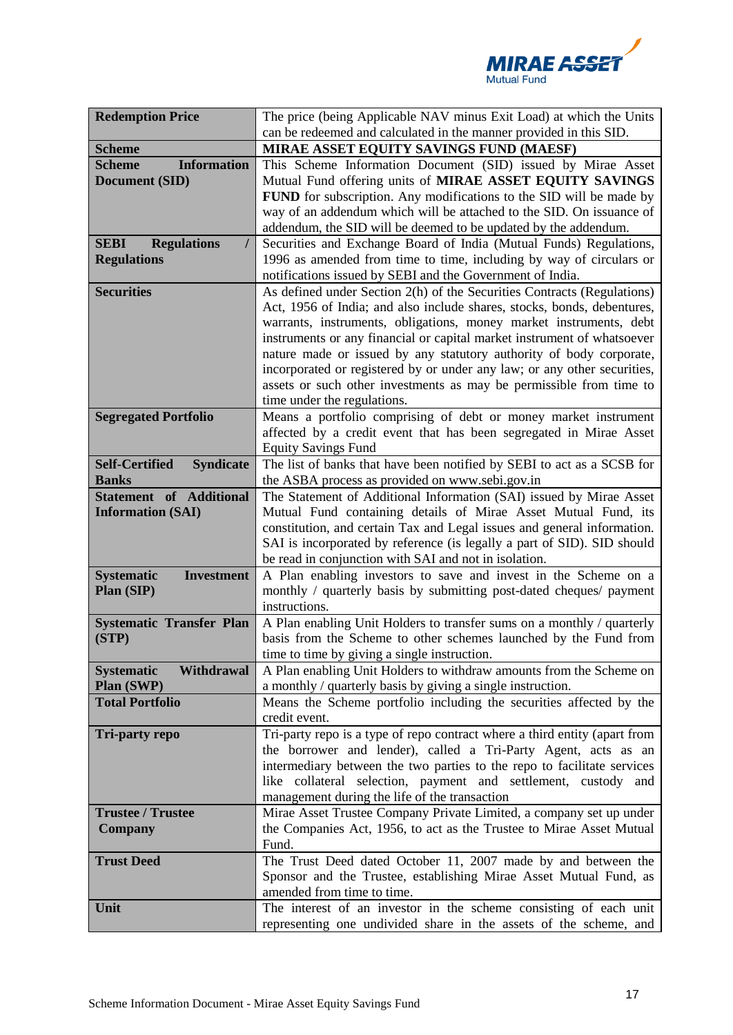

| <b>Redemption Price</b>                                             | The price (being Applicable NAV minus Exit Load) at which the Units                                                                                                                                                                                                                                                                                                                                                                                                                                                                                          |  |  |
|---------------------------------------------------------------------|--------------------------------------------------------------------------------------------------------------------------------------------------------------------------------------------------------------------------------------------------------------------------------------------------------------------------------------------------------------------------------------------------------------------------------------------------------------------------------------------------------------------------------------------------------------|--|--|
|                                                                     | can be redeemed and calculated in the manner provided in this SID.                                                                                                                                                                                                                                                                                                                                                                                                                                                                                           |  |  |
| <b>Scheme</b>                                                       | MIRAE ASSET EQUITY SAVINGS FUND (MAESF)                                                                                                                                                                                                                                                                                                                                                                                                                                                                                                                      |  |  |
| <b>Information</b><br><b>Scheme</b><br>Document (SID)               | This Scheme Information Document (SID) issued by Mirae Asset<br>Mutual Fund offering units of MIRAE ASSET EQUITY SAVINGS<br>FUND for subscription. Any modifications to the SID will be made by<br>way of an addendum which will be attached to the SID. On issuance of<br>addendum, the SID will be deemed to be updated by the addendum.                                                                                                                                                                                                                   |  |  |
| <b>SEBI</b><br><b>Regulations</b><br>$\prime$<br><b>Regulations</b> | Securities and Exchange Board of India (Mutual Funds) Regulations,<br>1996 as amended from time to time, including by way of circulars or<br>notifications issued by SEBI and the Government of India.                                                                                                                                                                                                                                                                                                                                                       |  |  |
| <b>Securities</b>                                                   | As defined under Section 2(h) of the Securities Contracts (Regulations)<br>Act, 1956 of India; and also include shares, stocks, bonds, debentures,<br>warrants, instruments, obligations, money market instruments, debt<br>instruments or any financial or capital market instrument of whatsoever<br>nature made or issued by any statutory authority of body corporate,<br>incorporated or registered by or under any law; or any other securities,<br>assets or such other investments as may be permissible from time to<br>time under the regulations. |  |  |
| <b>Segregated Portfolio</b>                                         | Means a portfolio comprising of debt or money market instrument<br>affected by a credit event that has been segregated in Mirae Asset<br><b>Equity Savings Fund</b>                                                                                                                                                                                                                                                                                                                                                                                          |  |  |
| <b>Self-Certified</b><br><b>Syndicate</b><br><b>Banks</b>           | The list of banks that have been notified by SEBI to act as a SCSB for<br>the ASBA process as provided on www.sebi.gov.in                                                                                                                                                                                                                                                                                                                                                                                                                                    |  |  |
| <b>Statement of Additional</b><br><b>Information (SAI)</b>          | The Statement of Additional Information (SAI) issued by Mirae Asset<br>Mutual Fund containing details of Mirae Asset Mutual Fund, its<br>constitution, and certain Tax and Legal issues and general information.<br>SAI is incorporated by reference (is legally a part of SID). SID should<br>be read in conjunction with SAI and not in isolation.                                                                                                                                                                                                         |  |  |
| <b>Systematic</b><br><b>Investment</b><br>Plan (SIP)                | A Plan enabling investors to save and invest in the Scheme on a<br>monthly / quarterly basis by submitting post-dated cheques/ payment<br>instructions.                                                                                                                                                                                                                                                                                                                                                                                                      |  |  |
| <b>Systematic Transfer Plan</b><br>(STP)                            | A Plan enabling Unit Holders to transfer sums on a monthly / quarterly<br>basis from the Scheme to other schemes launched by the Fund from<br>time to time by giving a single instruction.                                                                                                                                                                                                                                                                                                                                                                   |  |  |
| Withdrawal<br><b>Systematic</b><br>Plan (SWP)                       | A Plan enabling Unit Holders to withdraw amounts from the Scheme on<br>a monthly / quarterly basis by giving a single instruction.                                                                                                                                                                                                                                                                                                                                                                                                                           |  |  |
| <b>Total Portfolio</b>                                              | Means the Scheme portfolio including the securities affected by the<br>credit event.                                                                                                                                                                                                                                                                                                                                                                                                                                                                         |  |  |
| <b>Tri-party repo</b>                                               | Tri-party repo is a type of repo contract where a third entity (apart from<br>the borrower and lender), called a Tri-Party Agent, acts as an<br>intermediary between the two parties to the repo to facilitate services<br>like collateral selection, payment and settlement, custody and<br>management during the life of the transaction                                                                                                                                                                                                                   |  |  |
| <b>Trustee / Trustee</b>                                            | Mirae Asset Trustee Company Private Limited, a company set up under                                                                                                                                                                                                                                                                                                                                                                                                                                                                                          |  |  |
| <b>Company</b>                                                      | the Companies Act, 1956, to act as the Trustee to Mirae Asset Mutual<br>Fund.                                                                                                                                                                                                                                                                                                                                                                                                                                                                                |  |  |
| <b>Trust Deed</b>                                                   | The Trust Deed dated October 11, 2007 made by and between the<br>Sponsor and the Trustee, establishing Mirae Asset Mutual Fund, as<br>amended from time to time.                                                                                                                                                                                                                                                                                                                                                                                             |  |  |
| Unit                                                                | The interest of an investor in the scheme consisting of each unit<br>representing one undivided share in the assets of the scheme, and                                                                                                                                                                                                                                                                                                                                                                                                                       |  |  |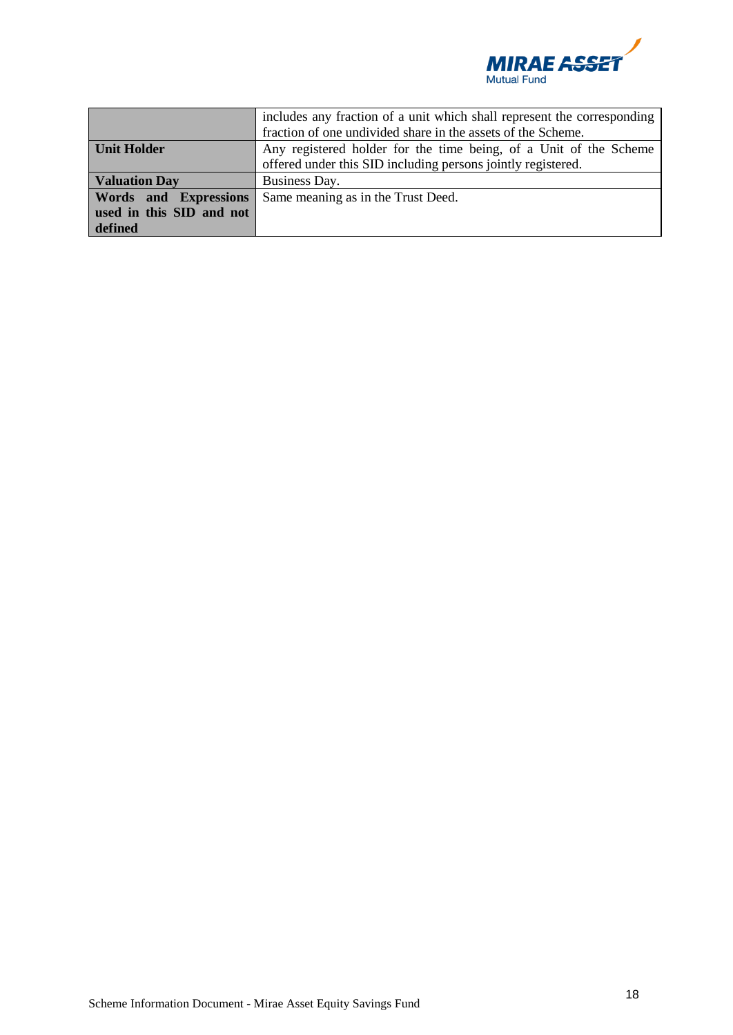

|                          | includes any fraction of a unit which shall represent the corresponding<br>fraction of one undivided share in the assets of the Scheme. |  |  |
|--------------------------|-----------------------------------------------------------------------------------------------------------------------------------------|--|--|
| <b>Unit Holder</b>       | Any registered holder for the time being, of a Unit of the Scheme                                                                       |  |  |
|                          | offered under this SID including persons jointly registered.                                                                            |  |  |
| <b>Valuation Day</b>     | Business Day.                                                                                                                           |  |  |
| Words and Expressions    | Same meaning as in the Trust Deed.                                                                                                      |  |  |
| used in this SID and not |                                                                                                                                         |  |  |
| defined                  |                                                                                                                                         |  |  |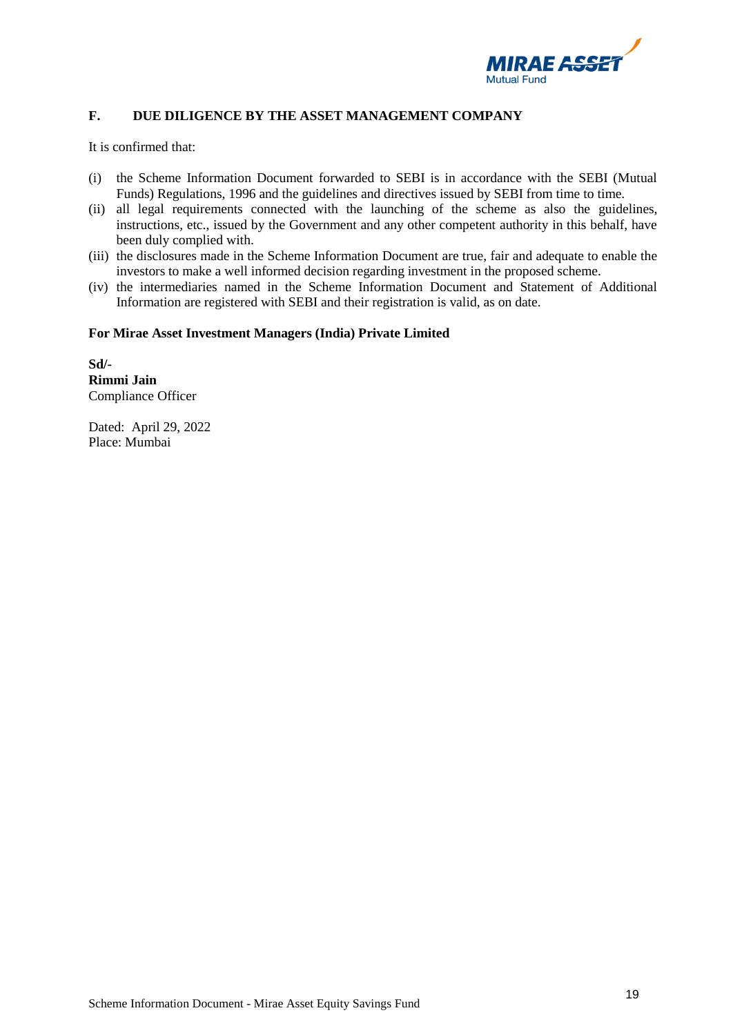

# <span id="page-18-0"></span>**F. DUE DILIGENCE BY THE ASSET MANAGEMENT COMPANY**

It is confirmed that:

- (i) the Scheme Information Document forwarded to SEBI is in accordance with the SEBI (Mutual Funds) Regulations, 1996 and the guidelines and directives issued by SEBI from time to time.
- (ii) all legal requirements connected with the launching of the scheme as also the guidelines, instructions, etc., issued by the Government and any other competent authority in this behalf, have been duly complied with.
- (iii) the disclosures made in the Scheme Information Document are true, fair and adequate to enable the investors to make a well informed decision regarding investment in the proposed scheme.
- (iv) the intermediaries named in the Scheme Information Document and Statement of Additional Information are registered with SEBI and their registration is valid, as on date.

## **For Mirae Asset Investment Managers (India) Private Limited**

**Sd/- Rimmi Jain** Compliance Officer

Dated: April 29, 2022 Place: Mumbai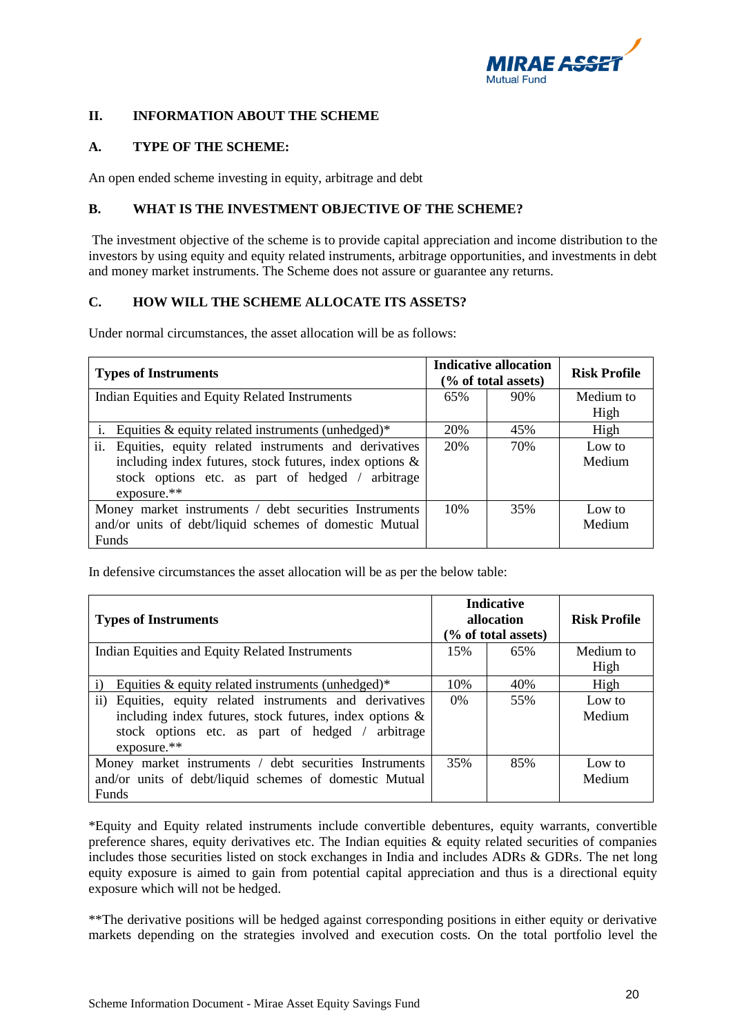

# <span id="page-19-0"></span>**II. INFORMATION ABOUT THE SCHEME**

# <span id="page-19-1"></span>**A. TYPE OF THE SCHEME:**

An open ended scheme investing in equity, arbitrage and debt

## <span id="page-19-2"></span>**B. WHAT IS THE INVESTMENT OBJECTIVE OF THE SCHEME?**

The investment objective of the scheme is to provide capital appreciation and income distribution to the investors by using equity and equity related instruments, arbitrage opportunities, and investments in debt and money market instruments. The Scheme does not assure or guarantee any returns.

# <span id="page-19-3"></span>**C. HOW WILL THE SCHEME ALLOCATE ITS ASSETS?**

Under normal circumstances, the asset allocation will be as follows:

| <b>Types of Instruments</b>                                 |     | <b>Indicative allocation</b><br>$(\%$ of total assets) | <b>Risk Profile</b> |
|-------------------------------------------------------------|-----|--------------------------------------------------------|---------------------|
| Indian Equities and Equity Related Instruments              |     | 90%                                                    | Medium to           |
|                                                             |     |                                                        | High                |
| Equities $\&$ equity related instruments (unhedged)*        | 20% | 45%                                                    | High                |
| ii.<br>Equities, equity related instruments and derivatives | 20% | 70%                                                    | Low to              |
| including index futures, stock futures, index options $\&$  |     |                                                        | Medium              |
| stock options etc. as part of hedged / arbitrage            |     |                                                        |                     |
| exposure.**                                                 |     |                                                        |                     |
| Money market instruments / debt securities Instruments      | 10% | 35%                                                    | Low to              |
| and/or units of debt/liquid schemes of domestic Mutual      |     |                                                        | Medium              |
| Funds                                                       |     |                                                        |                     |

In defensive circumstances the asset allocation will be as per the below table:

| <b>Types of Instruments</b>                                                                                                                                                                            |       | <b>Indicative</b><br>allocation<br>(% of total assets) | <b>Risk Profile</b> |
|--------------------------------------------------------------------------------------------------------------------------------------------------------------------------------------------------------|-------|--------------------------------------------------------|---------------------|
| Indian Equities and Equity Related Instruments                                                                                                                                                         | 15%   | 65%                                                    | Medium to<br>High   |
| $\mathbf{i}$<br>Equities $\&$ equity related instruments (unhedged)*                                                                                                                                   | 10%   | 40%                                                    | High                |
| $\mathbf{ii}$<br>Equities, equity related instruments and derivatives<br>including index futures, stock futures, index options $\&$<br>stock options etc. as part of hedged / arbitrage<br>exposure.** | $0\%$ | 55%                                                    | Low to<br>Medium    |
| Money market instruments / debt securities Instruments<br>and/or units of debt/liquid schemes of domestic Mutual<br><b>Funds</b>                                                                       |       | 85%                                                    | Low to<br>Medium    |

\*Equity and Equity related instruments include convertible debentures, equity warrants, convertible preference shares, equity derivatives etc. The Indian equities  $\&$  equity related securities of companies includes those securities listed on stock exchanges in India and includes ADRs & GDRs. The net long equity exposure is aimed to gain from potential capital appreciation and thus is a directional equity exposure which will not be hedged.

\*\*The derivative positions will be hedged against corresponding positions in either equity or derivative markets depending on the strategies involved and execution costs. On the total portfolio level the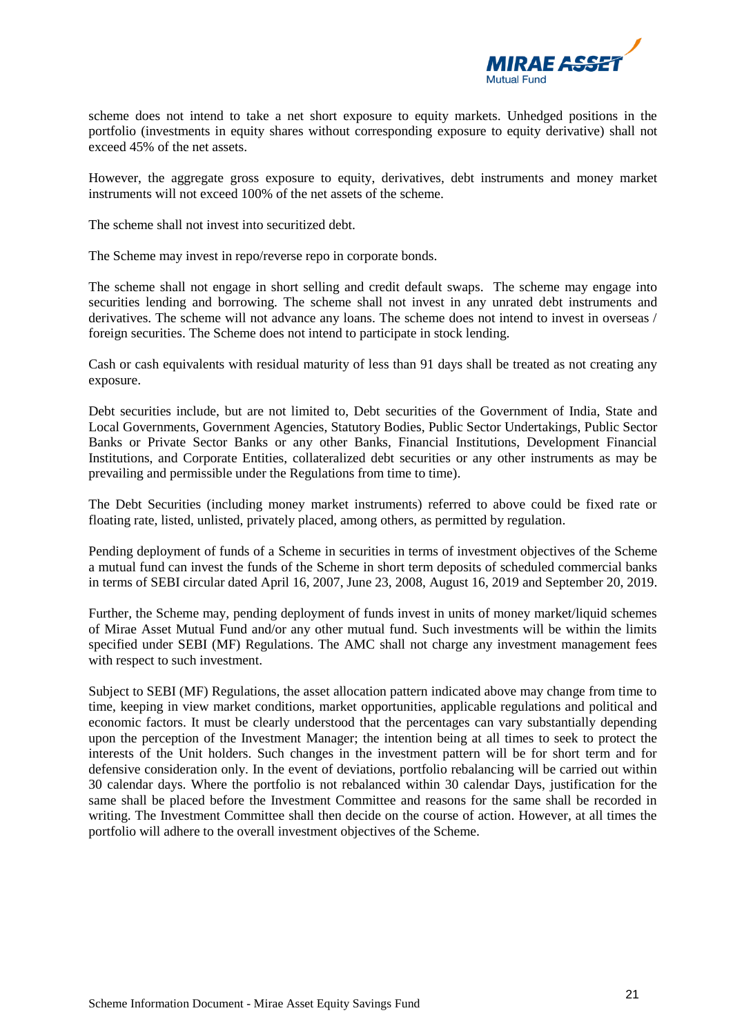

scheme does not intend to take a net short exposure to equity markets. Unhedged positions in the portfolio (investments in equity shares without corresponding exposure to equity derivative) shall not exceed 45% of the net assets.

However, the aggregate gross exposure to equity, derivatives, debt instruments and money market instruments will not exceed 100% of the net assets of the scheme.

The scheme shall not invest into securitized debt.

The Scheme may invest in repo/reverse repo in corporate bonds.

The scheme shall not engage in short selling and credit default swaps. The scheme may engage into securities lending and borrowing. The scheme shall not invest in any unrated debt instruments and derivatives. The scheme will not advance any loans. The scheme does not intend to invest in overseas / foreign securities. The Scheme does not intend to participate in stock lending.

Cash or cash equivalents with residual maturity of less than 91 days shall be treated as not creating any exposure.

Debt securities include, but are not limited to, Debt securities of the Government of India, State and Local Governments, Government Agencies, Statutory Bodies, Public Sector Undertakings, Public Sector Banks or Private Sector Banks or any other Banks, Financial Institutions, Development Financial Institutions, and Corporate Entities, collateralized debt securities or any other instruments as may be prevailing and permissible under the Regulations from time to time).

The Debt Securities (including money market instruments) referred to above could be fixed rate or floating rate, listed, unlisted, privately placed, among others, as permitted by regulation.

Pending deployment of funds of a Scheme in securities in terms of investment objectives of the Scheme a mutual fund can invest the funds of the Scheme in short term deposits of scheduled commercial banks in terms of SEBI circular dated April 16, 2007, June 23, 2008, August 16, 2019 and September 20, 2019.

Further, the Scheme may, pending deployment of funds invest in units of money market/liquid schemes of Mirae Asset Mutual Fund and/or any other mutual fund. Such investments will be within the limits specified under SEBI (MF) Regulations. The AMC shall not charge any investment management fees with respect to such investment.

Subject to SEBI (MF) Regulations, the asset allocation pattern indicated above may change from time to time, keeping in view market conditions, market opportunities, applicable regulations and political and economic factors. It must be clearly understood that the percentages can vary substantially depending upon the perception of the Investment Manager; the intention being at all times to seek to protect the interests of the Unit holders. Such changes in the investment pattern will be for short term and for defensive consideration only. In the event of deviations, portfolio rebalancing will be carried out within 30 calendar days. Where the portfolio is not rebalanced within 30 calendar Days, justification for the same shall be placed before the Investment Committee and reasons for the same shall be recorded in writing. The Investment Committee shall then decide on the course of action. However, at all times the portfolio will adhere to the overall investment objectives of the Scheme.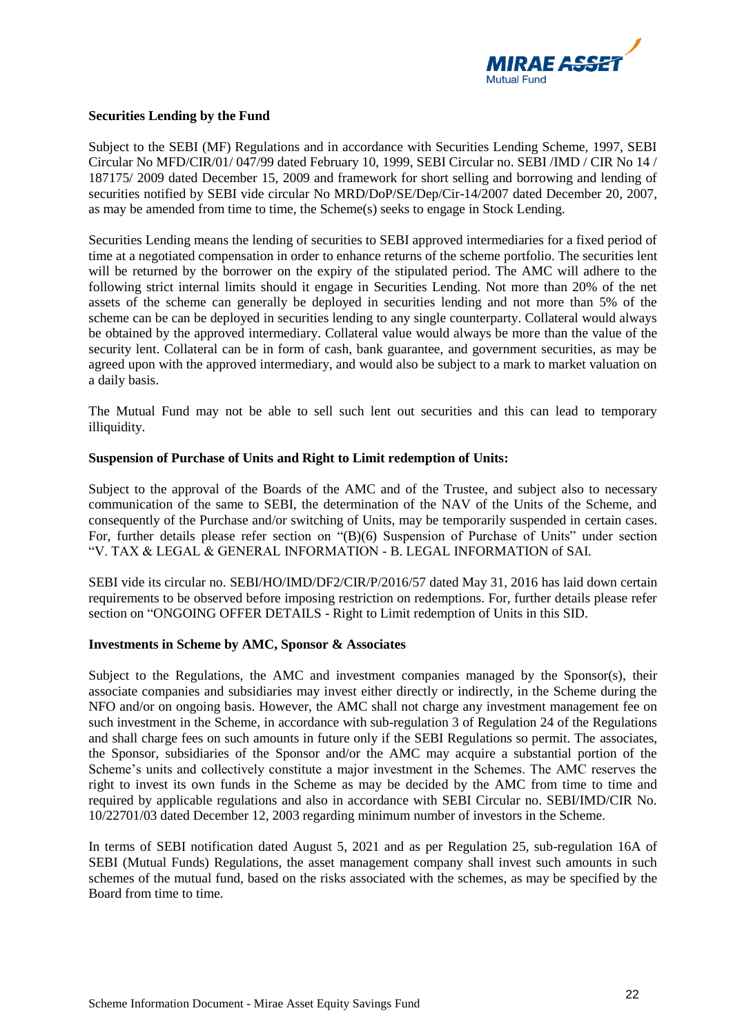

#### **Securities Lending by the Fund**

Subject to the SEBI (MF) Regulations and in accordance with Securities Lending Scheme, 1997, SEBI Circular No MFD/CIR/01/ 047/99 dated February 10, 1999, SEBI Circular no. SEBI /IMD / CIR No 14 / 187175/ 2009 dated December 15, 2009 and framework for short selling and borrowing and lending of securities notified by SEBI vide circular No MRD/DoP/SE/Dep/Cir-14/2007 dated December 20, 2007, as may be amended from time to time, the Scheme(s) seeks to engage in Stock Lending.

Securities Lending means the lending of securities to SEBI approved intermediaries for a fixed period of time at a negotiated compensation in order to enhance returns of the scheme portfolio. The securities lent will be returned by the borrower on the expiry of the stipulated period. The AMC will adhere to the following strict internal limits should it engage in Securities Lending. Not more than 20% of the net assets of the scheme can generally be deployed in securities lending and not more than 5% of the scheme can be can be deployed in securities lending to any single counterparty. Collateral would always be obtained by the approved intermediary. Collateral value would always be more than the value of the security lent. Collateral can be in form of cash, bank guarantee, and government securities, as may be agreed upon with the approved intermediary, and would also be subject to a mark to market valuation on a daily basis.

The Mutual Fund may not be able to sell such lent out securities and this can lead to temporary illiquidity.

#### **Suspension of Purchase of Units and Right to Limit redemption of Units:**

Subject to the approval of the Boards of the AMC and of the Trustee, and subject also to necessary communication of the same to SEBI, the determination of the NAV of the Units of the Scheme, and consequently of the Purchase and/or switching of Units, may be temporarily suspended in certain cases. For, further details please refer section on "(B)(6) Suspension of Purchase of Units" under section "V. TAX & LEGAL & GENERAL INFORMATION - B. LEGAL INFORMATION of SAI.

SEBI vide its circular no. SEBI/HO/IMD/DF2/CIR/P/2016/57 dated May 31, 2016 has laid down certain requirements to be observed before imposing restriction on redemptions. For, further details please refer section on "ONGOING OFFER DETAILS - Right to Limit redemption of Units in this SID.

## **Investments in Scheme by AMC, Sponsor & Associates**

Subject to the Regulations, the AMC and investment companies managed by the Sponsor(s), their associate companies and subsidiaries may invest either directly or indirectly, in the Scheme during the NFO and/or on ongoing basis. However, the AMC shall not charge any investment management fee on such investment in the Scheme, in accordance with sub-regulation 3 of Regulation 24 of the Regulations and shall charge fees on such amounts in future only if the SEBI Regulations so permit. The associates, the Sponsor, subsidiaries of the Sponsor and/or the AMC may acquire a substantial portion of the Scheme's units and collectively constitute a major investment in the Schemes. The AMC reserves the right to invest its own funds in the Scheme as may be decided by the AMC from time to time and required by applicable regulations and also in accordance with SEBI Circular no. SEBI/IMD/CIR No. 10/22701/03 dated December 12, 2003 regarding minimum number of investors in the Scheme.

In terms of SEBI notification dated August 5, 2021 and as per Regulation 25, sub-regulation 16A of SEBI (Mutual Funds) Regulations, the asset management company shall invest such amounts in such schemes of the mutual fund, based on the risks associated with the schemes, as may be specified by the Board from time to time.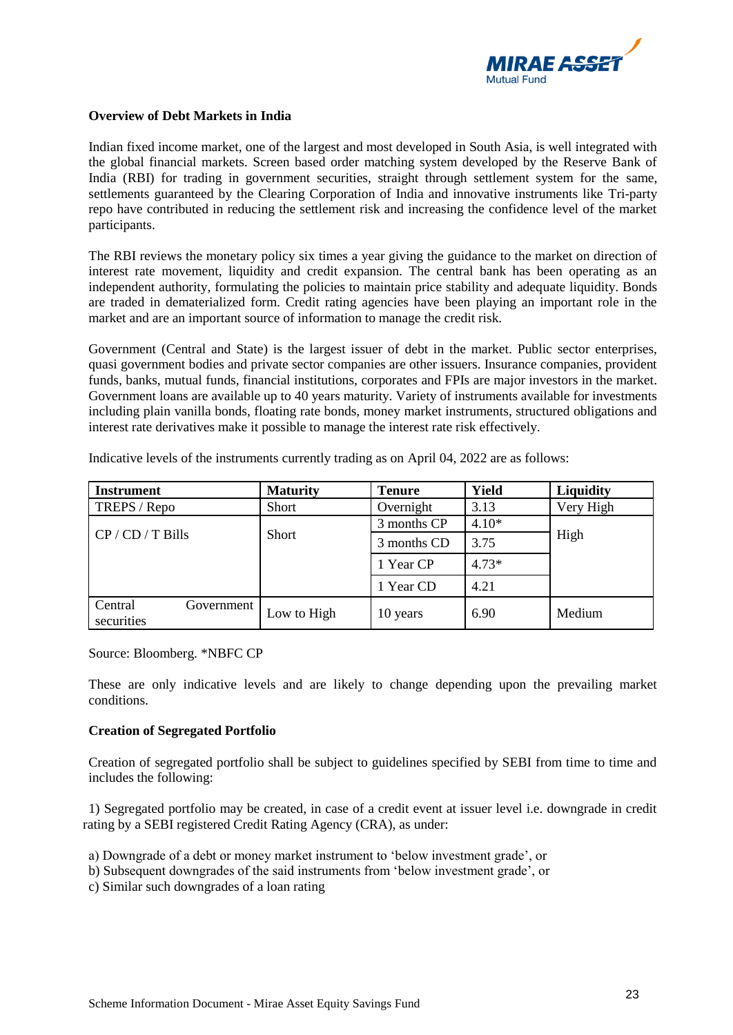

## **Overview of Debt Markets in India**

Indian fixed income market, one of the largest and most developed in South Asia, is well integrated with the global financial markets. Screen based order matching system developed by the Reserve Bank of India (RBI) for trading in government securities, straight through settlement system for the same, settlements guaranteed by the Clearing Corporation of India and innovative instruments like Tri-party repo have contributed in reducing the settlement risk and increasing the confidence level of the market participants.

The RBI reviews the monetary policy six times a year giving the guidance to the market on direction of interest rate movement, liquidity and credit expansion. The central bank has been operating as an independent authority, formulating the policies to maintain price stability and adequate liquidity. Bonds are traded in dematerialized form. Credit rating agencies have been playing an important role in the market and are an important source of information to manage the credit risk.

Government (Central and State) is the largest issuer of debt in the market. Public sector enterprises, quasi government bodies and private sector companies are other issuers. Insurance companies, provident funds, banks, mutual funds, financial institutions, corporates and FPIs are major investors in the market. Government loans are available up to 40 years maturity. Variety of instruments available for investments including plain vanilla bonds, floating rate bonds, money market instruments, structured obligations and interest rate derivatives make it possible to manage the interest rate risk effectively.

| <b>Instrument</b>                   | <b>Maturity</b> | <b>Tenure</b> | Yield   | Liquidity |
|-------------------------------------|-----------------|---------------|---------|-----------|
| TREPS / Repo                        | <b>Short</b>    | Overnight     | 3.13    | Very High |
|                                     |                 | 3 months CP   | $4.10*$ |           |
| $CP / CD / T$ Bills                 | Short           | 3 months CD   | 3.75    | High      |
|                                     |                 | 1 Year CP     | $4.73*$ |           |
|                                     |                 | 1 Year CD     | 4.21    |           |
| Central<br>Government<br>securities | Low to High     | 10 years      | 6.90    | Medium    |

Indicative levels of the instruments currently trading as on April 04, 2022 are as follows:

Source: Bloomberg. \*NBFC CP

These are only indicative levels and are likely to change depending upon the prevailing market conditions.

## **Creation of Segregated Portfolio**

Creation of segregated portfolio shall be subject to guidelines specified by SEBI from time to time and includes the following:

1) Segregated portfolio may be created, in case of a credit event at issuer level i.e. downgrade in credit rating by a SEBI registered Credit Rating Agency (CRA), as under:

a) Downgrade of a debt or money market instrument to 'below investment grade', or

b) Subsequent downgrades of the said instruments from 'below investment grade', or

c) Similar such downgrades of a loan rating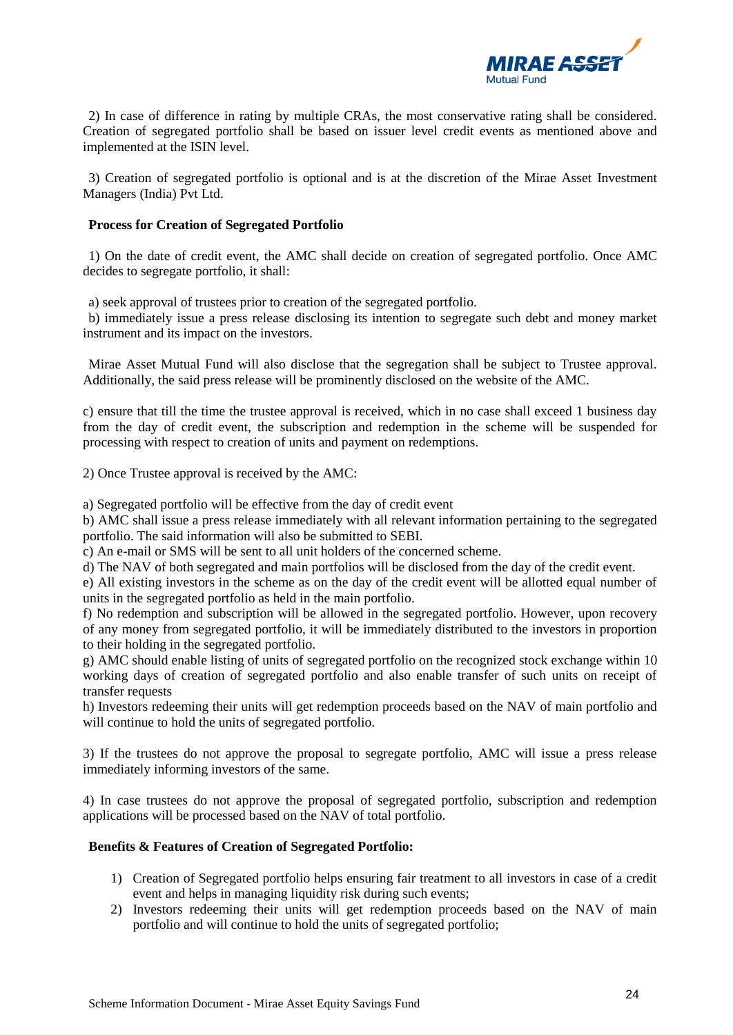

2) In case of difference in rating by multiple CRAs, the most conservative rating shall be considered. Creation of segregated portfolio shall be based on issuer level credit events as mentioned above and implemented at the ISIN level.

3) Creation of segregated portfolio is optional and is at the discretion of the Mirae Asset Investment Managers (India) Pvt Ltd.

#### **Process for Creation of Segregated Portfolio**

1) On the date of credit event, the AMC shall decide on creation of segregated portfolio. Once AMC decides to segregate portfolio, it shall:

a) seek approval of trustees prior to creation of the segregated portfolio.

b) immediately issue a press release disclosing its intention to segregate such debt and money market instrument and its impact on the investors.

Mirae Asset Mutual Fund will also disclose that the segregation shall be subject to Trustee approval. Additionally, the said press release will be prominently disclosed on the website of the AMC.

c) ensure that till the time the trustee approval is received, which in no case shall exceed 1 business day from the day of credit event, the subscription and redemption in the scheme will be suspended for processing with respect to creation of units and payment on redemptions.

2) Once Trustee approval is received by the AMC:

a) Segregated portfolio will be effective from the day of credit event

b) AMC shall issue a press release immediately with all relevant information pertaining to the segregated portfolio. The said information will also be submitted to SEBI.

c) An e-mail or SMS will be sent to all unit holders of the concerned scheme.

d) The NAV of both segregated and main portfolios will be disclosed from the day of the credit event.

e) All existing investors in the scheme as on the day of the credit event will be allotted equal number of units in the segregated portfolio as held in the main portfolio.

f) No redemption and subscription will be allowed in the segregated portfolio. However, upon recovery of any money from segregated portfolio, it will be immediately distributed to the investors in proportion to their holding in the segregated portfolio.

g) AMC should enable listing of units of segregated portfolio on the recognized stock exchange within 10 working days of creation of segregated portfolio and also enable transfer of such units on receipt of transfer requests

h) Investors redeeming their units will get redemption proceeds based on the NAV of main portfolio and will continue to hold the units of segregated portfolio.

3) If the trustees do not approve the proposal to segregate portfolio, AMC will issue a press release immediately informing investors of the same.

4) In case trustees do not approve the proposal of segregated portfolio, subscription and redemption applications will be processed based on the NAV of total portfolio.

## **Benefits & Features of Creation of Segregated Portfolio:**

- 1) Creation of Segregated portfolio helps ensuring fair treatment to all investors in case of a credit event and helps in managing liquidity risk during such events;
- 2) Investors redeeming their units will get redemption proceeds based on the NAV of main portfolio and will continue to hold the units of segregated portfolio;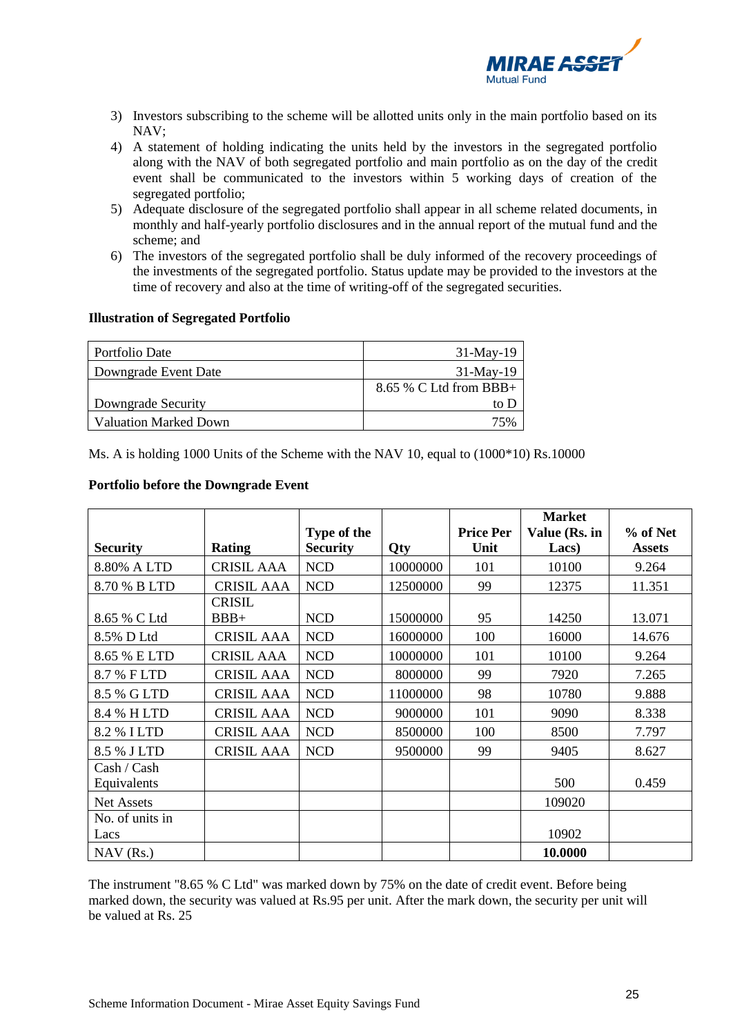

- 3) Investors subscribing to the scheme will be allotted units only in the main portfolio based on its NAV;
- 4) A statement of holding indicating the units held by the investors in the segregated portfolio along with the NAV of both segregated portfolio and main portfolio as on the day of the credit event shall be communicated to the investors within 5 working days of creation of the segregated portfolio;
- 5) Adequate disclosure of the segregated portfolio shall appear in all scheme related documents, in monthly and half-yearly portfolio disclosures and in the annual report of the mutual fund and the scheme; and
- 6) The investors of the segregated portfolio shall be duly informed of the recovery proceedings of the investments of the segregated portfolio. Status update may be provided to the investors at the time of recovery and also at the time of writing-off of the segregated securities.

#### **Illustration of Segregated Portfolio**

| Portfolio Date               | $31-Mav-19$              |
|------------------------------|--------------------------|
| Downgrade Event Date         | $31-May-19$              |
|                              | $8.65\%$ C Ltd from BBB+ |
| Downgrade Security           | to D                     |
| <b>Valuation Marked Down</b> | 75%                      |

Ms. A is holding 1000 Units of the Scheme with the NAV 10, equal to (1000\*10) Rs.10000

## **Portfolio before the Downgrade Event**

|                   |                   |                 |          |                  | <b>Market</b> |               |
|-------------------|-------------------|-----------------|----------|------------------|---------------|---------------|
|                   |                   | Type of the     |          | <b>Price Per</b> | Value (Rs. in | % of Net      |
| <b>Security</b>   | Rating            | <b>Security</b> | Qty      | Unit             | Lacs)         | <b>Assets</b> |
| 8.80% A LTD       | <b>CRISIL AAA</b> | <b>NCD</b>      | 10000000 | 101              | 10100         | 9.264         |
| 8.70 % B LTD      | <b>CRISIL AAA</b> | <b>NCD</b>      | 12500000 | 99               | 12375         | 11.351        |
|                   | <b>CRISIL</b>     |                 |          |                  |               |               |
| 8.65 % C Ltd      | $BBB+$            | <b>NCD</b>      | 15000000 | 95               | 14250         | 13.071        |
| 8.5% D Ltd        | <b>CRISIL AAA</b> | <b>NCD</b>      | 16000000 | 100              | 16000         | 14.676        |
| 8.65 % E LTD      | <b>CRISIL AAA</b> | <b>NCD</b>      | 10000000 | 101              | 10100         | 9.264         |
| 8.7 % FLTD        | <b>CRISIL AAA</b> | <b>NCD</b>      | 8000000  | 99               | 7920          | 7.265         |
| 8.5 % G LTD       | <b>CRISIL AAA</b> | <b>NCD</b>      | 11000000 | 98               | 10780         | 9.888         |
| 8.4 % HLTD        | <b>CRISIL AAA</b> | <b>NCD</b>      | 9000000  | 101              | 9090          | 8.338         |
| 8.2 % I LTD       | <b>CRISIL AAA</b> | <b>NCD</b>      | 8500000  | 100              | 8500          | 7.797         |
| 8.5 % J LTD       | <b>CRISIL AAA</b> | <b>NCD</b>      | 9500000  | 99               | 9405          | 8.627         |
| Cash / Cash       |                   |                 |          |                  |               |               |
| Equivalents       |                   |                 |          |                  | 500           | 0.459         |
| <b>Net Assets</b> |                   |                 |          |                  | 109020        |               |
| No. of units in   |                   |                 |          |                  |               |               |
| Lacs              |                   |                 |          |                  | 10902         |               |
| $NAV$ (Rs.)       |                   |                 |          |                  | 10.0000       |               |

The instrument "8.65 % C Ltd" was marked down by 75% on the date of credit event. Before being marked down, the security was valued at Rs.95 per unit. After the mark down, the security per unit will be valued at Rs. 25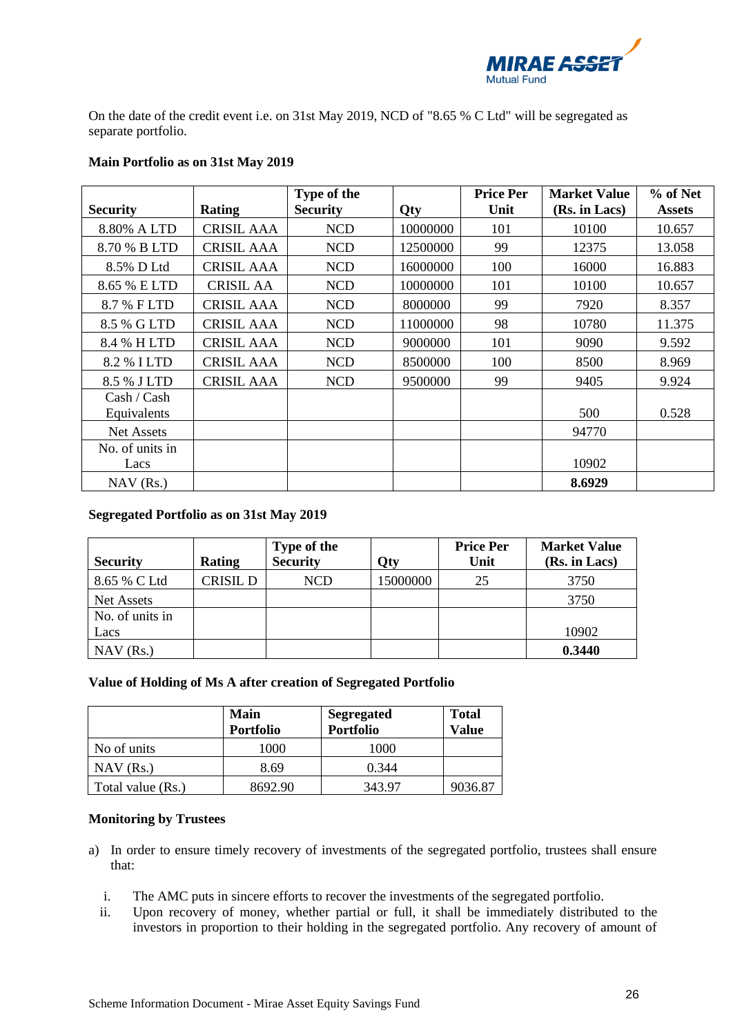

On the date of the credit event i.e. on 31st May 2019, NCD of "8.65 % C Ltd" will be segregated as separate portfolio.

| <b>Security</b>            | <b>Rating</b>     | Type of the<br><b>Security</b> | Qty      | <b>Price Per</b><br>Unit | <b>Market Value</b><br>(Rs. in Lacs) | $%$ of Net<br><b>Assets</b> |
|----------------------------|-------------------|--------------------------------|----------|--------------------------|--------------------------------------|-----------------------------|
| 8.80% A LTD                | <b>CRISIL AAA</b> | <b>NCD</b>                     | 10000000 | 101                      | 10100                                | 10.657                      |
| 8.70 % B LTD               | <b>CRISIL AAA</b> | <b>NCD</b>                     | 12500000 | 99                       | 12375                                | 13.058                      |
| 8.5% D Ltd                 | <b>CRISIL AAA</b> | <b>NCD</b>                     | 16000000 | 100                      | 16000                                | 16.883                      |
| 8.65 % E LTD               | <b>CRISIL AA</b>  | <b>NCD</b>                     | 10000000 | 101                      | 10100                                | 10.657                      |
| 8.7 % F LTD                | <b>CRISIL AAA</b> | <b>NCD</b>                     | 8000000  | 99                       | 7920                                 | 8.357                       |
| 8.5 % G LTD                | <b>CRISIL AAA</b> | <b>NCD</b>                     | 11000000 | 98                       | 10780                                | 11.375                      |
| 8.4 % HLTD                 | <b>CRISIL AAA</b> | <b>NCD</b>                     | 9000000  | 101                      | 9090                                 | 9.592                       |
| 8.2 % I LTD                | <b>CRISIL AAA</b> | <b>NCD</b>                     | 8500000  | 100                      | 8500                                 | 8.969                       |
| 8.5 % J LTD                | <b>CRISIL AAA</b> | <b>NCD</b>                     | 9500000  | 99                       | 9405                                 | 9.924                       |
| Cash / Cash<br>Equivalents |                   |                                |          |                          | 500                                  | 0.528                       |
| Net Assets                 |                   |                                |          |                          | 94770                                |                             |
| No. of units in<br>Lacs    |                   |                                |          |                          | 10902                                |                             |
| $NAV$ (Rs.)                |                   |                                |          |                          | 8.6929                               |                             |

# **Main Portfolio as on 31st May 2019**

# **Segregated Portfolio as on 31st May 2019**

| <b>Security</b> | Rating   | Type of the<br><b>Security</b> | <b>Qty</b> | <b>Price Per</b><br>Unit | <b>Market Value</b><br>(Rs. in Lacs) |
|-----------------|----------|--------------------------------|------------|--------------------------|--------------------------------------|
| 8.65 % C Ltd    | CRISIL D | NCD                            | 15000000   | 25                       | 3750                                 |
| Net Assets      |          |                                |            |                          | 3750                                 |
| No. of units in |          |                                |            |                          |                                      |
| Lacs            |          |                                |            |                          | 10902                                |
| $NAV$ (Rs.)     |          |                                |            |                          | 0.3440                               |

## **Value of Holding of Ms A after creation of Segregated Portfolio**

|                   | <b>Main</b><br><b>Portfolio</b> | <b>Segregated</b><br><b>Portfolio</b> | <b>Total</b><br>Value |
|-------------------|---------------------------------|---------------------------------------|-----------------------|
| No of units       | 1000                            | 1000                                  |                       |
| $NAV$ (Rs.)       | 8.69                            | 0.344                                 |                       |
| Total value (Rs.) | 8692.90                         | 343.97                                | 9036.87               |

## **Monitoring by Trustees**

- a) In order to ensure timely recovery of investments of the segregated portfolio, trustees shall ensure that:
	- i. The AMC puts in sincere efforts to recover the investments of the segregated portfolio.
	- ii. Upon recovery of money, whether partial or full, it shall be immediately distributed to the investors in proportion to their holding in the segregated portfolio. Any recovery of amount of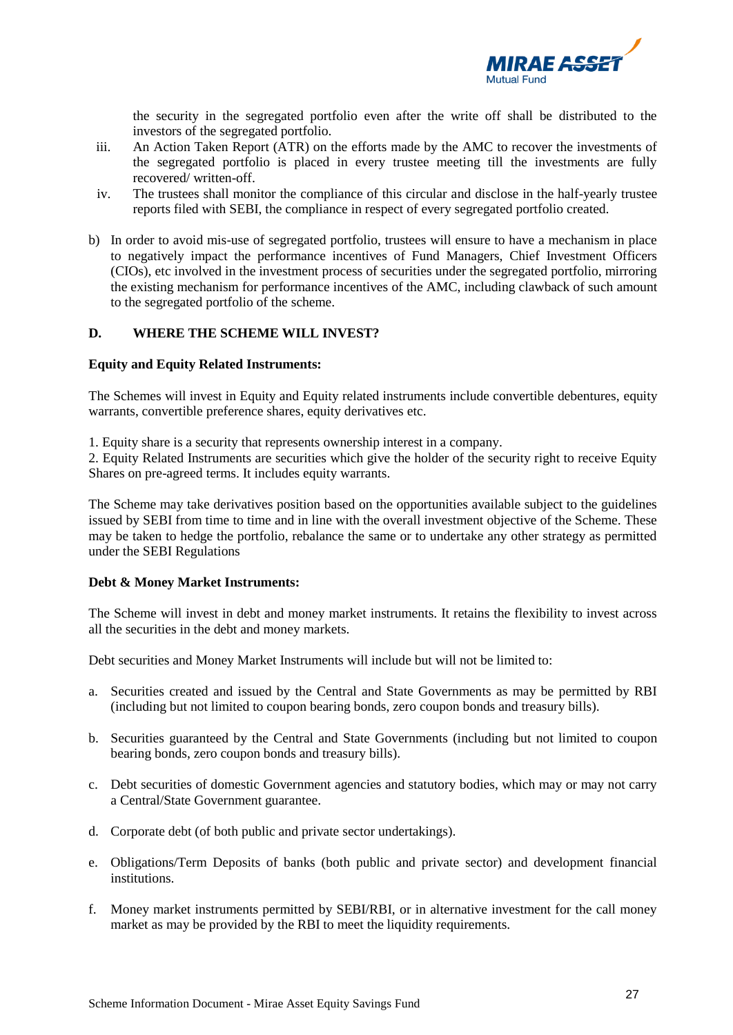

the security in the segregated portfolio even after the write off shall be distributed to the investors of the segregated portfolio.

- iii. An Action Taken Report (ATR) on the efforts made by the AMC to recover the investments of the segregated portfolio is placed in every trustee meeting till the investments are fully recovered/ written-off.
- iv. The trustees shall monitor the compliance of this circular and disclose in the half-yearly trustee reports filed with SEBI, the compliance in respect of every segregated portfolio created.
- b) In order to avoid mis-use of segregated portfolio, trustees will ensure to have a mechanism in place to negatively impact the performance incentives of Fund Managers, Chief Investment Officers (CIOs), etc involved in the investment process of securities under the segregated portfolio, mirroring the existing mechanism for performance incentives of the AMC, including clawback of such amount to the segregated portfolio of the scheme.

# <span id="page-26-0"></span>**D. WHERE THE SCHEME WILL INVEST?**

#### **Equity and Equity Related Instruments:**

The Schemes will invest in Equity and Equity related instruments include convertible debentures, equity warrants, convertible preference shares, equity derivatives etc.

1. Equity share is a security that represents ownership interest in a company.

2. Equity Related Instruments are securities which give the holder of the security right to receive Equity Shares on pre-agreed terms. It includes equity warrants.

The Scheme may take derivatives position based on the opportunities available subject to the guidelines issued by SEBI from time to time and in line with the overall investment objective of the Scheme. These may be taken to hedge the portfolio, rebalance the same or to undertake any other strategy as permitted under the SEBI Regulations

## **Debt & Money Market Instruments:**

The Scheme will invest in debt and money market instruments. It retains the flexibility to invest across all the securities in the debt and money markets.

Debt securities and Money Market Instruments will include but will not be limited to:

- a. Securities created and issued by the Central and State Governments as may be permitted by RBI (including but not limited to coupon bearing bonds, zero coupon bonds and treasury bills).
- b. Securities guaranteed by the Central and State Governments (including but not limited to coupon bearing bonds, zero coupon bonds and treasury bills).
- c. Debt securities of domestic Government agencies and statutory bodies, which may or may not carry a Central/State Government guarantee.
- d. Corporate debt (of both public and private sector undertakings).
- e. Obligations/Term Deposits of banks (both public and private sector) and development financial institutions.
- f. Money market instruments permitted by SEBI/RBI, or in alternative investment for the call money market as may be provided by the RBI to meet the liquidity requirements.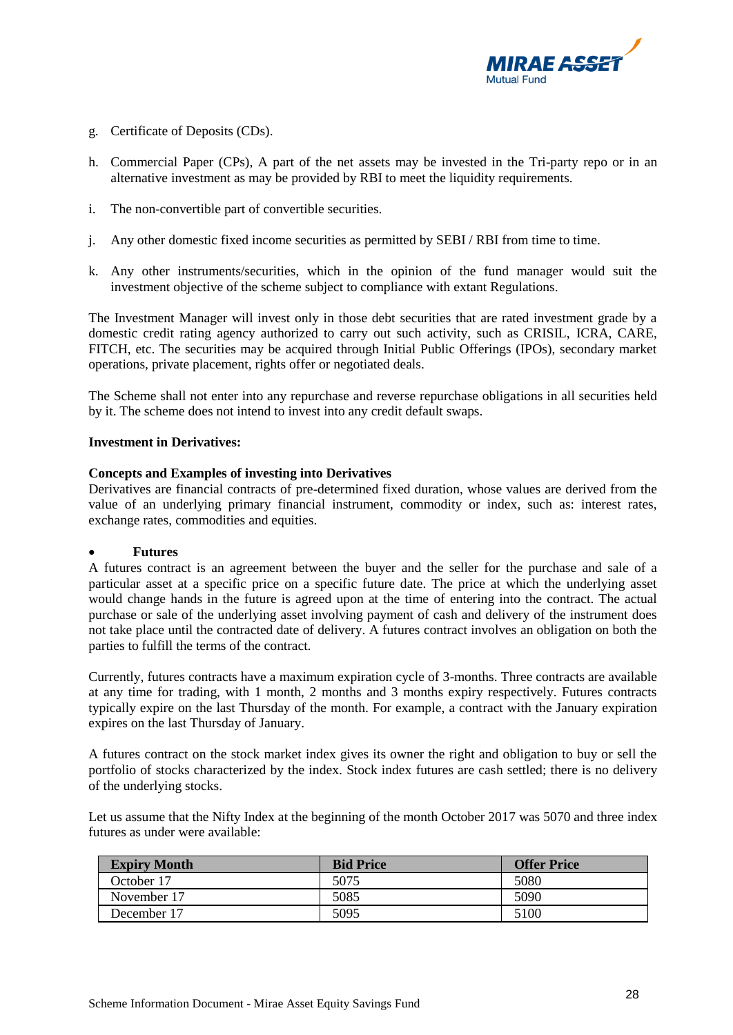

- g. Certificate of Deposits (CDs).
- h. Commercial Paper (CPs), A part of the net assets may be invested in the Tri-party repo or in an alternative investment as may be provided by RBI to meet the liquidity requirements.
- i. The non-convertible part of convertible securities.
- j. Any other domestic fixed income securities as permitted by SEBI / RBI from time to time.
- k. Any other instruments/securities, which in the opinion of the fund manager would suit the investment objective of the scheme subject to compliance with extant Regulations.

The Investment Manager will invest only in those debt securities that are rated investment grade by a domestic credit rating agency authorized to carry out such activity, such as CRISIL, ICRA, CARE, FITCH, etc. The securities may be acquired through Initial Public Offerings (IPOs), secondary market operations, private placement, rights offer or negotiated deals.

The Scheme shall not enter into any repurchase and reverse repurchase obligations in all securities held by it. The scheme does not intend to invest into any credit default swaps.

## **Investment in Derivatives:**

#### **Concepts and Examples of investing into Derivatives**

Derivatives are financial contracts of pre-determined fixed duration, whose values are derived from the value of an underlying primary financial instrument, commodity or index, such as: interest rates, exchange rates, commodities and equities.

#### • **Futures**

A futures contract is an agreement between the buyer and the seller for the purchase and sale of a particular asset at a specific price on a specific future date. The price at which the underlying asset would change hands in the future is agreed upon at the time of entering into the contract. The actual purchase or sale of the underlying asset involving payment of cash and delivery of the instrument does not take place until the contracted date of delivery. A futures contract involves an obligation on both the parties to fulfill the terms of the contract.

Currently, futures contracts have a maximum expiration cycle of 3-months. Three contracts are available at any time for trading, with 1 month, 2 months and 3 months expiry respectively. Futures contracts typically expire on the last Thursday of the month. For example, a contract with the January expiration expires on the last Thursday of January.

A futures contract on the stock market index gives its owner the right and obligation to buy or sell the portfolio of stocks characterized by the index. Stock index futures are cash settled; there is no delivery of the underlying stocks.

Let us assume that the Nifty Index at the beginning of the month October 2017 was 5070 and three index futures as under were available:

| <b>Expiry Month</b> | <b>Bid Price</b> | <b>Offer Price</b> |
|---------------------|------------------|--------------------|
| October 17          | 5075             | 5080               |
| November 17         | 5085             | 5090               |
| December 17         | 5095             | 5100               |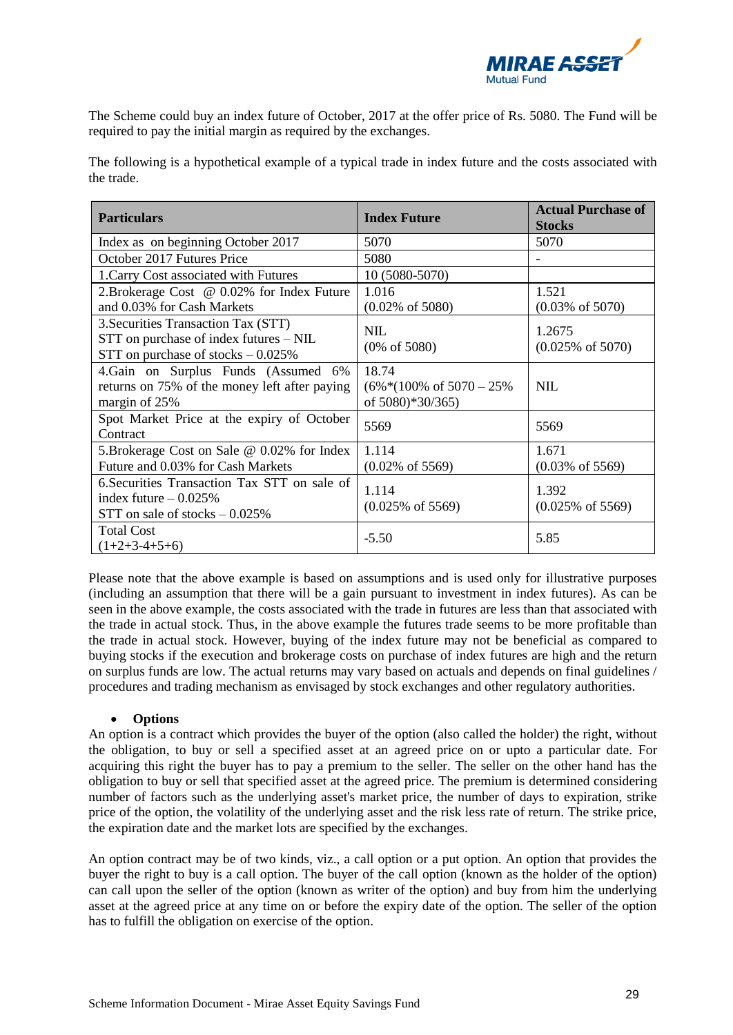

The Scheme could buy an index future of October, 2017 at the offer price of Rs. 5080. The Fund will be required to pay the initial margin as required by the exchanges.

The following is a hypothetical example of a typical trade in index future and the costs associated with the trade.

| <b>Particulars</b>                                                                                                        | <b>Index Future</b>                                               | <b>Actual Purchase of</b><br><b>Stocks</b> |
|---------------------------------------------------------------------------------------------------------------------------|-------------------------------------------------------------------|--------------------------------------------|
| Index as on beginning October 2017                                                                                        | 5070                                                              | 5070                                       |
| October 2017 Futures Price                                                                                                | 5080                                                              |                                            |
| 1. Carry Cost associated with Futures                                                                                     | 10 (5080-5070)                                                    |                                            |
| 2. Brokerage Cost @ 0.02% for Index Future<br>and 0.03% for Cash Markets                                                  | 1.016<br>$(0.02\% \text{ of } 5080)$                              | 1.521<br>$(0.03\% \text{ of } 5070)$       |
| 3. Securities Transaction Tax (STT)<br>$STT$ on purchase of index futures $-$ NIL<br>STT on purchase of stocks $-0.025\%$ | <b>NIL</b><br>$(0\% \text{ of } 5080)$                            | 1.2675<br>$(0.025\% \text{ of } 5070)$     |
| 4. Gain on Surplus Funds (Assumed 6%<br>returns on 75% of the money left after paying<br>margin of 25%                    | 18.74<br>$(6\%*(100\% \text{ of } 5070-25\%)$<br>of 5080)*30/365) | <b>NIL</b>                                 |
| Spot Market Price at the expiry of October<br>Contract                                                                    | 5569                                                              | 5569                                       |
| 5. Brokerage Cost on Sale @ 0.02% for Index<br>Future and 0.03% for Cash Markets                                          | 1.114<br>$(0.02\% \text{ of } 5569)$                              | 1.671<br>$(0.03\% \text{ of } 5569)$       |
| 6. Securities Transaction Tax STT on sale of<br>index future $-0.025\%$<br>STT on sale of stocks $-0.025\%$               | 1.114<br>$(0.025\% \text{ of } 5569)$                             | 1.392<br>$(0.025\% \text{ of } 5569)$      |
| <b>Total Cost</b><br>$(1+2+3-4+5+6)$                                                                                      | $-5.50$                                                           | 5.85                                       |

Please note that the above example is based on assumptions and is used only for illustrative purposes (including an assumption that there will be a gain pursuant to investment in index futures). As can be seen in the above example, the costs associated with the trade in futures are less than that associated with the trade in actual stock. Thus, in the above example the futures trade seems to be more profitable than the trade in actual stock. However, buying of the index future may not be beneficial as compared to buying stocks if the execution and brokerage costs on purchase of index futures are high and the return on surplus funds are low. The actual returns may vary based on actuals and depends on final guidelines / procedures and trading mechanism as envisaged by stock exchanges and other regulatory authorities.

## • **Options**

An option is a contract which provides the buyer of the option (also called the holder) the right, without the obligation, to buy or sell a specified asset at an agreed price on or upto a particular date. For acquiring this right the buyer has to pay a premium to the seller. The seller on the other hand has the obligation to buy or sell that specified asset at the agreed price. The premium is determined considering number of factors such as the underlying asset's market price, the number of days to expiration, strike price of the option, the volatility of the underlying asset and the risk less rate of return. The strike price, the expiration date and the market lots are specified by the exchanges.

An option contract may be of two kinds, viz., a call option or a put option. An option that provides the buyer the right to buy is a call option. The buyer of the call option (known as the holder of the option) can call upon the seller of the option (known as writer of the option) and buy from him the underlying asset at the agreed price at any time on or before the expiry date of the option. The seller of the option has to fulfill the obligation on exercise of the option.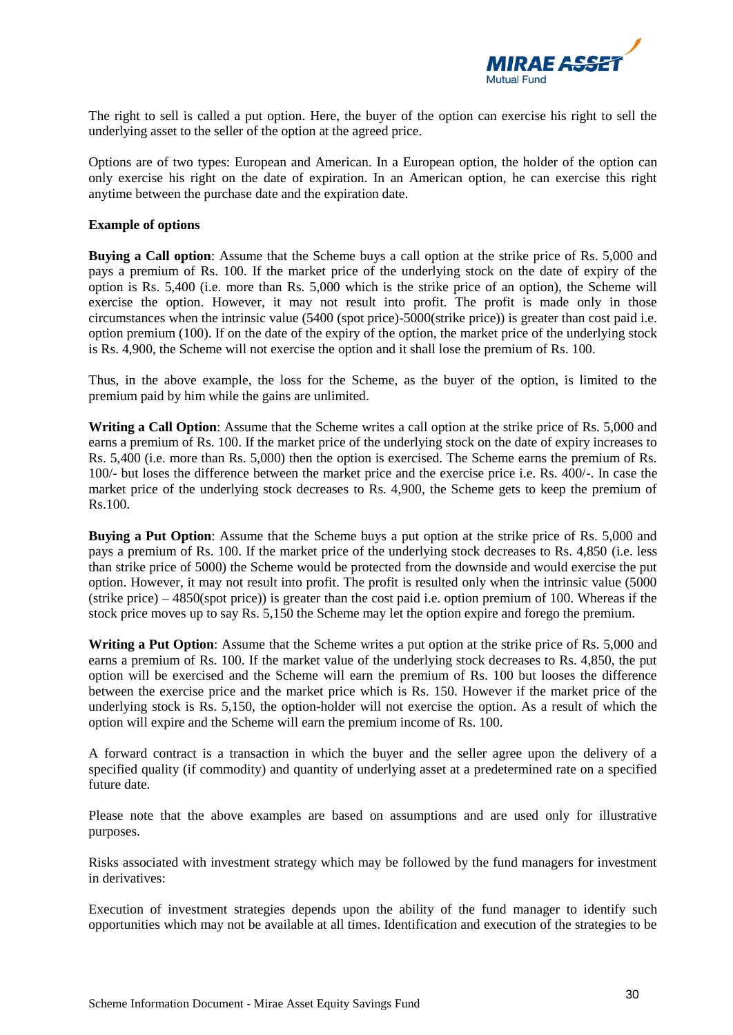

The right to sell is called a put option. Here, the buyer of the option can exercise his right to sell the underlying asset to the seller of the option at the agreed price.

Options are of two types: European and American. In a European option, the holder of the option can only exercise his right on the date of expiration. In an American option, he can exercise this right anytime between the purchase date and the expiration date.

#### **Example of options**

**Buying a Call option**: Assume that the Scheme buys a call option at the strike price of Rs. 5,000 and pays a premium of Rs. 100. If the market price of the underlying stock on the date of expiry of the option is Rs. 5,400 (i.e. more than Rs. 5,000 which is the strike price of an option), the Scheme will exercise the option. However, it may not result into profit. The profit is made only in those circumstances when the intrinsic value (5400 (spot price)-5000(strike price)) is greater than cost paid i.e. option premium (100). If on the date of the expiry of the option, the market price of the underlying stock is Rs. 4,900, the Scheme will not exercise the option and it shall lose the premium of Rs. 100.

Thus, in the above example, the loss for the Scheme, as the buyer of the option, is limited to the premium paid by him while the gains are unlimited.

**Writing a Call Option**: Assume that the Scheme writes a call option at the strike price of Rs. 5,000 and earns a premium of Rs. 100. If the market price of the underlying stock on the date of expiry increases to Rs. 5,400 (i.e. more than Rs. 5,000) then the option is exercised. The Scheme earns the premium of Rs. 100/- but loses the difference between the market price and the exercise price i.e. Rs. 400/-. In case the market price of the underlying stock decreases to Rs. 4,900, the Scheme gets to keep the premium of Rs.100.

**Buying a Put Option**: Assume that the Scheme buys a put option at the strike price of Rs. 5,000 and pays a premium of Rs. 100. If the market price of the underlying stock decreases to Rs. 4,850 (i.e. less than strike price of 5000) the Scheme would be protected from the downside and would exercise the put option. However, it may not result into profit. The profit is resulted only when the intrinsic value (5000 (strike price) – 4850(spot price)) is greater than the cost paid i.e. option premium of 100. Whereas if the stock price moves up to say Rs. 5,150 the Scheme may let the option expire and forego the premium.

**Writing a Put Option**: Assume that the Scheme writes a put option at the strike price of Rs. 5,000 and earns a premium of Rs. 100. If the market value of the underlying stock decreases to Rs. 4,850, the put option will be exercised and the Scheme will earn the premium of Rs. 100 but looses the difference between the exercise price and the market price which is Rs. 150. However if the market price of the underlying stock is Rs. 5,150, the option-holder will not exercise the option. As a result of which the option will expire and the Scheme will earn the premium income of Rs. 100.

A forward contract is a transaction in which the buyer and the seller agree upon the delivery of a specified quality (if commodity) and quantity of underlying asset at a predetermined rate on a specified future date.

Please note that the above examples are based on assumptions and are used only for illustrative purposes.

Risks associated with investment strategy which may be followed by the fund managers for investment in derivatives:

Execution of investment strategies depends upon the ability of the fund manager to identify such opportunities which may not be available at all times. Identification and execution of the strategies to be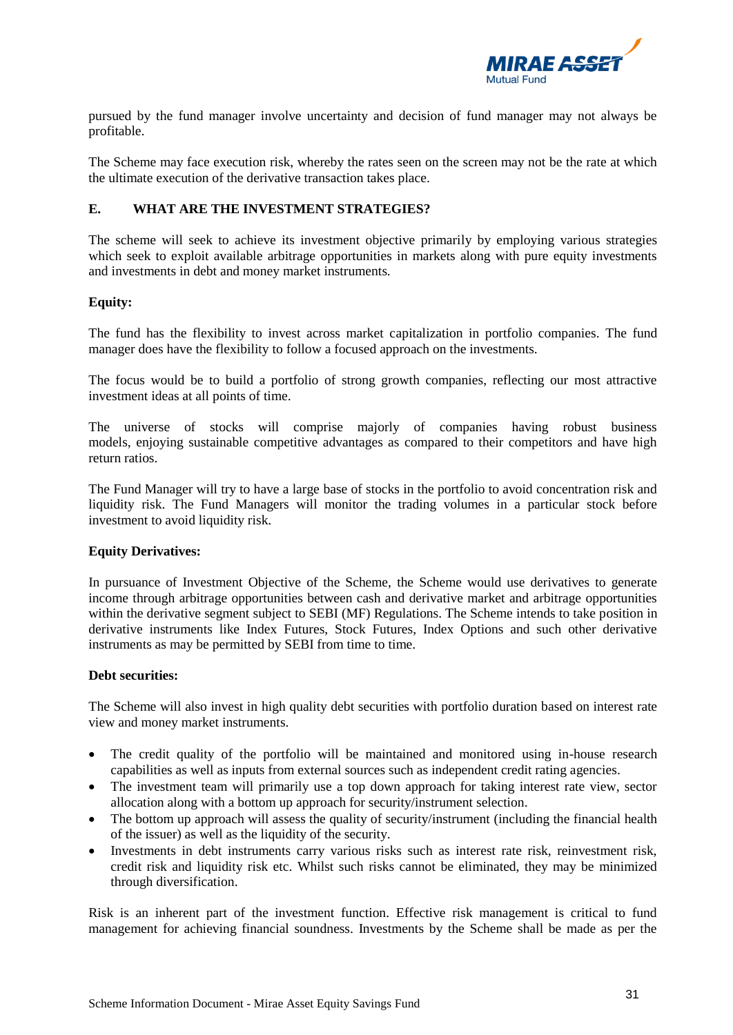

pursued by the fund manager involve uncertainty and decision of fund manager may not always be profitable.

The Scheme may face execution risk, whereby the rates seen on the screen may not be the rate at which the ultimate execution of the derivative transaction takes place.

# <span id="page-30-0"></span>**E. WHAT ARE THE INVESTMENT STRATEGIES?**

The scheme will seek to achieve its investment objective primarily by employing various strategies which seek to exploit available arbitrage opportunities in markets along with pure equity investments and investments in debt and money market instruments.

# **Equity:**

The fund has the flexibility to invest across market capitalization in portfolio companies. The fund manager does have the flexibility to follow a focused approach on the investments.

The focus would be to build a portfolio of strong growth companies, reflecting our most attractive investment ideas at all points of time.

The universe of stocks will comprise majorly of companies having robust business models, enjoying sustainable competitive advantages as compared to their competitors and have high return ratios.

The Fund Manager will try to have a large base of stocks in the portfolio to avoid concentration risk and liquidity risk. The Fund Managers will monitor the trading volumes in a particular stock before investment to avoid liquidity risk.

## **Equity Derivatives:**

In pursuance of Investment Objective of the Scheme, the Scheme would use derivatives to generate income through arbitrage opportunities between cash and derivative market and arbitrage opportunities within the derivative segment subject to SEBI (MF) Regulations. The Scheme intends to take position in derivative instruments like Index Futures, Stock Futures, Index Options and such other derivative instruments as may be permitted by SEBI from time to time.

## **Debt securities:**

The Scheme will also invest in high quality debt securities with portfolio duration based on interest rate view and money market instruments.

- The credit quality of the portfolio will be maintained and monitored using in-house research capabilities as well as inputs from external sources such as independent credit rating agencies.
- The investment team will primarily use a top down approach for taking interest rate view, sector allocation along with a bottom up approach for security/instrument selection.
- The bottom up approach will assess the quality of security/instrument (including the financial health of the issuer) as well as the liquidity of the security.
- Investments in debt instruments carry various risks such as interest rate risk, reinvestment risk, credit risk and liquidity risk etc. Whilst such risks cannot be eliminated, they may be minimized through diversification.

Risk is an inherent part of the investment function. Effective risk management is critical to fund management for achieving financial soundness. Investments by the Scheme shall be made as per the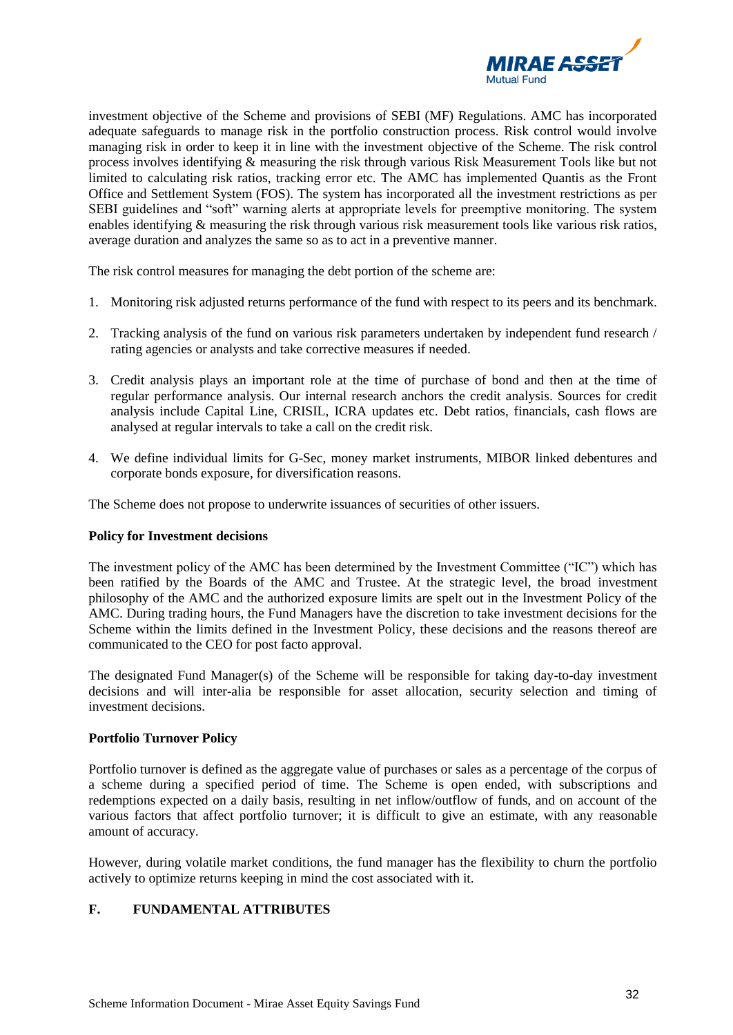

investment objective of the Scheme and provisions of SEBI (MF) Regulations. AMC has incorporated adequate safeguards to manage risk in the portfolio construction process. Risk control would involve managing risk in order to keep it in line with the investment objective of the Scheme. The risk control process involves identifying & measuring the risk through various Risk Measurement Tools like but not limited to calculating risk ratios, tracking error etc. The AMC has implemented Quantis as the Front Office and Settlement System (FOS). The system has incorporated all the investment restrictions as per SEBI guidelines and "soft" warning alerts at appropriate levels for preemptive monitoring. The system enables identifying & measuring the risk through various risk measurement tools like various risk ratios, average duration and analyzes the same so as to act in a preventive manner.

The risk control measures for managing the debt portion of the scheme are:

- 1. Monitoring risk adjusted returns performance of the fund with respect to its peers and its benchmark.
- 2. Tracking analysis of the fund on various risk parameters undertaken by independent fund research / rating agencies or analysts and take corrective measures if needed.
- 3. Credit analysis plays an important role at the time of purchase of bond and then at the time of regular performance analysis. Our internal research anchors the credit analysis. Sources for credit analysis include Capital Line, CRISIL, ICRA updates etc. Debt ratios, financials, cash flows are analysed at regular intervals to take a call on the credit risk.
- 4. We define individual limits for G-Sec, money market instruments, MIBOR linked debentures and corporate bonds exposure, for diversification reasons.

The Scheme does not propose to underwrite issuances of securities of other issuers.

#### **Policy for Investment decisions**

The investment policy of the AMC has been determined by the Investment Committee ("IC") which has been ratified by the Boards of the AMC and Trustee. At the strategic level, the broad investment philosophy of the AMC and the authorized exposure limits are spelt out in the Investment Policy of the AMC. During trading hours, the Fund Managers have the discretion to take investment decisions for the Scheme within the limits defined in the Investment Policy, these decisions and the reasons thereof are communicated to the CEO for post facto approval.

The designated Fund Manager(s) of the Scheme will be responsible for taking day-to-day investment decisions and will inter-alia be responsible for asset allocation, security selection and timing of investment decisions.

#### **Portfolio Turnover Policy**

Portfolio turnover is defined as the aggregate value of purchases or sales as a percentage of the corpus of a scheme during a specified period of time. The Scheme is open ended, with subscriptions and redemptions expected on a daily basis, resulting in net inflow/outflow of funds, and on account of the various factors that affect portfolio turnover; it is difficult to give an estimate, with any reasonable amount of accuracy.

However, during volatile market conditions, the fund manager has the flexibility to churn the portfolio actively to optimize returns keeping in mind the cost associated with it.

# <span id="page-31-0"></span>**F. FUNDAMENTAL ATTRIBUTES**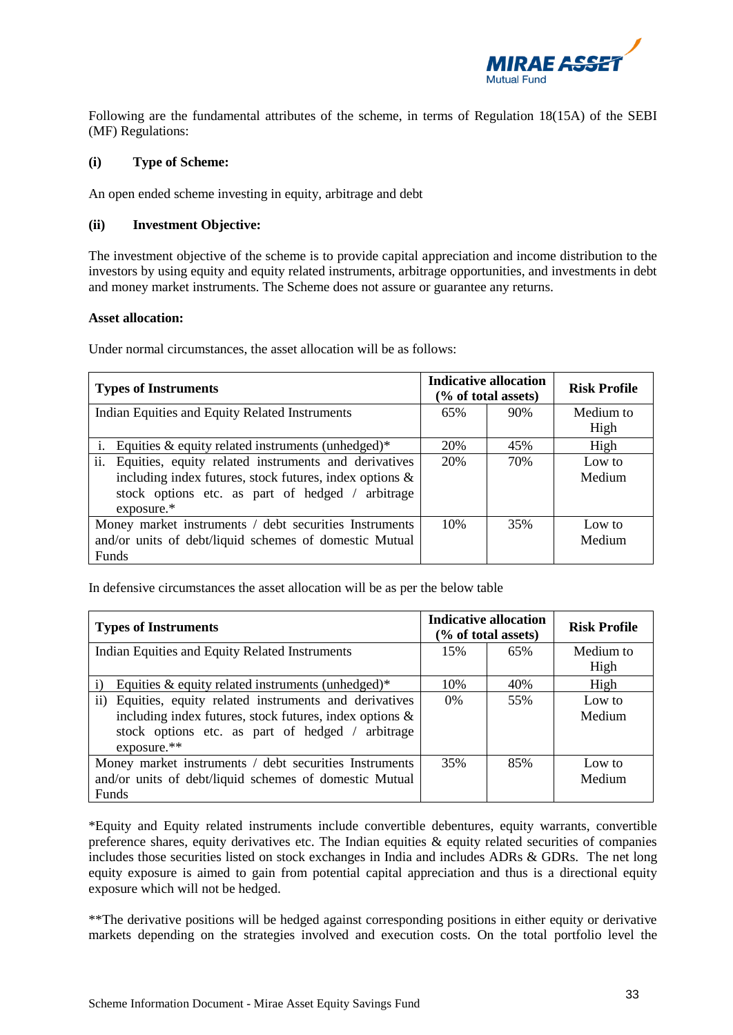

Following are the fundamental attributes of the scheme, in terms of Regulation 18(15A) of the SEBI (MF) Regulations:

#### **(i) Type of Scheme:**

An open ended scheme investing in equity, arbitrage and debt

#### **(ii) Investment Objective:**

The investment objective of the scheme is to provide capital appreciation and income distribution to the investors by using equity and equity related instruments, arbitrage opportunities, and investments in debt and money market instruments. The Scheme does not assure or guarantee any returns.

#### **Asset allocation:**

Under normal circumstances, the asset allocation will be as follows:

| <b>Types of Instruments</b>                                 | <b>Indicative allocation</b><br>(% of total assets) |     | <b>Risk Profile</b> |
|-------------------------------------------------------------|-----------------------------------------------------|-----|---------------------|
| Indian Equities and Equity Related Instruments              | 65%                                                 | 90% | Medium to           |
|                                                             |                                                     |     | High                |
| Equities $\&$ equity related instruments (unhedged)*        | 20%                                                 | 45% | High                |
| ii.<br>Equities, equity related instruments and derivatives | 20%                                                 | 70% | Low to              |
| including index futures, stock futures, index options &     |                                                     |     | Medium              |
| stock options etc. as part of hedged /<br>arbitrage         |                                                     |     |                     |
| $exposure.*$                                                |                                                     |     |                     |
| Money market instruments / debt securities Instruments      | 10%                                                 | 35% | Low to              |
| and/or units of debt/liquid schemes of domestic Mutual      |                                                     |     | Medium              |
| <b>Funds</b>                                                |                                                     |     |                     |

In defensive circumstances the asset allocation will be as per the below table

| <b>Types of Instruments</b>                                           | <b>Indicative allocation</b><br>(% of total assets) |     | <b>Risk Profile</b> |
|-----------------------------------------------------------------------|-----------------------------------------------------|-----|---------------------|
| Indian Equities and Equity Related Instruments                        | 15%                                                 | 65% | Medium to           |
|                                                                       |                                                     |     | High                |
| $\mathbf{i}$<br>Equities $\&$ equity related instruments (unhedged)*  | 10%                                                 | 40% | High                |
| Equities, equity related instruments and derivatives<br>$\mathbf{ii}$ | $0\%$                                               | 55% | Low to              |
| including index futures, stock futures, index options &               |                                                     |     | Medium              |
| stock options etc. as part of hedged /<br>arbitrage                   |                                                     |     |                     |
| $exposure.**$                                                         |                                                     |     |                     |
| Money market instruments / debt securities Instruments                | 35%                                                 | 85% | Low to              |
| and/or units of debt/liquid schemes of domestic Mutual                |                                                     |     | Medium              |
| Funds                                                                 |                                                     |     |                     |

\*Equity and Equity related instruments include convertible debentures, equity warrants, convertible preference shares, equity derivatives etc. The Indian equities  $\&$  equity related securities of companies includes those securities listed on stock exchanges in India and includes ADRs & GDRs. The net long equity exposure is aimed to gain from potential capital appreciation and thus is a directional equity exposure which will not be hedged.

\*\*The derivative positions will be hedged against corresponding positions in either equity or derivative markets depending on the strategies involved and execution costs. On the total portfolio level the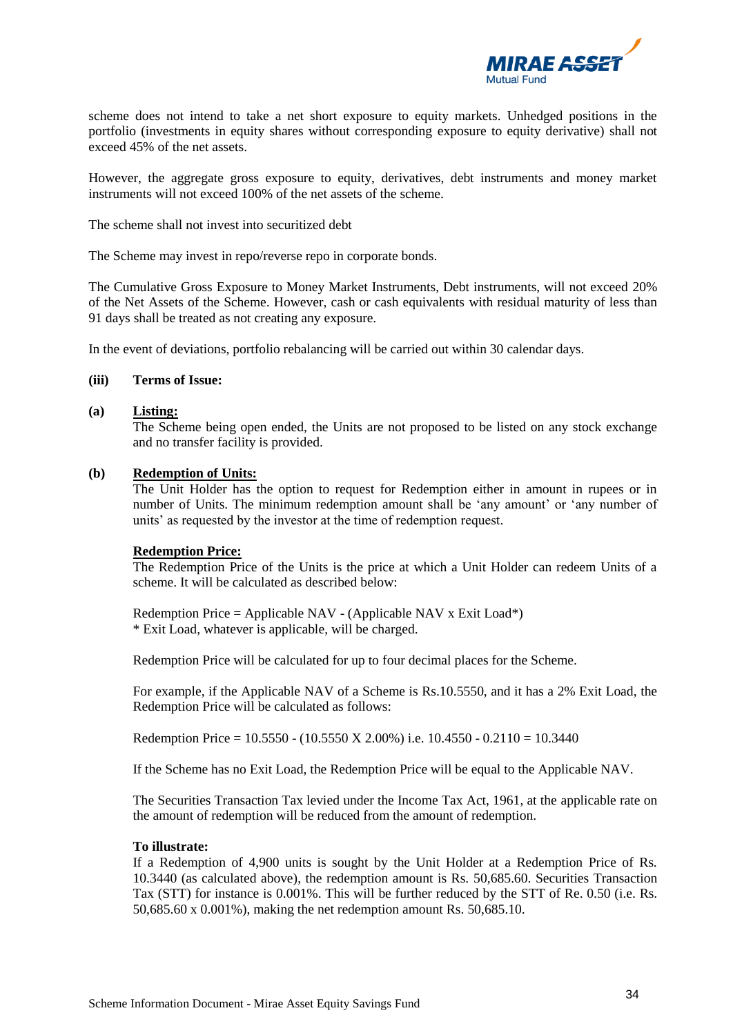

scheme does not intend to take a net short exposure to equity markets. Unhedged positions in the portfolio (investments in equity shares without corresponding exposure to equity derivative) shall not exceed 45% of the net assets.

However, the aggregate gross exposure to equity, derivatives, debt instruments and money market instruments will not exceed 100% of the net assets of the scheme.

The scheme shall not invest into securitized debt

The Scheme may invest in repo/reverse repo in corporate bonds.

The Cumulative Gross Exposure to Money Market Instruments, Debt instruments, will not exceed 20% of the Net Assets of the Scheme. However, cash or cash equivalents with residual maturity of less than 91 days shall be treated as not creating any exposure.

In the event of deviations, portfolio rebalancing will be carried out within 30 calendar days.

#### **(iii) Terms of Issue:**

#### **(a) Listing:**

The Scheme being open ended, the Units are not proposed to be listed on any stock exchange and no transfer facility is provided.

#### **(b) Redemption of Units:**

The Unit Holder has the option to request for Redemption either in amount in rupees or in number of Units. The minimum redemption amount shall be 'any amount' or 'any number of units' as requested by the investor at the time of redemption request.

#### **Redemption Price:**

The Redemption Price of the Units is the price at which a Unit Holder can redeem Units of a scheme. It will be calculated as described below:

Redemption Price = Applicable NAV - (Applicable NAV x Exit Load\*) \* Exit Load, whatever is applicable, will be charged.

Redemption Price will be calculated for up to four decimal places for the Scheme.

For example, if the Applicable NAV of a Scheme is Rs.10.5550, and it has a 2% Exit Load, the Redemption Price will be calculated as follows:

Redemption Price =  $10.5550 - (10.5550 \text{ X } 2.00\%)$  i.e.  $10.4550 - 0.2110 = 10.3440$ 

If the Scheme has no Exit Load, the Redemption Price will be equal to the Applicable NAV.

The Securities Transaction Tax levied under the Income Tax Act, 1961, at the applicable rate on the amount of redemption will be reduced from the amount of redemption.

#### **To illustrate:**

If a Redemption of 4,900 units is sought by the Unit Holder at a Redemption Price of Rs. 10.3440 (as calculated above), the redemption amount is Rs. 50,685.60. Securities Transaction Tax (STT) for instance is 0.001%. This will be further reduced by the STT of Re. 0.50 (i.e. Rs. 50,685.60 x 0.001%), making the net redemption amount Rs. 50,685.10.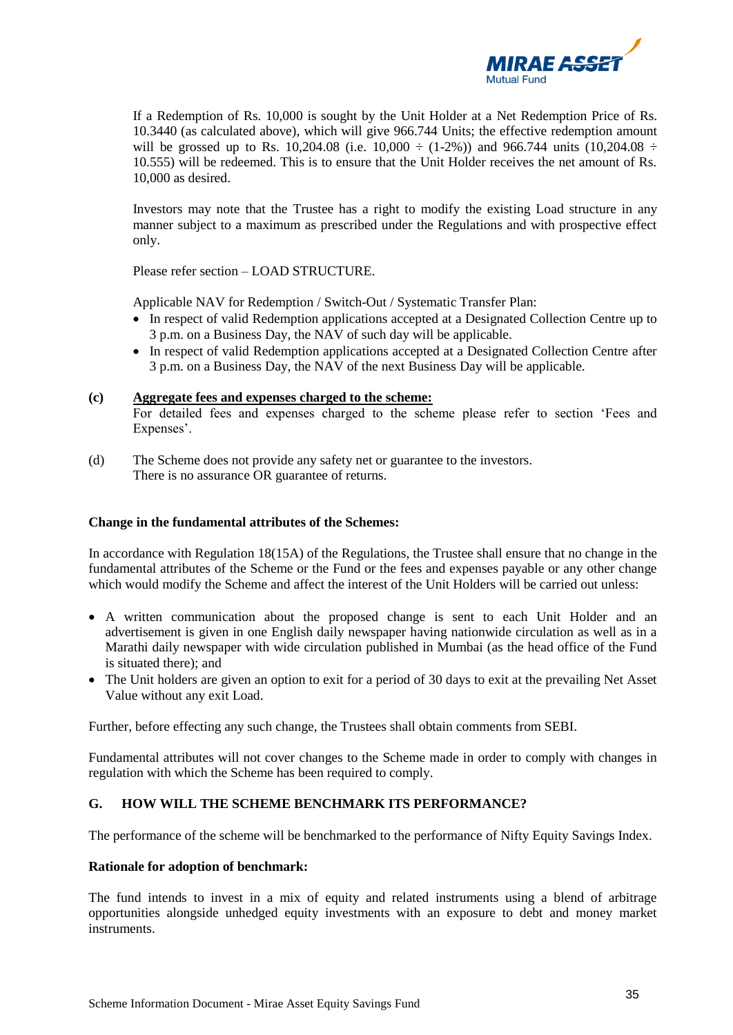

If a Redemption of Rs. 10,000 is sought by the Unit Holder at a Net Redemption Price of Rs. 10.3440 (as calculated above), which will give 966.744 Units; the effective redemption amount will be grossed up to Rs. 10,204.08 (i.e. 10,000  $\div$  (1-2%)) and 966.744 units (10,204.08  $\div$ 10.555) will be redeemed. This is to ensure that the Unit Holder receives the net amount of Rs. 10,000 as desired.

Investors may note that the Trustee has a right to modify the existing Load structure in any manner subject to a maximum as prescribed under the Regulations and with prospective effect only.

Please refer section – LOAD STRUCTURE.

Applicable NAV for Redemption / Switch-Out / Systematic Transfer Plan:

- In respect of valid Redemption applications accepted at a Designated Collection Centre up to 3 p.m. on a Business Day, the NAV of such day will be applicable.
- In respect of valid Redemption applications accepted at a Designated Collection Centre after 3 p.m. on a Business Day, the NAV of the next Business Day will be applicable.

## **(c) Aggregate fees and expenses charged to the scheme:**

For detailed fees and expenses charged to the scheme please refer to section 'Fees and Expenses'.

(d) The Scheme does not provide any safety net or guarantee to the investors. There is no assurance OR guarantee of returns.

# **Change in the fundamental attributes of the Schemes:**

In accordance with Regulation 18(15A) of the Regulations, the Trustee shall ensure that no change in the fundamental attributes of the Scheme or the Fund or the fees and expenses payable or any other change which would modify the Scheme and affect the interest of the Unit Holders will be carried out unless:

- A written communication about the proposed change is sent to each Unit Holder and an advertisement is given in one English daily newspaper having nationwide circulation as well as in a Marathi daily newspaper with wide circulation published in Mumbai (as the head office of the Fund is situated there); and
- The Unit holders are given an option to exit for a period of 30 days to exit at the prevailing Net Asset Value without any exit Load.

Further, before effecting any such change, the Trustees shall obtain comments from SEBI.

Fundamental attributes will not cover changes to the Scheme made in order to comply with changes in regulation with which the Scheme has been required to comply.

# <span id="page-34-0"></span>**G. HOW WILL THE SCHEME BENCHMARK ITS PERFORMANCE?**

The performance of the scheme will be benchmarked to the performance of Nifty Equity Savings Index.

#### **Rationale for adoption of benchmark:**

The fund intends to invest in a mix of equity and related instruments using a blend of arbitrage opportunities alongside unhedged equity investments with an exposure to debt and money market instruments.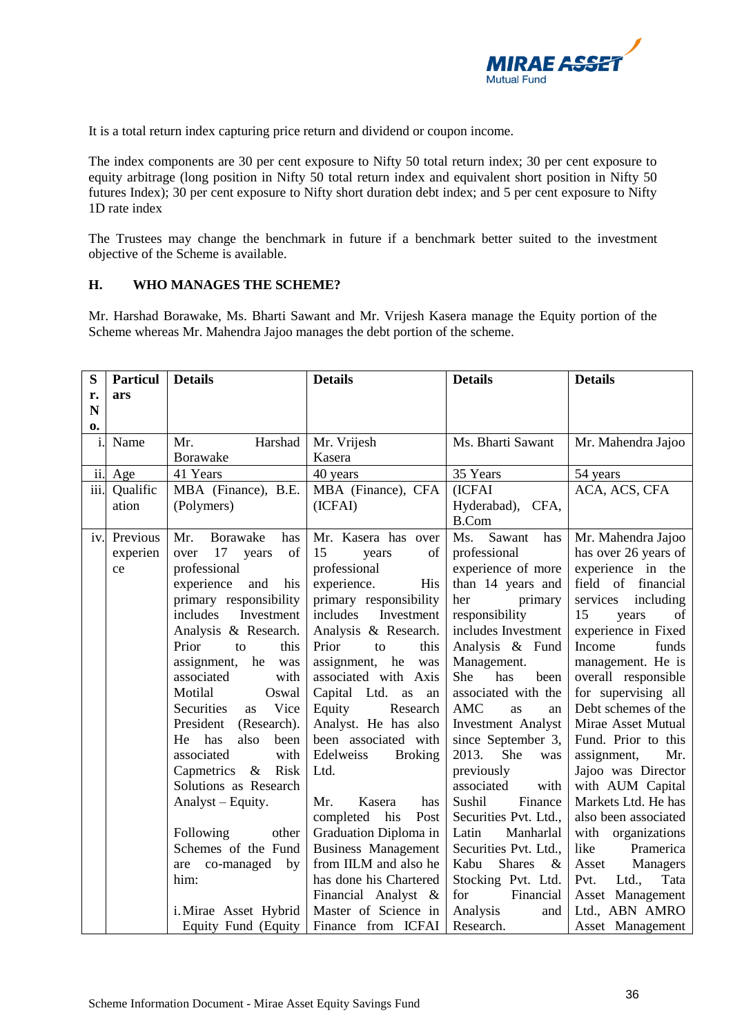

It is a total return index capturing price return and dividend or coupon income.

The index components are 30 per cent exposure to Nifty 50 total return index; 30 per cent exposure to equity arbitrage (long position in Nifty 50 total return index and equivalent short position in Nifty 50 futures Index); 30 per cent exposure to Nifty short duration debt index; and 5 per cent exposure to Nifty 1D rate index

The Trustees may change the benchmark in future if a benchmark better suited to the investment objective of the Scheme is available.

## <span id="page-35-0"></span>**H. WHO MANAGES THE SCHEME?**

Mr. Harshad Borawake, Ms. Bharti Sawant and Mr. Vrijesh Kasera manage the Equity portion of the Scheme whereas Mr. Mahendra Jajoo manages the debt portion of the scheme.

| S            | <b>Particul</b> | <b>Details</b>                | <b>Details</b>              | <b>Details</b>                | <b>Details</b>        |
|--------------|-----------------|-------------------------------|-----------------------------|-------------------------------|-----------------------|
| r.           | ars             |                               |                             |                               |                       |
| N            |                 |                               |                             |                               |                       |
| $\mathbf{0}$ |                 |                               |                             |                               |                       |
| i.           | Name            | Harshad<br>Mr.                | Mr. Vrijesh                 | Ms. Bharti Sawant             | Mr. Mahendra Jajoo    |
|              |                 | <b>Borawake</b>               | Kasera                      |                               |                       |
| ii.          | Age             | 41 Years                      | 40 years                    | 35 Years                      | 54 years              |
| iii.         | Qualific        | MBA (Finance), B.E.           | MBA (Finance), CFA          | (ICFAI                        | ACA, ACS, CFA         |
|              | ation           | (Polymers)                    | (ICFAI)                     | Hyderabad), CFA,              |                       |
|              |                 |                               |                             | <b>B.Com</b>                  |                       |
| iv.          | Previous        | <b>Borawake</b><br>Mr.<br>has | Mr. Kasera has over         | Sawant<br>Ms.<br>has          | Mr. Mahendra Jajoo    |
|              | experien        | 17<br>of<br>over<br>years     | 15<br>of<br>years           | professional                  | has over 26 years of  |
|              | ce              | professional                  | professional                | experience of more            | experience in the     |
|              |                 | experience<br>his<br>and      | experience.<br>His          | than 14 years and             | field of financial    |
|              |                 | primary responsibility        | primary responsibility      | her<br>primary                | including<br>services |
|              |                 | includes<br>Investment        | includes<br>Investment      | responsibility                | 15<br>of<br>years     |
|              |                 | Analysis & Research.          | Analysis & Research.        | includes Investment           | experience in Fixed   |
|              |                 | Prior<br>this<br>to           | Prior<br>this<br>to         | Analysis & Fund               | Income<br>funds       |
|              |                 | assignment,<br>he<br>was      | assignment,<br>he<br>was    | Management.                   | management. He is     |
|              |                 | associated<br>with            | associated with Axis        | She<br>has<br>been            | overall responsible   |
|              |                 | Motilal<br>Oswal              | Capital Ltd.<br>as<br>an    | associated with the           | for supervising all   |
|              |                 | Vice<br>Securities<br>as      | Research<br>Equity          | <b>AMC</b><br><b>as</b><br>an | Debt schemes of the   |
|              |                 | (Research).<br>President      | Analyst. He has also        | <b>Investment Analyst</b>     | Mirae Asset Mutual    |
|              |                 | He<br>also<br>has<br>been     | been associated with        | since September 3,            | Fund. Prior to this   |
|              |                 | associated<br>with            | Edelweiss<br><b>Broking</b> | 2013.<br>She<br>was           | assignment,<br>Mr.    |
|              |                 | $\&$<br>Risk<br>Capmetrics    | Ltd.                        | previously                    | Jajoo was Director    |
|              |                 | Solutions as Research         |                             | associated<br>with            | with AUM Capital      |
|              |                 | Analyst – Equity.             | Mr.<br>Kasera<br>has        | Finance<br>Sushil             | Markets Ltd. He has   |
|              |                 |                               | completed his<br>Post       | Securities Pvt. Ltd.,         | also been associated  |
|              |                 | Following<br>other            | Graduation Diploma in       | Manharlal<br>Latin            | with organizations    |
|              |                 | Schemes of the Fund           | <b>Business Management</b>  | Securities Pvt. Ltd.,         | like<br>Pramerica     |
|              |                 | are co-managed<br>by          | from IILM and also he       | <b>Shares</b><br>Kabu<br>$\&$ | Managers<br>Asset     |
|              |                 | him:                          | has done his Chartered      | Stocking Pvt. Ltd.            | Pvt.<br>Ltd.,<br>Tata |
|              |                 |                               | Financial Analyst &         | for<br>Financial              | Asset Management      |
|              |                 | i. Mirae Asset Hybrid         | Master of Science in        | Analysis<br>and               | Ltd., ABN AMRO        |
|              |                 | Equity Fund (Equity           | Finance from ICFAI          | Research.                     | Asset Management      |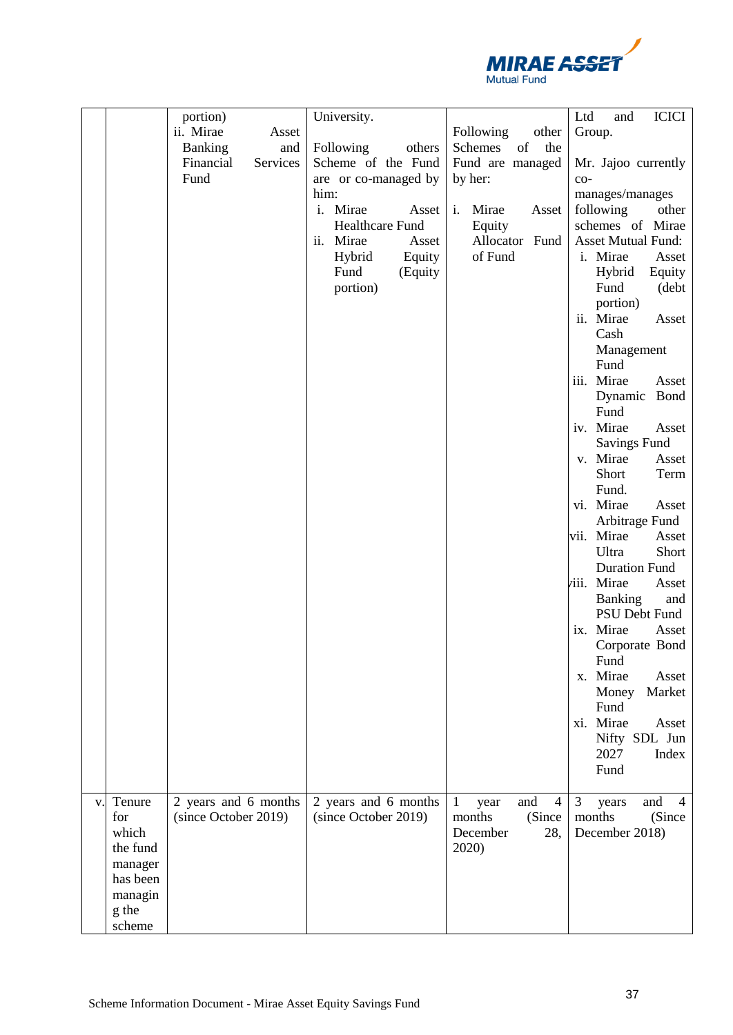

| portion)<br>ICICI<br>University.<br>Ltd<br>and<br>ii. Mirae<br>Asset<br><b>Following</b><br>other<br>Group.<br><b>Banking</b><br>Following<br>others<br>Schemes<br>of<br>the<br>and<br>Financial<br>Services<br>Scheme of the Fund<br>Fund are managed<br>Mr. Jajoo currently<br>Fund<br>are or co-managed by<br>by her:<br>$CO-$<br>him:<br>manages/manages<br>i. Mirae<br>Mirae<br>following<br>Asset<br>i.<br>Asset<br>other<br><b>Healthcare Fund</b><br>schemes of Mirae<br>Equity<br><b>Asset Mutual Fund:</b><br>Mirae<br>Allocator Fund<br>Asset<br>ii.<br>of Fund<br>Equity<br>i. Mirae<br>Hybrid<br>Asset<br>Fund<br>Hybrid<br>(Equity<br>Equity<br>Fund<br>portion)<br>(debt<br>portion)<br>ii. Mirae<br>Asset<br>Cash |
|-----------------------------------------------------------------------------------------------------------------------------------------------------------------------------------------------------------------------------------------------------------------------------------------------------------------------------------------------------------------------------------------------------------------------------------------------------------------------------------------------------------------------------------------------------------------------------------------------------------------------------------------------------------------------------------------------------------------------------------|
|                                                                                                                                                                                                                                                                                                                                                                                                                                                                                                                                                                                                                                                                                                                                   |
|                                                                                                                                                                                                                                                                                                                                                                                                                                                                                                                                                                                                                                                                                                                                   |
|                                                                                                                                                                                                                                                                                                                                                                                                                                                                                                                                                                                                                                                                                                                                   |
|                                                                                                                                                                                                                                                                                                                                                                                                                                                                                                                                                                                                                                                                                                                                   |
|                                                                                                                                                                                                                                                                                                                                                                                                                                                                                                                                                                                                                                                                                                                                   |
|                                                                                                                                                                                                                                                                                                                                                                                                                                                                                                                                                                                                                                                                                                                                   |
|                                                                                                                                                                                                                                                                                                                                                                                                                                                                                                                                                                                                                                                                                                                                   |
|                                                                                                                                                                                                                                                                                                                                                                                                                                                                                                                                                                                                                                                                                                                                   |
|                                                                                                                                                                                                                                                                                                                                                                                                                                                                                                                                                                                                                                                                                                                                   |
|                                                                                                                                                                                                                                                                                                                                                                                                                                                                                                                                                                                                                                                                                                                                   |
|                                                                                                                                                                                                                                                                                                                                                                                                                                                                                                                                                                                                                                                                                                                                   |
|                                                                                                                                                                                                                                                                                                                                                                                                                                                                                                                                                                                                                                                                                                                                   |
|                                                                                                                                                                                                                                                                                                                                                                                                                                                                                                                                                                                                                                                                                                                                   |
|                                                                                                                                                                                                                                                                                                                                                                                                                                                                                                                                                                                                                                                                                                                                   |
| Management                                                                                                                                                                                                                                                                                                                                                                                                                                                                                                                                                                                                                                                                                                                        |
| Fund                                                                                                                                                                                                                                                                                                                                                                                                                                                                                                                                                                                                                                                                                                                              |
| iii. Mirae<br>Asset                                                                                                                                                                                                                                                                                                                                                                                                                                                                                                                                                                                                                                                                                                               |
| Dynamic<br>Bond                                                                                                                                                                                                                                                                                                                                                                                                                                                                                                                                                                                                                                                                                                                   |
| Fund                                                                                                                                                                                                                                                                                                                                                                                                                                                                                                                                                                                                                                                                                                                              |
| iv. Mirae<br>Asset                                                                                                                                                                                                                                                                                                                                                                                                                                                                                                                                                                                                                                                                                                                |
| <b>Savings Fund</b>                                                                                                                                                                                                                                                                                                                                                                                                                                                                                                                                                                                                                                                                                                               |
| v. Mirae<br>Asset                                                                                                                                                                                                                                                                                                                                                                                                                                                                                                                                                                                                                                                                                                                 |
| Short<br>Term                                                                                                                                                                                                                                                                                                                                                                                                                                                                                                                                                                                                                                                                                                                     |
| Fund.                                                                                                                                                                                                                                                                                                                                                                                                                                                                                                                                                                                                                                                                                                                             |
| vi. Mirae<br>Asset                                                                                                                                                                                                                                                                                                                                                                                                                                                                                                                                                                                                                                                                                                                |
| Arbitrage Fund                                                                                                                                                                                                                                                                                                                                                                                                                                                                                                                                                                                                                                                                                                                    |
| vii. Mirae<br>Asset                                                                                                                                                                                                                                                                                                                                                                                                                                                                                                                                                                                                                                                                                                               |
| Ultra<br>Short                                                                                                                                                                                                                                                                                                                                                                                                                                                                                                                                                                                                                                                                                                                    |
| <b>Duration Fund</b>                                                                                                                                                                                                                                                                                                                                                                                                                                                                                                                                                                                                                                                                                                              |
| viii. Mirae<br>Asset                                                                                                                                                                                                                                                                                                                                                                                                                                                                                                                                                                                                                                                                                                              |
| <b>Banking</b><br>and                                                                                                                                                                                                                                                                                                                                                                                                                                                                                                                                                                                                                                                                                                             |
| PSU Debt Fund                                                                                                                                                                                                                                                                                                                                                                                                                                                                                                                                                                                                                                                                                                                     |
| ix. Mirae<br>Asset                                                                                                                                                                                                                                                                                                                                                                                                                                                                                                                                                                                                                                                                                                                |
| Corporate Bond                                                                                                                                                                                                                                                                                                                                                                                                                                                                                                                                                                                                                                                                                                                    |
| Fund                                                                                                                                                                                                                                                                                                                                                                                                                                                                                                                                                                                                                                                                                                                              |
| x. Mirae<br>Asset                                                                                                                                                                                                                                                                                                                                                                                                                                                                                                                                                                                                                                                                                                                 |
| Money<br>Market                                                                                                                                                                                                                                                                                                                                                                                                                                                                                                                                                                                                                                                                                                                   |
| Fund                                                                                                                                                                                                                                                                                                                                                                                                                                                                                                                                                                                                                                                                                                                              |
| xi. Mirae<br>Asset                                                                                                                                                                                                                                                                                                                                                                                                                                                                                                                                                                                                                                                                                                                |
| Nifty SDL Jun                                                                                                                                                                                                                                                                                                                                                                                                                                                                                                                                                                                                                                                                                                                     |
| 2027<br>Index                                                                                                                                                                                                                                                                                                                                                                                                                                                                                                                                                                                                                                                                                                                     |
| Fund                                                                                                                                                                                                                                                                                                                                                                                                                                                                                                                                                                                                                                                                                                                              |
| Tenure<br>2 years and 6 months<br>2 years and 6 months<br>3<br>and<br>$\mathbf{1}$<br>and<br>$\overline{4}$<br>$\overline{4}$                                                                                                                                                                                                                                                                                                                                                                                                                                                                                                                                                                                                     |
| year<br>years<br>v.<br>(since October 2019)<br>(since October 2019)<br>(Since<br>(Since<br>for<br>months<br>months                                                                                                                                                                                                                                                                                                                                                                                                                                                                                                                                                                                                                |
| which<br>December<br>28,<br>December 2018)                                                                                                                                                                                                                                                                                                                                                                                                                                                                                                                                                                                                                                                                                        |
| the fund<br>2020)                                                                                                                                                                                                                                                                                                                                                                                                                                                                                                                                                                                                                                                                                                                 |
| manager                                                                                                                                                                                                                                                                                                                                                                                                                                                                                                                                                                                                                                                                                                                           |
| has been                                                                                                                                                                                                                                                                                                                                                                                                                                                                                                                                                                                                                                                                                                                          |
| managin                                                                                                                                                                                                                                                                                                                                                                                                                                                                                                                                                                                                                                                                                                                           |
| g the                                                                                                                                                                                                                                                                                                                                                                                                                                                                                                                                                                                                                                                                                                                             |
| scheme                                                                                                                                                                                                                                                                                                                                                                                                                                                                                                                                                                                                                                                                                                                            |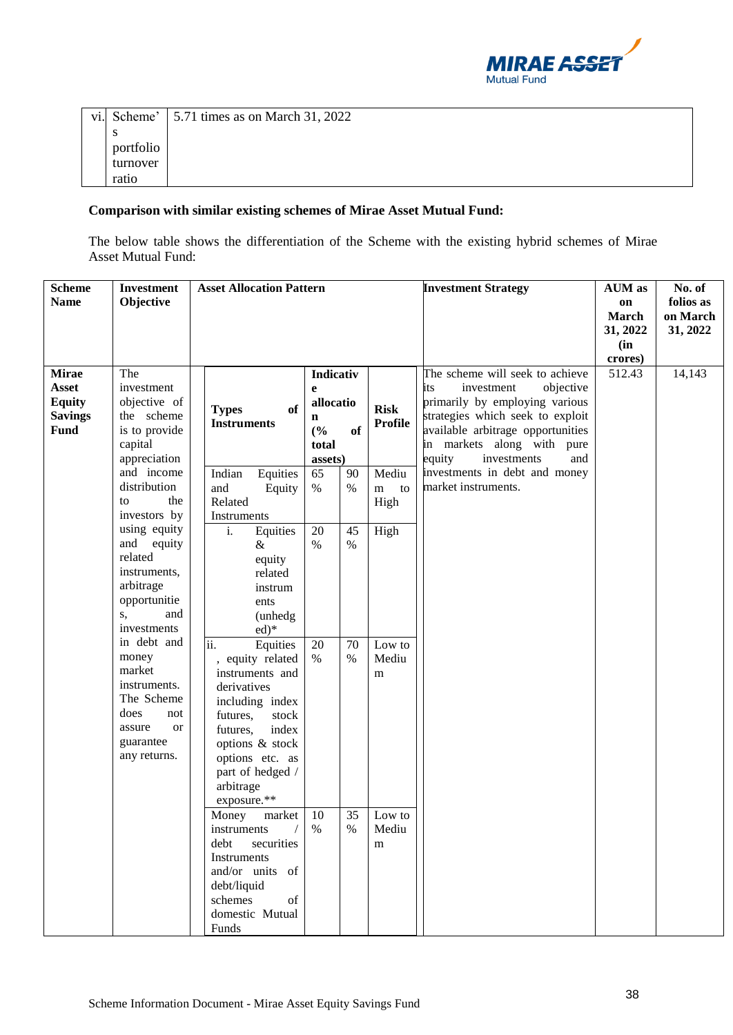

|           | vi. Scheme' $\vert$ 5.71 times as on March 31, 2022 |
|-----------|-----------------------------------------------------|
| S         |                                                     |
| portfolio |                                                     |
| turnover  |                                                     |
| ratio     |                                                     |

## **Comparison with similar existing schemes of Mirae Asset Mutual Fund:**

The below table shows the differentiation of the Scheme with the existing hybrid schemes of Mirae Asset Mutual Fund:

| <b>Scheme</b><br><b>Name</b>                                                   | <b>Investment</b><br>Objective                                                                                                                             | <b>Asset Allocation Pattern</b>                                                                                                                                                                                        |                                                                   |                                  | <b>Investment Strategy</b>                                                                                                                                                                                                                 | <b>AUM</b> as<br>on<br><b>March</b><br>31, 2022<br>(in | No. of<br>folios as<br>on March<br>31, 2022 |
|--------------------------------------------------------------------------------|------------------------------------------------------------------------------------------------------------------------------------------------------------|------------------------------------------------------------------------------------------------------------------------------------------------------------------------------------------------------------------------|-------------------------------------------------------------------|----------------------------------|--------------------------------------------------------------------------------------------------------------------------------------------------------------------------------------------------------------------------------------------|--------------------------------------------------------|---------------------------------------------|
| <b>Mirae</b><br><b>Asset</b><br><b>Equity</b><br><b>Savings</b><br><b>Fund</b> | The<br>investment<br>objective of<br>the scheme<br>is to provide<br>capital<br>appreciation                                                                | of<br><b>Types</b><br><b>Instruments</b>                                                                                                                                                                               | Indicativ<br>e<br>allocatio<br>n<br>(%)<br>of<br>total<br>assets) | <b>Risk</b><br><b>Profile</b>    | The scheme will seek to achieve<br>investment<br>objective<br>its<br>primarily by employing various<br>strategies which seek to exploit<br>available arbitrage opportunities<br>in markets along with pure<br>equity<br>investments<br>and | crores)<br>512.43                                      | 14,143                                      |
|                                                                                | and income<br>Indian<br>Equities<br>distribution<br>and<br>Equity<br>the<br>Related<br>to<br>investors by<br>Instruments<br>using equity<br>i.<br>Equities |                                                                                                                                                                                                                        | 65<br>90<br>$\%$<br>$\%$<br>20<br>45                              | Mediu<br>m<br>to<br>High<br>High | investments in debt and money<br>market instruments.                                                                                                                                                                                       |                                                        |                                             |
|                                                                                | and<br>equity<br>related<br>instruments,<br>arbitrage<br>opportunitie<br>and<br>S,<br>investments                                                          | &<br>equity<br>related<br>instrum<br>ents<br>(unhedg<br>$ed)*$                                                                                                                                                         | $\%$<br>$\%$                                                      |                                  |                                                                                                                                                                                                                                            |                                                        |                                             |
|                                                                                | in debt and<br>money<br>market<br>instruments.<br>The Scheme<br>does<br>not<br>assure<br><b>or</b><br>guarantee<br>any returns.                            | ii.<br>Equities<br>equity related<br>instruments and<br>derivatives<br>including index<br>futures,<br>stock<br>futures,<br>index<br>options & stock<br>options etc. as<br>part of hedged /<br>arbitrage<br>exposure.** | 20<br>70<br>$\%$<br>$\%$                                          | Low to<br>Mediu<br>m             |                                                                                                                                                                                                                                            |                                                        |                                             |
|                                                                                |                                                                                                                                                            | Money<br>market<br>$/$ %<br>instruments<br>debt<br>securities<br>Instruments<br>and/or units of<br>debt/liquid<br>schemes<br>of<br>domestic Mutual<br>Funds                                                            | 10<br>35<br>%                                                     | Low to<br>Mediu<br>m             |                                                                                                                                                                                                                                            |                                                        |                                             |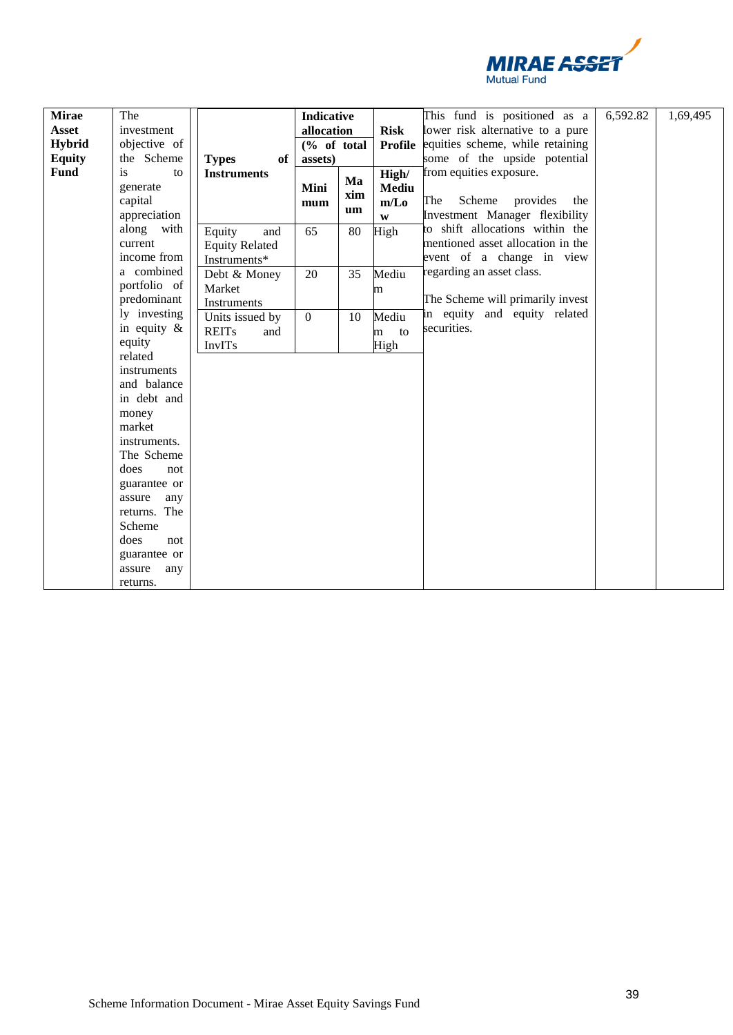

| <b>Mirae</b>  | The                        |                       | <b>Indicative</b> |                      |                                  | This fund is positioned as a      | 6,592.82 | 1,69,495 |
|---------------|----------------------------|-----------------------|-------------------|----------------------|----------------------------------|-----------------------------------|----------|----------|
| Asset         | investment                 |                       | allocation        |                      | <b>Risk</b>                      | lower risk alternative to a pure  |          |          |
| <b>Hybrid</b> | objective of               |                       | $(\%$ of total    |                      | <b>Profile</b>                   | equities scheme, while retaining  |          |          |
| <b>Equity</b> | the Scheme                 | of<br><b>Types</b>    | assets)           |                      |                                  | some of the upside potential      |          |          |
| Fund          | is<br>to<br>generate       | <b>Instruments</b>    |                   | Ma                   | High/                            | from equities exposure.           |          |          |
|               | capital                    |                       | Mini<br>xim       | <b>Mediu</b><br>m/Lo | The<br>Scheme<br>provides<br>the |                                   |          |          |
|               | appreciation               |                       | mum<br>um         | W                    | Investment Manager flexibility   |                                   |          |          |
|               | along with                 | Equity<br>and         | 65                | 80                   | High                             | to shift allocations within the   |          |          |
|               | current                    | <b>Equity Related</b> |                   |                      |                                  | mentioned asset allocation in the |          |          |
|               | income from                | Instruments*          |                   |                      |                                  | event of a change in view         |          |          |
|               | a combined                 | Debt & Money          | 20                | 35                   | Mediu                            | regarding an asset class.         |          |          |
|               | portfolio of               | Market                |                   |                      | m                                |                                   |          |          |
|               | predominant                | Instruments           |                   |                      |                                  | The Scheme will primarily invest  |          |          |
|               | ly investing               | Units issued by       | $\mathbf{0}$      | 10                   | Mediu                            | in equity and equity related      |          |          |
|               | in equity $\&$             | <b>REITs</b><br>and   |                   |                      | to<br>m                          | securities.                       |          |          |
|               | equity                     | InvITs                |                   |                      | High                             |                                   |          |          |
|               | related                    |                       |                   |                      |                                  |                                   |          |          |
|               | instruments                |                       |                   |                      |                                  |                                   |          |          |
|               | and balance<br>in debt and |                       |                   |                      |                                  |                                   |          |          |
|               |                            |                       |                   |                      |                                  |                                   |          |          |
|               | money<br>market            |                       |                   |                      |                                  |                                   |          |          |
|               | instruments.               |                       |                   |                      |                                  |                                   |          |          |
|               | The Scheme                 |                       |                   |                      |                                  |                                   |          |          |
|               | does<br>not                |                       |                   |                      |                                  |                                   |          |          |
|               | guarantee or               |                       |                   |                      |                                  |                                   |          |          |
|               | assure<br>any              |                       |                   |                      |                                  |                                   |          |          |
|               | returns. The               |                       |                   |                      |                                  |                                   |          |          |
|               | Scheme                     |                       |                   |                      |                                  |                                   |          |          |
|               | does<br>not                |                       |                   |                      |                                  |                                   |          |          |
|               | guarantee or               |                       |                   |                      |                                  |                                   |          |          |
|               | assure<br>any              |                       |                   |                      |                                  |                                   |          |          |
|               | returns.                   |                       |                   |                      |                                  |                                   |          |          |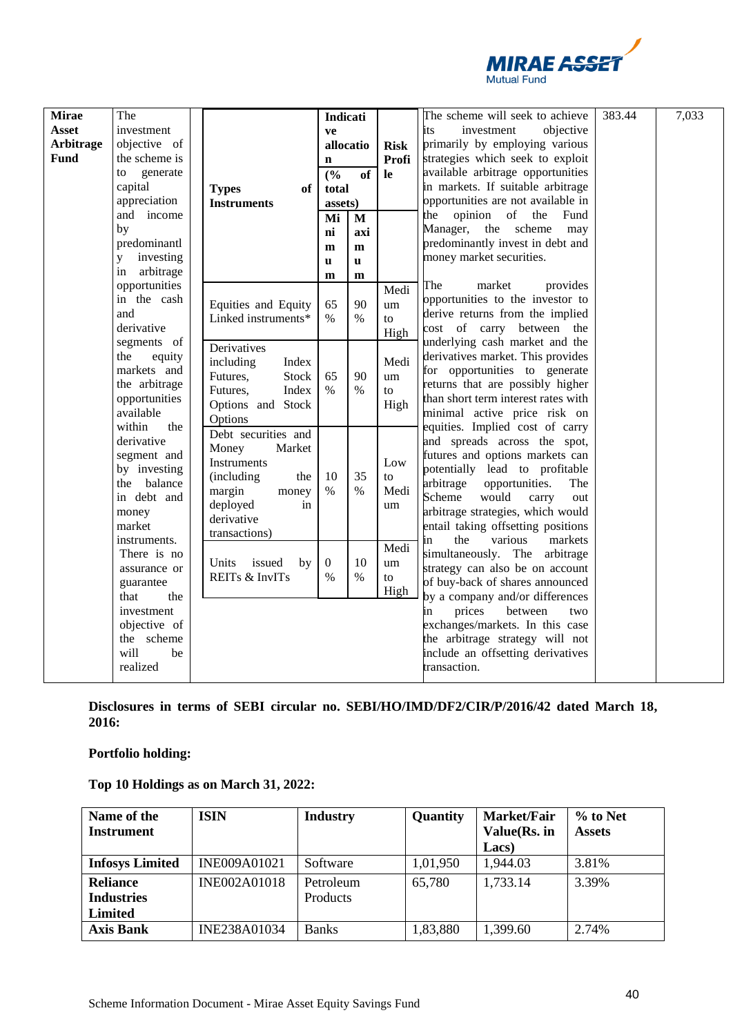

| <b>Mirae</b><br>Asset<br><b>Arbitrage</b><br><b>Fund</b> | The<br>investment<br>objective of<br>the scheme is<br>generate<br>to<br>capital<br>appreciation<br>and income<br>by<br>predominantl<br>investing<br>y<br>arbitrage<br>in | <b>Types</b><br>of<br><b>Instruments</b>                                                                                                        | <b>Indicati</b><br>ve<br>allocatio<br>$\mathbf n$<br>(%)<br>total<br>assets)<br>Mi<br>ni<br>m<br>$\mathbf{u}$<br>m | <b>of</b><br>M<br>axi<br>m<br>$\mathbf{u}$<br>m | <b>Risk</b><br>Profi<br><b>le</b> | The scheme will seek to achieve<br>its<br>investment<br>objective<br>primarily by employing various<br>strategies which seek to exploit<br>available arbitrage opportunities<br>in markets. If suitable arbitrage<br>opportunities are not available in<br>the opinion of<br>the<br>Fund<br>Manager, the scheme<br>may<br>predominantly invest in debt and<br>money market securities. | 383.44 | 7,033 |
|----------------------------------------------------------|--------------------------------------------------------------------------------------------------------------------------------------------------------------------------|-------------------------------------------------------------------------------------------------------------------------------------------------|--------------------------------------------------------------------------------------------------------------------|-------------------------------------------------|-----------------------------------|----------------------------------------------------------------------------------------------------------------------------------------------------------------------------------------------------------------------------------------------------------------------------------------------------------------------------------------------------------------------------------------|--------|-------|
|                                                          | opportunities<br>in the cash<br>and<br>derivative                                                                                                                        | Equities and Equity<br>Linked instruments*                                                                                                      | 65<br>$\%$                                                                                                         | 90<br>$\%$                                      | Medi<br>um<br>to<br>High          | The<br>market<br>provides<br>opportunities to the investor to<br>derive returns from the implied<br>cost of carry between the                                                                                                                                                                                                                                                          |        |       |
|                                                          | segments of<br>the<br>equity<br>markets and<br>the arbitrage<br>opportunities<br>available<br>within<br>the                                                              | Derivatives<br>including<br>Index<br>Futures,<br>Stock<br>Futures,<br>Index<br>Options and Stock<br>Options                                     | 65<br>$\%$                                                                                                         | 90<br>$\%$                                      | Medi<br>um<br>to<br>High          | underlying cash market and the<br>derivatives market. This provides<br>for opportunities to generate<br>returns that are possibly higher<br>than short term interest rates with<br>minimal active price risk on<br>equities. Implied cost of carry                                                                                                                                     |        |       |
|                                                          | derivative<br>segment and<br>by investing<br>balance<br>the<br>in debt and<br>money<br>market<br>instruments.                                                            | Debt securities and<br>Money<br>Market<br>Instruments<br>(including)<br>the<br>margin<br>money<br>deployed<br>in<br>derivative<br>transactions) | 10<br>$\%$                                                                                                         | 35<br>$\%$                                      | Low<br>to<br>Medi<br>um           | and spreads across the spot,<br>futures and options markets can<br>potentially lead to profitable<br>arbitrage<br>opportunities.<br>The<br>Scheme<br>would<br>carry<br>out<br>arbitrage strategies, which would<br>entail taking offsetting positions<br>the<br>various<br>markets<br>in                                                                                               |        |       |
|                                                          | There is no<br>assurance or<br>guarantee<br>that<br>the                                                                                                                  | issued<br>Units<br>by<br>REITs & InvITs                                                                                                         | $\boldsymbol{0}$<br>$\%$                                                                                           | 10<br>$\%$                                      | Medi<br>um<br>to<br>High          | simultaneously. The arbitrage<br>strategy can also be on account<br>of buy-back of shares announced<br>by a company and/or differences                                                                                                                                                                                                                                                 |        |       |
|                                                          | investment<br>objective of<br>the scheme<br>will<br>be<br>realized                                                                                                       |                                                                                                                                                 |                                                                                                                    |                                                 |                                   | prices<br>between<br>two<br>in<br>exchanges/markets. In this case<br>the arbitrage strategy will not<br>include an offsetting derivatives<br>transaction.                                                                                                                                                                                                                              |        |       |

**Disclosures in terms of SEBI circular no. SEBI/HO/IMD/DF2/CIR/P/2016/42 dated March 18, 2016:**

**Portfolio holding:**

**Top 10 Holdings as on March 31, 2022:**

| Name of the<br><b>Instrument</b> | <b>ISIN</b>  | <b>Industry</b> | Quantity | Market/Fair<br>Value(Rs. in | % to Net<br><b>Assets</b> |
|----------------------------------|--------------|-----------------|----------|-----------------------------|---------------------------|
|                                  |              |                 |          | Lacs)                       |                           |
| <b>Infosys Limited</b>           | INE009A01021 | Software        | 1,01,950 | 1,944.03                    | 3.81%                     |
| <b>Reliance</b>                  | INE002A01018 | Petroleum       | 65,780   | 1,733.14                    | 3.39%                     |
| <b>Industries</b>                |              | Products        |          |                             |                           |
| <b>Limited</b>                   |              |                 |          |                             |                           |
| <b>Axis Bank</b>                 | INE238A01034 | <b>Banks</b>    | 1,83,880 | 1,399.60                    | 2.74%                     |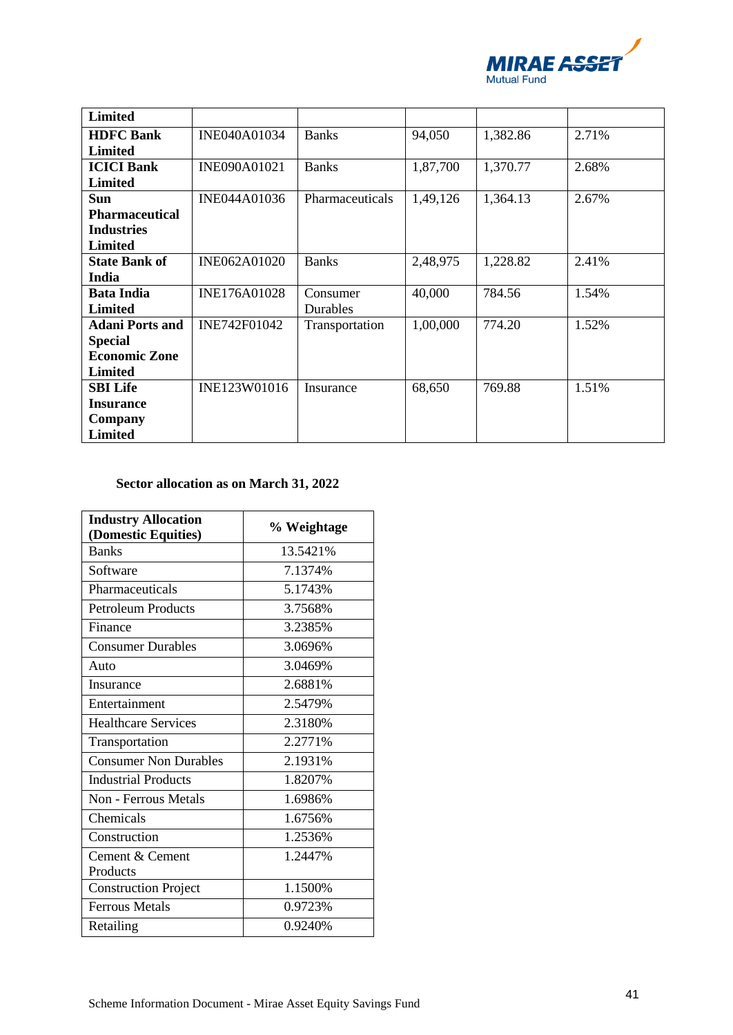

| <b>Limited</b>         |              |                 |          |          |       |
|------------------------|--------------|-----------------|----------|----------|-------|
| <b>HDFC Bank</b>       | INE040A01034 | <b>Banks</b>    | 94,050   | 1,382.86 | 2.71% |
| Limited                |              |                 |          |          |       |
| <b>ICICI Bank</b>      | INE090A01021 | <b>Banks</b>    | 1,87,700 | 1,370.77 | 2.68% |
| <b>Limited</b>         |              |                 |          |          |       |
| Sun                    | INE044A01036 | Pharmaceuticals | 1,49,126 | 1,364.13 | 2.67% |
| <b>Pharmaceutical</b>  |              |                 |          |          |       |
| <b>Industries</b>      |              |                 |          |          |       |
| <b>Limited</b>         |              |                 |          |          |       |
| <b>State Bank of</b>   | INE062A01020 | <b>Banks</b>    | 2,48,975 | 1,228.82 | 2.41% |
| India                  |              |                 |          |          |       |
| <b>Bata India</b>      | INE176A01028 | Consumer        | 40,000   | 784.56   | 1.54% |
| Limited                |              | Durables        |          |          |       |
| <b>Adani Ports and</b> | INE742F01042 | Transportation  | 1,00,000 | 774.20   | 1.52% |
| <b>Special</b>         |              |                 |          |          |       |
| <b>Economic Zone</b>   |              |                 |          |          |       |
| <b>Limited</b>         |              |                 |          |          |       |
| <b>SBI Life</b>        | INE123W01016 | Insurance       | 68,650   | 769.88   | 1.51% |
| <b>Insurance</b>       |              |                 |          |          |       |
| Company                |              |                 |          |          |       |
| <b>Limited</b>         |              |                 |          |          |       |

# **Sector allocation as on March 31, 2022**

| <b>Industry Allocation</b>          | % Weightage |
|-------------------------------------|-------------|
| (Domestic Equities)<br><b>Banks</b> | 13.5421%    |
| Software                            | 7.1374%     |
| Pharmaceuticals                     | 5.1743%     |
| <b>Petroleum Products</b>           | 3.7568%     |
| Finance                             | 3.2385%     |
| <b>Consumer Durables</b>            | 3.0696%     |
| Auto                                | 3.0469%     |
| Insurance                           | 2.6881%     |
| Entertainment                       | 2.5479%     |
| <b>Healthcare Services</b>          | 2.3180%     |
| Transportation                      | 2.2771%     |
| <b>Consumer Non Durables</b>        | 2.1931%     |
| <b>Industrial Products</b>          | 1.8207%     |
| <b>Non - Ferrous Metals</b>         | 1.6986%     |
| Chemicals                           | 1.6756%     |
| Construction                        | 1.2536%     |
| Cement & Cement                     | 1.2447%     |
| Products                            |             |
| <b>Construction Project</b>         | 1.1500%     |
| <b>Ferrous Metals</b>               | 0.9723%     |
| Retailing                           | 0.9240%     |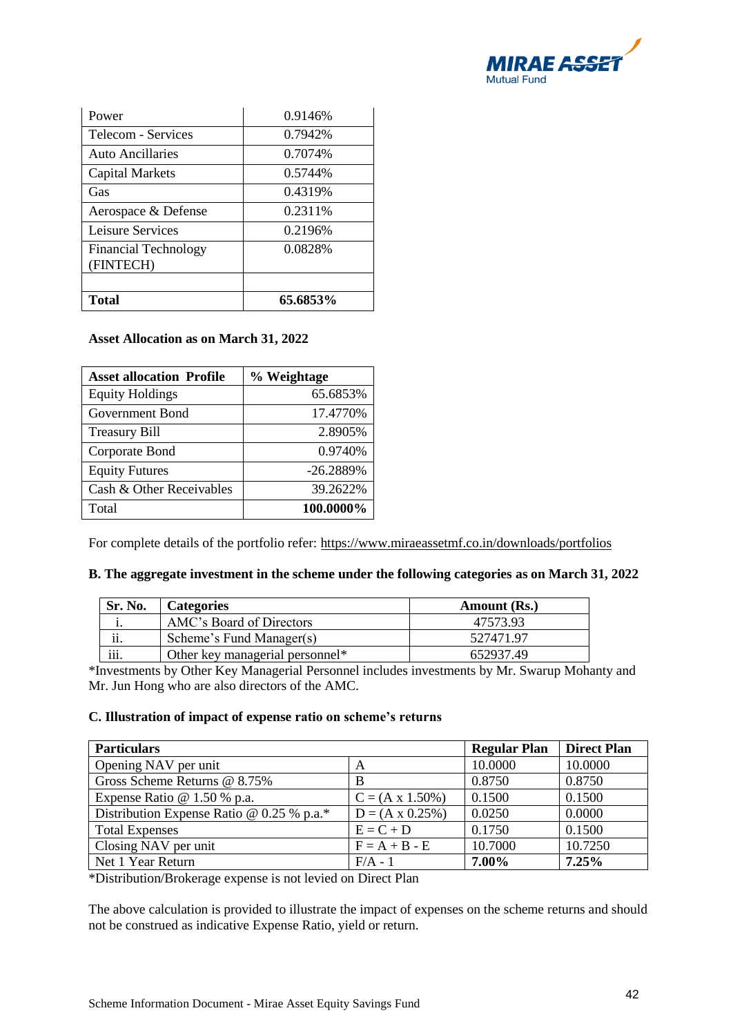

| Power                                    | 0.9146%  |
|------------------------------------------|----------|
| Telecom - Services                       | 0.7942\% |
| Auto Ancillaries                         | 0.7074%  |
| <b>Capital Markets</b>                   | 0.5744%  |
| Gas                                      | 0.4319%  |
| Aerospace & Defense                      | 0.2311\% |
| Leisure Services                         | 0.2196%  |
| <b>Financial Technology</b><br>(FINTECH) | 0.0828%  |
|                                          |          |
| Total                                    | 65.6853% |

#### **Asset Allocation as on March 31, 2022**

| <b>Asset allocation Profile</b> | % Weightage |
|---------------------------------|-------------|
| <b>Equity Holdings</b>          | 65.6853%    |
| Government Bond                 | 17.4770%    |
| <b>Treasury Bill</b>            | 2.8905%     |
| Corporate Bond                  | 0.9740\%    |
| <b>Equity Futures</b>           | $-26.2889%$ |
| Cash & Other Receivables        | 39.2622%    |
| Total                           | 100.0000%   |

For complete details of the portfolio refer: https://www.miraeassetmf.co.in/downloads/portfolios

| Sr. No.                   | <b>Categories</b>               | Amount (Rs.) |
|---------------------------|---------------------------------|--------------|
|                           | AMC's Board of Directors        | 47573.93     |
| $\cdot$ .<br>11.          | Scheme's Fund Manager(s)        | 527471.97    |
| $\cdot\cdot\cdot$<br>111. | Other key managerial personnel* | 652937.49    |

## **B. The aggregate investment in the scheme under the following categories as on March 31, 2022**

\*Investments by Other Key Managerial Personnel includes investments by Mr. Swarup Mohanty and Mr. Jun Hong who are also directors of the AMC.

#### **C. Illustration of impact of expense ratio on scheme's returns**

| <b>Particulars</b>                          | <b>Regular Plan</b>     | <b>Direct Plan</b> |         |
|---------------------------------------------|-------------------------|--------------------|---------|
| Opening NAV per unit                        | A                       | 10.0000            | 10.0000 |
| Gross Scheme Returns @ 8.75%                | В                       | 0.8750             | 0.8750  |
| Expense Ratio $@1.50\%$ p.a.                | $C = (A \times 1.50\%)$ | 0.1500             | 0.1500  |
| Distribution Expense Ratio @ $0.25$ % p.a.* | $D = (A \times 0.25\%)$ | 0.0250             | 0.0000  |
| <b>Total Expenses</b>                       | $E = C + D$             | 0.1750             | 0.1500  |
| Closing NAV per unit                        | $F = A + B - E$         | 10.7000            | 10.7250 |
| Net 1 Year Return                           | $F/A - 1$               | 7.00%              | 7.25%   |

\*Distribution/Brokerage expense is not levied on Direct Plan

The above calculation is provided to illustrate the impact of expenses on the scheme returns and should not be construed as indicative Expense Ratio, yield or return.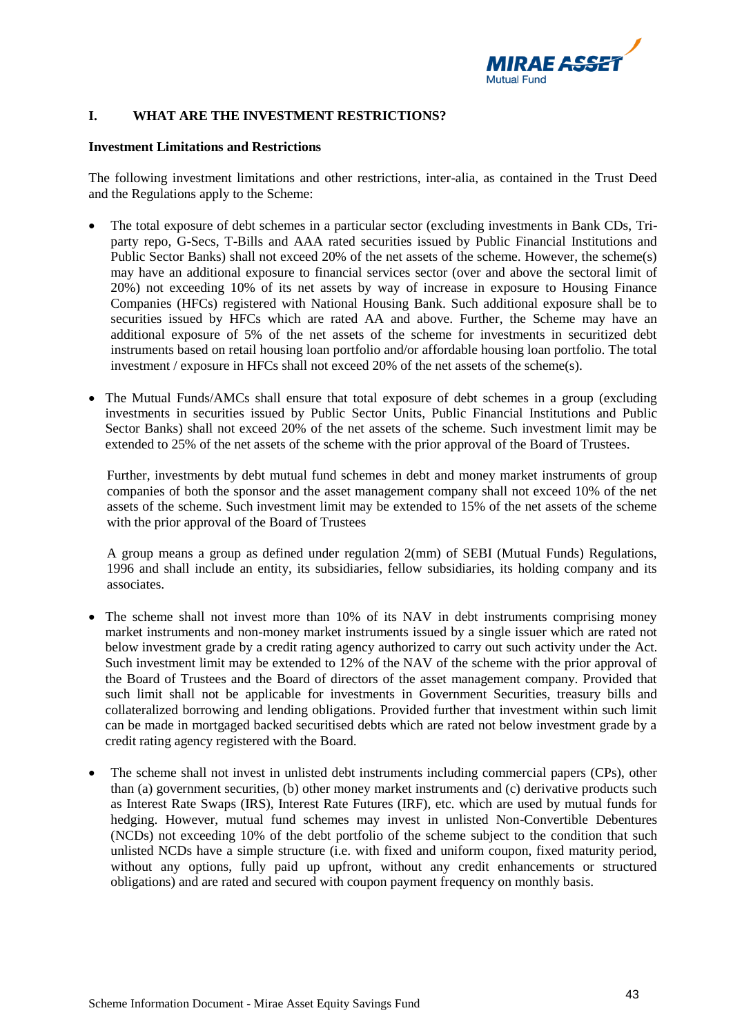

## **I. WHAT ARE THE INVESTMENT RESTRICTIONS?**

#### **Investment Limitations and Restrictions**

The following investment limitations and other restrictions, inter-alia, as contained in the Trust Deed and the Regulations apply to the Scheme:

- The total exposure of debt schemes in a particular sector (excluding investments in Bank CDs, Triparty repo, G-Secs, T-Bills and AAA rated securities issued by Public Financial Institutions and Public Sector Banks) shall not exceed 20% of the net assets of the scheme. However, the scheme(s) may have an additional exposure to financial services sector (over and above the sectoral limit of 20%) not exceeding 10% of its net assets by way of increase in exposure to Housing Finance Companies (HFCs) registered with National Housing Bank. Such additional exposure shall be to securities issued by HFCs which are rated AA and above. Further, the Scheme may have an additional exposure of 5% of the net assets of the scheme for investments in securitized debt instruments based on retail housing loan portfolio and/or affordable housing loan portfolio. The total investment / exposure in HFCs shall not exceed 20% of the net assets of the scheme(s).
- The Mutual Funds/AMCs shall ensure that total exposure of debt schemes in a group (excluding investments in securities issued by Public Sector Units, Public Financial Institutions and Public Sector Banks) shall not exceed 20% of the net assets of the scheme. Such investment limit may be extended to 25% of the net assets of the scheme with the prior approval of the Board of Trustees.

Further, investments by debt mutual fund schemes in debt and money market instruments of group companies of both the sponsor and the asset management company shall not exceed 10% of the net assets of the scheme. Such investment limit may be extended to 15% of the net assets of the scheme with the prior approval of the Board of Trustees

A group means a group as defined under regulation 2(mm) of SEBI (Mutual Funds) Regulations, 1996 and shall include an entity, its subsidiaries, fellow subsidiaries, its holding company and its associates.

- The scheme shall not invest more than 10% of its NAV in debt instruments comprising money market instruments and non-money market instruments issued by a single issuer which are rated not below investment grade by a credit rating agency authorized to carry out such activity under the Act. Such investment limit may be extended to 12% of the NAV of the scheme with the prior approval of the Board of Trustees and the Board of directors of the asset management company. Provided that such limit shall not be applicable for investments in Government Securities, treasury bills and collateralized borrowing and lending obligations. Provided further that investment within such limit can be made in mortgaged backed securitised debts which are rated not below investment grade by a credit rating agency registered with the Board.
- The scheme shall not invest in unlisted debt instruments including commercial papers (CPs), other than (a) government securities, (b) other money market instruments and (c) derivative products such as Interest Rate Swaps (IRS), Interest Rate Futures (IRF), etc. which are used by mutual funds for hedging. However, mutual fund schemes may invest in unlisted Non-Convertible Debentures (NCDs) not exceeding 10% of the debt portfolio of the scheme subject to the condition that such unlisted NCDs have a simple structure (i.e. with fixed and uniform coupon, fixed maturity period, without any options, fully paid up upfront, without any credit enhancements or structured obligations) and are rated and secured with coupon payment frequency on monthly basis.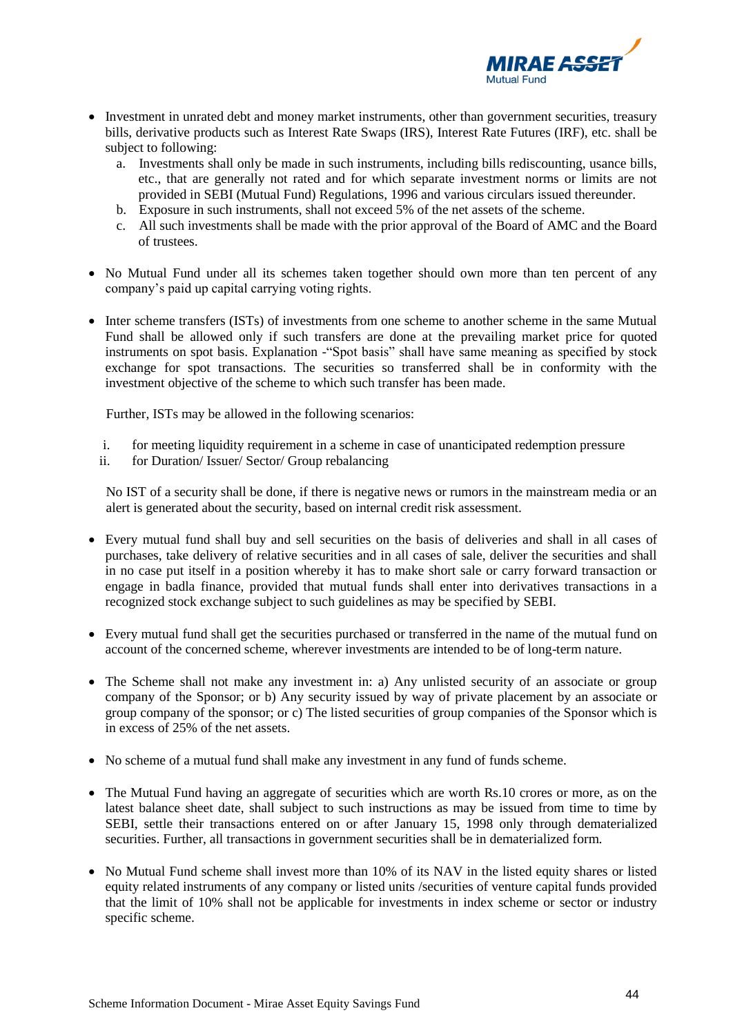

- Investment in unrated debt and money market instruments, other than government securities, treasury bills, derivative products such as Interest Rate Swaps (IRS), Interest Rate Futures (IRF), etc. shall be subject to following:
	- a. Investments shall only be made in such instruments, including bills rediscounting, usance bills, etc., that are generally not rated and for which separate investment norms or limits are not provided in SEBI (Mutual Fund) Regulations, 1996 and various circulars issued thereunder.
	- b. Exposure in such instruments, shall not exceed 5% of the net assets of the scheme.
	- c. All such investments shall be made with the prior approval of the Board of AMC and the Board of trustees.
- No Mutual Fund under all its schemes taken together should own more than ten percent of any company's paid up capital carrying voting rights.
- Inter scheme transfers (ISTs) of investments from one scheme to another scheme in the same Mutual Fund shall be allowed only if such transfers are done at the prevailing market price for quoted instruments on spot basis. Explanation -"Spot basis" shall have same meaning as specified by stock exchange for spot transactions. The securities so transferred shall be in conformity with the investment objective of the scheme to which such transfer has been made.

Further, ISTs may be allowed in the following scenarios:

- i. for meeting liquidity requirement in a scheme in case of unanticipated redemption pressure
- ii. for Duration/ Issuer/ Sector/ Group rebalancing

No IST of a security shall be done, if there is negative news or rumors in the mainstream media or an alert is generated about the security, based on internal credit risk assessment.

- Every mutual fund shall buy and sell securities on the basis of deliveries and shall in all cases of purchases, take delivery of relative securities and in all cases of sale, deliver the securities and shall in no case put itself in a position whereby it has to make short sale or carry forward transaction or engage in badla finance, provided that mutual funds shall enter into derivatives transactions in a recognized stock exchange subject to such guidelines as may be specified by SEBI.
- Every mutual fund shall get the securities purchased or transferred in the name of the mutual fund on account of the concerned scheme, wherever investments are intended to be of long-term nature.
- The Scheme shall not make any investment in: a) Any unlisted security of an associate or group company of the Sponsor; or b) Any security issued by way of private placement by an associate or group company of the sponsor; or c) The listed securities of group companies of the Sponsor which is in excess of 25% of the net assets.
- No scheme of a mutual fund shall make any investment in any fund of funds scheme.
- The Mutual Fund having an aggregate of securities which are worth Rs.10 crores or more, as on the latest balance sheet date, shall subject to such instructions as may be issued from time to time by SEBI, settle their transactions entered on or after January 15, 1998 only through dematerialized securities. Further, all transactions in government securities shall be in dematerialized form.
- No Mutual Fund scheme shall invest more than 10% of its NAV in the listed equity shares or listed equity related instruments of any company or listed units /securities of venture capital funds provided that the limit of 10% shall not be applicable for investments in index scheme or sector or industry specific scheme.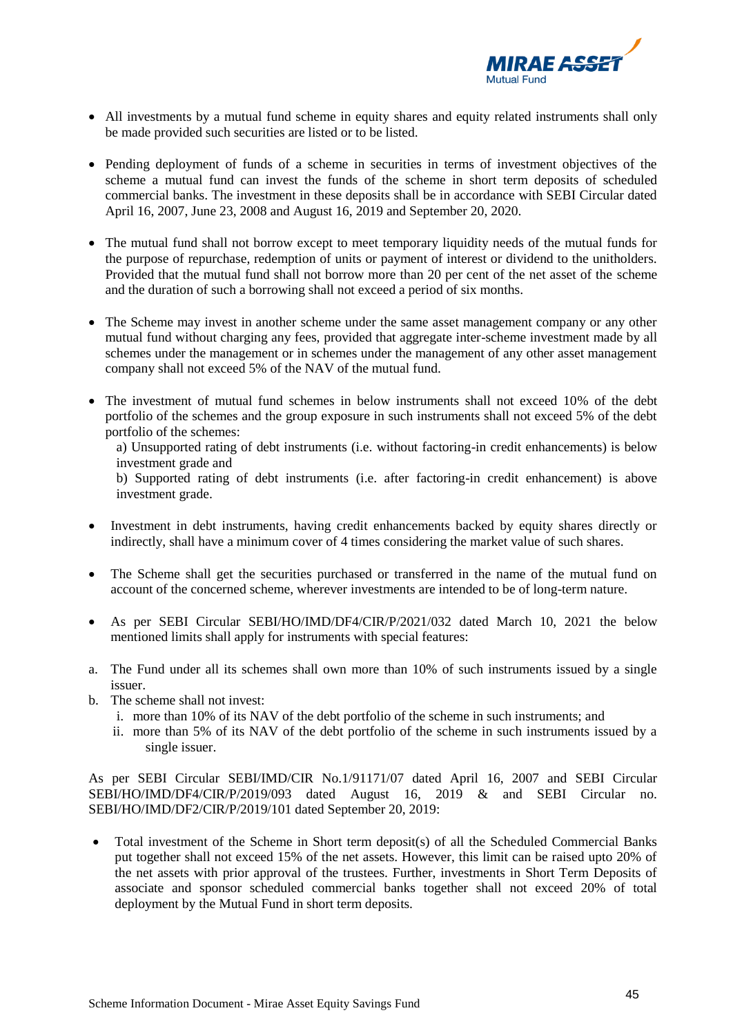

- All investments by a mutual fund scheme in equity shares and equity related instruments shall only be made provided such securities are listed or to be listed.
- Pending deployment of funds of a scheme in securities in terms of investment objectives of the scheme a mutual fund can invest the funds of the scheme in short term deposits of scheduled commercial banks. The investment in these deposits shall be in accordance with SEBI Circular dated April 16, 2007, June 23, 2008 and August 16, 2019 and September 20, 2020.
- The mutual fund shall not borrow except to meet temporary liquidity needs of the mutual funds for the purpose of repurchase, redemption of units or payment of interest or dividend to the unitholders. Provided that the mutual fund shall not borrow more than 20 per cent of the net asset of the scheme and the duration of such a borrowing shall not exceed a period of six months.
- The Scheme may invest in another scheme under the same asset management company or any other mutual fund without charging any fees, provided that aggregate inter-scheme investment made by all schemes under the management or in schemes under the management of any other asset management company shall not exceed 5% of the NAV of the mutual fund.
- The investment of mutual fund schemes in below instruments shall not exceed 10% of the debt portfolio of the schemes and the group exposure in such instruments shall not exceed 5% of the debt portfolio of the schemes:
	- a) Unsupported rating of debt instruments (i.e. without factoring-in credit enhancements) is below investment grade and

b) Supported rating of debt instruments (i.e. after factoring-in credit enhancement) is above investment grade.

- Investment in debt instruments, having credit enhancements backed by equity shares directly or indirectly, shall have a minimum cover of 4 times considering the market value of such shares.
- The Scheme shall get the securities purchased or transferred in the name of the mutual fund on account of the concerned scheme, wherever investments are intended to be of long-term nature.
- As per SEBI Circular SEBI/HO/IMD/DF4/CIR/P/2021/032 dated March 10, 2021 the below mentioned limits shall apply for instruments with special features:
- a. The Fund under all its schemes shall own more than 10% of such instruments issued by a single issuer.
- b. The scheme shall not invest:
	- i. more than 10% of its NAV of the debt portfolio of the scheme in such instruments; and
	- ii. more than 5% of its NAV of the debt portfolio of the scheme in such instruments issued by a single issuer.

As per SEBI Circular SEBI/IMD/CIR No.1/91171/07 dated April 16, 2007 and SEBI Circular SEBI/HO/IMD/DF4/CIR/P/2019/093 dated August 16, 2019 & and SEBI Circular no. SEBI/HO/IMD/DF2/CIR/P/2019/101 dated September 20, 2019:

• Total investment of the Scheme in Short term deposit(s) of all the Scheduled Commercial Banks put together shall not exceed 15% of the net assets. However, this limit can be raised upto 20% of the net assets with prior approval of the trustees. Further, investments in Short Term Deposits of associate and sponsor scheduled commercial banks together shall not exceed 20% of total deployment by the Mutual Fund in short term deposits.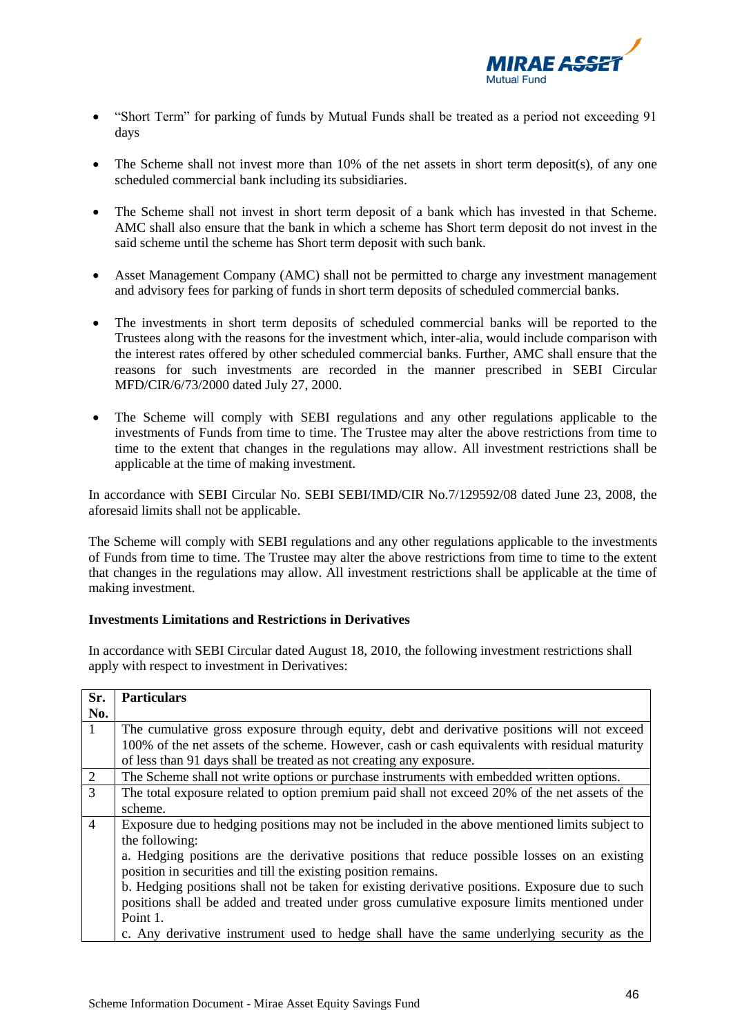

- "Short Term" for parking of funds by Mutual Funds shall be treated as a period not exceeding 91 days
- The Scheme shall not invest more than 10% of the net assets in short term deposit(s), of any one scheduled commercial bank including its subsidiaries.
- The Scheme shall not invest in short term deposit of a bank which has invested in that Scheme. AMC shall also ensure that the bank in which a scheme has Short term deposit do not invest in the said scheme until the scheme has Short term deposit with such bank.
- Asset Management Company (AMC) shall not be permitted to charge any investment management and advisory fees for parking of funds in short term deposits of scheduled commercial banks.
- The investments in short term deposits of scheduled commercial banks will be reported to the Trustees along with the reasons for the investment which, inter-alia, would include comparison with the interest rates offered by other scheduled commercial banks. Further, AMC shall ensure that the reasons for such investments are recorded in the manner prescribed in SEBI Circular MFD/CIR/6/73/2000 dated July 27, 2000.
- The Scheme will comply with SEBI regulations and any other regulations applicable to the investments of Funds from time to time. The Trustee may alter the above restrictions from time to time to the extent that changes in the regulations may allow. All investment restrictions shall be applicable at the time of making investment.

In accordance with SEBI Circular No. SEBI SEBI/IMD/CIR No.7/129592/08 dated June 23, 2008, the aforesaid limits shall not be applicable.

The Scheme will comply with SEBI regulations and any other regulations applicable to the investments of Funds from time to time. The Trustee may alter the above restrictions from time to time to the extent that changes in the regulations may allow. All investment restrictions shall be applicable at the time of making investment.

#### **Investments Limitations and Restrictions in Derivatives**

In accordance with SEBI Circular dated August 18, 2010, the following investment restrictions shall apply with respect to investment in Derivatives:

| Sr.            | <b>Particulars</b>                                                                              |
|----------------|-------------------------------------------------------------------------------------------------|
| No.            |                                                                                                 |
| -1             | The cumulative gross exposure through equity, debt and derivative positions will not exceed     |
|                | 100% of the net assets of the scheme. However, cash or cash equivalents with residual maturity  |
|                | of less than 91 days shall be treated as not creating any exposure.                             |
| $\boxed{2}$    | The Scheme shall not write options or purchase instruments with embedded written options.       |
| $\overline{3}$ | The total exposure related to option premium paid shall not exceed 20% of the net assets of the |
|                | scheme.                                                                                         |
| $\overline{4}$ | Exposure due to hedging positions may not be included in the above mentioned limits subject to  |
|                | the following:                                                                                  |
|                | a. Hedging positions are the derivative positions that reduce possible losses on an existing    |
|                | position in securities and till the existing position remains.                                  |
|                | b. Hedging positions shall not be taken for existing derivative positions. Exposure due to such |
|                | positions shall be added and treated under gross cumulative exposure limits mentioned under     |
|                | Point 1.                                                                                        |
|                | c. Any derivative instrument used to hedge shall have the same underlying security as the       |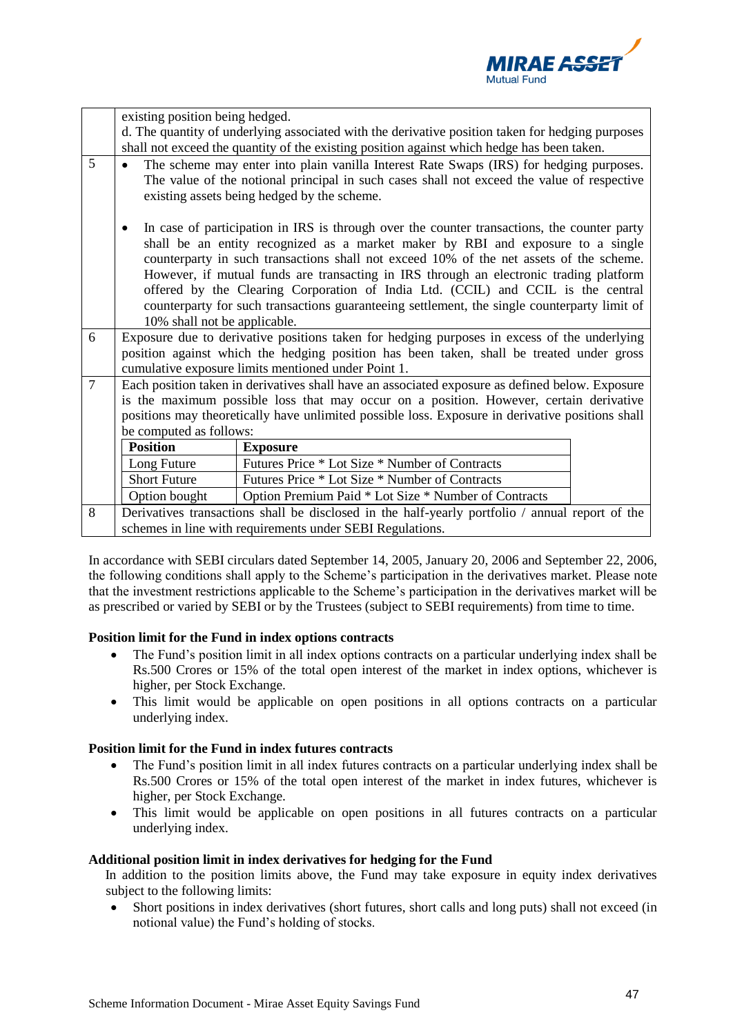

|                | existing position being hedged.                                                                                                                                                                                                                                                                                                                                                                                                                                                                                                                                                         |                                                                                                  |  |
|----------------|-----------------------------------------------------------------------------------------------------------------------------------------------------------------------------------------------------------------------------------------------------------------------------------------------------------------------------------------------------------------------------------------------------------------------------------------------------------------------------------------------------------------------------------------------------------------------------------------|--------------------------------------------------------------------------------------------------|--|
|                |                                                                                                                                                                                                                                                                                                                                                                                                                                                                                                                                                                                         | d. The quantity of underlying associated with the derivative position taken for hedging purposes |  |
|                | shall not exceed the quantity of the existing position against which hedge has been taken.                                                                                                                                                                                                                                                                                                                                                                                                                                                                                              |                                                                                                  |  |
| 5              | The scheme may enter into plain vanilla Interest Rate Swaps (IRS) for hedging purposes.<br>The value of the notional principal in such cases shall not exceed the value of respective<br>existing assets being hedged by the scheme.                                                                                                                                                                                                                                                                                                                                                    |                                                                                                  |  |
|                | In case of participation in IRS is through over the counter transactions, the counter party<br>shall be an entity recognized as a market maker by RBI and exposure to a single<br>counterparty in such transactions shall not exceed 10% of the net assets of the scheme.<br>However, if mutual funds are transacting in IRS through an electronic trading platform<br>offered by the Clearing Corporation of India Ltd. (CCIL) and CCIL is the central<br>counterparty for such transactions guaranteeing settlement, the single counterparty limit of<br>10% shall not be applicable. |                                                                                                  |  |
| 6              | Exposure due to derivative positions taken for hedging purposes in excess of the underlying                                                                                                                                                                                                                                                                                                                                                                                                                                                                                             |                                                                                                  |  |
|                | position against which the hedging position has been taken, shall be treated under gross                                                                                                                                                                                                                                                                                                                                                                                                                                                                                                |                                                                                                  |  |
|                | cumulative exposure limits mentioned under Point 1.                                                                                                                                                                                                                                                                                                                                                                                                                                                                                                                                     |                                                                                                  |  |
| $\overline{7}$ | Each position taken in derivatives shall have an associated exposure as defined below. Exposure                                                                                                                                                                                                                                                                                                                                                                                                                                                                                         |                                                                                                  |  |
|                | is the maximum possible loss that may occur on a position. However, certain derivative                                                                                                                                                                                                                                                                                                                                                                                                                                                                                                  |                                                                                                  |  |
|                |                                                                                                                                                                                                                                                                                                                                                                                                                                                                                                                                                                                         | positions may theoretically have unlimited possible loss. Exposure in derivative positions shall |  |
|                | be computed as follows:                                                                                                                                                                                                                                                                                                                                                                                                                                                                                                                                                                 |                                                                                                  |  |
|                | <b>Position</b>                                                                                                                                                                                                                                                                                                                                                                                                                                                                                                                                                                         | <b>Exposure</b>                                                                                  |  |
|                | Long Future                                                                                                                                                                                                                                                                                                                                                                                                                                                                                                                                                                             | Futures Price * Lot Size * Number of Contracts                                                   |  |
|                | <b>Short Future</b>                                                                                                                                                                                                                                                                                                                                                                                                                                                                                                                                                                     | Futures Price * Lot Size * Number of Contracts                                                   |  |
|                | Option bought                                                                                                                                                                                                                                                                                                                                                                                                                                                                                                                                                                           | Option Premium Paid * Lot Size * Number of Contracts                                             |  |
| 8              |                                                                                                                                                                                                                                                                                                                                                                                                                                                                                                                                                                                         | Derivatives transactions shall be disclosed in the half-yearly portfolio / annual report of the  |  |
|                |                                                                                                                                                                                                                                                                                                                                                                                                                                                                                                                                                                                         | schemes in line with requirements under SEBI Regulations.                                        |  |

In accordance with SEBI circulars dated September 14, 2005, January 20, 2006 and September 22, 2006, the following conditions shall apply to the Scheme's participation in the derivatives market. Please note that the investment restrictions applicable to the Scheme's participation in the derivatives market will be as prescribed or varied by SEBI or by the Trustees (subject to SEBI requirements) from time to time.

#### **Position limit for the Fund in index options contracts**

- The Fund's position limit in all index options contracts on a particular underlying index shall be Rs.500 Crores or 15% of the total open interest of the market in index options, whichever is higher, per Stock Exchange.
- This limit would be applicable on open positions in all options contracts on a particular underlying index.

#### **Position limit for the Fund in index futures contracts**

- The Fund's position limit in all index futures contracts on a particular underlying index shall be Rs.500 Crores or 15% of the total open interest of the market in index futures, whichever is higher, per Stock Exchange.
- This limit would be applicable on open positions in all futures contracts on a particular underlying index.

#### **Additional position limit in index derivatives for hedging for the Fund**

In addition to the position limits above, the Fund may take exposure in equity index derivatives subject to the following limits:

• Short positions in index derivatives (short futures, short calls and long puts) shall not exceed (in notional value) the Fund's holding of stocks.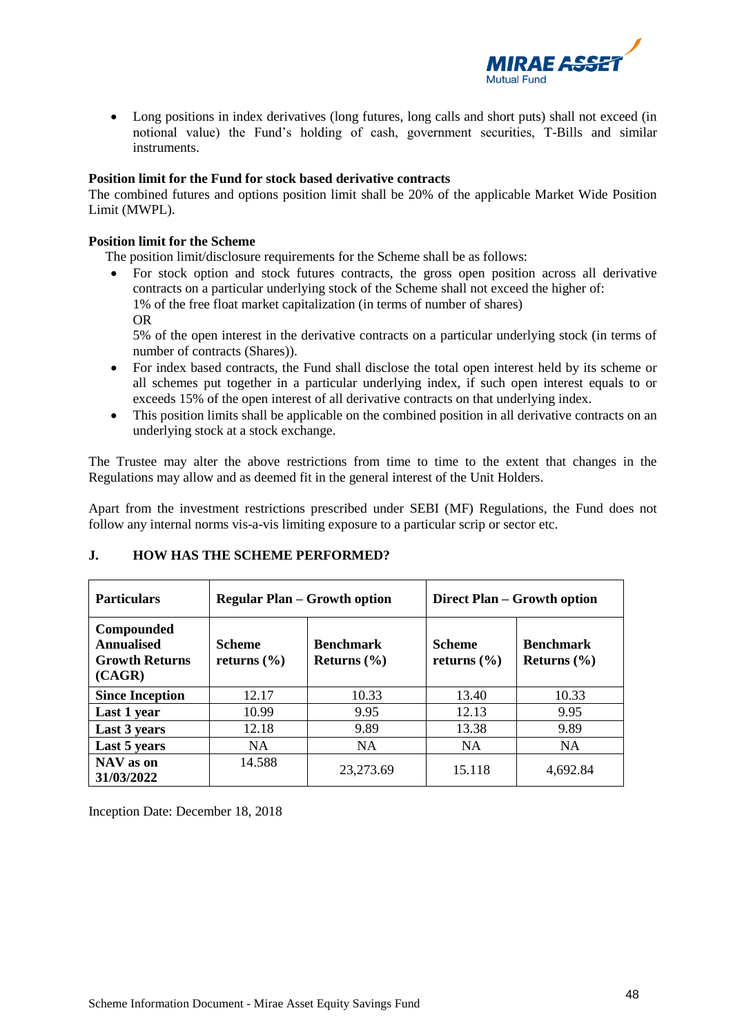

• Long positions in index derivatives (long futures, long calls and short puts) shall not exceed (in notional value) the Fund's holding of cash, government securities, T-Bills and similar instruments.

### **Position limit for the Fund for stock based derivative contracts**

The combined futures and options position limit shall be 20% of the applicable Market Wide Position Limit (MWPL).

### **Position limit for the Scheme**

The position limit/disclosure requirements for the Scheme shall be as follows:

- For stock option and stock futures contracts, the gross open position across all derivative contracts on a particular underlying stock of the Scheme shall not exceed the higher of: 1% of the free float market capitalization (in terms of number of shares)
	- OR

5% of the open interest in the derivative contracts on a particular underlying stock (in terms of number of contracts (Shares)).

- For index based contracts, the Fund shall disclose the total open interest held by its scheme or all schemes put together in a particular underlying index, if such open interest equals to or exceeds 15% of the open interest of all derivative contracts on that underlying index.
- This position limits shall be applicable on the combined position in all derivative contracts on an underlying stock at a stock exchange.

The Trustee may alter the above restrictions from time to time to the extent that changes in the Regulations may allow and as deemed fit in the general interest of the Unit Holders.

Apart from the investment restrictions prescribed under SEBI (MF) Regulations, the Fund does not follow any internal norms vis-a-vis limiting exposure to a particular scrip or sector etc.

| <b>Particulars</b>                                          | <b>Regular Plan – Growth option</b> |                                     | Direct Plan – Growth option      |                                     |
|-------------------------------------------------------------|-------------------------------------|-------------------------------------|----------------------------------|-------------------------------------|
| Compounded<br>Annualised<br><b>Growth Returns</b><br>(CAGR) | <b>Scheme</b><br>returns $(\% )$    | <b>Benchmark</b><br>Returns $(\% )$ | <b>Scheme</b><br>returns $(\% )$ | <b>Benchmark</b><br>Returns $(\% )$ |
| <b>Since Inception</b>                                      | 12.17                               | 10.33                               | 13.40                            | 10.33                               |
| Last 1 year                                                 | 10.99                               | 9.95                                | 12.13                            | 9.95                                |
| Last 3 years                                                | 12.18                               | 9.89                                | 13.38                            | 9.89                                |
| Last 5 years                                                | NA.                                 | <b>NA</b>                           | <b>NA</b>                        | <b>NA</b>                           |
| NAV as on<br>31/03/2022                                     | 14.588                              | 23,273.69                           | 15.118                           | 4,692.84                            |

# **J. HOW HAS THE SCHEME PERFORMED?**

Inception Date: December 18, 2018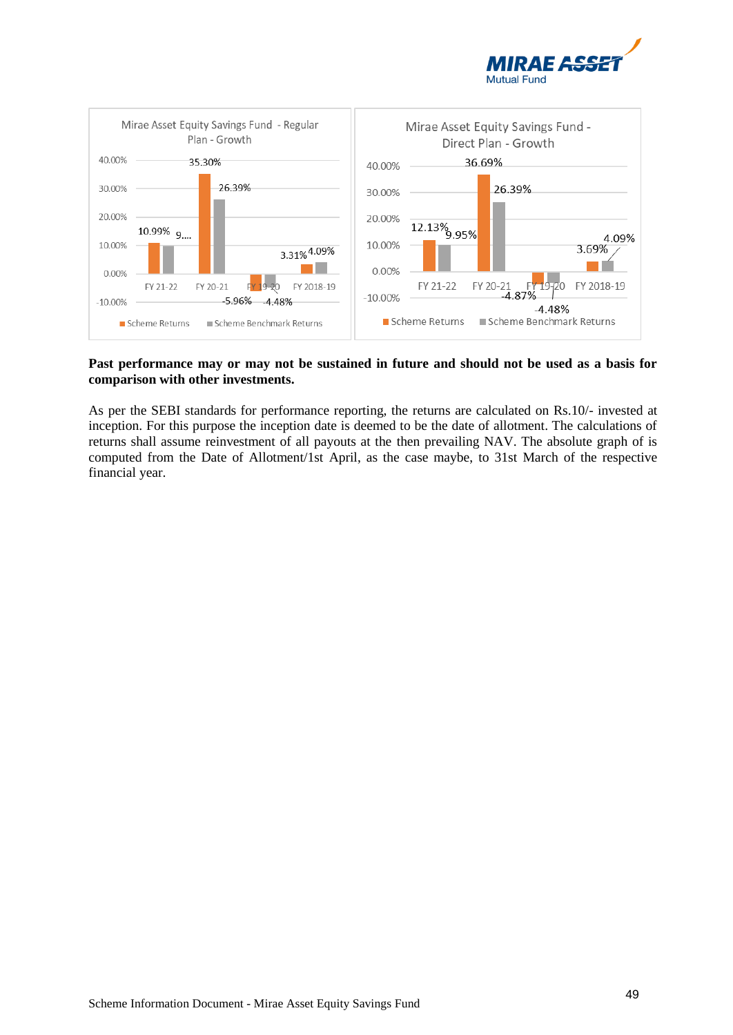



#### **Past performance may or may not be sustained in future and should not be used as a basis for comparison with other investments.**

As per the SEBI standards for performance reporting, the returns are calculated on Rs.10/- invested at inception. For this purpose the inception date is deemed to be the date of allotment. The calculations of returns shall assume reinvestment of all payouts at the then prevailing NAV. The absolute graph of is computed from the Date of Allotment/1st April, as the case maybe, to 31st March of the respective financial year.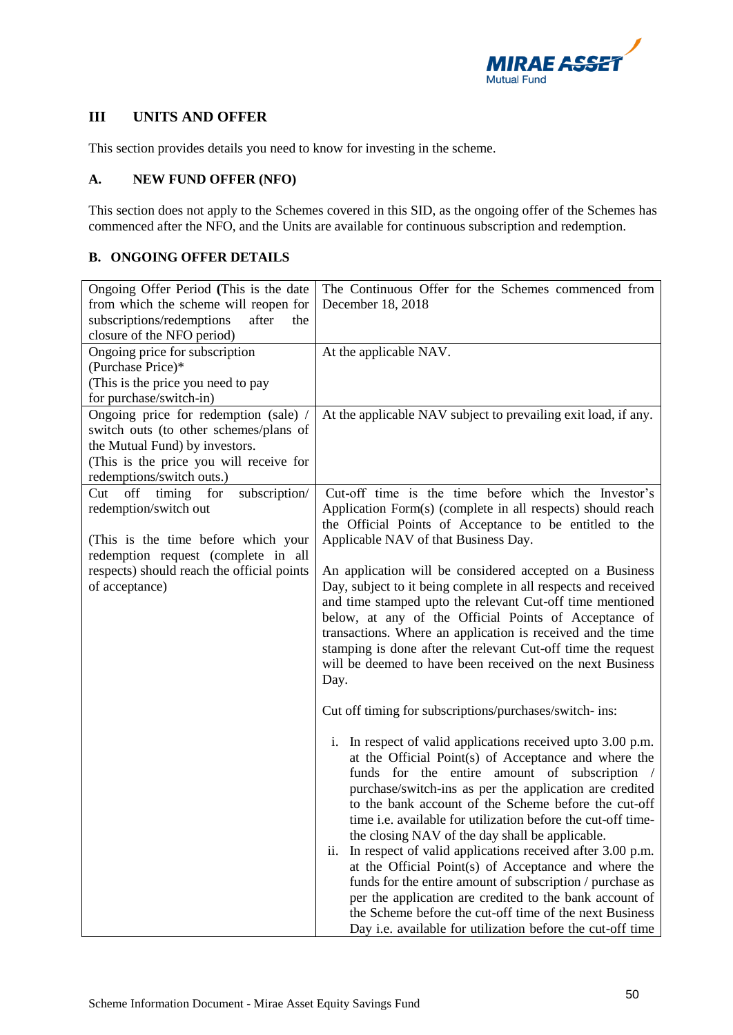

# **III UNITS AND OFFER**

This section provides details you need to know for investing in the scheme.

## **A. NEW FUND OFFER (NFO)**

This section does not apply to the Schemes covered in this SID, as the ongoing offer of the Schemes has commenced after the NFO, and the Units are available for continuous subscription and redemption.

## **B. ONGOING OFFER DETAILS**

| Ongoing Offer Period (This is the date     | The Continuous Offer for the Schemes commenced from                                                                         |
|--------------------------------------------|-----------------------------------------------------------------------------------------------------------------------------|
| from which the scheme will reopen for      | December 18, 2018                                                                                                           |
| subscriptions/redemptions<br>after<br>the  |                                                                                                                             |
| closure of the NFO period)                 |                                                                                                                             |
| Ongoing price for subscription             | At the applicable NAV.                                                                                                      |
| (Purchase Price)*                          |                                                                                                                             |
| (This is the price you need to pay         |                                                                                                                             |
| for purchase/switch-in)                    |                                                                                                                             |
| Ongoing price for redemption (sale) /      | At the applicable NAV subject to prevailing exit load, if any.                                                              |
| switch outs (to other schemes/plans of     |                                                                                                                             |
| the Mutual Fund) by investors.             |                                                                                                                             |
| (This is the price you will receive for    |                                                                                                                             |
| redemptions/switch outs.)                  |                                                                                                                             |
| Cut off timing<br>for<br>subscription/     | Cut-off time is the time before which the Investor's                                                                        |
| redemption/switch out                      | Application Form(s) (complete in all respects) should reach                                                                 |
|                                            | the Official Points of Acceptance to be entitled to the                                                                     |
| (This is the time before which your        | Applicable NAV of that Business Day.                                                                                        |
| redemption request (complete in all        |                                                                                                                             |
| respects) should reach the official points | An application will be considered accepted on a Business                                                                    |
| of acceptance)                             | Day, subject to it being complete in all respects and received                                                              |
|                                            | and time stamped upto the relevant Cut-off time mentioned                                                                   |
|                                            | below, at any of the Official Points of Acceptance of                                                                       |
|                                            | transactions. Where an application is received and the time<br>stamping is done after the relevant Cut-off time the request |
|                                            | will be deemed to have been received on the next Business                                                                   |
|                                            | Day.                                                                                                                        |
|                                            |                                                                                                                             |
|                                            | Cut off timing for subscriptions/purchases/switch- ins:                                                                     |
|                                            |                                                                                                                             |
|                                            | In respect of valid applications received upto 3.00 p.m.<br>i.                                                              |
|                                            | at the Official Point(s) of Acceptance and where the                                                                        |
|                                            | funds for the entire amount of subscription /                                                                               |
|                                            | purchase/switch-ins as per the application are credited                                                                     |
|                                            | to the bank account of the Scheme before the cut-off                                                                        |
|                                            | time i.e. available for utilization before the cut-off time-                                                                |
|                                            | the closing NAV of the day shall be applicable.                                                                             |
|                                            | In respect of valid applications received after 3.00 p.m.<br>11.                                                            |
|                                            | at the Official Point(s) of Acceptance and where the                                                                        |
|                                            | funds for the entire amount of subscription / purchase as                                                                   |
|                                            | per the application are credited to the bank account of                                                                     |
|                                            | the Scheme before the cut-off time of the next Business                                                                     |
|                                            | Day i.e. available for utilization before the cut-off time                                                                  |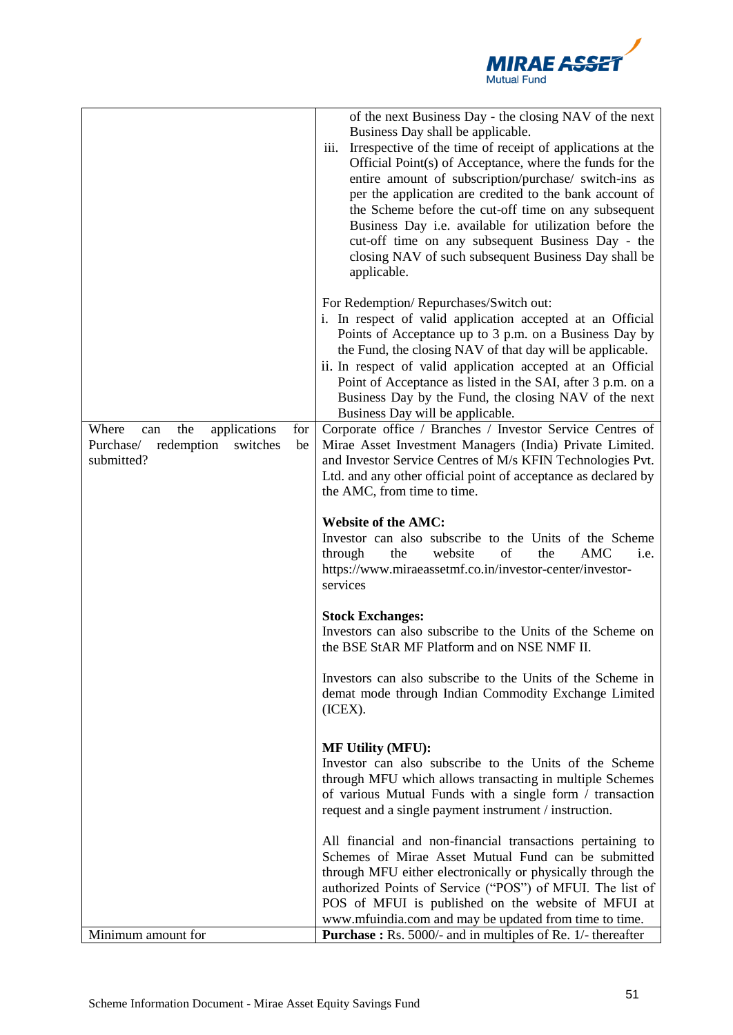

|                                                                                                       | of the next Business Day - the closing NAV of the next<br>Business Day shall be applicable.<br>Irrespective of the time of receipt of applications at the<br>iii.<br>Official Point(s) of Acceptance, where the funds for the<br>entire amount of subscription/purchase/ switch-ins as<br>per the application are credited to the bank account of<br>the Scheme before the cut-off time on any subsequent<br>Business Day <i>i.e.</i> available for utilization before the<br>cut-off time on any subsequent Business Day - the<br>closing NAV of such subsequent Business Day shall be<br>applicable. |
|-------------------------------------------------------------------------------------------------------|--------------------------------------------------------------------------------------------------------------------------------------------------------------------------------------------------------------------------------------------------------------------------------------------------------------------------------------------------------------------------------------------------------------------------------------------------------------------------------------------------------------------------------------------------------------------------------------------------------|
|                                                                                                       | For Redemption/Repurchases/Switch out:<br>i. In respect of valid application accepted at an Official<br>Points of Acceptance up to 3 p.m. on a Business Day by<br>the Fund, the closing NAV of that day will be applicable.<br>ii. In respect of valid application accepted at an Official<br>Point of Acceptance as listed in the SAI, after 3 p.m. on a<br>Business Day by the Fund, the closing NAV of the next<br>Business Day will be applicable.                                                                                                                                                 |
| the<br>applications<br>Where<br>for<br>can<br>redemption<br>Purchase/<br>switches<br>be<br>submitted? | Corporate office / Branches / Investor Service Centres of<br>Mirae Asset Investment Managers (India) Private Limited.<br>and Investor Service Centres of M/s KFIN Technologies Pvt.<br>Ltd. and any other official point of acceptance as declared by<br>the AMC, from time to time.                                                                                                                                                                                                                                                                                                                   |
|                                                                                                       | <b>Website of the AMC:</b><br>Investor can also subscribe to the Units of the Scheme<br>of<br>the<br><b>AMC</b><br>through<br>the<br>website<br>i.e.<br>https://www.miraeassetmf.co.in/investor-center/investor-<br>services                                                                                                                                                                                                                                                                                                                                                                           |
|                                                                                                       | <b>Stock Exchanges:</b><br>Investors can also subscribe to the Units of the Scheme on<br>the BSE StAR MF Platform and on NSE NMF II.                                                                                                                                                                                                                                                                                                                                                                                                                                                                   |
|                                                                                                       | Investors can also subscribe to the Units of the Scheme in<br>demat mode through Indian Commodity Exchange Limited<br>(ICEX).                                                                                                                                                                                                                                                                                                                                                                                                                                                                          |
|                                                                                                       | <b>MF Utility (MFU):</b><br>Investor can also subscribe to the Units of the Scheme<br>through MFU which allows transacting in multiple Schemes<br>of various Mutual Funds with a single form / transaction<br>request and a single payment instrument / instruction.                                                                                                                                                                                                                                                                                                                                   |
|                                                                                                       | All financial and non-financial transactions pertaining to<br>Schemes of Mirae Asset Mutual Fund can be submitted<br>through MFU either electronically or physically through the<br>authorized Points of Service ("POS") of MFUI. The list of<br>POS of MFUI is published on the website of MFUI at<br>www.mfuindia.com and may be updated from time to time.                                                                                                                                                                                                                                          |
| Minimum amount for                                                                                    | <b>Purchase :</b> Rs. 5000/- and in multiples of Re. 1/- thereafter                                                                                                                                                                                                                                                                                                                                                                                                                                                                                                                                    |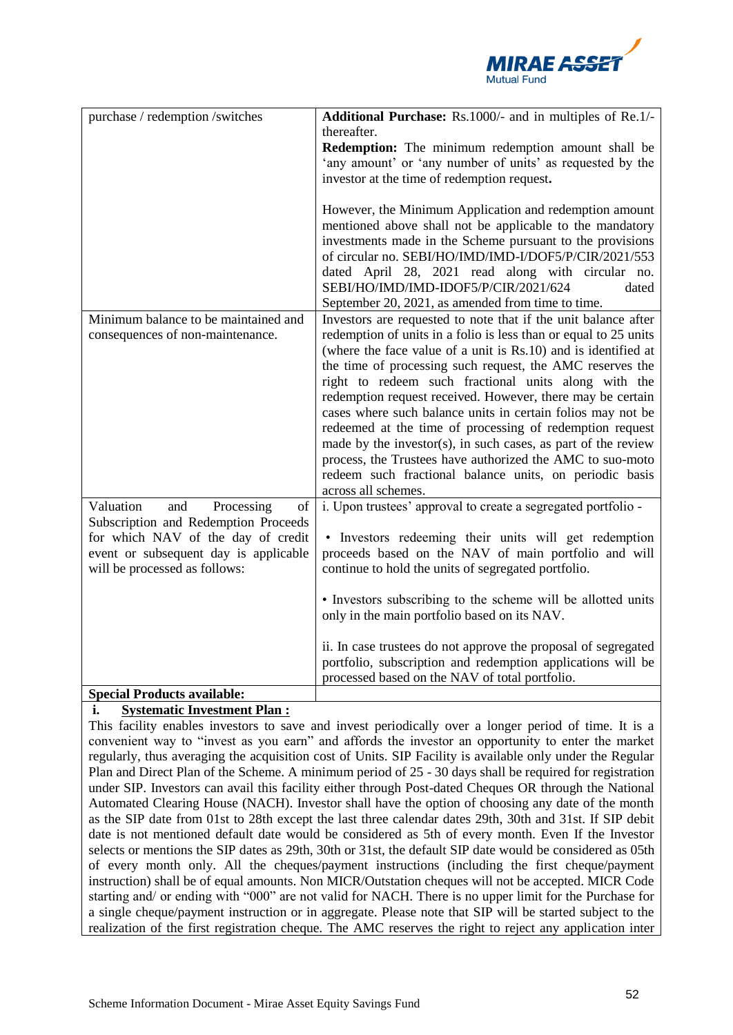

| purchase / redemption /switches       | Additional Purchase: Rs.1000/- and in multiples of Re.1/-        |
|---------------------------------------|------------------------------------------------------------------|
|                                       | thereafter.                                                      |
|                                       | Redemption: The minimum redemption amount shall be               |
|                                       | 'any amount' or 'any number of units' as requested by the        |
|                                       | investor at the time of redemption request.                      |
|                                       |                                                                  |
|                                       | However, the Minimum Application and redemption amount           |
|                                       | mentioned above shall not be applicable to the mandatory         |
|                                       | investments made in the Scheme pursuant to the provisions        |
|                                       | of circular no. SEBI/HO/IMD/IMD-I/DOF5/P/CIR/2021/553            |
|                                       | dated April 28, 2021 read along with circular no.                |
|                                       | SEBI/HO/IMD/IMD-IDOF5/P/CIR/2021/624<br>dated                    |
|                                       | September 20, 2021, as amended from time to time.                |
| Minimum balance to be maintained and  | Investors are requested to note that if the unit balance after   |
| consequences of non-maintenance.      | redemption of units in a folio is less than or equal to 25 units |
|                                       | (where the face value of a unit is Rs.10) and is identified at   |
|                                       | the time of processing such request, the AMC reserves the        |
|                                       | right to redeem such fractional units along with the             |
|                                       | redemption request received. However, there may be certain       |
|                                       | cases where such balance units in certain folios may not be      |
|                                       | redeemed at the time of processing of redemption request         |
|                                       | made by the investor(s), in such cases, as part of the review    |
|                                       | process, the Trustees have authorized the AMC to suo-moto        |
|                                       | redeem such fractional balance units, on periodic basis          |
|                                       | across all schemes.                                              |
| Valuation<br>and<br>Processing<br>of  | i. Upon trustees' approval to create a segregated portfolio -    |
| Subscription and Redemption Proceeds  |                                                                  |
| for which NAV of the day of credit    | • Investors redeeming their units will get redemption            |
| event or subsequent day is applicable | proceeds based on the NAV of main portfolio and will             |
| will be processed as follows:         | continue to hold the units of segregated portfolio.              |
|                                       |                                                                  |
|                                       | • Investors subscribing to the scheme will be allotted units     |
|                                       | only in the main portfolio based on its NAV.                     |
|                                       |                                                                  |
|                                       | ii. In case trustees do not approve the proposal of segregated   |
|                                       | portfolio, subscription and redemption applications will be      |
|                                       | processed based on the NAV of total portfolio.                   |
| <b>Special Products available:</b>    |                                                                  |

# **i. Systematic Investment Plan :**

This facility enables investors to save and invest periodically over a longer period of time. It is a convenient way to "invest as you earn" and affords the investor an opportunity to enter the market regularly, thus averaging the acquisition cost of Units. SIP Facility is available only under the Regular Plan and Direct Plan of the Scheme. A minimum period of 25 - 30 days shall be required for registration under SIP. Investors can avail this facility either through Post-dated Cheques OR through the National Automated Clearing House (NACH). Investor shall have the option of choosing any date of the month as the SIP date from 01st to 28th except the last three calendar dates 29th, 30th and 31st. If SIP debit date is not mentioned default date would be considered as 5th of every month. Even If the Investor selects or mentions the SIP dates as 29th, 30th or 31st, the default SIP date would be considered as 05th of every month only. All the cheques/payment instructions (including the first cheque/payment instruction) shall be of equal amounts. Non MICR/Outstation cheques will not be accepted. MICR Code starting and/ or ending with "000" are not valid for NACH. There is no upper limit for the Purchase for a single cheque/payment instruction or in aggregate. Please note that SIP will be started subject to the realization of the first registration cheque. The AMC reserves the right to reject any application inter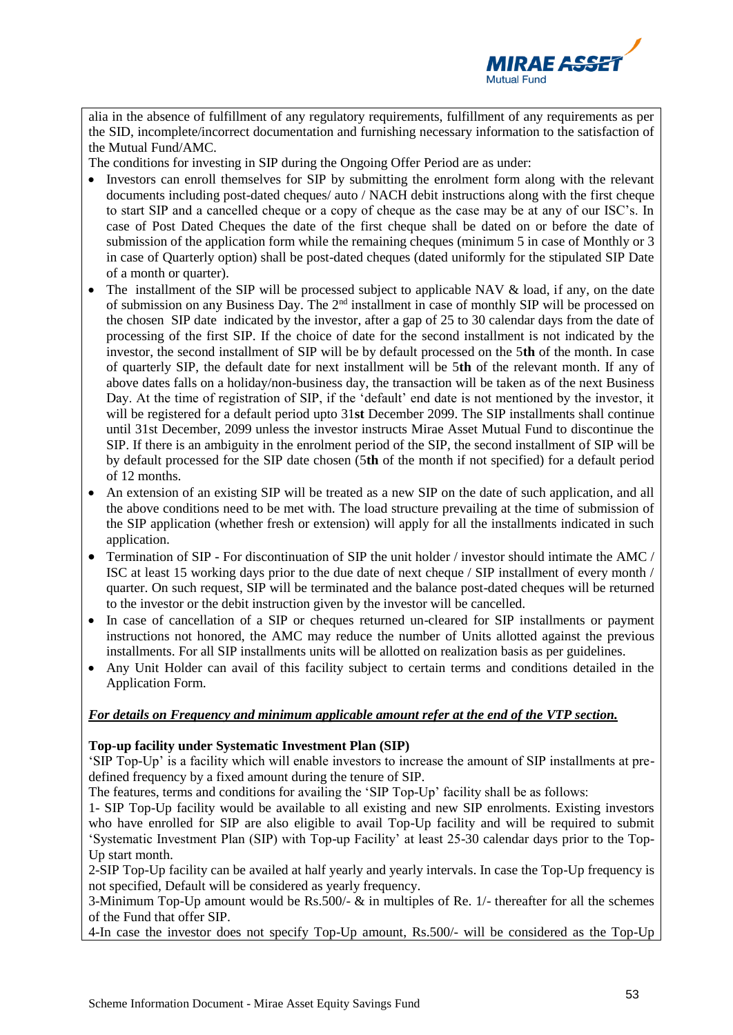

alia in the absence of fulfillment of any regulatory requirements, fulfillment of any requirements as per the SID, incomplete/incorrect documentation and furnishing necessary information to the satisfaction of the Mutual Fund/AMC.

The conditions for investing in SIP during the Ongoing Offer Period are as under:

- Investors can enroll themselves for SIP by submitting the enrolment form along with the relevant documents including post-dated cheques/ auto / NACH debit instructions along with the first cheque to start SIP and a cancelled cheque or a copy of cheque as the case may be at any of our ISC's. In case of Post Dated Cheques the date of the first cheque shall be dated on or before the date of submission of the application form while the remaining cheques (minimum 5 in case of Monthly or 3 in case of Quarterly option) shall be post-dated cheques (dated uniformly for the stipulated SIP Date of a month or quarter).
- The installment of the SIP will be processed subject to applicable NAV & load, if any, on the date of submission on any Business Day. The 2nd installment in case of monthly SIP will be processed on the chosen SIP date indicated by the investor, after a gap of 25 to 30 calendar days from the date of processing of the first SIP. If the choice of date for the second installment is not indicated by the investor, the second installment of SIP will be by default processed on the 5**th** of the month. In case of quarterly SIP, the default date for next installment will be 5**th** of the relevant month. If any of above dates falls on a holiday/non-business day, the transaction will be taken as of the next Business Day. At the time of registration of SIP, if the 'default' end date is not mentioned by the investor, it will be registered for a default period upto 31**st** December 2099. The SIP installments shall continue until 31st December, 2099 unless the investor instructs Mirae Asset Mutual Fund to discontinue the SIP. If there is an ambiguity in the enrolment period of the SIP, the second installment of SIP will be by default processed for the SIP date chosen (5**th** of the month if not specified) for a default period of 12 months.
- An extension of an existing SIP will be treated as a new SIP on the date of such application, and all the above conditions need to be met with. The load structure prevailing at the time of submission of the SIP application (whether fresh or extension) will apply for all the installments indicated in such application.
- Termination of SIP For discontinuation of SIP the unit holder / investor should intimate the AMC / ISC at least 15 working days prior to the due date of next cheque / SIP installment of every month / quarter. On such request, SIP will be terminated and the balance post-dated cheques will be returned to the investor or the debit instruction given by the investor will be cancelled.
- In case of cancellation of a SIP or cheques returned un-cleared for SIP installments or payment instructions not honored, the AMC may reduce the number of Units allotted against the previous installments. For all SIP installments units will be allotted on realization basis as per guidelines.
- Any Unit Holder can avail of this facility subject to certain terms and conditions detailed in the Application Form.

#### *For details on Frequency and minimum applicable amount refer at the end of the VTP section.*

#### **Top-up facility under Systematic Investment Plan (SIP)**

'SIP Top-Up' is a facility which will enable investors to increase the amount of SIP installments at predefined frequency by a fixed amount during the tenure of SIP.

The features, terms and conditions for availing the 'SIP Top-Up' facility shall be as follows:

1- SIP Top-Up facility would be available to all existing and new SIP enrolments. Existing investors who have enrolled for SIP are also eligible to avail Top-Up facility and will be required to submit 'Systematic Investment Plan (SIP) with Top-up Facility' at least 25-30 calendar days prior to the Top-Up start month.

2-SIP Top-Up facility can be availed at half yearly and yearly intervals. In case the Top-Up frequency is not specified, Default will be considered as yearly frequency.

3-Minimum Top-Up amount would be Rs.500/- & in multiples of Re. 1/- thereafter for all the schemes of the Fund that offer SIP.

4-In case the investor does not specify Top-Up amount, Rs.500/- will be considered as the Top-Up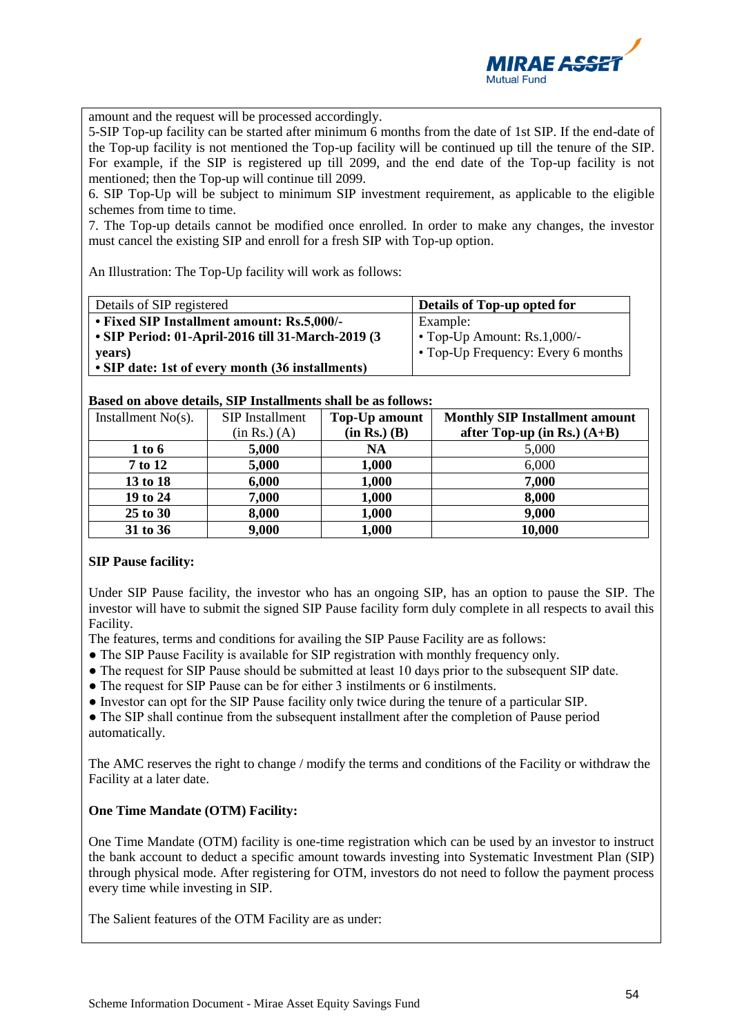

amount and the request will be processed accordingly.

5-SIP Top-up facility can be started after minimum 6 months from the date of 1st SIP. If the end-date of the Top-up facility is not mentioned the Top-up facility will be continued up till the tenure of the SIP. For example, if the SIP is registered up till 2099, and the end date of the Top-up facility is not mentioned; then the Top-up will continue till 2099.

6. SIP Top-Up will be subject to minimum SIP investment requirement, as applicable to the eligible schemes from time to time.

7. The Top-up details cannot be modified once enrolled. In order to make any changes, the investor must cancel the existing SIP and enroll for a fresh SIP with Top-up option.

An Illustration: The Top-Up facility will work as follows:

| Details of SIP registered                         | Details of Top-up opted for        |
|---------------------------------------------------|------------------------------------|
| • Fixed SIP Installment amount: Rs.5,000/-        | Example:                           |
| • SIP Period: 01-April-2016 till 31-March-2019 (3 | $\cdot$ Top-Up Amount: Rs.1,000/-  |
| vears)                                            | • Top-Up Frequency: Every 6 months |
| • SIP date: 1st of every month (36 installments)  |                                    |

**Based on above details, SIP Installments shall be as follows:**

| Installment $No(s)$ . | SIP Installment | Top-Up amount    | <b>Monthly SIP Installment amount</b> |
|-----------------------|-----------------|------------------|---------------------------------------|
|                       | (in Rs.) (A)    | $(in Rs.)$ $(B)$ | after Top-up (in Rs.) $(A+B)$         |
| 1 to 6                | 5,000           | <b>NA</b>        | 5,000                                 |
| 7 to 12               | 5,000           | 1,000            | 6,000                                 |
| 13 to 18              | 6,000           | 1,000            | 7,000                                 |
| 19 to 24              | 7,000           | 1,000            | 8,000                                 |
| 25 to 30              | 8,000           | 1,000            | 9,000                                 |
| 31 to 36              | 9,000           | 1,000            | 10,000                                |

#### **SIP Pause facility:**

Under SIP Pause facility, the investor who has an ongoing SIP, has an option to pause the SIP. The investor will have to submit the signed SIP Pause facility form duly complete in all respects to avail this Facility.

The features, terms and conditions for availing the SIP Pause Facility are as follows:

- The SIP Pause Facility is available for SIP registration with monthly frequency only.
- The request for SIP Pause should be submitted at least 10 days prior to the subsequent SIP date.
- The request for SIP Pause can be for either 3 instilments or 6 instilments.
- Investor can opt for the SIP Pause facility only twice during the tenure of a particular SIP.

• The SIP shall continue from the subsequent installment after the completion of Pause period automatically.

The AMC reserves the right to change / modify the terms and conditions of the Facility or withdraw the Facility at a later date.

# **One Time Mandate (OTM) Facility:**

One Time Mandate (OTM) facility is one-time registration which can be used by an investor to instruct the bank account to deduct a specific amount towards investing into Systematic Investment Plan (SIP) through physical mode. After registering for OTM, investors do not need to follow the payment process every time while investing in SIP.

The Salient features of the OTM Facility are as under: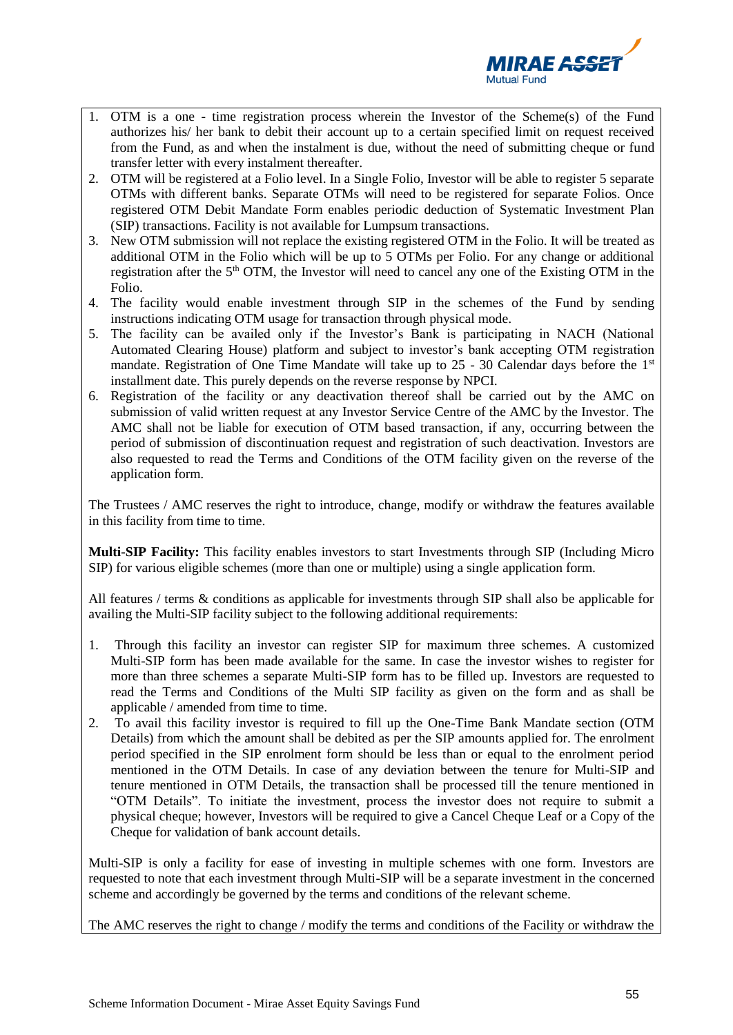

- 1. OTM is a one time registration process wherein the Investor of the Scheme(s) of the Fund authorizes his/ her bank to debit their account up to a certain specified limit on request received from the Fund, as and when the instalment is due, without the need of submitting cheque or fund transfer letter with every instalment thereafter.
- 2. OTM will be registered at a Folio level. In a Single Folio, Investor will be able to register 5 separate OTMs with different banks. Separate OTMs will need to be registered for separate Folios. Once registered OTM Debit Mandate Form enables periodic deduction of Systematic Investment Plan (SIP) transactions. Facility is not available for Lumpsum transactions.
- 3. New OTM submission will not replace the existing registered OTM in the Folio. It will be treated as additional OTM in the Folio which will be up to 5 OTMs per Folio. For any change or additional registration after the  $5<sup>th</sup> OTM$ , the Investor will need to cancel any one of the Existing OTM in the Folio.
- 4. The facility would enable investment through SIP in the schemes of the Fund by sending instructions indicating OTM usage for transaction through physical mode.
- 5. The facility can be availed only if the Investor's Bank is participating in NACH (National Automated Clearing House) platform and subject to investor's bank accepting OTM registration mandate. Registration of One Time Mandate will take up to 25 - 30 Calendar days before the 1<sup>st</sup> installment date. This purely depends on the reverse response by NPCI.
- 6. Registration of the facility or any deactivation thereof shall be carried out by the AMC on submission of valid written request at any Investor Service Centre of the AMC by the Investor. The AMC shall not be liable for execution of OTM based transaction, if any, occurring between the period of submission of discontinuation request and registration of such deactivation. Investors are also requested to read the Terms and Conditions of the OTM facility given on the reverse of the application form.

The Trustees / AMC reserves the right to introduce, change, modify or withdraw the features available in this facility from time to time.

**Multi-SIP Facility:** This facility enables investors to start Investments through SIP (Including Micro SIP) for various eligible schemes (more than one or multiple) using a single application form.

All features / terms & conditions as applicable for investments through SIP shall also be applicable for availing the Multi-SIP facility subject to the following additional requirements:

- 1. Through this facility an investor can register SIP for maximum three schemes. A customized Multi-SIP form has been made available for the same. In case the investor wishes to register for more than three schemes a separate Multi-SIP form has to be filled up. Investors are requested to read the Terms and Conditions of the Multi SIP facility as given on the form and as shall be applicable / amended from time to time.
- 2. To avail this facility investor is required to fill up the One-Time Bank Mandate section (OTM Details) from which the amount shall be debited as per the SIP amounts applied for. The enrolment period specified in the SIP enrolment form should be less than or equal to the enrolment period mentioned in the OTM Details. In case of any deviation between the tenure for Multi-SIP and tenure mentioned in OTM Details, the transaction shall be processed till the tenure mentioned in "OTM Details". To initiate the investment, process the investor does not require to submit a physical cheque; however, Investors will be required to give a Cancel Cheque Leaf or a Copy of the Cheque for validation of bank account details.

Multi-SIP is only a facility for ease of investing in multiple schemes with one form. Investors are requested to note that each investment through Multi-SIP will be a separate investment in the concerned scheme and accordingly be governed by the terms and conditions of the relevant scheme.

The AMC reserves the right to change / modify the terms and conditions of the Facility or withdraw the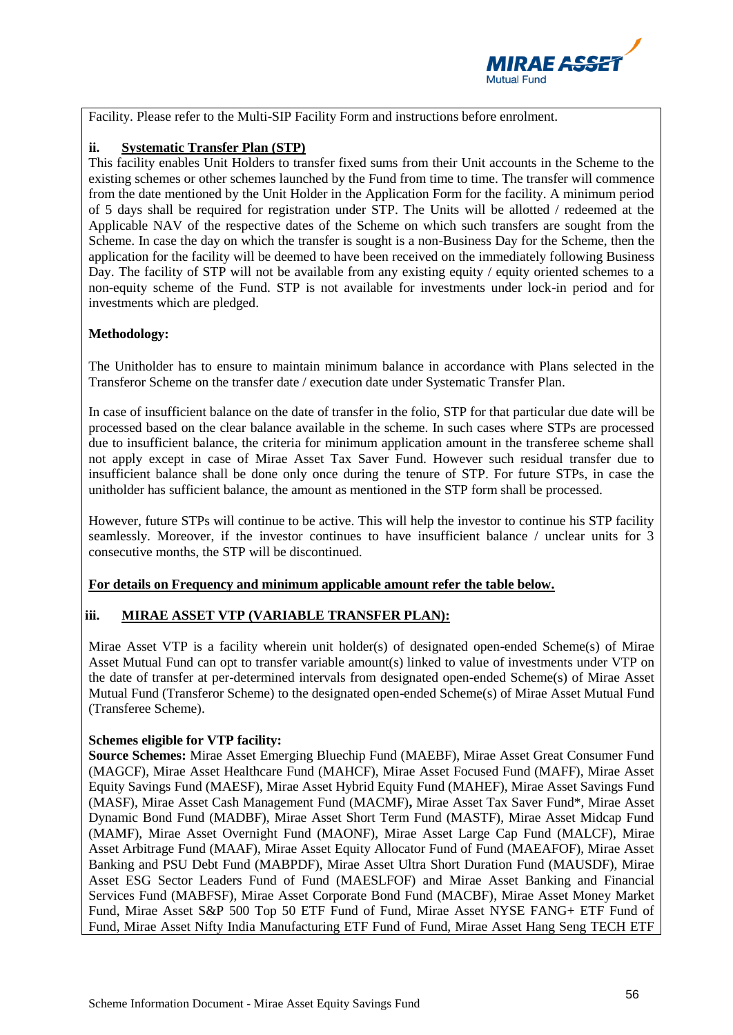

Facility. Please refer to the Multi-SIP Facility Form and instructions before enrolment.

# **ii. Systematic Transfer Plan (STP)**

This facility enables Unit Holders to transfer fixed sums from their Unit accounts in the Scheme to the existing schemes or other schemes launched by the Fund from time to time. The transfer will commence from the date mentioned by the Unit Holder in the Application Form for the facility. A minimum period of 5 days shall be required for registration under STP. The Units will be allotted / redeemed at the Applicable NAV of the respective dates of the Scheme on which such transfers are sought from the Scheme. In case the day on which the transfer is sought is a non-Business Day for the Scheme, then the application for the facility will be deemed to have been received on the immediately following Business Day. The facility of STP will not be available from any existing equity / equity oriented schemes to a non-equity scheme of the Fund. STP is not available for investments under lock-in period and for investments which are pledged.

# **Methodology:**

The Unitholder has to ensure to maintain minimum balance in accordance with Plans selected in the Transferor Scheme on the transfer date / execution date under Systematic Transfer Plan.

In case of insufficient balance on the date of transfer in the folio, STP for that particular due date will be processed based on the clear balance available in the scheme. In such cases where STPs are processed due to insufficient balance, the criteria for minimum application amount in the transferee scheme shall not apply except in case of Mirae Asset Tax Saver Fund. However such residual transfer due to insufficient balance shall be done only once during the tenure of STP. For future STPs, in case the unitholder has sufficient balance, the amount as mentioned in the STP form shall be processed.

However, future STPs will continue to be active. This will help the investor to continue his STP facility seamlessly. Moreover, if the investor continues to have insufficient balance / unclear units for 3 consecutive months, the STP will be discontinued.

# **For details on Frequency and minimum applicable amount refer the table below.**

# **iii. MIRAE ASSET VTP (VARIABLE TRANSFER PLAN):**

Mirae Asset VTP is a facility wherein unit holder(s) of designated open-ended Scheme(s) of Mirae Asset Mutual Fund can opt to transfer variable amount(s) linked to value of investments under VTP on the date of transfer at per-determined intervals from designated open-ended Scheme(s) of Mirae Asset Mutual Fund (Transferor Scheme) to the designated open-ended Scheme(s) of Mirae Asset Mutual Fund (Transferee Scheme).

# **Schemes eligible for VTP facility:**

**Source Schemes:** Mirae Asset Emerging Bluechip Fund (MAEBF), Mirae Asset Great Consumer Fund (MAGCF), Mirae Asset Healthcare Fund (MAHCF), Mirae Asset Focused Fund (MAFF), Mirae Asset Equity Savings Fund (MAESF), Mirae Asset Hybrid Equity Fund (MAHEF), Mirae Asset Savings Fund (MASF), Mirae Asset Cash Management Fund (MACMF)**,** Mirae Asset Tax Saver Fund\*, Mirae Asset Dynamic Bond Fund (MADBF), Mirae Asset Short Term Fund (MASTF), Mirae Asset Midcap Fund (MAMF), Mirae Asset Overnight Fund (MAONF), Mirae Asset Large Cap Fund (MALCF), Mirae Asset Arbitrage Fund (MAAF), Mirae Asset Equity Allocator Fund of Fund (MAEAFOF), Mirae Asset Banking and PSU Debt Fund (MABPDF), Mirae Asset Ultra Short Duration Fund (MAUSDF), Mirae Asset ESG Sector Leaders Fund of Fund (MAESLFOF) and Mirae Asset Banking and Financial Services Fund (MABFSF), Mirae Asset Corporate Bond Fund (MACBF), Mirae Asset Money Market Fund, Mirae Asset S&P 500 Top 50 ETF Fund of Fund, Mirae Asset NYSE FANG+ ETF Fund of Fund, Mirae Asset Nifty India Manufacturing ETF Fund of Fund, Mirae Asset Hang Seng TECH ETF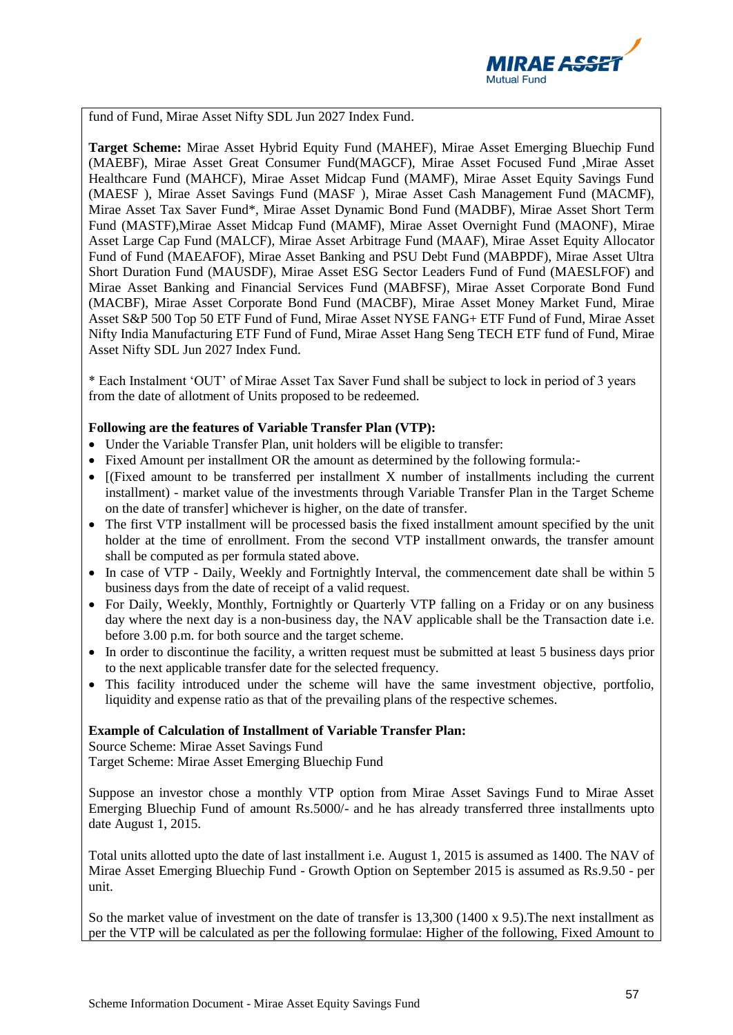

fund of Fund, Mirae Asset Nifty SDL Jun 2027 Index Fund.

**Target Scheme:** Mirae Asset Hybrid Equity Fund (MAHEF), Mirae Asset Emerging Bluechip Fund (MAEBF), Mirae Asset Great Consumer Fund(MAGCF), Mirae Asset Focused Fund ,Mirae Asset Healthcare Fund (MAHCF), Mirae Asset Midcap Fund (MAMF), Mirae Asset Equity Savings Fund (MAESF ), Mirae Asset Savings Fund (MASF ), Mirae Asset Cash Management Fund (MACMF), Mirae Asset Tax Saver Fund\*, Mirae Asset Dynamic Bond Fund (MADBF), Mirae Asset Short Term Fund (MASTF),Mirae Asset Midcap Fund (MAMF), Mirae Asset Overnight Fund (MAONF), Mirae Asset Large Cap Fund (MALCF), Mirae Asset Arbitrage Fund (MAAF), Mirae Asset Equity Allocator Fund of Fund (MAEAFOF), Mirae Asset Banking and PSU Debt Fund (MABPDF), Mirae Asset Ultra Short Duration Fund (MAUSDF), Mirae Asset ESG Sector Leaders Fund of Fund (MAESLFOF) and Mirae Asset Banking and Financial Services Fund (MABFSF), Mirae Asset Corporate Bond Fund (MACBF), Mirae Asset Corporate Bond Fund (MACBF), Mirae Asset Money Market Fund, Mirae Asset S&P 500 Top 50 ETF Fund of Fund, Mirae Asset NYSE FANG+ ETF Fund of Fund, Mirae Asset Nifty India Manufacturing ETF Fund of Fund, Mirae Asset Hang Seng TECH ETF fund of Fund, Mirae Asset Nifty SDL Jun 2027 Index Fund.

\* Each Instalment 'OUT' of Mirae Asset Tax Saver Fund shall be subject to lock in period of 3 years from the date of allotment of Units proposed to be redeemed.

#### **Following are the features of Variable Transfer Plan (VTP):**

- Under the Variable Transfer Plan, unit holders will be eligible to transfer:
- Fixed Amount per installment OR the amount as determined by the following formula:-
- [(Fixed amount to be transferred per installment X number of installments including the current installment) - market value of the investments through Variable Transfer Plan in the Target Scheme on the date of transfer] whichever is higher, on the date of transfer.
- The first VTP installment will be processed basis the fixed installment amount specified by the unit holder at the time of enrollment. From the second VTP installment onwards, the transfer amount shall be computed as per formula stated above.
- In case of VTP Daily, Weekly and Fortnightly Interval, the commencement date shall be within 5 business days from the date of receipt of a valid request.
- For Daily, Weekly, Monthly, Fortnightly or Quarterly VTP falling on a Friday or on any business day where the next day is a non-business day, the NAV applicable shall be the Transaction date i.e. before 3.00 p.m. for both source and the target scheme.
- In order to discontinue the facility, a written request must be submitted at least 5 business days prior to the next applicable transfer date for the selected frequency.
- This facility introduced under the scheme will have the same investment objective, portfolio, liquidity and expense ratio as that of the prevailing plans of the respective schemes.

#### **Example of Calculation of Installment of Variable Transfer Plan:**

Source Scheme: Mirae Asset Savings Fund Target Scheme: Mirae Asset Emerging Bluechip Fund

Suppose an investor chose a monthly VTP option from Mirae Asset Savings Fund to Mirae Asset Emerging Bluechip Fund of amount Rs.5000/- and he has already transferred three installments upto date August 1, 2015.

Total units allotted upto the date of last installment i.e. August 1, 2015 is assumed as 1400. The NAV of Mirae Asset Emerging Bluechip Fund - Growth Option on September 2015 is assumed as Rs.9.50 - per unit.

So the market value of investment on the date of transfer is 13,300 (1400 x 9.5).The next installment as per the VTP will be calculated as per the following formulae: Higher of the following, Fixed Amount to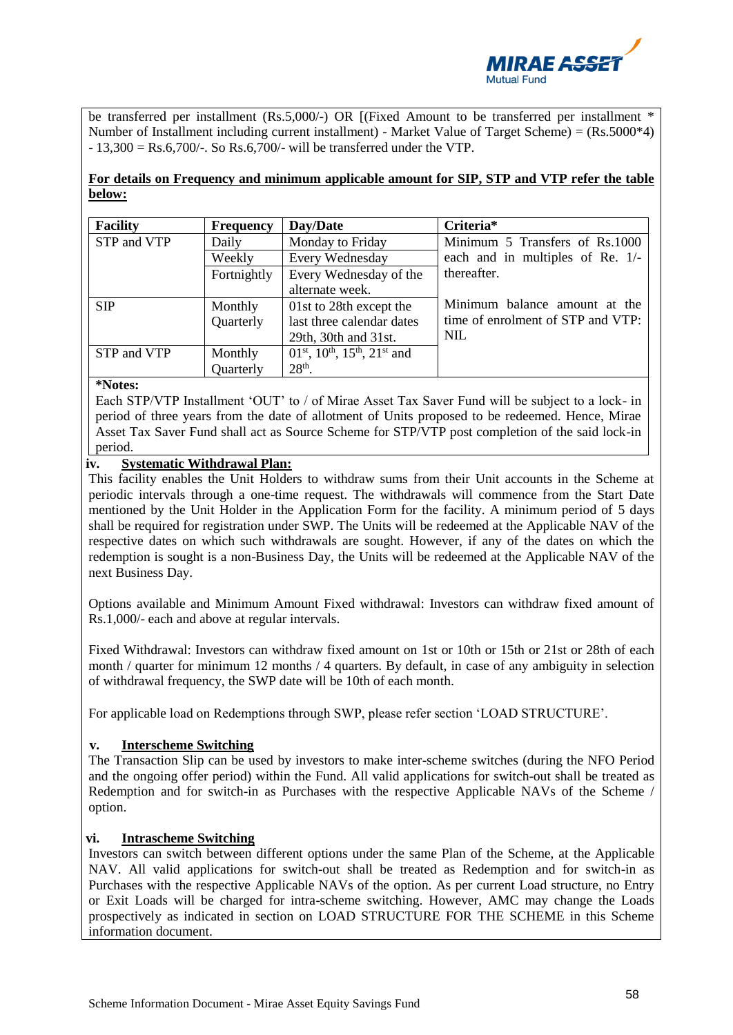

be transferred per installment (Rs.5,000/-) OR [(Fixed Amount to be transferred per installment \* Number of Installment including current installment) - Market Value of Target Scheme) = (Rs.5000\*4)  $-13,300 = \text{Rs}.6,700/$ -. So Rs.6,700/- will be transferred under the VTP.

# **For details on Frequency and minimum applicable amount for SIP, STP and VTP refer the table below:**

| <b>Facility</b> | <b>Frequency</b> | Day/Date                                                                      | Criteria*                         |
|-----------------|------------------|-------------------------------------------------------------------------------|-----------------------------------|
| STP and VTP     | Daily            | Monday to Friday                                                              | Minimum 5 Transfers of Rs.1000    |
|                 | Weekly           | Every Wednesday                                                               | each and in multiples of Re. 1/-  |
|                 | Fortnightly      | Every Wednesday of the                                                        | thereafter.                       |
|                 |                  | alternate week.                                                               |                                   |
| <b>SIP</b>      | Monthly          | 01st to 28th except the                                                       | Minimum balance amount at the     |
|                 | Quarterly        | last three calendar dates                                                     | time of enrolment of STP and VTP: |
|                 |                  | 29th, 30th and 31st.                                                          | <b>NIL</b>                        |
| STP and VTP     | Monthly          | 01 <sup>st</sup> , 10 <sup>th</sup> , 15 <sup>th</sup> , 21 <sup>st</sup> and |                                   |
|                 | Quarterly        | $28th$ .                                                                      |                                   |

#### **\*Notes:**

Each STP/VTP Installment 'OUT' to / of Mirae Asset Tax Saver Fund will be subject to a lock- in period of three years from the date of allotment of Units proposed to be redeemed. Hence, Mirae Asset Tax Saver Fund shall act as Source Scheme for STP/VTP post completion of the said lock-in period.

# **iv. Systematic Withdrawal Plan:**

This facility enables the Unit Holders to withdraw sums from their Unit accounts in the Scheme at periodic intervals through a one-time request. The withdrawals will commence from the Start Date mentioned by the Unit Holder in the Application Form for the facility. A minimum period of 5 days shall be required for registration under SWP. The Units will be redeemed at the Applicable NAV of the respective dates on which such withdrawals are sought. However, if any of the dates on which the redemption is sought is a non-Business Day, the Units will be redeemed at the Applicable NAV of the next Business Day.

Options available and Minimum Amount Fixed withdrawal: Investors can withdraw fixed amount of Rs.1,000/- each and above at regular intervals.

Fixed Withdrawal: Investors can withdraw fixed amount on 1st or 10th or 15th or 21st or 28th of each month / quarter for minimum 12 months / 4 quarters. By default, in case of any ambiguity in selection of withdrawal frequency, the SWP date will be 10th of each month.

For applicable load on Redemptions through SWP, please refer section 'LOAD STRUCTURE'.

# **v. Interscheme Switching**

The Transaction Slip can be used by investors to make inter-scheme switches (during the NFO Period and the ongoing offer period) within the Fund. All valid applications for switch-out shall be treated as Redemption and for switch-in as Purchases with the respective Applicable NAVs of the Scheme / option.

#### **vi. Intrascheme Switching**

Investors can switch between different options under the same Plan of the Scheme, at the Applicable NAV. All valid applications for switch-out shall be treated as Redemption and for switch-in as Purchases with the respective Applicable NAVs of the option. As per current Load structure, no Entry or Exit Loads will be charged for intra-scheme switching. However, AMC may change the Loads prospectively as indicated in section on LOAD STRUCTURE FOR THE SCHEME in this Scheme information document.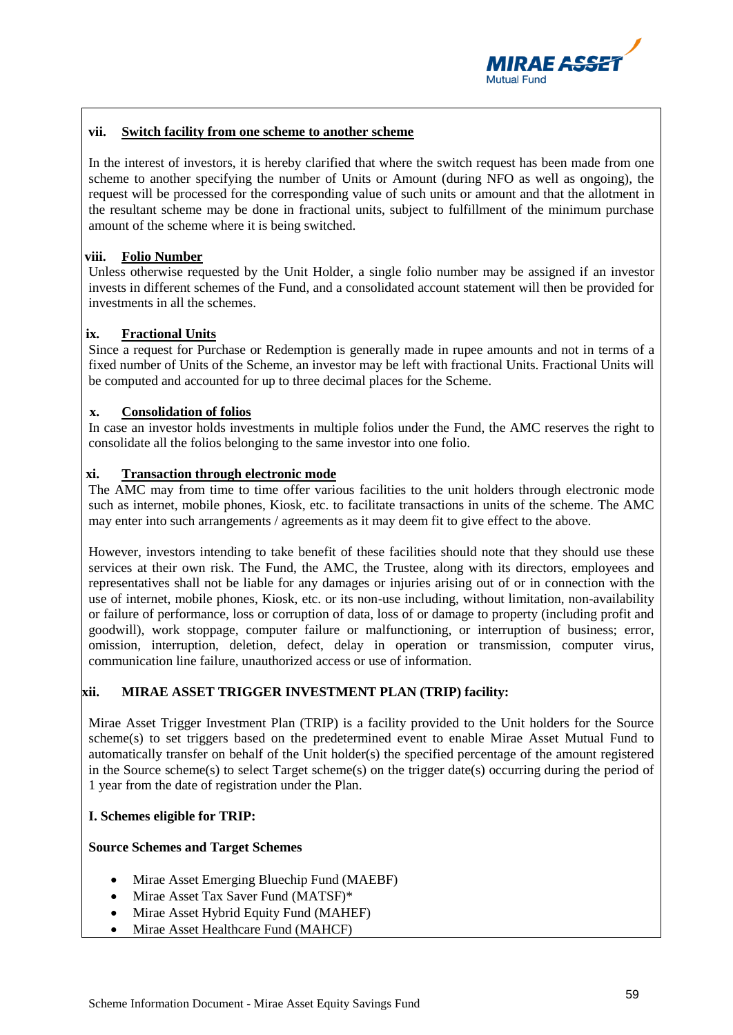

## **vii. Switch facility from one scheme to another scheme**

In the interest of investors, it is hereby clarified that where the switch request has been made from one scheme to another specifying the number of Units or Amount (during NFO as well as ongoing), the request will be processed for the corresponding value of such units or amount and that the allotment in the resultant scheme may be done in fractional units, subject to fulfillment of the minimum purchase amount of the scheme where it is being switched.

## **viii. Folio Number**

Unless otherwise requested by the Unit Holder, a single folio number may be assigned if an investor invests in different schemes of the Fund, and a consolidated account statement will then be provided for investments in all the schemes.

## **ix. Fractional Units**

Since a request for Purchase or Redemption is generally made in rupee amounts and not in terms of a fixed number of Units of the Scheme, an investor may be left with fractional Units. Fractional Units will be computed and accounted for up to three decimal places for the Scheme.

## **x. Consolidation of folios**

In case an investor holds investments in multiple folios under the Fund, the AMC reserves the right to consolidate all the folios belonging to the same investor into one folio.

## **xi. Transaction through electronic mode**

The AMC may from time to time offer various facilities to the unit holders through electronic mode such as internet, mobile phones, Kiosk, etc. to facilitate transactions in units of the scheme. The AMC may enter into such arrangements / agreements as it may deem fit to give effect to the above.

However, investors intending to take benefit of these facilities should note that they should use these services at their own risk. The Fund, the AMC, the Trustee, along with its directors, employees and representatives shall not be liable for any damages or injuries arising out of or in connection with the use of internet, mobile phones, Kiosk, etc. or its non-use including, without limitation, non-availability or failure of performance, loss or corruption of data, loss of or damage to property (including profit and goodwill), work stoppage, computer failure or malfunctioning, or interruption of business; error, omission, interruption, deletion, defect, delay in operation or transmission, computer virus, communication line failure, unauthorized access or use of information.

# **xii. MIRAE ASSET TRIGGER INVESTMENT PLAN (TRIP) facility:**

Mirae Asset Trigger Investment Plan (TRIP) is a facility provided to the Unit holders for the Source scheme(s) to set triggers based on the predetermined event to enable Mirae Asset Mutual Fund to automatically transfer on behalf of the Unit holder(s) the specified percentage of the amount registered in the Source scheme(s) to select Target scheme(s) on the trigger date(s) occurring during the period of 1 year from the date of registration under the Plan.

#### **I. Schemes eligible for TRIP:**

#### **Source Schemes and Target Schemes**

- Mirae Asset Emerging Bluechip Fund (MAEBF)
- Mirae Asset Tax Saver Fund (MATSF)\*
- Mirae Asset Hybrid Equity Fund (MAHEF)
- Mirae Asset Healthcare Fund (MAHCF)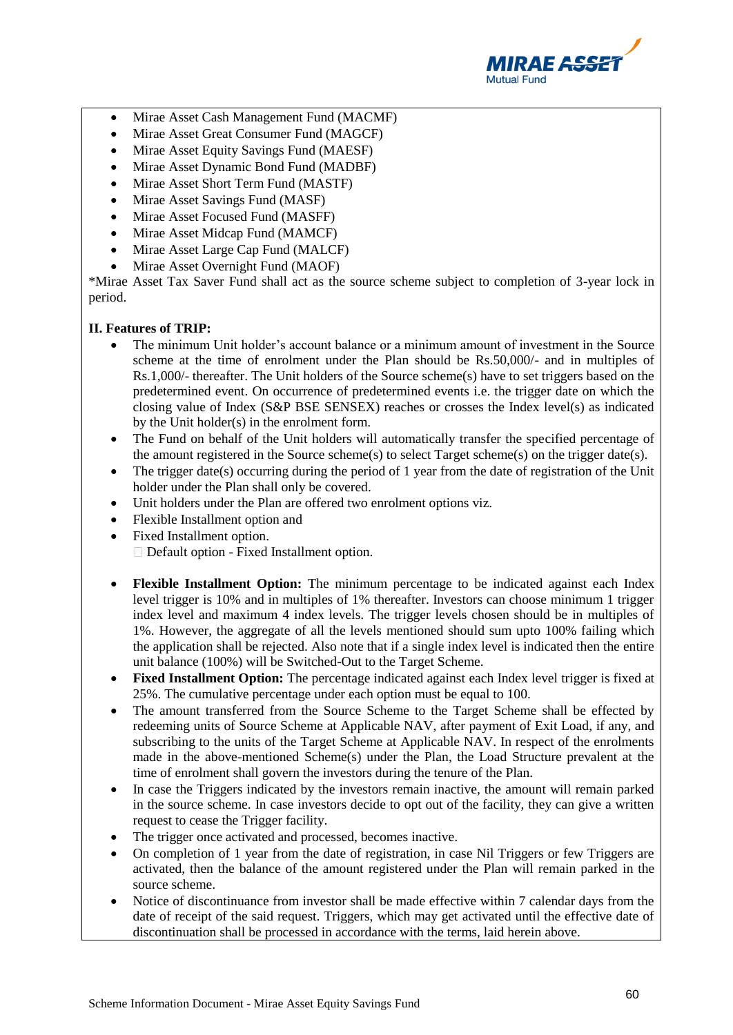

- Mirae Asset Cash Management Fund (MACMF)
- Mirae Asset Great Consumer Fund (MAGCF)
- Mirae Asset Equity Savings Fund (MAESF)
- Mirae Asset Dynamic Bond Fund (MADBF)
- Mirae Asset Short Term Fund (MASTF)
- Mirae Asset Savings Fund (MASF)
- Mirae Asset Focused Fund (MASFF)
- Mirae Asset Midcap Fund (MAMCF)
- Mirae Asset Large Cap Fund (MALCF)
- Mirae Asset Overnight Fund (MAOF)

\*Mirae Asset Tax Saver Fund shall act as the source scheme subject to completion of 3-year lock in period.

## **II. Features of TRIP:**

- The minimum Unit holder's account balance or a minimum amount of investment in the Source scheme at the time of enrolment under the Plan should be Rs.50,000/- and in multiples of Rs.1,000/- thereafter. The Unit holders of the Source scheme(s) have to set triggers based on the predetermined event. On occurrence of predetermined events i.e. the trigger date on which the closing value of Index (S&P BSE SENSEX) reaches or crosses the Index level(s) as indicated by the Unit holder(s) in the enrolment form.
- The Fund on behalf of the Unit holders will automatically transfer the specified percentage of the amount registered in the Source scheme(s) to select Target scheme(s) on the trigger date(s).
- The trigger date(s) occurring during the period of 1 year from the date of registration of the Unit holder under the Plan shall only be covered.
- Unit holders under the Plan are offered two enrolment options viz.
- Flexible Installment option and
- Fixed Installment option. Default option - Fixed Installment option.
- **Flexible Installment Option:** The minimum percentage to be indicated against each Index level trigger is 10% and in multiples of 1% thereafter. Investors can choose minimum 1 trigger index level and maximum 4 index levels. The trigger levels chosen should be in multiples of 1%. However, the aggregate of all the levels mentioned should sum upto 100% failing which the application shall be rejected. Also note that if a single index level is indicated then the entire unit balance (100%) will be Switched-Out to the Target Scheme.
- **Fixed Installment Option:** The percentage indicated against each Index level trigger is fixed at 25%. The cumulative percentage under each option must be equal to 100.
- The amount transferred from the Source Scheme to the Target Scheme shall be effected by redeeming units of Source Scheme at Applicable NAV, after payment of Exit Load, if any, and subscribing to the units of the Target Scheme at Applicable NAV. In respect of the enrolments made in the above-mentioned Scheme(s) under the Plan, the Load Structure prevalent at the time of enrolment shall govern the investors during the tenure of the Plan.
- In case the Triggers indicated by the investors remain inactive, the amount will remain parked in the source scheme. In case investors decide to opt out of the facility, they can give a written request to cease the Trigger facility.
- The trigger once activated and processed, becomes inactive.
- On completion of 1 year from the date of registration, in case Nil Triggers or few Triggers are activated, then the balance of the amount registered under the Plan will remain parked in the source scheme.
- Notice of discontinuance from investor shall be made effective within 7 calendar days from the date of receipt of the said request. Triggers, which may get activated until the effective date of discontinuation shall be processed in accordance with the terms, laid herein above.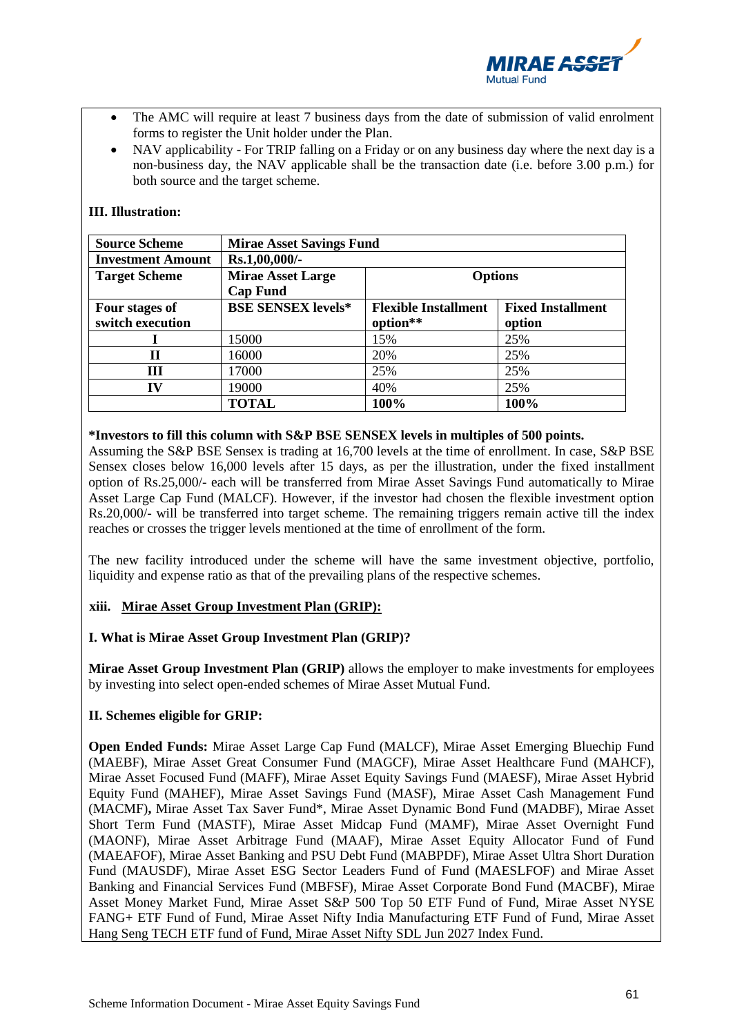

- The AMC will require at least 7 business days from the date of submission of valid enrolment forms to register the Unit holder under the Plan.
- NAV applicability For TRIP falling on a Friday or on any business day where the next day is a non-business day, the NAV applicable shall be the transaction date (i.e. before 3.00 p.m.) for both source and the target scheme.

## **III. Illustration:**

| <b>Source Scheme</b>               | <b>Mirae Asset Savings Fund</b>                               |                                         |                                    |  |
|------------------------------------|---------------------------------------------------------------|-----------------------------------------|------------------------------------|--|
| <b>Investment Amount</b>           | Rs.1,00,000/-                                                 |                                         |                                    |  |
| <b>Target Scheme</b>               | <b>Mirae Asset Large</b><br><b>Options</b><br><b>Cap Fund</b> |                                         |                                    |  |
| Four stages of<br>switch execution | <b>BSE SENSEX levels*</b>                                     | <b>Flexible Installment</b><br>option** | <b>Fixed Installment</b><br>option |  |
|                                    | 15000                                                         | 15%                                     | 25%                                |  |
| $\mathbf H$                        | 16000                                                         | 20%                                     | 25%                                |  |
| Ш                                  | 17000                                                         | 25%                                     | 25%                                |  |
| IV                                 | 19000                                                         | 40%                                     | 25%                                |  |
|                                    | <b>TOTAL</b>                                                  | 100%                                    | 100%                               |  |

## **\*Investors to fill this column with S&P BSE SENSEX levels in multiples of 500 points.**

Assuming the S&P BSE Sensex is trading at 16,700 levels at the time of enrollment. In case, S&P BSE Sensex closes below 16,000 levels after 15 days, as per the illustration, under the fixed installment option of Rs.25,000/- each will be transferred from Mirae Asset Savings Fund automatically to Mirae Asset Large Cap Fund (MALCF). However, if the investor had chosen the flexible investment option Rs.20,000/- will be transferred into target scheme. The remaining triggers remain active till the index reaches or crosses the trigger levels mentioned at the time of enrollment of the form.

The new facility introduced under the scheme will have the same investment objective, portfolio, liquidity and expense ratio as that of the prevailing plans of the respective schemes.

#### **xiii. Mirae Asset Group Investment Plan (GRIP):**

#### **I. What is Mirae Asset Group Investment Plan (GRIP)?**

**Mirae Asset Group Investment Plan (GRIP)** allows the employer to make investments for employees by investing into select open-ended schemes of Mirae Asset Mutual Fund.

#### **II. Schemes eligible for GRIP:**

**Open Ended Funds:** Mirae Asset Large Cap Fund (MALCF), Mirae Asset Emerging Bluechip Fund (MAEBF), Mirae Asset Great Consumer Fund (MAGCF), Mirae Asset Healthcare Fund (MAHCF), Mirae Asset Focused Fund (MAFF), Mirae Asset Equity Savings Fund (MAESF), Mirae Asset Hybrid Equity Fund (MAHEF), Mirae Asset Savings Fund (MASF), Mirae Asset Cash Management Fund (MACMF)**,** Mirae Asset Tax Saver Fund\*, Mirae Asset Dynamic Bond Fund (MADBF), Mirae Asset Short Term Fund (MASTF), Mirae Asset Midcap Fund (MAMF), Mirae Asset Overnight Fund (MAONF), Mirae Asset Arbitrage Fund (MAAF), Mirae Asset Equity Allocator Fund of Fund (MAEAFOF), Mirae Asset Banking and PSU Debt Fund (MABPDF), Mirae Asset Ultra Short Duration Fund (MAUSDF), Mirae Asset ESG Sector Leaders Fund of Fund (MAESLFOF) and Mirae Asset Banking and Financial Services Fund (MBFSF), Mirae Asset Corporate Bond Fund (MACBF), Mirae Asset Money Market Fund, Mirae Asset S&P 500 Top 50 ETF Fund of Fund, Mirae Asset NYSE FANG+ ETF Fund of Fund, Mirae Asset Nifty India Manufacturing ETF Fund of Fund, Mirae Asset Hang Seng TECH ETF fund of Fund, Mirae Asset Nifty SDL Jun 2027 Index Fund.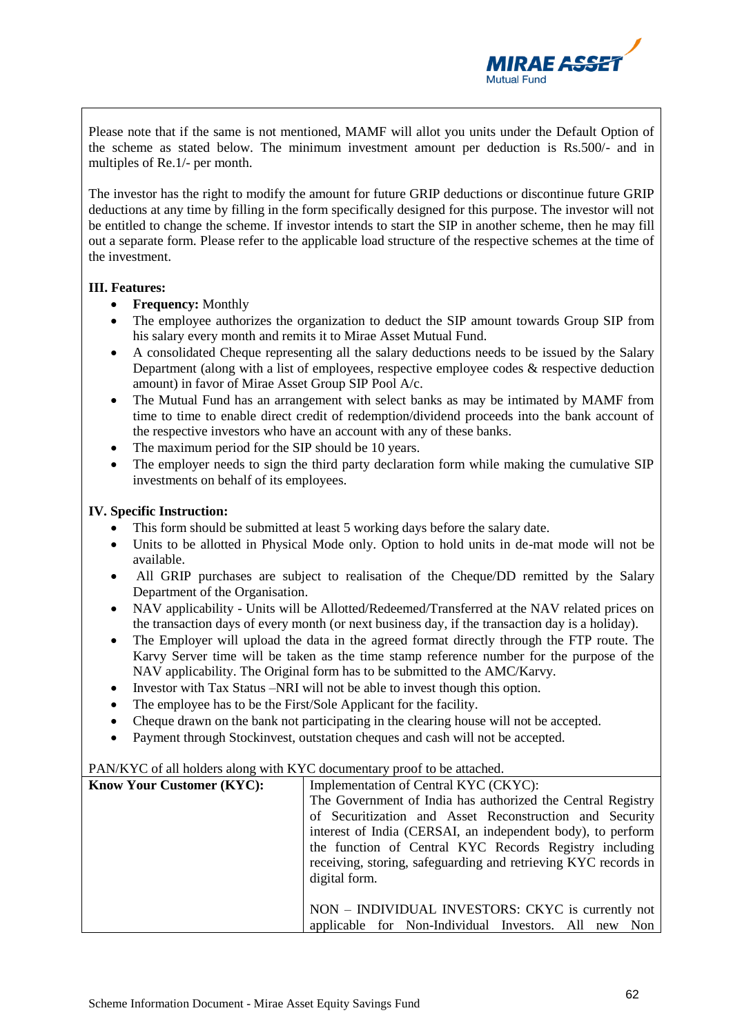

Please note that if the same is not mentioned, MAMF will allot you units under the Default Option of the scheme as stated below. The minimum investment amount per deduction is Rs.500/- and in multiples of Re.1/- per month.

The investor has the right to modify the amount for future GRIP deductions or discontinue future GRIP deductions at any time by filling in the form specifically designed for this purpose. The investor will not be entitled to change the scheme. If investor intends to start the SIP in another scheme, then he may fill out a separate form. Please refer to the applicable load structure of the respective schemes at the time of the investment.

## **III. Features:**

- **Frequency:** Monthly
- The employee authorizes the organization to deduct the SIP amount towards Group SIP from his salary every month and remits it to Mirae Asset Mutual Fund.
- A consolidated Cheque representing all the salary deductions needs to be issued by the Salary Department (along with a list of employees, respective employee codes & respective deduction amount) in favor of Mirae Asset Group SIP Pool A/c.
- The Mutual Fund has an arrangement with select banks as may be intimated by MAMF from time to time to enable direct credit of redemption/dividend proceeds into the bank account of the respective investors who have an account with any of these banks.
- The maximum period for the SIP should be 10 years.
- The employer needs to sign the third party declaration form while making the cumulative SIP investments on behalf of its employees.

## **IV. Specific Instruction:**

- This form should be submitted at least 5 working days before the salary date.
- Units to be allotted in Physical Mode only. Option to hold units in de-mat mode will not be available.
- All GRIP purchases are subject to realisation of the Cheque/DD remitted by the Salary Department of the Organisation.
- NAV applicability Units will be Allotted/Redeemed/Transferred at the NAV related prices on the transaction days of every month (or next business day, if the transaction day is a holiday).
- The Employer will upload the data in the agreed format directly through the FTP route. The Karvy Server time will be taken as the time stamp reference number for the purpose of the NAV applicability. The Original form has to be submitted to the AMC/Karvy.

interest of India (CERSAI, an independent body), to perform the function of Central KYC Records Registry including receiving, storing, safeguarding and retrieving KYC records in

NON – INDIVIDUAL INVESTORS: CKYC is currently not applicable for Non-Individual Investors. All new Non

- Investor with Tax Status –NRI will not be able to invest though this option.
- The employee has to be the First/Sole Applicant for the facility.
- Cheque drawn on the bank not participating in the clearing house will not be accepted.
- Payment through Stockinvest, outstation cheques and cash will not be accepted.

| $\Box$ ATVINT C of all holders along with NTC documentaly proof to be attached. |                                                             |  |  |
|---------------------------------------------------------------------------------|-------------------------------------------------------------|--|--|
| <b>Know Your Customer (KYC):</b>                                                | Implementation of Central KYC (CKYC):                       |  |  |
|                                                                                 | The Government of India has authorized the Central Registry |  |  |
|                                                                                 | of Securitization and Asset Reconstruction and Security     |  |  |

digital form.

#### PAN/KYC of all holders along with KYC documentary proof to be attached.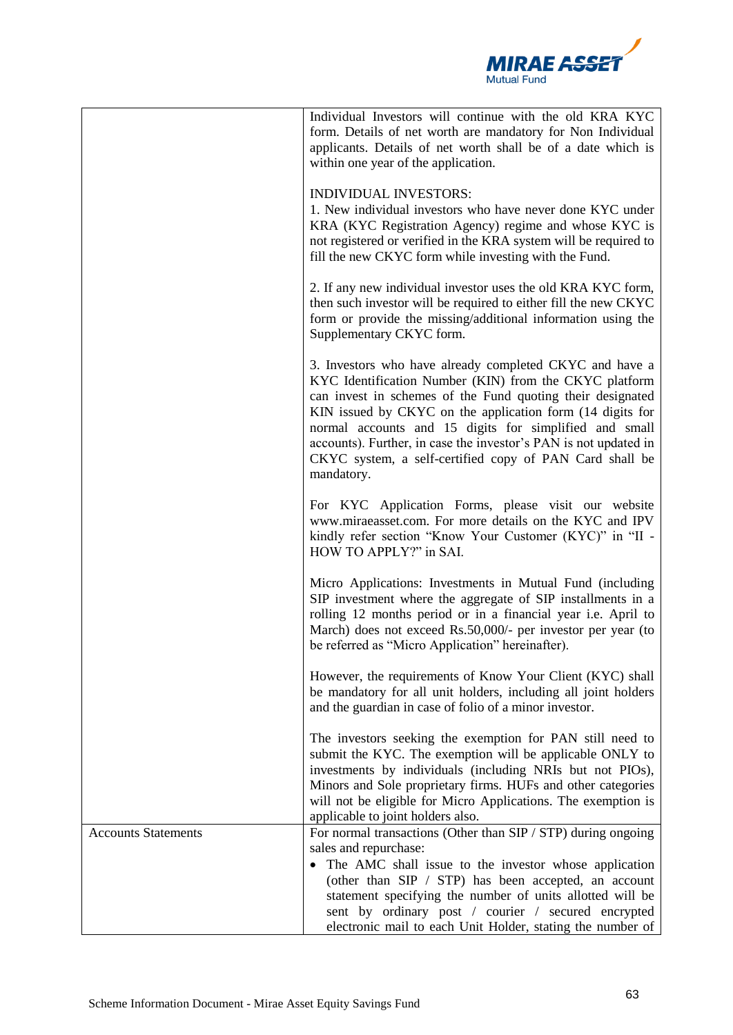

|                            | Individual Investors will continue with the old KRA KYC<br>form. Details of net worth are mandatory for Non Individual<br>applicants. Details of net worth shall be of a date which is<br>within one year of the application.                                                                                                                                                                                                                       |
|----------------------------|-----------------------------------------------------------------------------------------------------------------------------------------------------------------------------------------------------------------------------------------------------------------------------------------------------------------------------------------------------------------------------------------------------------------------------------------------------|
|                            | <b>INDIVIDUAL INVESTORS:</b><br>1. New individual investors who have never done KYC under<br>KRA (KYC Registration Agency) regime and whose KYC is<br>not registered or verified in the KRA system will be required to<br>fill the new CKYC form while investing with the Fund.                                                                                                                                                                     |
|                            | 2. If any new individual investor uses the old KRA KYC form,<br>then such investor will be required to either fill the new CKYC<br>form or provide the missing/additional information using the<br>Supplementary CKYC form.                                                                                                                                                                                                                         |
|                            | 3. Investors who have already completed CKYC and have a<br>KYC Identification Number (KIN) from the CKYC platform<br>can invest in schemes of the Fund quoting their designated<br>KIN issued by CKYC on the application form (14 digits for<br>normal accounts and 15 digits for simplified and small<br>accounts). Further, in case the investor's PAN is not updated in<br>CKYC system, a self-certified copy of PAN Card shall be<br>mandatory. |
|                            | For KYC Application Forms, please visit our website<br>www.miraeasset.com. For more details on the KYC and IPV<br>kindly refer section "Know Your Customer (KYC)" in "II -<br>HOW TO APPLY?" in SAI.                                                                                                                                                                                                                                                |
|                            | Micro Applications: Investments in Mutual Fund (including<br>SIP investment where the aggregate of SIP installments in a<br>rolling 12 months period or in a financial year i.e. April to<br>March) does not exceed Rs.50,000/- per investor per year (to<br>be referred as "Micro Application" hereinafter).                                                                                                                                       |
|                            | However, the requirements of Know Your Client (KYC) shall<br>be mandatory for all unit holders, including all joint holders<br>and the guardian in case of folio of a minor investor.                                                                                                                                                                                                                                                               |
|                            | The investors seeking the exemption for PAN still need to<br>submit the KYC. The exemption will be applicable ONLY to<br>investments by individuals (including NRIs but not PIOs),<br>Minors and Sole proprietary firms. HUFs and other categories<br>will not be eligible for Micro Applications. The exemption is<br>applicable to joint holders also.                                                                                            |
| <b>Accounts Statements</b> | For normal transactions (Other than SIP / STP) during ongoing<br>sales and repurchase:<br>• The AMC shall issue to the investor whose application<br>(other than SIP / STP) has been accepted, an account<br>statement specifying the number of units allotted will be<br>sent by ordinary post / courier / secured encrypted<br>electronic mail to each Unit Holder, stating the number of                                                         |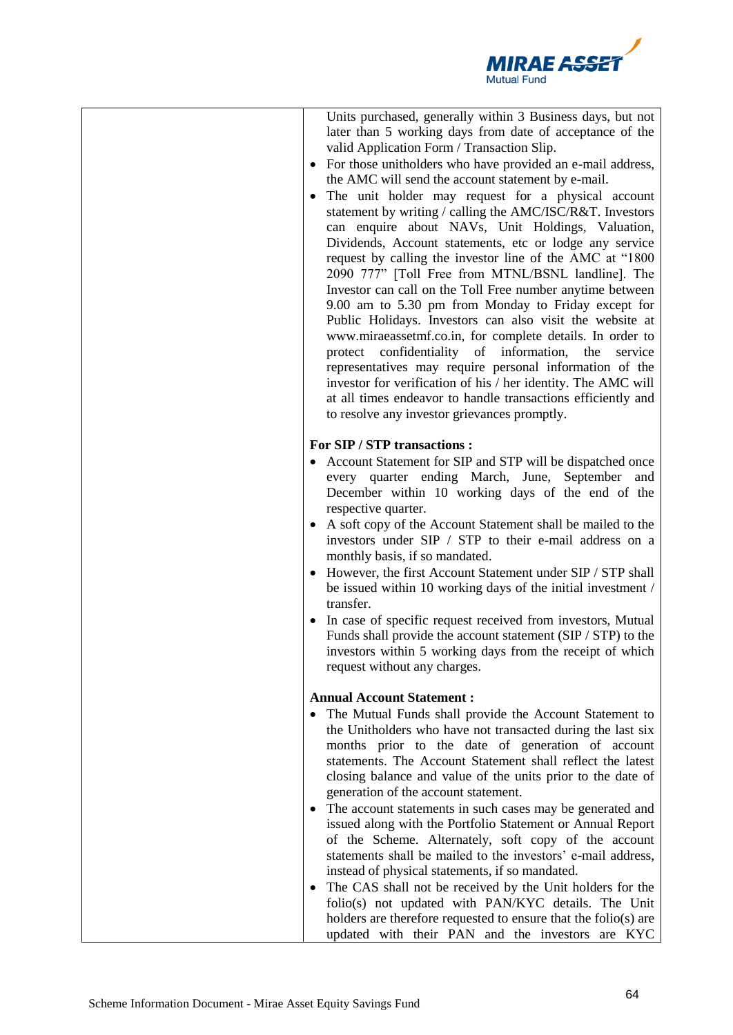

| Units purchased, generally within 3 Business days, but not<br>later than 5 working days from date of acceptance of the<br>valid Application Form / Transaction Slip.<br>• For those unitholders who have provided an e-mail address,<br>the AMC will send the account statement by e-mail.<br>The unit holder may request for a physical account<br>statement by writing / calling the AMC/ISC/R&T. Investors<br>can enquire about NAVs, Unit Holdings, Valuation,<br>Dividends, Account statements, etc or lodge any service<br>request by calling the investor line of the AMC at "1800"<br>2090 777" [Toll Free from MTNL/BSNL landline]. The<br>Investor can call on the Toll Free number anytime between<br>9.00 am to 5.30 pm from Monday to Friday except for<br>Public Holidays. Investors can also visit the website at<br>www.miraeassetmf.co.in, for complete details. In order to<br>protect confidentiality of information, the<br>service<br>representatives may require personal information of the<br>investor for verification of his / her identity. The AMC will<br>at all times endeavor to handle transactions efficiently and<br>to resolve any investor grievances promptly. |
|-----------------------------------------------------------------------------------------------------------------------------------------------------------------------------------------------------------------------------------------------------------------------------------------------------------------------------------------------------------------------------------------------------------------------------------------------------------------------------------------------------------------------------------------------------------------------------------------------------------------------------------------------------------------------------------------------------------------------------------------------------------------------------------------------------------------------------------------------------------------------------------------------------------------------------------------------------------------------------------------------------------------------------------------------------------------------------------------------------------------------------------------------------------------------------------------------------|
| For SIP / STP transactions :<br>• Account Statement for SIP and STP will be dispatched once<br>every quarter ending March, June, September<br>and<br>December within 10 working days of the end of the<br>respective quarter.<br>• A soft copy of the Account Statement shall be mailed to the<br>investors under SIP / STP to their e-mail address on a<br>monthly basis, if so mandated.<br>• However, the first Account Statement under SIP / STP shall<br>be issued within 10 working days of the initial investment /<br>transfer.<br>• In case of specific request received from investors, Mutual<br>Funds shall provide the account statement (SIP / STP) to the<br>investors within 5 working days from the receipt of which<br>request without any charges.                                                                                                                                                                                                                                                                                                                                                                                                                               |
| <b>Annual Account Statement:</b><br>The Mutual Funds shall provide the Account Statement to<br>the Unitholders who have not transacted during the last six<br>months prior to the date of generation of account<br>statements. The Account Statement shall reflect the latest<br>closing balance and value of the units prior to the date of<br>generation of the account statement.<br>• The account statements in such cases may be generated and<br>issued along with the Portfolio Statement or Annual Report<br>of the Scheme. Alternately, soft copy of the account<br>statements shall be mailed to the investors' e-mail address,<br>instead of physical statements, if so mandated.<br>The CAS shall not be received by the Unit holders for the<br>folio(s) not updated with PAN/KYC details. The Unit<br>holders are therefore requested to ensure that the folio(s) are<br>updated with their PAN and the investors are KYC                                                                                                                                                                                                                                                             |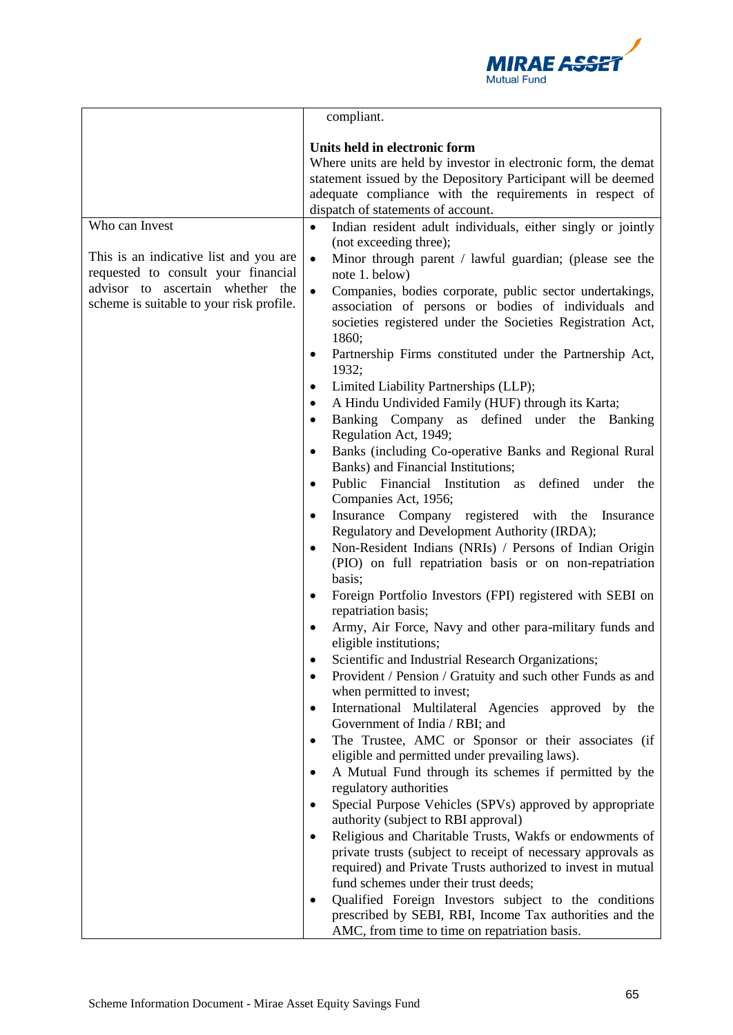

|                                                                                                                                                               | compliant.                                                                                                                                                                                                                                                                                                                                                                                                                                                                                                                                                                                                                                                                                                                                                                                                                                                                                                                                                                                                                                                                                                                                                                                                                                                                                                                                                                                                                                                                                                                                                                                                                                                                                                                                                                                                                                                                                                                                                                                                                                                                                                       |
|---------------------------------------------------------------------------------------------------------------------------------------------------------------|------------------------------------------------------------------------------------------------------------------------------------------------------------------------------------------------------------------------------------------------------------------------------------------------------------------------------------------------------------------------------------------------------------------------------------------------------------------------------------------------------------------------------------------------------------------------------------------------------------------------------------------------------------------------------------------------------------------------------------------------------------------------------------------------------------------------------------------------------------------------------------------------------------------------------------------------------------------------------------------------------------------------------------------------------------------------------------------------------------------------------------------------------------------------------------------------------------------------------------------------------------------------------------------------------------------------------------------------------------------------------------------------------------------------------------------------------------------------------------------------------------------------------------------------------------------------------------------------------------------------------------------------------------------------------------------------------------------------------------------------------------------------------------------------------------------------------------------------------------------------------------------------------------------------------------------------------------------------------------------------------------------------------------------------------------------------------------------------------------------|
|                                                                                                                                                               | Units held in electronic form<br>Where units are held by investor in electronic form, the demat<br>statement issued by the Depository Participant will be deemed<br>adequate compliance with the requirements in respect of<br>dispatch of statements of account.                                                                                                                                                                                                                                                                                                                                                                                                                                                                                                                                                                                                                                                                                                                                                                                                                                                                                                                                                                                                                                                                                                                                                                                                                                                                                                                                                                                                                                                                                                                                                                                                                                                                                                                                                                                                                                                |
| Who can Invest                                                                                                                                                | Indian resident adult individuals, either singly or jointly<br>$\bullet$                                                                                                                                                                                                                                                                                                                                                                                                                                                                                                                                                                                                                                                                                                                                                                                                                                                                                                                                                                                                                                                                                                                                                                                                                                                                                                                                                                                                                                                                                                                                                                                                                                                                                                                                                                                                                                                                                                                                                                                                                                         |
| This is an indicative list and you are<br>requested to consult your financial<br>advisor to ascertain whether the<br>scheme is suitable to your risk profile. | (not exceeding three);<br>$\bullet$<br>Minor through parent / lawful guardian; (please see the<br>note 1. below)<br>Companies, bodies corporate, public sector undertakings,<br>$\bullet$<br>association of persons or bodies of individuals and<br>societies registered under the Societies Registration Act,<br>1860;<br>Partnership Firms constituted under the Partnership Act,<br>1932;<br>Limited Liability Partnerships (LLP);<br>$\bullet$<br>A Hindu Undivided Family (HUF) through its Karta;<br>$\bullet$<br>Banking Company as defined under the Banking<br>$\bullet$<br>Regulation Act, 1949;<br>Banks (including Co-operative Banks and Regional Rural<br>Banks) and Financial Institutions;<br>Public Financial Institution as defined under the<br>Companies Act, 1956;<br>Insurance Company registered with the Insurance<br>$\bullet$<br>Regulatory and Development Authority (IRDA);<br>Non-Resident Indians (NRIs) / Persons of Indian Origin<br>$\bullet$<br>(PIO) on full repatriation basis or on non-repatriation<br>basis;<br>Foreign Portfolio Investors (FPI) registered with SEBI on<br>$\bullet$<br>repatriation basis;<br>Army, Air Force, Navy and other para-military funds and<br>eligible institutions;<br>Scientific and Industrial Research Organizations;<br>Provident / Pension / Gratuity and such other Funds as and<br>when permitted to invest;<br>International Multilateral Agencies approved by the<br>$\bullet$<br>Government of India / RBI; and<br>The Trustee, AMC or Sponsor or their associates (if<br>eligible and permitted under prevailing laws).<br>A Mutual Fund through its schemes if permitted by the<br>$\bullet$<br>regulatory authorities<br>Special Purpose Vehicles (SPVs) approved by appropriate<br>authority (subject to RBI approval)<br>Religious and Charitable Trusts, Wakfs or endowments of<br>٠<br>private trusts (subject to receipt of necessary approvals as<br>required) and Private Trusts authorized to invest in mutual<br>fund schemes under their trust deeds;<br>Qualified Foreign Investors subject to the conditions<br>٠ |
|                                                                                                                                                               | prescribed by SEBI, RBI, Income Tax authorities and the<br>AMC, from time to time on repatriation basis.                                                                                                                                                                                                                                                                                                                                                                                                                                                                                                                                                                                                                                                                                                                                                                                                                                                                                                                                                                                                                                                                                                                                                                                                                                                                                                                                                                                                                                                                                                                                                                                                                                                                                                                                                                                                                                                                                                                                                                                                         |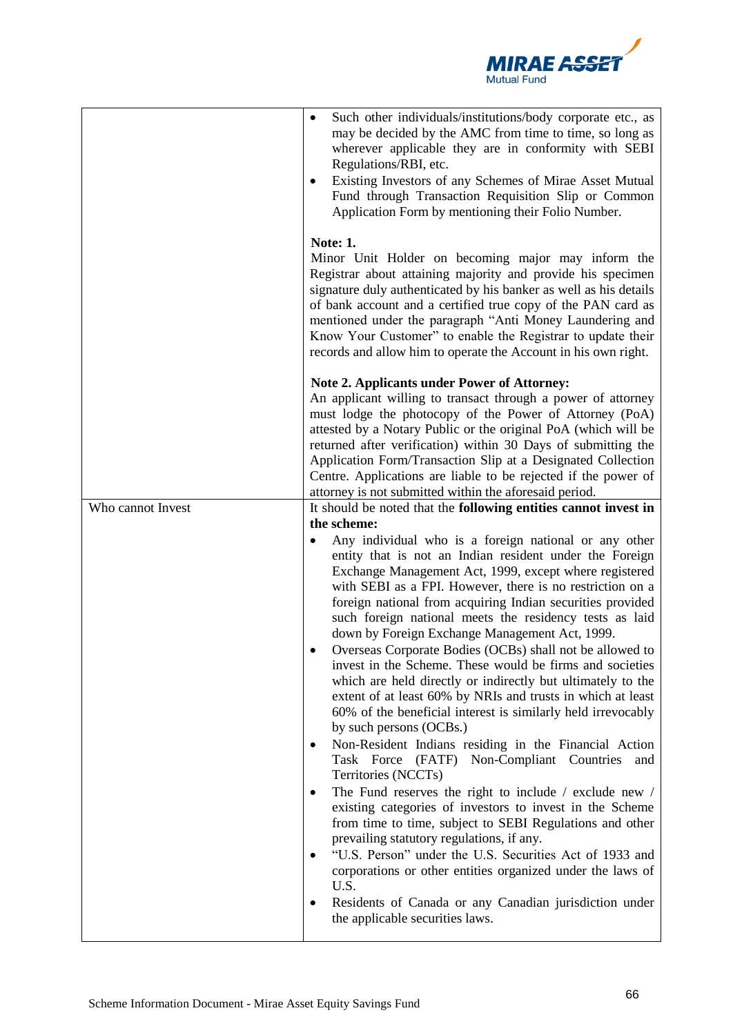

|                   | Such other individuals/institutions/body corporate etc., as<br>$\bullet$<br>may be decided by the AMC from time to time, so long as<br>wherever applicable they are in conformity with SEBI<br>Regulations/RBI, etc.<br>Existing Investors of any Schemes of Mirae Asset Mutual<br>Fund through Transaction Requisition Slip or Common<br>Application Form by mentioning their Folio Number.                                                                                                                                                                                                                                                                                                                                                                                                                                                                                                                                                                                                                                                                                                                                                                                                                                                                                                                                                                |
|-------------------|-------------------------------------------------------------------------------------------------------------------------------------------------------------------------------------------------------------------------------------------------------------------------------------------------------------------------------------------------------------------------------------------------------------------------------------------------------------------------------------------------------------------------------------------------------------------------------------------------------------------------------------------------------------------------------------------------------------------------------------------------------------------------------------------------------------------------------------------------------------------------------------------------------------------------------------------------------------------------------------------------------------------------------------------------------------------------------------------------------------------------------------------------------------------------------------------------------------------------------------------------------------------------------------------------------------------------------------------------------------|
|                   | <b>Note: 1.</b><br>Minor Unit Holder on becoming major may inform the<br>Registrar about attaining majority and provide his specimen<br>signature duly authenticated by his banker as well as his details<br>of bank account and a certified true copy of the PAN card as<br>mentioned under the paragraph "Anti Money Laundering and<br>Know Your Customer" to enable the Registrar to update their<br>records and allow him to operate the Account in his own right.                                                                                                                                                                                                                                                                                                                                                                                                                                                                                                                                                                                                                                                                                                                                                                                                                                                                                      |
|                   | <b>Note 2. Applicants under Power of Attorney:</b><br>An applicant willing to transact through a power of attorney<br>must lodge the photocopy of the Power of Attorney (PoA)<br>attested by a Notary Public or the original PoA (which will be<br>returned after verification) within 30 Days of submitting the<br>Application Form/Transaction Slip at a Designated Collection<br>Centre. Applications are liable to be rejected if the power of<br>attorney is not submitted within the aforesaid period.                                                                                                                                                                                                                                                                                                                                                                                                                                                                                                                                                                                                                                                                                                                                                                                                                                                |
| Who cannot Invest | It should be noted that the following entities cannot invest in<br>the scheme:<br>Any individual who is a foreign national or any other<br>entity that is not an Indian resident under the Foreign<br>Exchange Management Act, 1999, except where registered<br>with SEBI as a FPI. However, there is no restriction on a<br>foreign national from acquiring Indian securities provided<br>such foreign national meets the residency tests as laid<br>down by Foreign Exchange Management Act, 1999.<br>Overseas Corporate Bodies (OCBs) shall not be allowed to<br>invest in the Scheme. These would be firms and societies<br>which are held directly or indirectly but ultimately to the<br>extent of at least 60% by NRIs and trusts in which at least<br>60% of the beneficial interest is similarly held irrevocably<br>by such persons (OCBs.)<br>Non-Resident Indians residing in the Financial Action<br>٠<br>Task Force (FATF) Non-Compliant Countries<br>and<br>Territories (NCCTs)<br>The Fund reserves the right to include / exclude new /<br>٠<br>existing categories of investors to invest in the Scheme<br>from time to time, subject to SEBI Regulations and other<br>prevailing statutory regulations, if any.<br>"U.S. Person" under the U.S. Securities Act of 1933 and<br>corporations or other entities organized under the laws of |
|                   | U.S.<br>Residents of Canada or any Canadian jurisdiction under<br>the applicable securities laws.                                                                                                                                                                                                                                                                                                                                                                                                                                                                                                                                                                                                                                                                                                                                                                                                                                                                                                                                                                                                                                                                                                                                                                                                                                                           |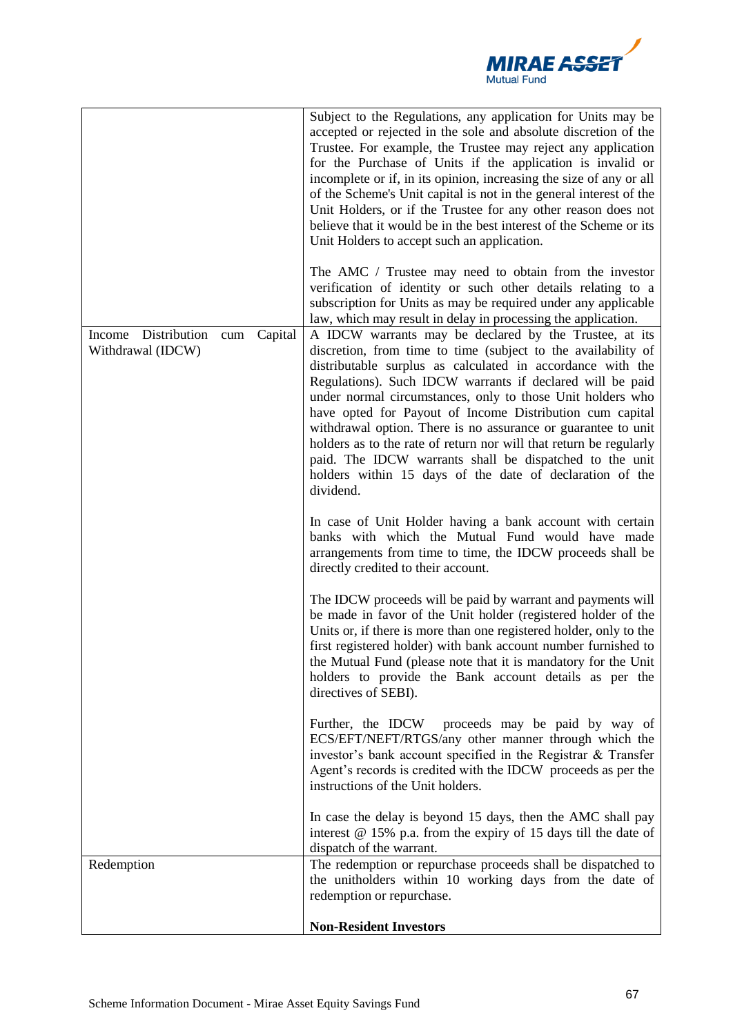

|                                                                                                                                                 | Subject to the Regulations, any application for Units may be<br>accepted or rejected in the sole and absolute discretion of the<br>Trustee. For example, the Trustee may reject any application<br>for the Purchase of Units if the application is invalid or<br>incomplete or if, in its opinion, increasing the size of any or all<br>of the Scheme's Unit capital is not in the general interest of the<br>Unit Holders, or if the Trustee for any other reason does not<br>believe that it would be in the best interest of the Scheme or its<br>Unit Holders to accept such an application.<br>The AMC / Trustee may need to obtain from the investor<br>verification of identity or such other details relating to a<br>subscription for Units as may be required under any applicable<br>law, which may result in delay in processing the application. |
|-------------------------------------------------------------------------------------------------------------------------------------------------|---------------------------------------------------------------------------------------------------------------------------------------------------------------------------------------------------------------------------------------------------------------------------------------------------------------------------------------------------------------------------------------------------------------------------------------------------------------------------------------------------------------------------------------------------------------------------------------------------------------------------------------------------------------------------------------------------------------------------------------------------------------------------------------------------------------------------------------------------------------|
| Income Distribution<br>Capital<br>$\operatorname*{cum}% \left( \mathcal{M}\right) \equiv\operatorname*{curl}(\mathcal{M})$<br>Withdrawal (IDCW) | A IDCW warrants may be declared by the Trustee, at its<br>discretion, from time to time (subject to the availability of<br>distributable surplus as calculated in accordance with the<br>Regulations). Such IDCW warrants if declared will be paid<br>under normal circumstances, only to those Unit holders who<br>have opted for Payout of Income Distribution cum capital<br>withdrawal option. There is no assurance or guarantee to unit<br>holders as to the rate of return nor will that return be regularly<br>paid. The IDCW warrants shall be dispatched to the unit<br>holders within 15 days of the date of declaration of the<br>dividend.                                                                                                                                                                                                       |
|                                                                                                                                                 | In case of Unit Holder having a bank account with certain<br>banks with which the Mutual Fund would have made<br>arrangements from time to time, the IDCW proceeds shall be<br>directly credited to their account.                                                                                                                                                                                                                                                                                                                                                                                                                                                                                                                                                                                                                                            |
|                                                                                                                                                 | The IDCW proceeds will be paid by warrant and payments will<br>be made in favor of the Unit holder (registered holder of the<br>Units or, if there is more than one registered holder, only to the<br>first registered holder) with bank account number furnished to<br>the Mutual Fund (please note that it is mandatory for the Unit<br>holders to provide the Bank account details as per the<br>directives of SEBI).                                                                                                                                                                                                                                                                                                                                                                                                                                      |
|                                                                                                                                                 | Further, the IDCW proceeds may be paid by way of<br>ECS/EFT/NEFT/RTGS/any other manner through which the<br>investor's bank account specified in the Registrar & Transfer<br>Agent's records is credited with the IDCW proceeds as per the<br>instructions of the Unit holders.                                                                                                                                                                                                                                                                                                                                                                                                                                                                                                                                                                               |
|                                                                                                                                                 | In case the delay is beyond 15 days, then the AMC shall pay<br>interest $@$ 15% p.a. from the expiry of 15 days till the date of<br>dispatch of the warrant.                                                                                                                                                                                                                                                                                                                                                                                                                                                                                                                                                                                                                                                                                                  |
| Redemption                                                                                                                                      | The redemption or repurchase proceeds shall be dispatched to<br>the unitholders within 10 working days from the date of<br>redemption or repurchase.                                                                                                                                                                                                                                                                                                                                                                                                                                                                                                                                                                                                                                                                                                          |
|                                                                                                                                                 | <b>Non-Resident Investors</b>                                                                                                                                                                                                                                                                                                                                                                                                                                                                                                                                                                                                                                                                                                                                                                                                                                 |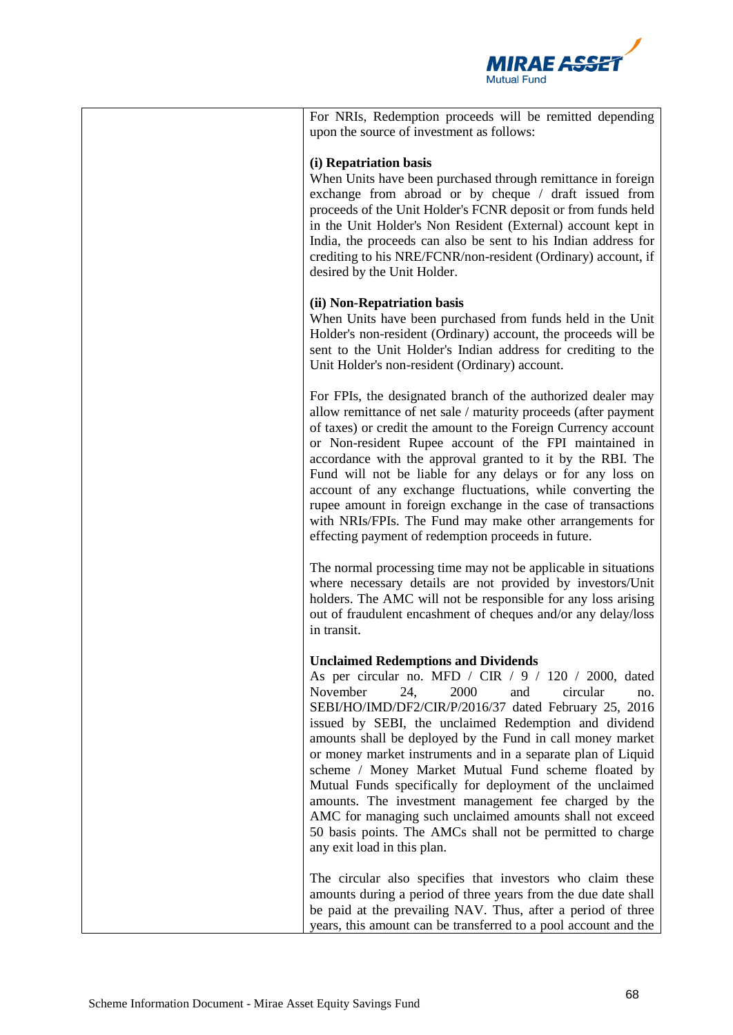

| For NRIs, Redemption proceeds will be remitted depending<br>upon the source of investment as follows:                                                                                                                                                                                                                                                                                                                                                                                                                                                                                                                                                                                                                                          |
|------------------------------------------------------------------------------------------------------------------------------------------------------------------------------------------------------------------------------------------------------------------------------------------------------------------------------------------------------------------------------------------------------------------------------------------------------------------------------------------------------------------------------------------------------------------------------------------------------------------------------------------------------------------------------------------------------------------------------------------------|
| (i) Repatriation basis<br>When Units have been purchased through remittance in foreign<br>exchange from abroad or by cheque / draft issued from<br>proceeds of the Unit Holder's FCNR deposit or from funds held<br>in the Unit Holder's Non Resident (External) account kept in<br>India, the proceeds can also be sent to his Indian address for<br>crediting to his NRE/FCNR/non-resident (Ordinary) account, if<br>desired by the Unit Holder.                                                                                                                                                                                                                                                                                             |
| (ii) Non-Repatriation basis<br>When Units have been purchased from funds held in the Unit<br>Holder's non-resident (Ordinary) account, the proceeds will be<br>sent to the Unit Holder's Indian address for crediting to the<br>Unit Holder's non-resident (Ordinary) account.                                                                                                                                                                                                                                                                                                                                                                                                                                                                 |
| For FPIs, the designated branch of the authorized dealer may<br>allow remittance of net sale / maturity proceeds (after payment<br>of taxes) or credit the amount to the Foreign Currency account<br>or Non-resident Rupee account of the FPI maintained in<br>accordance with the approval granted to it by the RBI. The<br>Fund will not be liable for any delays or for any loss on<br>account of any exchange fluctuations, while converting the<br>rupee amount in foreign exchange in the case of transactions<br>with NRIs/FPIs. The Fund may make other arrangements for<br>effecting payment of redemption proceeds in future.                                                                                                        |
| The normal processing time may not be applicable in situations<br>where necessary details are not provided by investors/Unit<br>holders. The AMC will not be responsible for any loss arising<br>out of fraudulent encashment of cheques and/or any delay/loss<br>in transit.                                                                                                                                                                                                                                                                                                                                                                                                                                                                  |
| <b>Unclaimed Redemptions and Dividends</b><br>As per circular no. MFD / CIR / 9 / 120 / 2000, dated<br>November<br>24,<br>2000<br>and<br>circular<br>no.<br>SEBI/HO/IMD/DF2/CIR/P/2016/37 dated February 25, 2016<br>issued by SEBI, the unclaimed Redemption and dividend<br>amounts shall be deployed by the Fund in call money market<br>or money market instruments and in a separate plan of Liquid<br>scheme / Money Market Mutual Fund scheme floated by<br>Mutual Funds specifically for deployment of the unclaimed<br>amounts. The investment management fee charged by the<br>AMC for managing such unclaimed amounts shall not exceed<br>50 basis points. The AMCs shall not be permitted to charge<br>any exit load in this plan. |
| The circular also specifies that investors who claim these<br>amounts during a period of three years from the due date shall<br>be paid at the prevailing NAV. Thus, after a period of three<br>years, this amount can be transferred to a pool account and the                                                                                                                                                                                                                                                                                                                                                                                                                                                                                |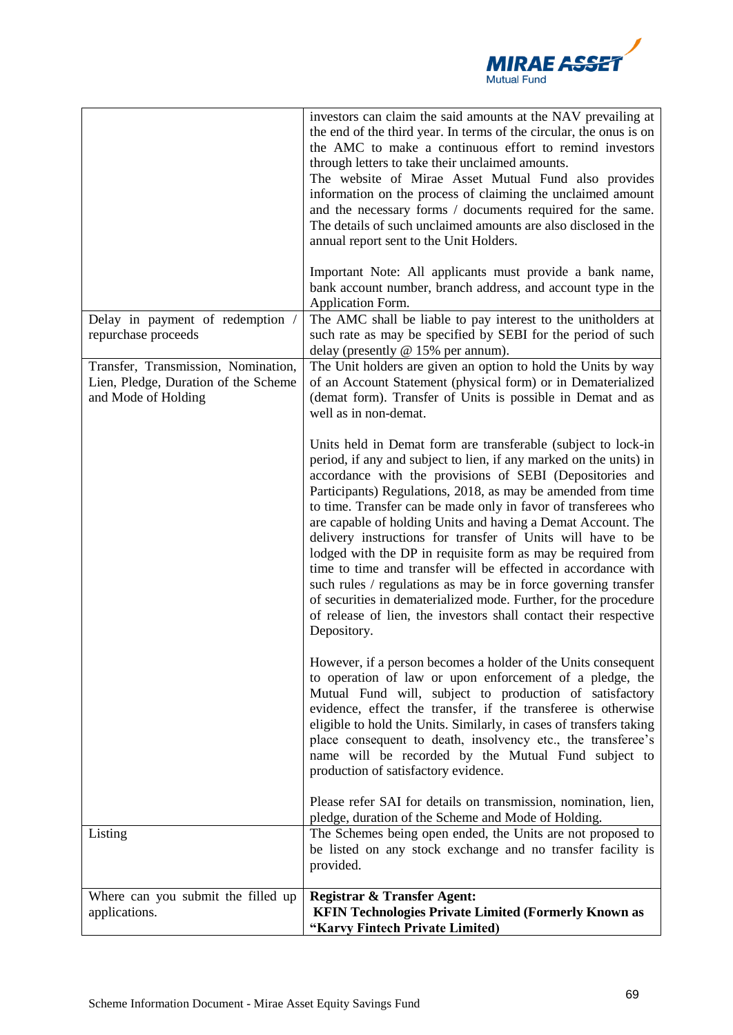

|                                                                                                    | investors can claim the said amounts at the NAV prevailing at<br>the end of the third year. In terms of the circular, the onus is on<br>the AMC to make a continuous effort to remind investors<br>through letters to take their unclaimed amounts.<br>The website of Mirae Asset Mutual Fund also provides<br>information on the process of claiming the unclaimed amount<br>and the necessary forms / documents required for the same.<br>The details of such unclaimed amounts are also disclosed in the<br>annual report sent to the Unit Holders.<br>Important Note: All applicants must provide a bank name,<br>bank account number, branch address, and account type in the                                                                                                                                         |
|----------------------------------------------------------------------------------------------------|----------------------------------------------------------------------------------------------------------------------------------------------------------------------------------------------------------------------------------------------------------------------------------------------------------------------------------------------------------------------------------------------------------------------------------------------------------------------------------------------------------------------------------------------------------------------------------------------------------------------------------------------------------------------------------------------------------------------------------------------------------------------------------------------------------------------------|
|                                                                                                    | Application Form.                                                                                                                                                                                                                                                                                                                                                                                                                                                                                                                                                                                                                                                                                                                                                                                                          |
| Delay in payment of redemption /<br>repurchase proceeds                                            | The AMC shall be liable to pay interest to the unitholders at<br>such rate as may be specified by SEBI for the period of such<br>delay (presently @ 15% per annum).                                                                                                                                                                                                                                                                                                                                                                                                                                                                                                                                                                                                                                                        |
| Transfer, Transmission, Nomination,<br>Lien, Pledge, Duration of the Scheme<br>and Mode of Holding | The Unit holders are given an option to hold the Units by way<br>of an Account Statement (physical form) or in Dematerialized<br>(demat form). Transfer of Units is possible in Demat and as<br>well as in non-demat.                                                                                                                                                                                                                                                                                                                                                                                                                                                                                                                                                                                                      |
|                                                                                                    | Units held in Demat form are transferable (subject to lock-in<br>period, if any and subject to lien, if any marked on the units) in<br>accordance with the provisions of SEBI (Depositories and<br>Participants) Regulations, 2018, as may be amended from time<br>to time. Transfer can be made only in favor of transferees who<br>are capable of holding Units and having a Demat Account. The<br>delivery instructions for transfer of Units will have to be<br>lodged with the DP in requisite form as may be required from<br>time to time and transfer will be effected in accordance with<br>such rules / regulations as may be in force governing transfer<br>of securities in dematerialized mode. Further, for the procedure<br>of release of lien, the investors shall contact their respective<br>Depository. |
|                                                                                                    | However, if a person becomes a holder of the Units consequent<br>to operation of law or upon enforcement of a pledge, the<br>Mutual Fund will, subject to production of satisfactory<br>evidence, effect the transfer, if the transferee is otherwise<br>eligible to hold the Units. Similarly, in cases of transfers taking<br>place consequent to death, insolvency etc., the transferee's<br>name will be recorded by the Mutual Fund subject to<br>production of satisfactory evidence.                                                                                                                                                                                                                                                                                                                                |
|                                                                                                    | Please refer SAI for details on transmission, nomination, lien,<br>pledge, duration of the Scheme and Mode of Holding.                                                                                                                                                                                                                                                                                                                                                                                                                                                                                                                                                                                                                                                                                                     |
| Listing                                                                                            | The Schemes being open ended, the Units are not proposed to<br>be listed on any stock exchange and no transfer facility is<br>provided.                                                                                                                                                                                                                                                                                                                                                                                                                                                                                                                                                                                                                                                                                    |
| Where can you submit the filled up                                                                 | <b>Registrar &amp; Transfer Agent:</b>                                                                                                                                                                                                                                                                                                                                                                                                                                                                                                                                                                                                                                                                                                                                                                                     |
| applications.                                                                                      | <b>KFIN Technologies Private Limited (Formerly Known as</b><br>"Karvy Fintech Private Limited)                                                                                                                                                                                                                                                                                                                                                                                                                                                                                                                                                                                                                                                                                                                             |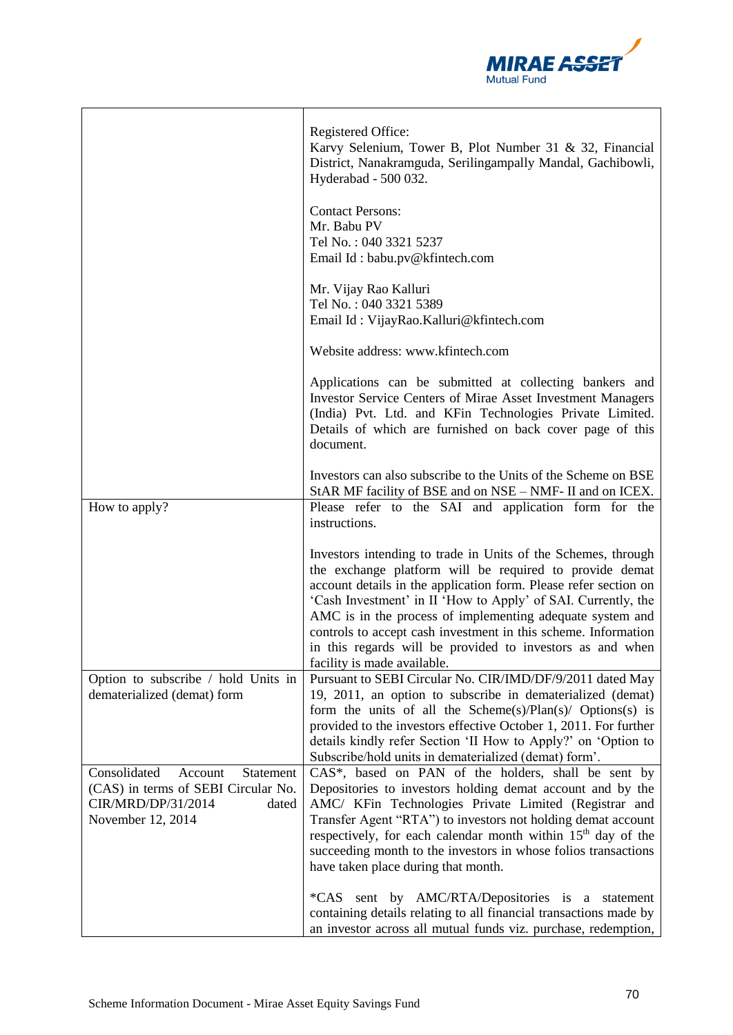

|                                                                                                                                 | Registered Office:<br>Karvy Selenium, Tower B, Plot Number 31 & 32, Financial<br>District, Nanakramguda, Serilingampally Mandal, Gachibowli,<br>Hyderabad - 500 032.                                                                                                                                                                                                                                                                                                                     |
|---------------------------------------------------------------------------------------------------------------------------------|------------------------------------------------------------------------------------------------------------------------------------------------------------------------------------------------------------------------------------------------------------------------------------------------------------------------------------------------------------------------------------------------------------------------------------------------------------------------------------------|
|                                                                                                                                 | <b>Contact Persons:</b><br>Mr. Babu PV<br>Tel No.: 040 3321 5237<br>Email Id: babu.pv@kfintech.com                                                                                                                                                                                                                                                                                                                                                                                       |
|                                                                                                                                 | Mr. Vijay Rao Kalluri<br>Tel No.: 040 3321 5389<br>Email Id: VijayRao.Kalluri@kfintech.com                                                                                                                                                                                                                                                                                                                                                                                               |
|                                                                                                                                 | Website address: www.kfintech.com                                                                                                                                                                                                                                                                                                                                                                                                                                                        |
|                                                                                                                                 | Applications can be submitted at collecting bankers and<br><b>Investor Service Centers of Mirae Asset Investment Managers</b><br>(India) Pvt. Ltd. and KFin Technologies Private Limited.<br>Details of which are furnished on back cover page of this<br>document.                                                                                                                                                                                                                      |
|                                                                                                                                 | Investors can also subscribe to the Units of the Scheme on BSE<br>StAR MF facility of BSE and on NSE - NMF- II and on ICEX.                                                                                                                                                                                                                                                                                                                                                              |
| How to apply?                                                                                                                   | Please refer to the SAI and application form for the<br>instructions.                                                                                                                                                                                                                                                                                                                                                                                                                    |
|                                                                                                                                 | Investors intending to trade in Units of the Schemes, through<br>the exchange platform will be required to provide demat<br>account details in the application form. Please refer section on<br>'Cash Investment' in II 'How to Apply' of SAI. Currently, the<br>AMC is in the process of implementing adequate system and<br>controls to accept cash investment in this scheme. Information<br>in this regards will be provided to investors as and when<br>facility is made available. |
| Option to subscribe / hold Units in<br>dematerialized (demat) form                                                              | Pursuant to SEBI Circular No. CIR/IMD/DF/9/2011 dated May<br>19, 2011, an option to subscribe in dematerialized (demat)<br>form the units of all the Scheme $(s)/$ Plan $(s)/$ Options $(s)$ is<br>provided to the investors effective October 1, 2011. For further<br>details kindly refer Section 'II How to Apply?' on 'Option to<br>Subscribe/hold units in dematerialized (demat) form'.                                                                                            |
| Consolidated<br>Statement<br>Account<br>(CAS) in terms of SEBI Circular No.<br>CIR/MRD/DP/31/2014<br>dated<br>November 12, 2014 | CAS*, based on PAN of the holders, shall be sent by<br>Depositories to investors holding demat account and by the<br>AMC/ KFin Technologies Private Limited (Registrar and<br>Transfer Agent "RTA") to investors not holding demat account<br>respectively, for each calendar month within 15 <sup>th</sup> day of the<br>succeeding month to the investors in whose folios transactions<br>have taken place during that month.                                                          |
|                                                                                                                                 | *CAS sent by AMC/RTA/Depositories is a statement<br>containing details relating to all financial transactions made by<br>an investor across all mutual funds viz. purchase, redemption,                                                                                                                                                                                                                                                                                                  |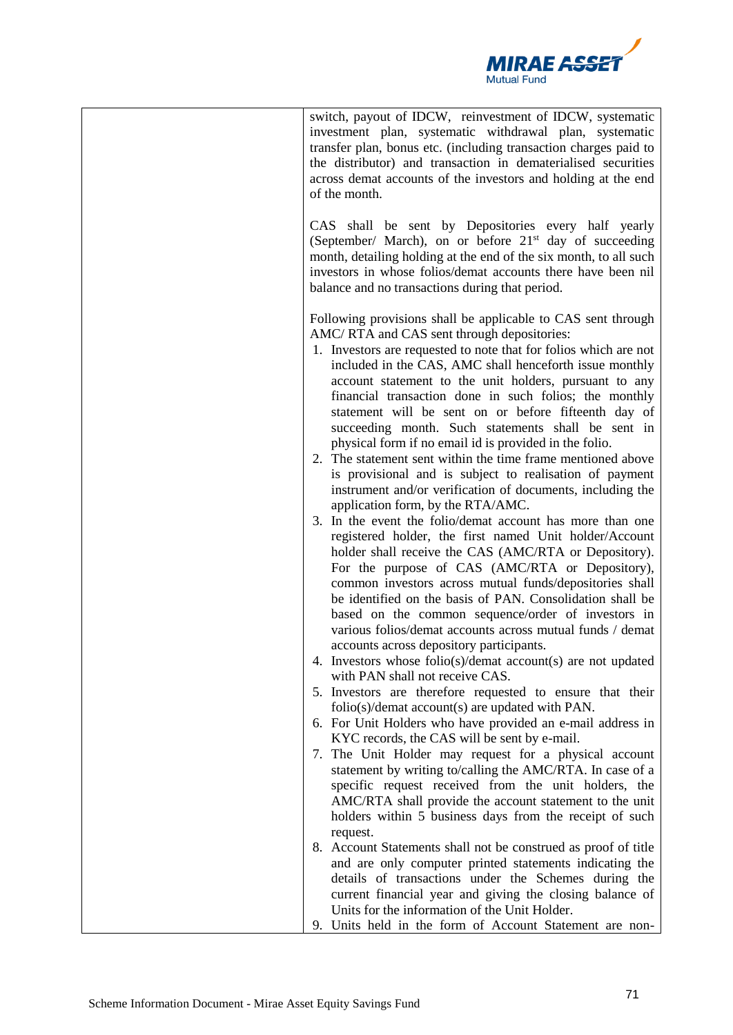

| switch, payout of IDCW, reinvestment of IDCW, systematic<br>investment plan, systematic withdrawal plan, systematic<br>transfer plan, bonus etc. (including transaction charges paid to<br>the distributor) and transaction in dematerialised securities<br>across demat accounts of the investors and holding at the end<br>of the month.<br>CAS shall be sent by Depositories every half yearly<br>(September/ March), on or before 21 <sup>st</sup> day of succeeding<br>month, detailing holding at the end of the six month, to all such<br>investors in whose folios/demat accounts there have been nil<br>balance and no transactions during that period.                                                                                                                                                                                                                                                                                                                                                                                                                                                                                                                                                                                                                                                                                                                                                                                                                                                                                                                                                                                                                                                                                                                                                                                                                                                                                                                                                                                                                                                                                                                                               |
|----------------------------------------------------------------------------------------------------------------------------------------------------------------------------------------------------------------------------------------------------------------------------------------------------------------------------------------------------------------------------------------------------------------------------------------------------------------------------------------------------------------------------------------------------------------------------------------------------------------------------------------------------------------------------------------------------------------------------------------------------------------------------------------------------------------------------------------------------------------------------------------------------------------------------------------------------------------------------------------------------------------------------------------------------------------------------------------------------------------------------------------------------------------------------------------------------------------------------------------------------------------------------------------------------------------------------------------------------------------------------------------------------------------------------------------------------------------------------------------------------------------------------------------------------------------------------------------------------------------------------------------------------------------------------------------------------------------------------------------------------------------------------------------------------------------------------------------------------------------------------------------------------------------------------------------------------------------------------------------------------------------------------------------------------------------------------------------------------------------------------------------------------------------------------------------------------------------|
| Following provisions shall be applicable to CAS sent through<br>AMC/RTA and CAS sent through depositories:<br>1. Investors are requested to note that for folios which are not<br>included in the CAS, AMC shall henceforth issue monthly<br>account statement to the unit holders, pursuant to any<br>financial transaction done in such folios; the monthly<br>statement will be sent on or before fifteenth day of<br>succeeding month. Such statements shall be sent in<br>physical form if no email id is provided in the folio.<br>2. The statement sent within the time frame mentioned above<br>is provisional and is subject to realisation of payment<br>instrument and/or verification of documents, including the<br>application form, by the RTA/AMC.<br>3. In the event the folio/demat account has more than one<br>registered holder, the first named Unit holder/Account<br>holder shall receive the CAS (AMC/RTA or Depository).<br>For the purpose of CAS (AMC/RTA or Depository),<br>common investors across mutual funds/depositories shall<br>be identified on the basis of PAN. Consolidation shall be<br>based on the common sequence/order of investors in<br>various folios/demat accounts across mutual funds / demat<br>accounts across depository participants.<br>4. Investors whose folio(s)/demat account(s) are not updated<br>with PAN shall not receive CAS.<br>5. Investors are therefore requested to ensure that their<br>$\text{folio}(s)/\text{demat account}(s)$ are updated with PAN.<br>6. For Unit Holders who have provided an e-mail address in<br>KYC records, the CAS will be sent by e-mail.<br>7. The Unit Holder may request for a physical account<br>statement by writing to/calling the AMC/RTA. In case of a<br>specific request received from the unit holders, the<br>AMC/RTA shall provide the account statement to the unit<br>holders within 5 business days from the receipt of such<br>request.<br>8. Account Statements shall not be construed as proof of title<br>and are only computer printed statements indicating the<br>details of transactions under the Schemes during the<br>current financial year and giving the closing balance of |
| Units for the information of the Unit Holder.<br>9. Units held in the form of Account Statement are non-                                                                                                                                                                                                                                                                                                                                                                                                                                                                                                                                                                                                                                                                                                                                                                                                                                                                                                                                                                                                                                                                                                                                                                                                                                                                                                                                                                                                                                                                                                                                                                                                                                                                                                                                                                                                                                                                                                                                                                                                                                                                                                       |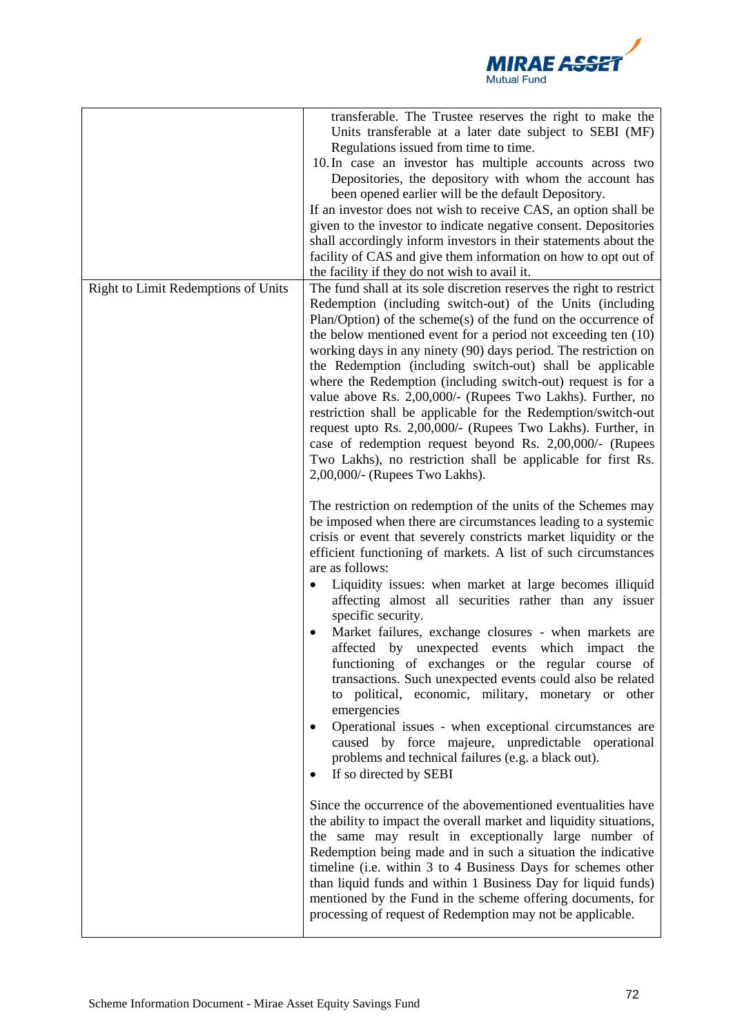

|                                     | transferable. The Trustee reserves the right to make the<br>Units transferable at a later date subject to SEBI (MF)<br>Regulations issued from time to time.<br>10. In case an investor has multiple accounts across two<br>Depositories, the depository with whom the account has<br>been opened earlier will be the default Depository.<br>If an investor does not wish to receive CAS, an option shall be<br>given to the investor to indicate negative consent. Depositories<br>shall accordingly inform investors in their statements about the<br>facility of CAS and give them information on how to opt out of<br>the facility if they do not wish to avail it.                                                                                                                                                                                                                                                                                  |
|-------------------------------------|----------------------------------------------------------------------------------------------------------------------------------------------------------------------------------------------------------------------------------------------------------------------------------------------------------------------------------------------------------------------------------------------------------------------------------------------------------------------------------------------------------------------------------------------------------------------------------------------------------------------------------------------------------------------------------------------------------------------------------------------------------------------------------------------------------------------------------------------------------------------------------------------------------------------------------------------------------|
| Right to Limit Redemptions of Units | The fund shall at its sole discretion reserves the right to restrict<br>Redemption (including switch-out) of the Units (including<br>$Plan/Option$ of the scheme $(s)$ of the fund on the occurrence of<br>the below mentioned event for a period not exceeding ten (10)<br>working days in any ninety (90) days period. The restriction on<br>the Redemption (including switch-out) shall be applicable<br>where the Redemption (including switch-out) request is for a<br>value above Rs. 2,00,000/- (Rupees Two Lakhs). Further, no<br>restriction shall be applicable for the Redemption/switch-out<br>request upto Rs. 2,00,000/- (Rupees Two Lakhs). Further, in<br>case of redemption request beyond Rs. 2,00,000/- (Rupees<br>Two Lakhs), no restriction shall be applicable for first Rs.<br>2,00,000/- (Rupees Two Lakhs).                                                                                                                     |
|                                     | The restriction on redemption of the units of the Schemes may<br>be imposed when there are circumstances leading to a systemic<br>crisis or event that severely constricts market liquidity or the<br>efficient functioning of markets. A list of such circumstances<br>are as follows:<br>Liquidity issues: when market at large becomes illiquid<br>affecting almost all securities rather than any issuer<br>specific security.<br>Market failures, exchange closures - when markets are<br>affected by unexpected events which impact<br>the<br>functioning of exchanges or the regular course of<br>transactions. Such unexpected events could also be related<br>to political, economic, military, monetary or other<br>emergencies<br>Operational issues - when exceptional circumstances are<br>$\bullet$<br>caused by force majeure, unpredictable operational<br>problems and technical failures (e.g. a black out).<br>If so directed by SEBI |
|                                     | Since the occurrence of the abovementioned eventualities have<br>the ability to impact the overall market and liquidity situations,<br>the same may result in exceptionally large number of<br>Redemption being made and in such a situation the indicative<br>timeline (i.e. within 3 to 4 Business Days for schemes other<br>than liquid funds and within 1 Business Day for liquid funds)<br>mentioned by the Fund in the scheme offering documents, for<br>processing of request of Redemption may not be applicable.                                                                                                                                                                                                                                                                                                                                                                                                                                |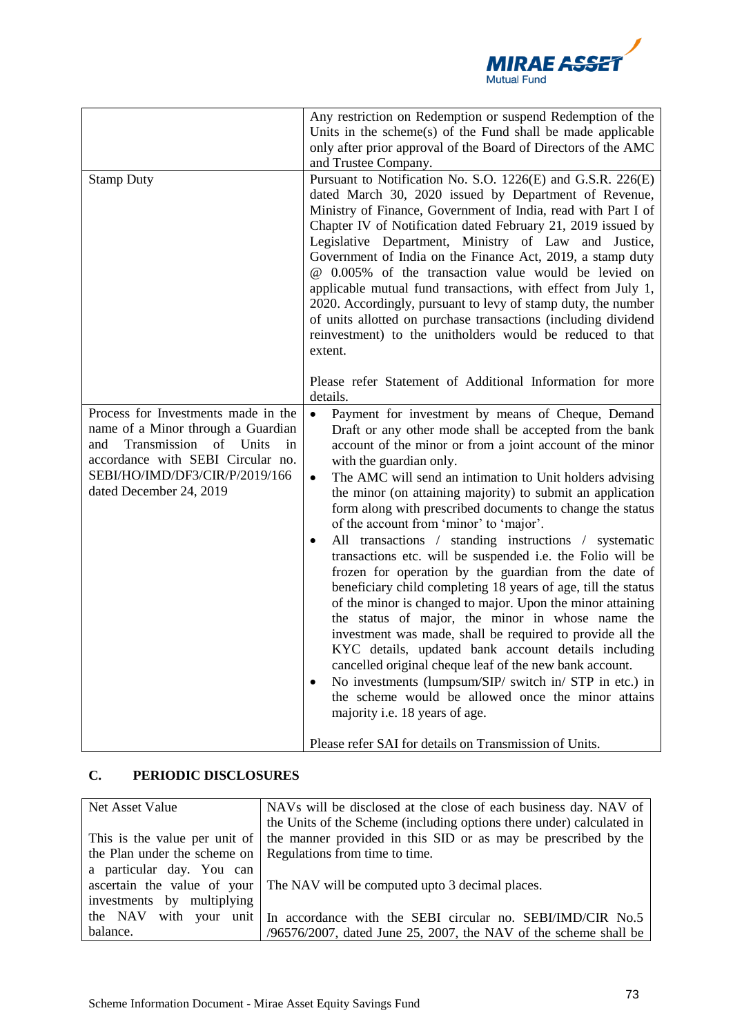

|                                                                                                                                                                                                                      | Any restriction on Redemption or suspend Redemption of the<br>Units in the scheme(s) of the Fund shall be made applicable<br>only after prior approval of the Board of Directors of the AMC<br>and Trustee Company.                                                                                                                                                                                                                                                                                                                                                                                                                                                                                                                                                                                                                                                                                                                                                                                                                                                                                                                                                                                                                                       |
|----------------------------------------------------------------------------------------------------------------------------------------------------------------------------------------------------------------------|-----------------------------------------------------------------------------------------------------------------------------------------------------------------------------------------------------------------------------------------------------------------------------------------------------------------------------------------------------------------------------------------------------------------------------------------------------------------------------------------------------------------------------------------------------------------------------------------------------------------------------------------------------------------------------------------------------------------------------------------------------------------------------------------------------------------------------------------------------------------------------------------------------------------------------------------------------------------------------------------------------------------------------------------------------------------------------------------------------------------------------------------------------------------------------------------------------------------------------------------------------------|
| <b>Stamp Duty</b>                                                                                                                                                                                                    | Pursuant to Notification No. S.O. 1226(E) and G.S.R. 226(E)<br>dated March 30, 2020 issued by Department of Revenue,<br>Ministry of Finance, Government of India, read with Part I of<br>Chapter IV of Notification dated February 21, 2019 issued by<br>Legislative Department, Ministry of Law and Justice,<br>Government of India on the Finance Act, 2019, a stamp duty<br>@ 0.005% of the transaction value would be levied on<br>applicable mutual fund transactions, with effect from July 1,<br>2020. Accordingly, pursuant to levy of stamp duty, the number<br>of units allotted on purchase transactions (including dividend<br>reinvestment) to the unitholders would be reduced to that<br>extent.                                                                                                                                                                                                                                                                                                                                                                                                                                                                                                                                           |
|                                                                                                                                                                                                                      | Please refer Statement of Additional Information for more<br>details.                                                                                                                                                                                                                                                                                                                                                                                                                                                                                                                                                                                                                                                                                                                                                                                                                                                                                                                                                                                                                                                                                                                                                                                     |
| Process for Investments made in the<br>name of a Minor through a Guardian<br>Transmission<br>of Units<br>and<br>in<br>accordance with SEBI Circular no.<br>SEBI/HO/IMD/DF3/CIR/P/2019/166<br>dated December 24, 2019 | $\bullet$<br>Payment for investment by means of Cheque, Demand<br>Draft or any other mode shall be accepted from the bank<br>account of the minor or from a joint account of the minor<br>with the guardian only.<br>The AMC will send an intimation to Unit holders advising<br>$\bullet$<br>the minor (on attaining majority) to submit an application<br>form along with prescribed documents to change the status<br>of the account from 'minor' to 'major'.<br>All transactions / standing instructions / systematic<br>$\bullet$<br>transactions etc. will be suspended i.e. the Folio will be<br>frozen for operation by the guardian from the date of<br>beneficiary child completing 18 years of age, till the status<br>of the minor is changed to major. Upon the minor attaining<br>the status of major, the minor in whose name the<br>investment was made, shall be required to provide all the<br>KYC details, updated bank account details including<br>cancelled original cheque leaf of the new bank account.<br>No investments (lumpsum/SIP/ switch in/ STP in etc.) in<br>$\bullet$<br>the scheme would be allowed once the minor attains<br>majority i.e. 18 years of age.<br>Please refer SAI for details on Transmission of Units. |

# **C. PERIODIC DISCLOSURES**

| Net Asset Value                                             | NAVs will be disclosed at the close of each business day. NAV of                             |
|-------------------------------------------------------------|----------------------------------------------------------------------------------------------|
|                                                             | the Units of the Scheme (including options there under) calculated in                        |
|                                                             | This is the value per unit of the manner provided in this SID or as may be prescribed by the |
| the Plan under the scheme on Regulations from time to time. |                                                                                              |
| a particular day. You can                                   |                                                                                              |
|                                                             | ascertain the value of your The NAV will be computed upto 3 decimal places.                  |
| investments by multiplying                                  |                                                                                              |
|                                                             | the NAV with your unit   In accordance with the SEBI circular no. SEBI/IMD/CIR No.5          |
| balance.                                                    | $/96576/2007$ , dated June 25, 2007, the NAV of the scheme shall be                          |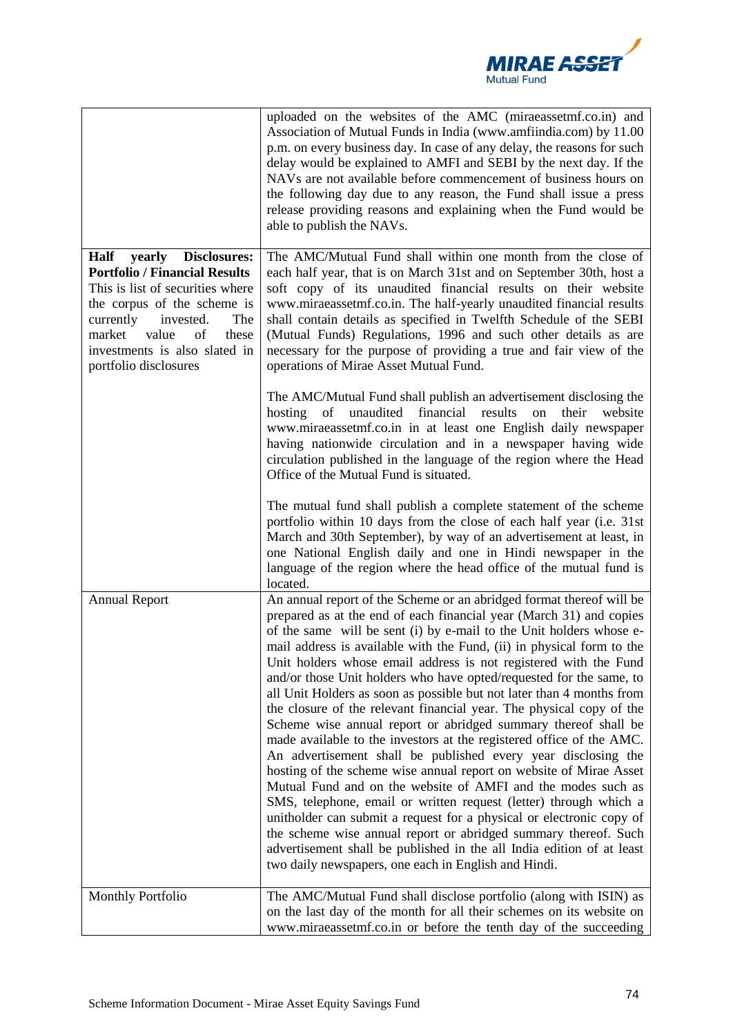

|                                                                                                                                                                                                                                                                               | uploaded on the websites of the AMC (miraeassetmf.co.in) and<br>Association of Mutual Funds in India (www.amfiindia.com) by 11.00<br>p.m. on every business day. In case of any delay, the reasons for such<br>delay would be explained to AMFI and SEBI by the next day. If the<br>NAVs are not available before commencement of business hours on<br>the following day due to any reason, the Fund shall issue a press<br>release providing reasons and explaining when the Fund would be<br>able to publish the NAVs.                                                                                                                                                                                                                                                                                                                                                                                                                                                                                                                                                                                                                                                                                                                                                                  |
|-------------------------------------------------------------------------------------------------------------------------------------------------------------------------------------------------------------------------------------------------------------------------------|-------------------------------------------------------------------------------------------------------------------------------------------------------------------------------------------------------------------------------------------------------------------------------------------------------------------------------------------------------------------------------------------------------------------------------------------------------------------------------------------------------------------------------------------------------------------------------------------------------------------------------------------------------------------------------------------------------------------------------------------------------------------------------------------------------------------------------------------------------------------------------------------------------------------------------------------------------------------------------------------------------------------------------------------------------------------------------------------------------------------------------------------------------------------------------------------------------------------------------------------------------------------------------------------|
| Half<br>yearly<br><b>Disclosures:</b><br><b>Portfolio / Financial Results</b><br>This is list of securities where<br>the corpus of the scheme is<br>currently<br>invested.<br>The<br>market<br>value<br>of<br>these<br>investments is also slated in<br>portfolio disclosures | The AMC/Mutual Fund shall within one month from the close of<br>each half year, that is on March 31st and on September 30th, host a<br>soft copy of its unaudited financial results on their website<br>www.miraeassetmf.co.in. The half-yearly unaudited financial results<br>shall contain details as specified in Twelfth Schedule of the SEBI<br>(Mutual Funds) Regulations, 1996 and such other details as are<br>necessary for the purpose of providing a true and fair view of the<br>operations of Mirae Asset Mutual Fund.                                                                                                                                                                                                                                                                                                                                                                                                                                                                                                                                                                                                                                                                                                                                                       |
|                                                                                                                                                                                                                                                                               | The AMC/Mutual Fund shall publish an advertisement disclosing the<br>hosting of unaudited financial<br>results<br>website<br>on<br>their<br>www.miraeassetmf.co.in in at least one English daily newspaper<br>having nationwide circulation and in a newspaper having wide<br>circulation published in the language of the region where the Head<br>Office of the Mutual Fund is situated.                                                                                                                                                                                                                                                                                                                                                                                                                                                                                                                                                                                                                                                                                                                                                                                                                                                                                                |
|                                                                                                                                                                                                                                                                               | The mutual fund shall publish a complete statement of the scheme<br>portfolio within 10 days from the close of each half year (i.e. 31st<br>March and 30th September), by way of an advertisement at least, in<br>one National English daily and one in Hindi newspaper in the<br>language of the region where the head office of the mutual fund is<br>located.                                                                                                                                                                                                                                                                                                                                                                                                                                                                                                                                                                                                                                                                                                                                                                                                                                                                                                                          |
| <b>Annual Report</b>                                                                                                                                                                                                                                                          | An annual report of the Scheme or an abridged format thereof will be<br>prepared as at the end of each financial year (March 31) and copies<br>of the same will be sent (i) by e-mail to the Unit holders whose e-<br>mail address is available with the Fund, (ii) in physical form to the<br>Unit holders whose email address is not registered with the Fund<br>and/or those Unit holders who have opted/requested for the same, to<br>all Unit Holders as soon as possible but not later than 4 months from<br>the closure of the relevant financial year. The physical copy of the<br>Scheme wise annual report or abridged summary thereof shall be<br>made available to the investors at the registered office of the AMC.<br>An advertisement shall be published every year disclosing the<br>hosting of the scheme wise annual report on website of Mirae Asset<br>Mutual Fund and on the website of AMFI and the modes such as<br>SMS, telephone, email or written request (letter) through which a<br>unitholder can submit a request for a physical or electronic copy of<br>the scheme wise annual report or abridged summary thereof. Such<br>advertisement shall be published in the all India edition of at least<br>two daily newspapers, one each in English and Hindi. |
| <b>Monthly Portfolio</b>                                                                                                                                                                                                                                                      | The AMC/Mutual Fund shall disclose portfolio (along with ISIN) as<br>on the last day of the month for all their schemes on its website on<br>www.miraeassetmf.co.in or before the tenth day of the succeeding                                                                                                                                                                                                                                                                                                                                                                                                                                                                                                                                                                                                                                                                                                                                                                                                                                                                                                                                                                                                                                                                             |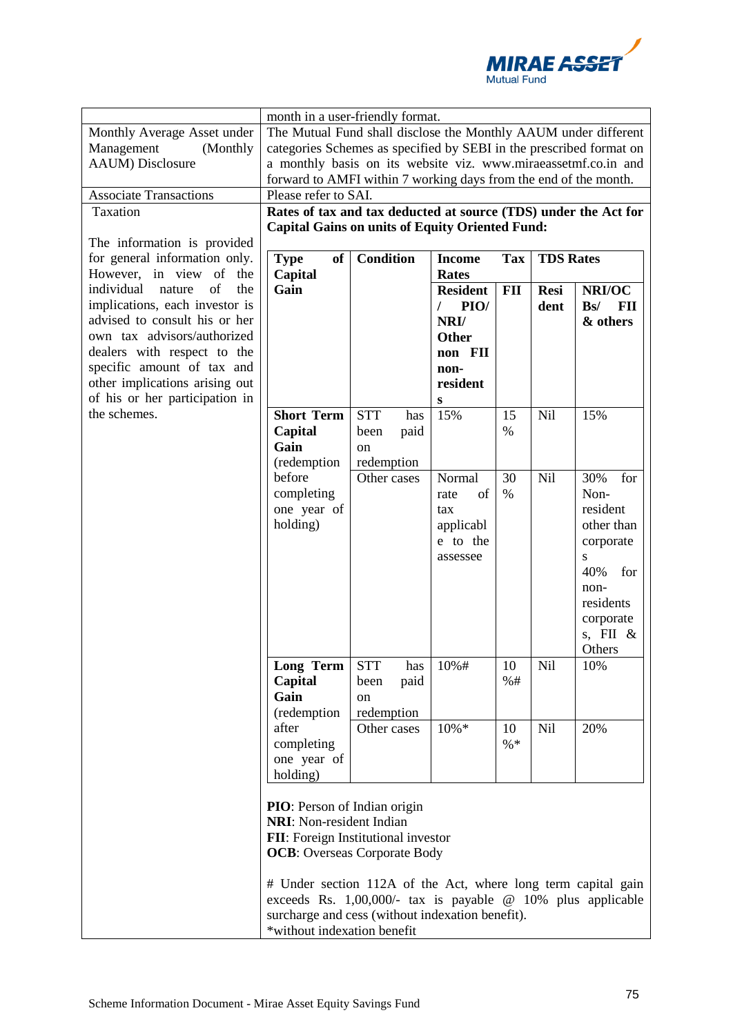

| Monthly Average Asset under<br>Management<br>(Monthly<br><b>AAUM</b> ) Disclosure                                                                                                                                                                                    | month in a user-friendly format.<br>The Mutual Fund shall disclose the Monthly AAUM under different<br>categories Schemes as specified by SEBI in the prescribed format on<br>a monthly basis on its website viz. www.miraeassetmf.co.in and<br>forward to AMFI within 7 working days from the end of the month. |                                                       |                                                                                          |              |                     |                                                                                                                                         |
|----------------------------------------------------------------------------------------------------------------------------------------------------------------------------------------------------------------------------------------------------------------------|------------------------------------------------------------------------------------------------------------------------------------------------------------------------------------------------------------------------------------------------------------------------------------------------------------------|-------------------------------------------------------|------------------------------------------------------------------------------------------|--------------|---------------------|-----------------------------------------------------------------------------------------------------------------------------------------|
| <b>Associate Transactions</b>                                                                                                                                                                                                                                        | Please refer to SAI.                                                                                                                                                                                                                                                                                             |                                                       |                                                                                          |              |                     |                                                                                                                                         |
| Taxation<br>The information is provided                                                                                                                                                                                                                              | Rates of tax and tax deducted at source (TDS) under the Act for<br><b>Capital Gains on units of Equity Oriented Fund:</b>                                                                                                                                                                                        |                                                       |                                                                                          |              |                     |                                                                                                                                         |
| for general information only.<br>However, in view of the                                                                                                                                                                                                             | <b>of</b><br><b>Type</b><br>Capital                                                                                                                                                                                                                                                                              | <b>Condition</b>                                      | <b>Income</b><br><b>Rates</b>                                                            | <b>Tax</b>   | <b>TDS Rates</b>    |                                                                                                                                         |
| of<br>individual<br>the<br>nature<br>implications, each investor is<br>advised to consult his or her<br>own tax advisors/authorized<br>dealers with respect to the<br>specific amount of tax and<br>other implications arising out<br>of his or her participation in | Gain                                                                                                                                                                                                                                                                                                             |                                                       | <b>Resident</b><br>PIO/<br>T<br>NRI/<br><b>Other</b><br>non FII<br>non-<br>resident<br>S | <b>FII</b>   | <b>Resi</b><br>dent | NRI/OC<br>Bs/<br>FII<br>& others                                                                                                        |
| the schemes.                                                                                                                                                                                                                                                         | <b>Short Term</b><br>Capital<br>Gain<br>(redemption                                                                                                                                                                                                                                                              | <b>STT</b><br>has<br>paid<br>been<br>on<br>redemption | 15%                                                                                      | 15<br>%      | Nil                 | 15%                                                                                                                                     |
|                                                                                                                                                                                                                                                                      | before<br>completing<br>one year of<br>holding)                                                                                                                                                                                                                                                                  | Other cases                                           | Normal<br>of<br>rate<br>tax<br>applicabl<br>e to the<br>assessee                         | 30<br>$\%$   | Nil                 | 30%<br>for<br>Non-<br>resident<br>other than<br>corporate<br>S<br>40%<br>for<br>non-<br>residents<br>corporate<br>s, FII $\&$<br>Others |
|                                                                                                                                                                                                                                                                      | Long Term<br>Capital<br>Gain<br>(redemption                                                                                                                                                                                                                                                                      | <b>STT</b><br>has<br>paid<br>been<br>on<br>redemption | 10%#                                                                                     | 10<br>%#     | Nil                 | 10%                                                                                                                                     |
|                                                                                                                                                                                                                                                                      | after<br>completing<br>one year of<br>holding)                                                                                                                                                                                                                                                                   | Other cases                                           | $10\% *$                                                                                 | 10<br>$\% *$ | <b>Nil</b>          | 20%                                                                                                                                     |
|                                                                                                                                                                                                                                                                      | PIO: Person of Indian origin<br><b>NRI:</b> Non-resident Indian<br>FII: Foreign Institutional investor<br><b>OCB:</b> Overseas Corporate Body                                                                                                                                                                    |                                                       |                                                                                          |              |                     |                                                                                                                                         |
|                                                                                                                                                                                                                                                                      | # Under section 112A of the Act, where long term capital gain<br>exceeds Rs. 1,00,000/- tax is payable @ 10% plus applicable<br>surcharge and cess (without indexation benefit).<br>*without indexation benefit                                                                                                  |                                                       |                                                                                          |              |                     |                                                                                                                                         |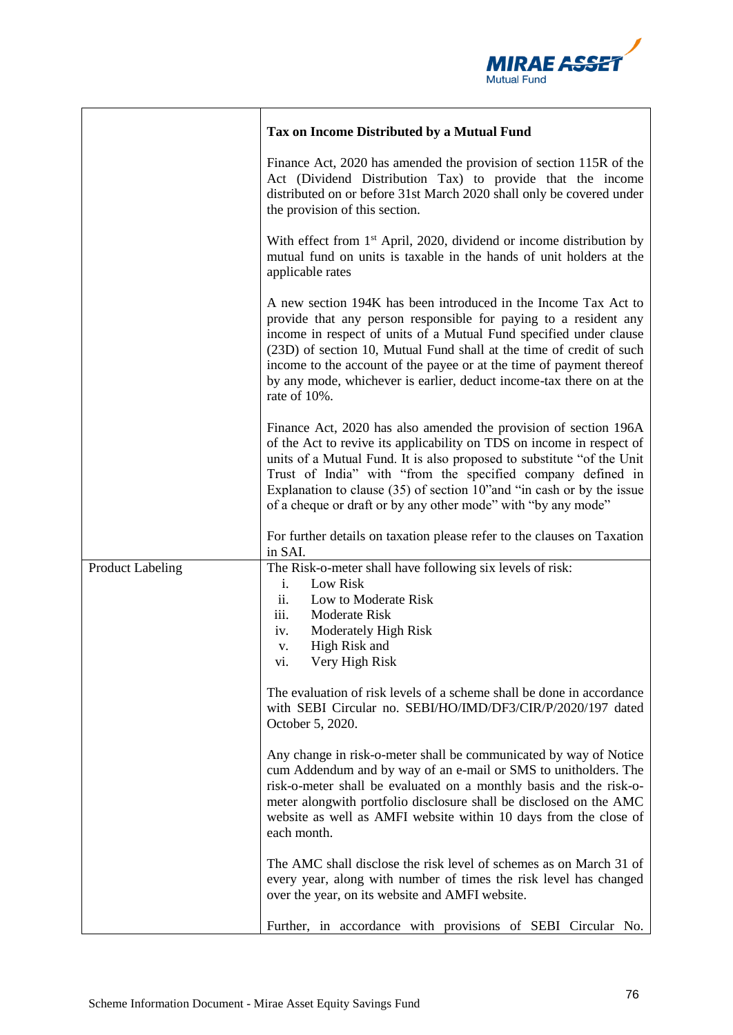

|                         | Tax on Income Distributed by a Mutual Fund                                                                                                                                                                                                                                                                                                                                                                                                        |
|-------------------------|---------------------------------------------------------------------------------------------------------------------------------------------------------------------------------------------------------------------------------------------------------------------------------------------------------------------------------------------------------------------------------------------------------------------------------------------------|
|                         | Finance Act, 2020 has amended the provision of section 115R of the<br>Act (Dividend Distribution Tax) to provide that the income<br>distributed on or before 31st March 2020 shall only be covered under<br>the provision of this section.                                                                                                                                                                                                        |
|                         | With effect from 1 <sup>st</sup> April, 2020, dividend or income distribution by<br>mutual fund on units is taxable in the hands of unit holders at the<br>applicable rates                                                                                                                                                                                                                                                                       |
|                         | A new section 194K has been introduced in the Income Tax Act to<br>provide that any person responsible for paying to a resident any<br>income in respect of units of a Mutual Fund specified under clause<br>(23D) of section 10, Mutual Fund shall at the time of credit of such<br>income to the account of the payee or at the time of payment thereof<br>by any mode, whichever is earlier, deduct income-tax there on at the<br>rate of 10%. |
|                         | Finance Act, 2020 has also amended the provision of section 196A<br>of the Act to revive its applicability on TDS on income in respect of<br>units of a Mutual Fund. It is also proposed to substitute "of the Unit"<br>Trust of India" with "from the specified company defined in<br>Explanation to clause $(35)$ of section 10" and "in cash or by the issue<br>of a cheque or draft or by any other mode" with "by any mode"                  |
|                         | For further details on taxation please refer to the clauses on Taxation<br>in SAI.                                                                                                                                                                                                                                                                                                                                                                |
| <b>Product Labeling</b> | The Risk-o-meter shall have following six levels of risk:<br>Low Risk<br>$i$ .<br>ii.<br>Low to Moderate Risk<br>Moderate Risk<br>iii.<br>Moderately High Risk<br>iv.<br>High Risk and<br>v.<br>Very High Risk<br>vi.                                                                                                                                                                                                                             |
|                         | The evaluation of risk levels of a scheme shall be done in accordance<br>with SEBI Circular no. SEBI/HO/IMD/DF3/CIR/P/2020/197 dated<br>October 5, 2020.                                                                                                                                                                                                                                                                                          |
|                         | Any change in risk-o-meter shall be communicated by way of Notice<br>cum Addendum and by way of an e-mail or SMS to unitholders. The<br>risk-o-meter shall be evaluated on a monthly basis and the risk-o-<br>meter alongwith portfolio disclosure shall be disclosed on the AMC<br>website as well as AMFI website within 10 days from the close of<br>each month.                                                                               |
|                         | The AMC shall disclose the risk level of schemes as on March 31 of<br>every year, along with number of times the risk level has changed<br>over the year, on its website and AMFI website.                                                                                                                                                                                                                                                        |
|                         | Further, in accordance with provisions of SEBI Circular No.                                                                                                                                                                                                                                                                                                                                                                                       |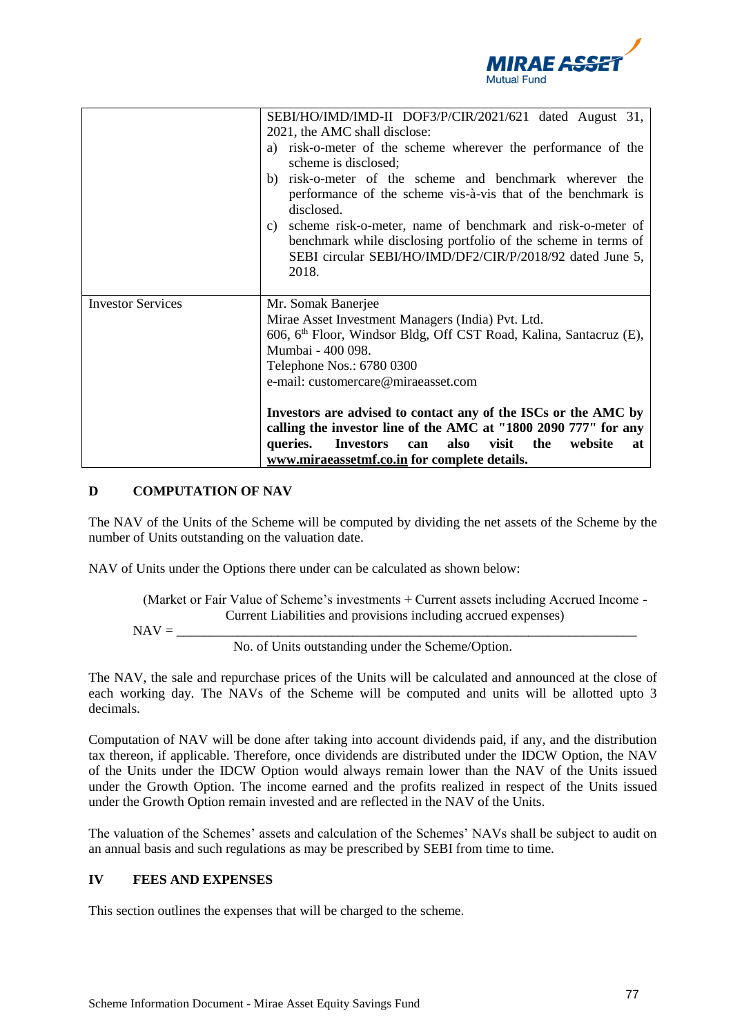

|                          | SEBI/HO/IMD/IMD-II DOF3/P/CIR/2021/621 dated August 31,                                                                                                                                                  |
|--------------------------|----------------------------------------------------------------------------------------------------------------------------------------------------------------------------------------------------------|
|                          | 2021, the AMC shall disclose:                                                                                                                                                                            |
|                          | a) risk-o-meter of the scheme wherever the performance of the<br>scheme is disclosed;                                                                                                                    |
|                          | b) risk-o-meter of the scheme and benchmark wherever the<br>performance of the scheme vis-à-vis that of the benchmark is                                                                                 |
|                          | disclosed.                                                                                                                                                                                               |
|                          | scheme risk-o-meter, name of benchmark and risk-o-meter of<br>C)<br>benchmark while disclosing portfolio of the scheme in terms of<br>SEBI circular SEBI/HO/IMD/DF2/CIR/P/2018/92 dated June 5,<br>2018. |
| <b>Investor Services</b> | Mr. Somak Banerjee                                                                                                                                                                                       |
|                          | Mirae Asset Investment Managers (India) Pvt. Ltd.                                                                                                                                                        |
|                          | 606, 6 <sup>th</sup> Floor, Windsor Bldg, Off CST Road, Kalina, Santacruz (E),                                                                                                                           |
|                          | Mumbai - 400 098.                                                                                                                                                                                        |
|                          | Telephone Nos.: 6780 0300                                                                                                                                                                                |
|                          | e-mail: customercare@miraeasset.com                                                                                                                                                                      |
|                          |                                                                                                                                                                                                          |
|                          | Investors are advised to contact any of the ISCs or the AMC by                                                                                                                                           |
|                          | calling the investor line of the AMC at "1800 2090 777" for any                                                                                                                                          |
|                          | <b>Investors</b><br>also<br>visit<br>the<br>queries.<br>website<br>can<br>at                                                                                                                             |
|                          | www.miraeassetmf.co.in for complete details.                                                                                                                                                             |

# **D COMPUTATION OF NAV**

The NAV of the Units of the Scheme will be computed by dividing the net assets of the Scheme by the number of Units outstanding on the valuation date.

NAV of Units under the Options there under can be calculated as shown below:

(Market or Fair Value of Scheme's investments + Current assets including Accrued Income - Current Liabilities and provisions including accrued expenses)

$$
NAV = \underbrace{\qquad \qquad }_{\qquad \qquad }
$$

No. of Units outstanding under the Scheme/Option.

The NAV, the sale and repurchase prices of the Units will be calculated and announced at the close of each working day. The NAVs of the Scheme will be computed and units will be allotted upto 3 decimals.

Computation of NAV will be done after taking into account dividends paid, if any, and the distribution tax thereon, if applicable. Therefore, once dividends are distributed under the IDCW Option, the NAV of the Units under the IDCW Option would always remain lower than the NAV of the Units issued under the Growth Option. The income earned and the profits realized in respect of the Units issued under the Growth Option remain invested and are reflected in the NAV of the Units.

The valuation of the Schemes' assets and calculation of the Schemes' NAVs shall be subject to audit on an annual basis and such regulations as may be prescribed by SEBI from time to time.

# **IV FEES AND EXPENSES**

This section outlines the expenses that will be charged to the scheme.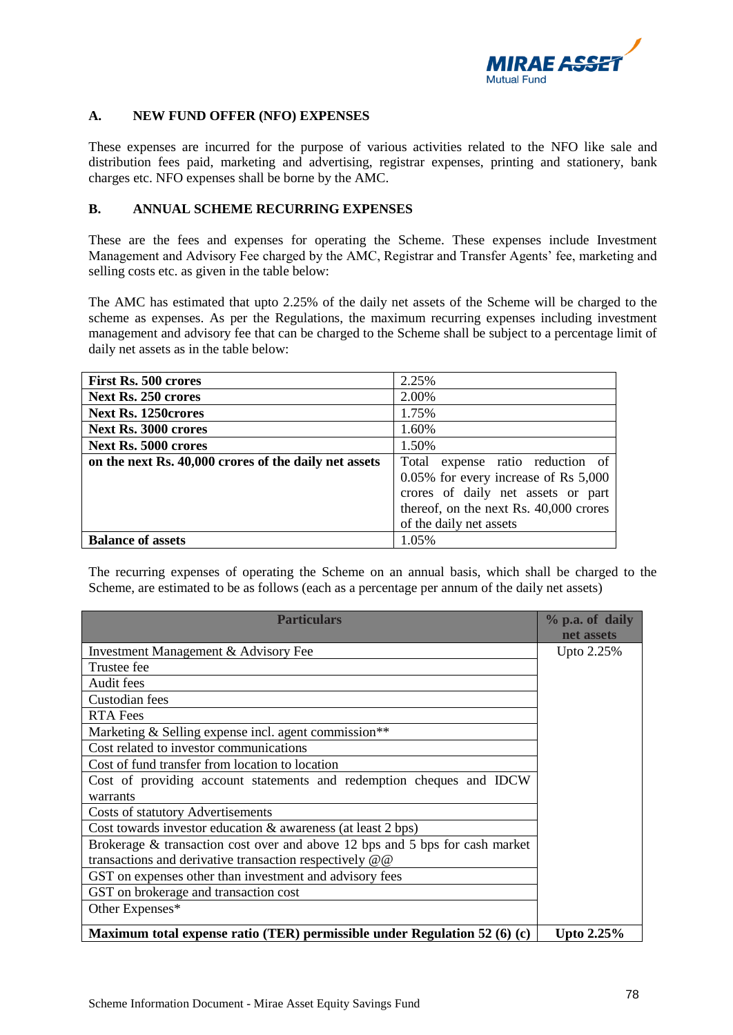

## **A. NEW FUND OFFER (NFO) EXPENSES**

These expenses are incurred for the purpose of various activities related to the NFO like sale and distribution fees paid, marketing and advertising, registrar expenses, printing and stationery, bank charges etc. NFO expenses shall be borne by the AMC.

## **B. ANNUAL SCHEME RECURRING EXPENSES**

These are the fees and expenses for operating the Scheme. These expenses include Investment Management and Advisory Fee charged by the AMC, Registrar and Transfer Agents' fee, marketing and selling costs etc. as given in the table below:

The AMC has estimated that upto 2.25% of the daily net assets of the Scheme will be charged to the scheme as expenses. As per the Regulations, the maximum recurring expenses including investment management and advisory fee that can be charged to the Scheme shall be subject to a percentage limit of daily net assets as in the table below:

| <b>First Rs. 500 crores</b>                           | 2.25%                                  |
|-------------------------------------------------------|----------------------------------------|
| Next Rs. 250 crores                                   | 2.00%                                  |
| <b>Next Rs. 1250crores</b>                            | 1.75%                                  |
| <b>Next Rs. 3000 crores</b>                           | 1.60%                                  |
| Next Rs. 5000 crores                                  | 1.50%                                  |
| on the next Rs. 40,000 crores of the daily net assets | Total expense ratio reduction of       |
|                                                       | 0.05% for every increase of Rs 5,000   |
|                                                       | crores of daily net assets or part     |
|                                                       | thereof, on the next Rs. 40,000 crores |
|                                                       | of the daily net assets                |
| <b>Balance of assets</b>                              | 1.05%                                  |

The recurring expenses of operating the Scheme on an annual basis, which shall be charged to the Scheme, are estimated to be as follows (each as a percentage per annum of the daily net assets)

| <b>Particulars</b>                                                           | % p.a. of daily   |
|------------------------------------------------------------------------------|-------------------|
|                                                                              | net assets        |
| Investment Management & Advisory Fee                                         | Upto 2.25%        |
| Trustee fee                                                                  |                   |
| Audit fees                                                                   |                   |
| Custodian fees                                                               |                   |
| <b>RTA Fees</b>                                                              |                   |
| Marketing & Selling expense incl. agent commission**                         |                   |
| Cost related to investor communications                                      |                   |
| Cost of fund transfer from location to location                              |                   |
| Cost of providing account statements and redemption cheques and IDCW         |                   |
| warrants                                                                     |                   |
| <b>Costs of statutory Advertisements</b>                                     |                   |
| Cost towards investor education & awareness (at least 2 bps)                 |                   |
| Brokerage & transaction cost over and above 12 bps and 5 bps for cash market |                   |
| transactions and derivative transaction respectively @ @                     |                   |
| GST on expenses other than investment and advisory fees                      |                   |
| GST on brokerage and transaction cost                                        |                   |
| Other Expenses*                                                              |                   |
| Maximum total expense ratio (TER) permissible under Regulation 52 (6) (c)    | <b>Upto 2.25%</b> |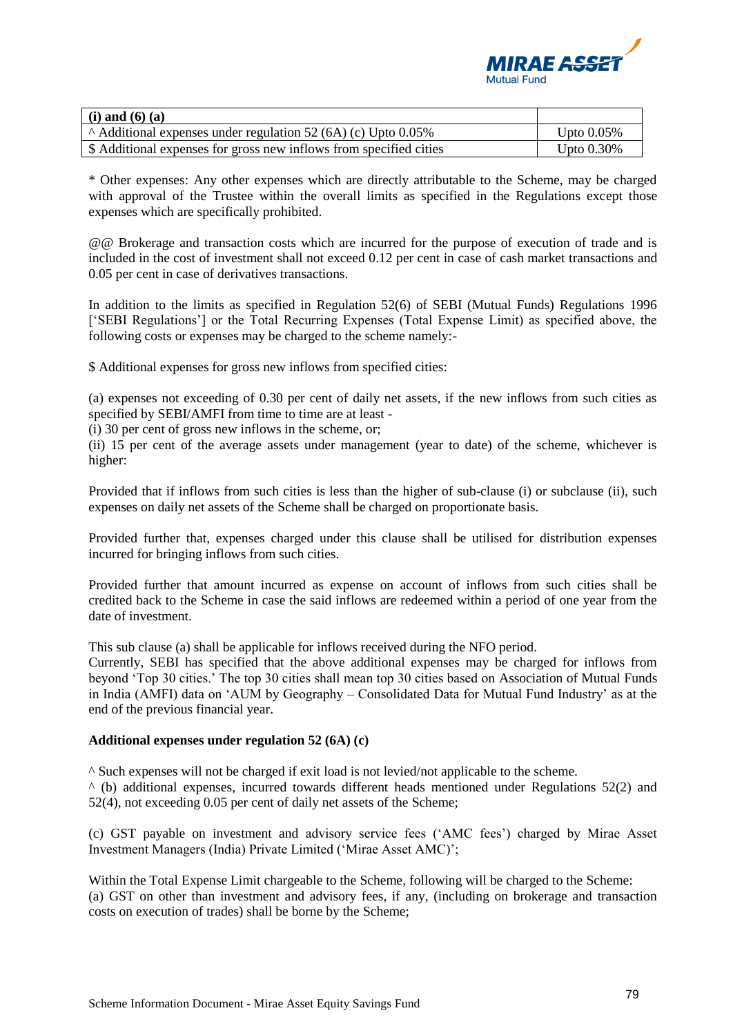

| $(i)$ and $(6)$ $(a)$                                               |               |
|---------------------------------------------------------------------|---------------|
| $\land$ Additional expenses under regulation 52 (6A) (c) Upto 0.05% | Upto $0.05\%$ |
| \$ Additional expenses for gross new inflows from specified cities  | Upto $0.30\%$ |

\* Other expenses: Any other expenses which are directly attributable to the Scheme, may be charged with approval of the Trustee within the overall limits as specified in the Regulations except those expenses which are specifically prohibited.

@@ Brokerage and transaction costs which are incurred for the purpose of execution of trade and is included in the cost of investment shall not exceed 0.12 per cent in case of cash market transactions and 0.05 per cent in case of derivatives transactions.

In addition to the limits as specified in Regulation 52(6) of SEBI (Mutual Funds) Regulations 1996 ['SEBI Regulations'] or the Total Recurring Expenses (Total Expense Limit) as specified above, the following costs or expenses may be charged to the scheme namely:-

\$ Additional expenses for gross new inflows from specified cities:

(a) expenses not exceeding of 0.30 per cent of daily net assets, if the new inflows from such cities as specified by SEBI/AMFI from time to time are at least -

(i) 30 per cent of gross new inflows in the scheme, or;

(ii) 15 per cent of the average assets under management (year to date) of the scheme, whichever is higher:

Provided that if inflows from such cities is less than the higher of sub-clause (i) or subclause (ii), such expenses on daily net assets of the Scheme shall be charged on proportionate basis.

Provided further that, expenses charged under this clause shall be utilised for distribution expenses incurred for bringing inflows from such cities.

Provided further that amount incurred as expense on account of inflows from such cities shall be credited back to the Scheme in case the said inflows are redeemed within a period of one year from the date of investment.

This sub clause (a) shall be applicable for inflows received during the NFO period.

Currently, SEBI has specified that the above additional expenses may be charged for inflows from beyond 'Top 30 cities.' The top 30 cities shall mean top 30 cities based on Association of Mutual Funds in India (AMFI) data on 'AUM by Geography – Consolidated Data for Mutual Fund Industry' as at the end of the previous financial year.

## **Additional expenses under regulation 52 (6A) (c)**

^ Such expenses will not be charged if exit load is not levied/not applicable to the scheme.

 $\wedge$  (b) additional expenses, incurred towards different heads mentioned under Regulations 52(2) and 52(4), not exceeding 0.05 per cent of daily net assets of the Scheme;

(c) GST payable on investment and advisory service fees ('AMC fees') charged by Mirae Asset Investment Managers (India) Private Limited ('Mirae Asset AMC)';

Within the Total Expense Limit chargeable to the Scheme, following will be charged to the Scheme: (a) GST on other than investment and advisory fees, if any, (including on brokerage and transaction costs on execution of trades) shall be borne by the Scheme;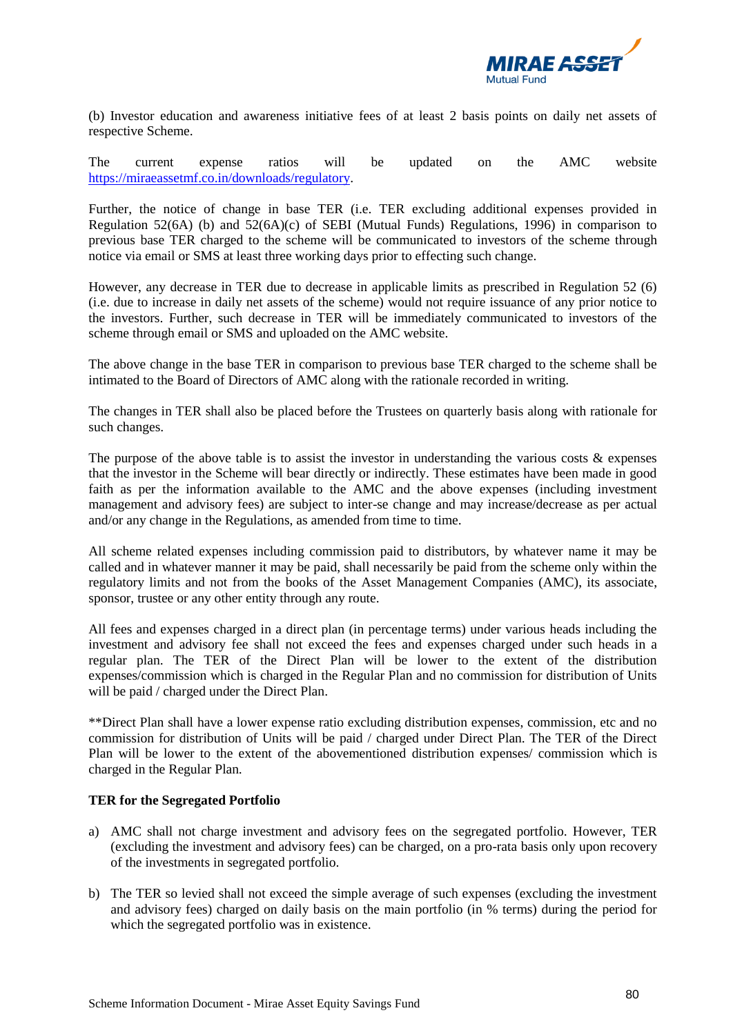

(b) Investor education and awareness initiative fees of at least 2 basis points on daily net assets of respective Scheme.

The current expense ratios will be updated on the AMC website [https://miraeassetmf.co.in/downloads/regulatory.](https://miraeassetmf.co.in/downloads/regulatory)

Further, the notice of change in base TER (i.e. TER excluding additional expenses provided in Regulation 52(6A) (b) and 52(6A)(c) of SEBI (Mutual Funds) Regulations, 1996) in comparison to previous base TER charged to the scheme will be communicated to investors of the scheme through notice via email or SMS at least three working days prior to effecting such change.

However, any decrease in TER due to decrease in applicable limits as prescribed in Regulation 52 (6) (i.e. due to increase in daily net assets of the scheme) would not require issuance of any prior notice to the investors. Further, such decrease in TER will be immediately communicated to investors of the scheme through email or SMS and uploaded on the AMC website.

The above change in the base TER in comparison to previous base TER charged to the scheme shall be intimated to the Board of Directors of AMC along with the rationale recorded in writing.

The changes in TER shall also be placed before the Trustees on quarterly basis along with rationale for such changes.

The purpose of the above table is to assist the investor in understanding the various costs  $\&$  expenses that the investor in the Scheme will bear directly or indirectly. These estimates have been made in good faith as per the information available to the AMC and the above expenses (including investment management and advisory fees) are subject to inter-se change and may increase/decrease as per actual and/or any change in the Regulations, as amended from time to time.

All scheme related expenses including commission paid to distributors, by whatever name it may be called and in whatever manner it may be paid, shall necessarily be paid from the scheme only within the regulatory limits and not from the books of the Asset Management Companies (AMC), its associate, sponsor, trustee or any other entity through any route.

All fees and expenses charged in a direct plan (in percentage terms) under various heads including the investment and advisory fee shall not exceed the fees and expenses charged under such heads in a regular plan. The TER of the Direct Plan will be lower to the extent of the distribution expenses/commission which is charged in the Regular Plan and no commission for distribution of Units will be paid / charged under the Direct Plan.

\*\*Direct Plan shall have a lower expense ratio excluding distribution expenses, commission, etc and no commission for distribution of Units will be paid / charged under Direct Plan. The TER of the Direct Plan will be lower to the extent of the abovementioned distribution expenses/ commission which is charged in the Regular Plan.

## **TER for the Segregated Portfolio**

- a) AMC shall not charge investment and advisory fees on the segregated portfolio. However, TER (excluding the investment and advisory fees) can be charged, on a pro-rata basis only upon recovery of the investments in segregated portfolio.
- b) The TER so levied shall not exceed the simple average of such expenses (excluding the investment and advisory fees) charged on daily basis on the main portfolio (in % terms) during the period for which the segregated portfolio was in existence.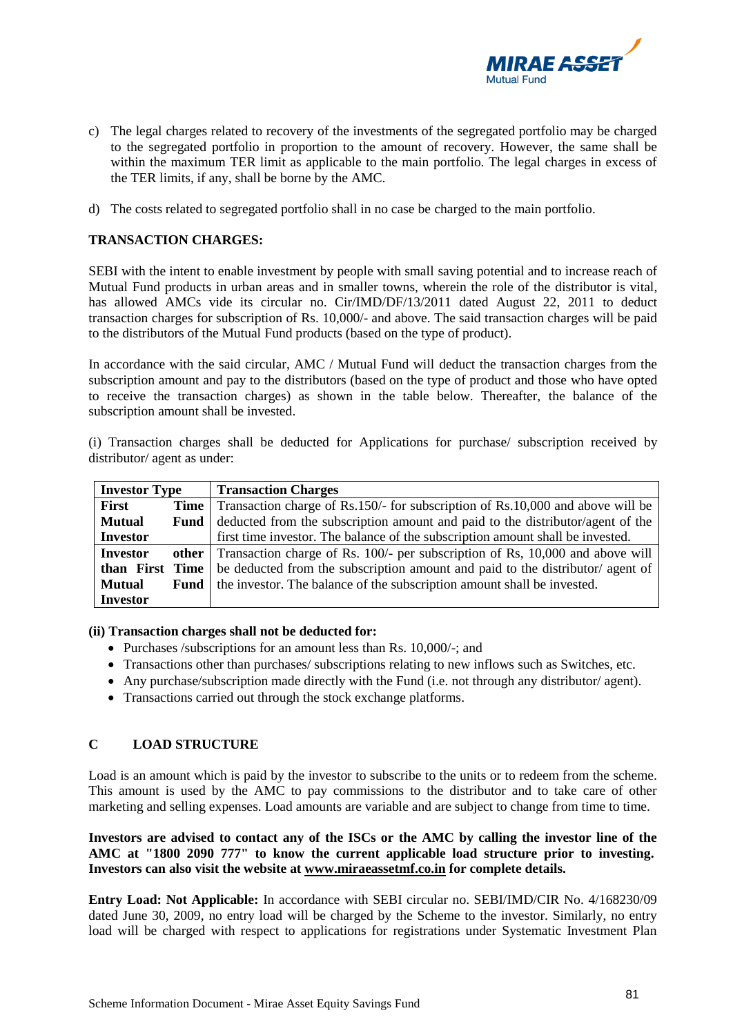

- c) The legal charges related to recovery of the investments of the segregated portfolio may be charged to the segregated portfolio in proportion to the amount of recovery. However, the same shall be within the maximum TER limit as applicable to the main portfolio. The legal charges in excess of the TER limits, if any, shall be borne by the AMC.
- d) The costs related to segregated portfolio shall in no case be charged to the main portfolio.

## **TRANSACTION CHARGES:**

SEBI with the intent to enable investment by people with small saving potential and to increase reach of Mutual Fund products in urban areas and in smaller towns, wherein the role of the distributor is vital, has allowed AMCs vide its circular no. Cir/IMD/DF/13/2011 dated August 22, 2011 to deduct transaction charges for subscription of Rs. 10,000/- and above. The said transaction charges will be paid to the distributors of the Mutual Fund products (based on the type of product).

In accordance with the said circular, AMC / Mutual Fund will deduct the transaction charges from the subscription amount and pay to the distributors (based on the type of product and those who have opted to receive the transaction charges) as shown in the table below. Thereafter, the balance of the subscription amount shall be invested.

(i) Transaction charges shall be deducted for Applications for purchase/ subscription received by distributor/ agent as under:

| <b>Investor Type</b> |      | <b>Transaction Charges</b>                                                                 |
|----------------------|------|--------------------------------------------------------------------------------------------|
| First                |      | <b>Time</b> Transaction charge of Rs.150/- for subscription of Rs.10,000 and above will be |
| <b>Mutual</b>        | Fund | deducted from the subscription amount and paid to the distributor/agent of the             |
| <b>Investor</b>      |      | first time investor. The balance of the subscription amount shall be invested.             |
| <b>Investor</b>      |      | <b>other</b> Transaction charge of Rs. 100/- per subscription of Rs, 10,000 and above will |
| than First Time      |      | be deducted from the subscription amount and paid to the distributor/ agent of             |
| <b>Mutual</b>        | Fund | the investor. The balance of the subscription amount shall be invested.                    |
| <b>Investor</b>      |      |                                                                                            |

#### **(ii) Transaction charges shall not be deducted for:**

- Purchases /subscriptions for an amount less than Rs. 10,000/-; and
- Transactions other than purchases/ subscriptions relating to new inflows such as Switches, etc.
- Any purchase/subscription made directly with the Fund (i.e. not through any distributor/ agent).
- Transactions carried out through the stock exchange platforms.

## **C LOAD STRUCTURE**

Load is an amount which is paid by the investor to subscribe to the units or to redeem from the scheme. This amount is used by the AMC to pay commissions to the distributor and to take care of other marketing and selling expenses. Load amounts are variable and are subject to change from time to time.

**Investors are advised to contact any of the ISCs or the AMC by calling the investor line of the AMC at "1800 2090 777" to know the current applicable load structure prior to investing. Investors can also visit the website at [www.miraeassetmf.co.in](http://mail.miraeassetmf.co.in/exchweb/bin/redir.asp?URL=http://www.miraeassetmf.co.in/) for complete details.**

**Entry Load: Not Applicable:** In accordance with SEBI circular no. SEBI/IMD/CIR No. 4/168230/09 dated June 30, 2009, no entry load will be charged by the Scheme to the investor. Similarly, no entry load will be charged with respect to applications for registrations under Systematic Investment Plan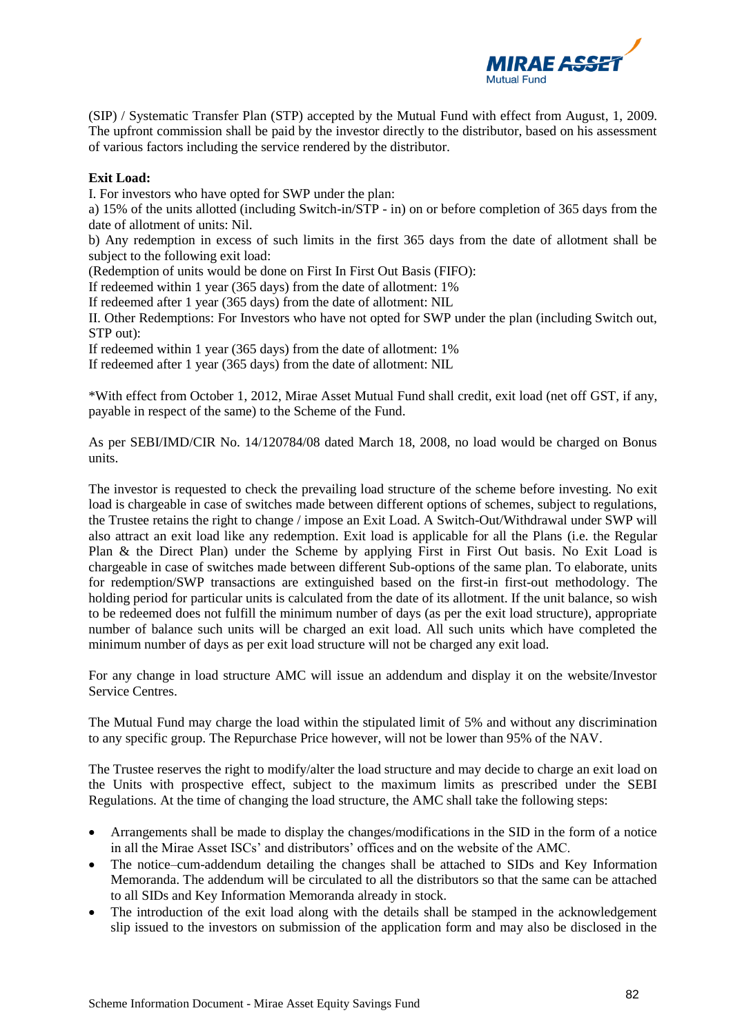

(SIP) / Systematic Transfer Plan (STP) accepted by the Mutual Fund with effect from August, 1, 2009. The upfront commission shall be paid by the investor directly to the distributor, based on his assessment of various factors including the service rendered by the distributor.

## **Exit Load:**

I. For investors who have opted for SWP under the plan:

a) 15% of the units allotted (including Switch-in/STP - in) on or before completion of 365 days from the date of allotment of units: Nil.

b) Any redemption in excess of such limits in the first 365 days from the date of allotment shall be subject to the following exit load:

(Redemption of units would be done on First In First Out Basis (FIFO):

If redeemed within 1 year (365 days) from the date of allotment: 1%

If redeemed after 1 year (365 days) from the date of allotment: NIL

II. Other Redemptions: For Investors who have not opted for SWP under the plan (including Switch out, STP out):

If redeemed within 1 year (365 days) from the date of allotment: 1%

If redeemed after 1 year (365 days) from the date of allotment: NIL

\*With effect from October 1, 2012, Mirae Asset Mutual Fund shall credit, exit load (net off GST, if any, payable in respect of the same) to the Scheme of the Fund.

As per SEBI/IMD/CIR No. 14/120784/08 dated March 18, 2008, no load would be charged on Bonus units.

The investor is requested to check the prevailing load structure of the scheme before investing. No exit load is chargeable in case of switches made between different options of schemes, subject to regulations, the Trustee retains the right to change / impose an Exit Load. A Switch-Out/Withdrawal under SWP will also attract an exit load like any redemption. Exit load is applicable for all the Plans (i.e. the Regular Plan & the Direct Plan) under the Scheme by applying First in First Out basis. No Exit Load is chargeable in case of switches made between different Sub-options of the same plan. To elaborate, units for redemption/SWP transactions are extinguished based on the first-in first-out methodology. The holding period for particular units is calculated from the date of its allotment. If the unit balance, so wish to be redeemed does not fulfill the minimum number of days (as per the exit load structure), appropriate number of balance such units will be charged an exit load. All such units which have completed the minimum number of days as per exit load structure will not be charged any exit load.

For any change in load structure AMC will issue an addendum and display it on the website/Investor Service Centres.

The Mutual Fund may charge the load within the stipulated limit of 5% and without any discrimination to any specific group. The Repurchase Price however, will not be lower than 95% of the NAV.

The Trustee reserves the right to modify/alter the load structure and may decide to charge an exit load on the Units with prospective effect, subject to the maximum limits as prescribed under the SEBI Regulations. At the time of changing the load structure, the AMC shall take the following steps:

- Arrangements shall be made to display the changes/modifications in the SID in the form of a notice in all the Mirae Asset ISCs' and distributors' offices and on the website of the AMC.
- The notice–cum-addendum detailing the changes shall be attached to SIDs and Key Information Memoranda. The addendum will be circulated to all the distributors so that the same can be attached to all SIDs and Key Information Memoranda already in stock.
- The introduction of the exit load along with the details shall be stamped in the acknowledgement slip issued to the investors on submission of the application form and may also be disclosed in the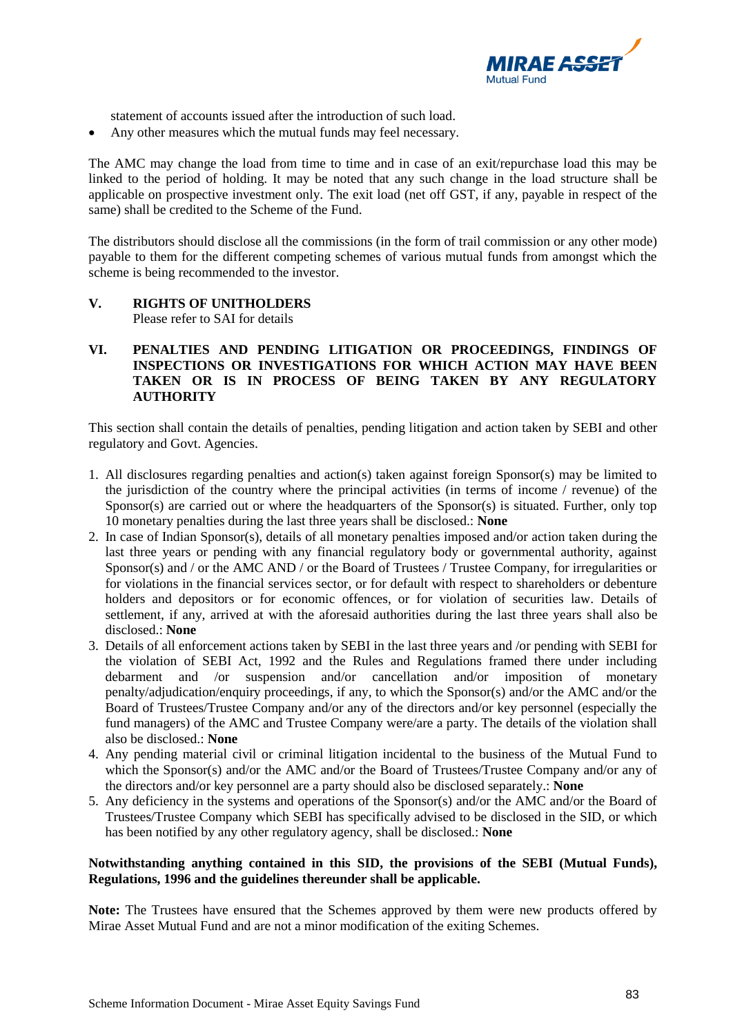

statement of accounts issued after the introduction of such load.

• Any other measures which the mutual funds may feel necessary.

The AMC may change the load from time to time and in case of an exit/repurchase load this may be linked to the period of holding. It may be noted that any such change in the load structure shall be applicable on prospective investment only. The exit load (net off GST, if any, payable in respect of the same) shall be credited to the Scheme of the Fund.

The distributors should disclose all the commissions (in the form of trail commission or any other mode) payable to them for the different competing schemes of various mutual funds from amongst which the scheme is being recommended to the investor.

# **V. RIGHTS OF UNITHOLDERS**

Please refer to SAI for details

## **VI. PENALTIES AND PENDING LITIGATION OR PROCEEDINGS, FINDINGS OF INSPECTIONS OR INVESTIGATIONS FOR WHICH ACTION MAY HAVE BEEN TAKEN OR IS IN PROCESS OF BEING TAKEN BY ANY REGULATORY AUTHORITY**

This section shall contain the details of penalties, pending litigation and action taken by SEBI and other regulatory and Govt. Agencies.

- 1. All disclosures regarding penalties and action(s) taken against foreign Sponsor(s) may be limited to the jurisdiction of the country where the principal activities (in terms of income / revenue) of the Sponsor(s) are carried out or where the headquarters of the Sponsor(s) is situated. Further, only top 10 monetary penalties during the last three years shall be disclosed.: **None**
- 2. In case of Indian Sponsor(s), details of all monetary penalties imposed and/or action taken during the last three years or pending with any financial regulatory body or governmental authority, against Sponsor(s) and / or the AMC AND / or the Board of Trustees / Trustee Company, for irregularities or for violations in the financial services sector, or for default with respect to shareholders or debenture holders and depositors or for economic offences, or for violation of securities law. Details of settlement, if any, arrived at with the aforesaid authorities during the last three years shall also be disclosed.: **None**
- 3. Details of all enforcement actions taken by SEBI in the last three years and /or pending with SEBI for the violation of SEBI Act, 1992 and the Rules and Regulations framed there under including debarment and /or suspension and/or cancellation and/or imposition of monetary penalty/adjudication/enquiry proceedings, if any, to which the Sponsor(s) and/or the AMC and/or the Board of Trustees/Trustee Company and/or any of the directors and/or key personnel (especially the fund managers) of the AMC and Trustee Company were/are a party. The details of the violation shall also be disclosed.: **None**
- 4. Any pending material civil or criminal litigation incidental to the business of the Mutual Fund to which the Sponsor(s) and/or the AMC and/or the Board of Trustees/Trustee Company and/or any of the directors and/or key personnel are a party should also be disclosed separately.: **None**
- 5. Any deficiency in the systems and operations of the Sponsor(s) and/or the AMC and/or the Board of Trustees/Trustee Company which SEBI has specifically advised to be disclosed in the SID, or which has been notified by any other regulatory agency, shall be disclosed.: **None**

## **Notwithstanding anything contained in this SID, the provisions of the SEBI (Mutual Funds), Regulations, 1996 and the guidelines thereunder shall be applicable.**

**Note:** The Trustees have ensured that the Schemes approved by them were new products offered by Mirae Asset Mutual Fund and are not a minor modification of the exiting Schemes.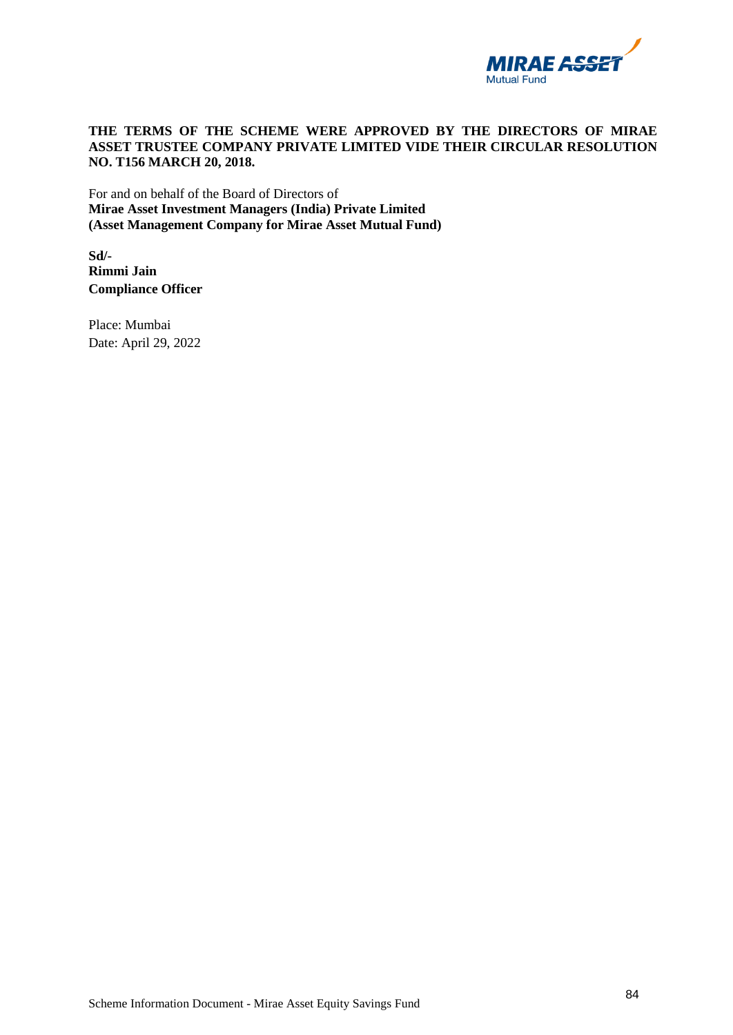

## **THE TERMS OF THE SCHEME WERE APPROVED BY THE DIRECTORS OF MIRAE ASSET TRUSTEE COMPANY PRIVATE LIMITED VIDE THEIR CIRCULAR RESOLUTION NO. T156 MARCH 20, 2018.**

For and on behalf of the Board of Directors of **Mirae Asset Investment Managers (India) Private Limited (Asset Management Company for Mirae Asset Mutual Fund)** 

**Sd/- Rimmi Jain Compliance Officer** 

Place: Mumbai Date: April 29, 2022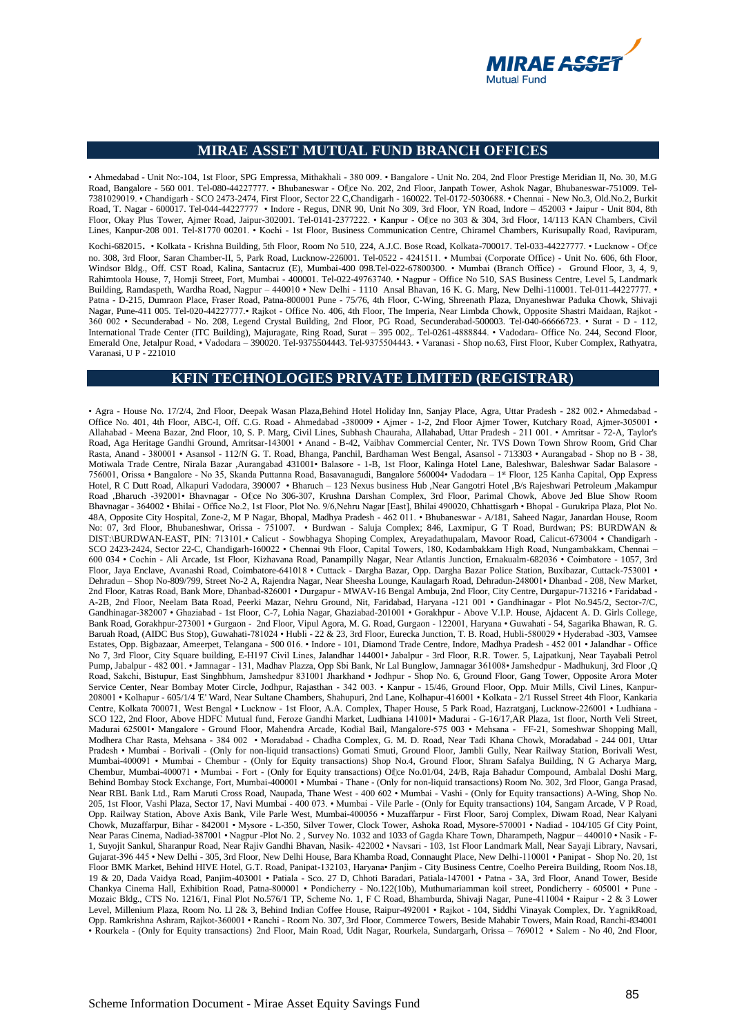

#### **MIRAE ASSET MUTUAL FUND BRANCH OFFICES**

• Ahmedabad - Unit No:-104, 1st Floor, SPG Empressa, Mithakhali - 380 009. • Bangalore - Unit No. 204, 2nd Floor Prestige Meridian II, No. 30, M.G Road, Bangalore - 560 001. Tel-080-44227777. • Bhubaneswar - Ofice No. 202, 2nd Floor, Janpath Tower, Ashok Nagar, Bhubaneswar-751009. Tel-7381029019. • Chandigarh - SCO 2473-2474, First Floor, Sector 22 C,Chandigarh - 160022. Tel-0172-5030688. • Chennai - New No.3, Old.No.2, Burkit Road, T. Nagar - 600017. Tel-044-44227777 • Indore - Regus, DNR 90, Unit No 309, 3rd Floor, YN Road, Indore – 452003 • Jaipur - Unit 804, 8th Floor, Okay Plus Tower, Ajmer Road, Jaipur-302001. Tel-0141-2377222. • Kanpur - Ofice no 303 & 304, 3rd Floor, 14/113 KAN Chambers, Civil Lines, Kanpur-208 001. Tel-81770 00201. • Kochi - 1st Floor, Business Communication Centre, Chiramel Chambers, Kurisupally Road, Ravipuram,

Kochi-682015. • Kolkata - Krishna Building, 5th Floor, Room No 510, 224, A.J.C. Bose Road, Kolkata-700017. Tel-033-44227777. • Lucknow - Ofice no. 308, 3rd Floor, Saran Chamber-II, 5, Park Road, Lucknow-226001. Tel-0522 - 4241511. • Mumbai (Corporate Office) - Unit No. 606, 6th Floor, Windsor Bldg., Off. CST Road, Kalina, Santacruz (E), Mumbai-400 098.Tel-022-67800300. • Mumbai (Branch Office) - Ground Floor, 3, 4, 9, Rahimtoola House, 7, Homji Street, Fort, Mumbai - 400001. Tel-022-49763740. • Nagpur - Office No 510, SAS Business Centre, Level 5, Landmark Building, Ramdaspeth, Wardha Road, Nagpur – 440010 • New Delhi - 1110 Ansal Bhavan, 16 K. G. Marg, New Delhi-110001. Tel-011-44227777. • Patna - D-215, Dumraon Place, Fraser Road, Patna-800001 Pune - 75/76, 4th Floor, C-Wing, Shreenath Plaza, Dnyaneshwar Paduka Chowk, Shivaji Nagar, Pune-411 005. Tel-020-44227777.• Rajkot - Office No. 406, 4th Floor, The Imperia, Near Limbda Chowk, Opposite Shastri Maidaan, Rajkot - 360 002 • Secunderabad - No. 208, Legend Crystal Building, 2nd Floor, PG Road, Secunderabad-500003. Tel-040-66666723. • Surat - D - 112, International Trade Center (ITC Building), Majuragate, Ring Road, Surat – 395 002,. Tel-0261-4888844. • Vadodara- Office No. 244, Second Floor, Emerald One, Jetalpur Road, • Vadodara – 390020. Tel-9375504443. Tel-9375504443. • Varanasi - Shop no.63, First Floor, Kuber Complex, Rathyatra, Varanasi, U P - 221010

#### **KFIN TECHNOLOGIES PRIVATE LIMITED (REGISTRAR)**

• Agra - House No. 17/2/4, 2nd Floor, Deepak Wasan Plaza,Behind Hotel Holiday Inn, Sanjay Place, Agra, Uttar Pradesh - 282 002.• Ahmedabad - Office No. 401, 4th Floor, ABC-I, Off. C.G. Road - Ahmedabad -380009 • Ajmer - 1-2, 2nd Floor Ajmer Tower, Kutchary Road, Ajmer-305001 • Allahabad - Meena Bazar, 2nd Floor, 10, S. P. Marg, Civil Lines, Subhash Chauraha, Allahabad, Uttar Pradesh - 211 001. • Amritsar - 72-A, Taylor's Road, Aga Heritage Gandhi Ground, Amritsar-143001 • Anand - B-42, Vaibhav Commercial Center, Nr. TVS Down Town Shrow Room, Grid Char Rasta, Anand - 380001 • Asansol - 112/N G. T. Road, Bhanga, Panchil, Bardhaman West Bengal, Asansol - 713303 • Aurangabad - Shop no B - 38, Motiwala Trade Centre, Nirala Bazar ,Aurangabad 431001• Balasore - 1-B, 1st Floor, Kalinga Hotel Lane, Baleshwar, Baleshwar Sadar Balasore - 756001, Orissa • Bangalore - No 35, Skanda Puttanna Road, Basavanagudi, Bangalore 560004• Vadodara – 1 st Floor, 125 Kanha Capital, Opp Express Hotel, R C Dutt Road, Alkapuri Vadodara, 390007 • Bharuch – 123 Nexus business Hub ,Near Gangotri Hotel ,B/s Rajeshwari Petroleum ,Makampur Road ,Bharuch -392001• Bhavnagar - Ofice No 306-307, Krushna Darshan Complex, 3rd Floor, Parimal Chowk, Above Jed Blue Show Room Bhavnagar - 364002 • Bhilai - Office No.2, 1st Floor, Plot No. 9/6,Nehru Nagar [East], Bhilai 490020, Chhattisgarh • Bhopal - Gurukripa Plaza, Plot No. 48A, Opposite City Hospital, Zone-2, M P Nagar, Bhopal, Madhya Pradesh - 462 011. • Bhubaneswar - A/181, Saheed Nagar, Janardan House, Room No: 07, 3rd Floor, Bhubaneshwar, Orissa - 751007. • Burdwan - Saluja Complex; 846, Laxmipur, G T Road, Burdwan; PS: BURDWAN & DIST:\BURDWAN-EAST, PIN: 713101.• Calicut - Sowbhagya Shoping Complex, Areyadathupalam, Mavoor Road, Calicut-673004 • Chandigarh - SCO 2423-2424, Sector 22-C, Chandigarh-160022 • Chennai 9th Floor, Capital Towers, 180, Kodambakkam High Road, Nungambakkam, Chennai – 600 034 • Cochin - Ali Arcade, 1st Floor, Kizhavana Road, Panampilly Nagar, Near Atlantis Junction, Ernakualm-682036 • Coimbatore - 1057, 3rd Floor, Jaya Enclave, Avanashi Road, Coimbatore-641018 • Cuttack - Dargha Bazar, Opp. Dargha Bazar Police Station, Buxibazar, Cuttack-753001 • Dehradun – Shop No-809/799, Street No-2 A, Rajendra Nagar, Near Sheesha Lounge, Kaulagarh Road, Dehradun-248001• Dhanbad - 208, New Market, 2nd Floor, Katras Road, Bank More, Dhanbad-826001 • Durgapur - MWAV-16 Bengal Ambuja, 2nd Floor, City Centre, Durgapur-713216 • Faridabad - A-2B, 2nd Floor, Neelam Bata Road, Peerki Mazar, Nehru Ground, Nit, Faridabad, Haryana -121 001 • Gandhinagar - Plot No.945/2, Sector-7/C, Gandhinagar-382007 • Ghaziabad - 1st Floor, C-7, Lohia Nagar, Ghaziabad-201001 • Gorakhpur - Above V.I.P. House, Ajdacent A. D. Girls College, Bank Road, Gorakhpur-273001 • Gurgaon - 2nd Floor, Vipul Agora, M. G. Road, Gurgaon - 122001, Haryana • Guwahati - 54, Sagarika Bhawan, R. G. Baruah Road, (AIDC Bus Stop), Guwahati-781024 • Hubli - 22 & 23, 3rd Floor, Eurecka Junction, T. B. Road, Hubli-580029 • Hyderabad -303, Vamsee Estates, Opp. Bigbazaar, Ameerpet, Telangana - 500 016. • Indore - 101, Diamond Trade Centre, Indore, Madhya Pradesh - 452 001 • Jalandhar - Office No 7, 3rd Floor, City Square building, E-H197 Civil Lines, Jalandhar 144001• Jabalpur - 3rd Floor, R.R. Tower. 5, Lajpatkunj, Near Tayabali Petrol Pump, Jabalpur - 482 001. • Jamnagar - 131, Madhav Plazza, Opp Sbi Bank, Nr Lal Bunglow, Jamnagar 361008• Jamshedpur - Madhukunj, 3rd Floor ,Q Road, Sakchi, Bistupur, East Singhbhum, Jamshedpur 831001 Jharkhand • Jodhpur - Shop No. 6, Ground Floor, Gang Tower, Opposite Arora Moter Service Center, Near Bombay Moter Circle, Jodhpur, Rajasthan - 342 003. • Kanpur - 15/46, Ground Floor, Opp. Muir Mills, Civil Lines, Kanpur-208001 • Kolhapur - 605/1/4 'E' Ward, Near Sultane Chambers, Shahupuri, 2nd Lane, Kolhapur-416001 • Kolkata - 2/1 Russel Street 4th Floor, Kankaria Centre, Kolkata 700071, West Bengal • Lucknow - 1st Floor, A.A. Complex, Thaper House, 5 Park Road, Hazratganj, Lucknow-226001 • Ludhiana - SCO 122, 2nd Floor, Above HDFC Mutual fund, Feroze Gandhi Market, Ludhiana 141001• Madurai - G-16/17,AR Plaza, 1st floor, North Veli Street, Madurai 625001• Mangalore - Ground Floor, Mahendra Arcade, Kodial Bail, Mangalore-575 003 • Mehsana - FF-21, Someshwar Shopping Mall, Modhera Char Rasta, Mehsana - 384 002 • Moradabad - Chadha Complex, G. M. D. Road, Near Tadi Khana Chowk, Moradabad - 244 001, Uttar Pradesh • Mumbai - Borivali - (Only for non-liquid transactions) Gomati Smuti, Ground Floor, Jambli Gully, Near Railway Station, Borivali West, Mumbai-400091 • Mumbai - Chembur - (Only for Equity transactions) Shop No.4, Ground Floor, Shram Safalya Building, N G Acharya Marg, Chembur, Mumbai-400071 • Mumbai - Fort - (Only for Equity transactions) Of ce No.01/04, 24/B, Raja Bahadur Compound, Ambalal Doshi Marg, Behind Bombay Stock Exchange, Fort, Mumbai-400001 • Mumbai - Thane - (Only for non-liquid transactions) Room No. 302, 3rd Floor, Ganga Prasad, Near RBL Bank Ltd., Ram Maruti Cross Road, Naupada, Thane West - 400 602 • Mumbai - Vashi - (Only for Equity transactions) A-Wing, Shop No. 205, 1st Floor, Vashi Plaza, Sector 17, Navi Mumbai - 400 073. • Mumbai - Vile Parle - (Only for Equity transactions) 104, Sangam Arcade, V P Road, Opp. Railway Station, Above Axis Bank, Vile Parle West, Mumbai-400056 • Muzaffarpur - First Floor, Saroj Complex, Diwam Road, Near Kalyani Chowk, Muzaffarpur, Bihar - 842001 • Mysore - L-350, Silver Tower, Clock Tower, Ashoka Road, Mysore-570001 • Nadiad - 104/105 Gf City Point, Near Paras Cinema, Nadiad-387001 • Nagpur -Plot No. 2 , Survey No. 1032 and 1033 of Gagda Khare Town, Dharampeth, Nagpur – 440010 • Nasik - F-1, Suyojit Sankul, Sharanpur Road, Near Rajiv Gandhi Bhavan, Nasik- 422002 • Navsari - 103, 1st Floor Landmark Mall, Near Sayaji Library, Navsari, Gujarat-396 445 • New Delhi - 305, 3rd Floor, New Delhi House, Bara Khamba Road, Connaught Place, New Delhi-110001 • Panipat - Shop No. 20, 1st Floor BMK Market, Behind HIVE Hotel, G.T. Road, Panipat-132103, Haryana• Panjim - City Business Centre, Coelho Pereira Building, Room Nos.18, 19 & 20, Dada Vaidya Road, Panjim-403001 • Patiala - Sco. 27 D, Chhoti Baradari, Patiala-147001 • Patna - 3A, 3rd Floor, Anand Tower, Beside Chankya Cinema Hall, Exhibition Road, Patna-800001 • Pondicherry - No.122(10b), Muthumariamman koil street, Pondicherry - 605001 • Pune - Mozaic Bldg., CTS No. 1216/1, Final Plot No.576/1 TP, Scheme No. 1, F C Road, Bhamburda, Shivaji Nagar, Pune-411004 • Raipur - 2 & 3 Lower Level, Millenium Plaza, Room No. Ll 2& 3, Behind Indian Coffee House, Raipur-492001 • Rajkot - 104, Siddhi Vinayak Complex, Dr. YagnikRoad, Opp. Ramkrishna Ashram, Rajkot-360001 • Ranchi - Room No. 307, 3rd Floor, Commerce Towers, Beside Mahabir Towers, Main Road, Ranchi-834001 • Rourkela - (Only for Equity transactions) 2nd Floor, Main Road, Udit Nagar, Rourkela, Sundargarh, Orissa – 769012 • Salem - No 40, 2nd Floor,